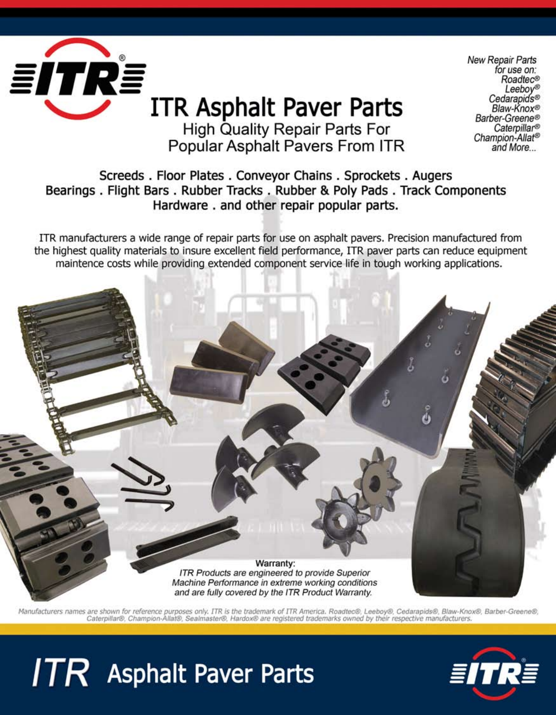

**New Repair Parts** for use on: Roadtec® Leeboy® Cedarapids® Blaw-Knox® Barber-Greene® Caterpillar® Champion-Allat<sup>®</sup> and More...

Screeds. Floor Plates. Conveyor Chains. Sprockets. Augers Bearings . Flight Bars . Rubber Tracks . Rubber & Poly Pads . Track Components Hardware. and other repair popular parts.

ITR manufacturers a wide range of repair parts for use on asphalt pavers. Precision manufactured from the highest quality materials to insure excellent field performance, ITR paver parts can reduce equipment maintence costs while providing extended component service life in tough working applications.



Manufacturers names are shown for reference purposes only. ITR is the trademark of ITR America. Roadtec®, Leeboy®, Cedarapids®, Blaw-Knox®, Barber-Greene®,<br>Caterpillar®, Champion-Allat®, Sealmaster®, Hardox® are registered

# $ITR$  Asphalt Paver Parts

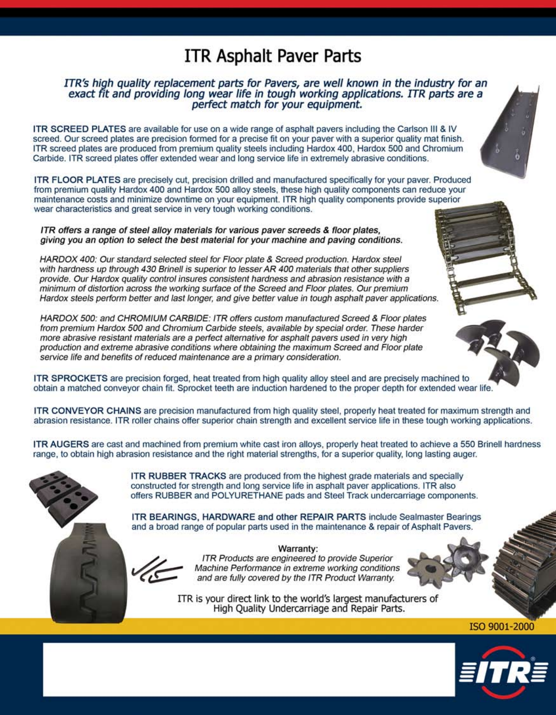# **ITR Asphalt Paver Parts**

#### ITR's high quality replacement parts for Pavers, are well known in the industry for an exact fit and providing long wear life in tough working applications. ITR parts are a perfect match for your equipment.

ITR SCREED PLATES are available for use on a wide range of asphalt pavers including the Carlson III & IV screed. Our screed plates are precision formed for a precise fit on your paver with a superior quality mat finish. ITR screed plates are produced from premium quality steels including Hardox 400, Hardox 500 and Chromium Carbide. ITR screed plates offer extended wear and long service life in extremely abrasive conditions.

ITR FLOOR PLATES are precisely cut, precision drilled and manufactured specifically for your paver. Produced from premium quality Hardox 400 and Hardox 500 alloy steels, these high quality components can reduce your maintenance costs and minimize downtime on your equipment. ITR high quality components provide superior wear characteristics and great service in very tough working conditions.

ITR offers a range of steel alloy materials for various paver screeds & floor plates, giving you an option to select the best material for your machine and paving conditions.

HARDOX 400: Our standard selected steel for Floor plate & Screed production. Hardox steel with hardness up through 430 Brinell is superior to lesser AR 400 materials that other suppliers provide. Our Hardox quality control insures consistent hardness and abrasion resistance with a minimum of distortion across the working surface of the Screed and Floor plates. Our premium Hardox steels perform better and last longer, and give better value in tough asphalt paver applications.

HARDOX 500: and CHROMIUM CARBIDE: ITR offers custom manufactured Screed & Floor plates from premium Hardox 500 and Chromium Carbide steels, available by special order. These harder more abrasive resistant materials are a perfect alternative for asphalt pavers used in very high production and extreme abrasive conditions where obtaining the maximum Screed and Floor plate service life and benefits of reduced maintenance are a primary consideration.

ITR SPROCKETS are precision forged, heat treated from high quality alloy steel and are precisely machined to obtain a matched conveyor chain fit. Sprocket teeth are induction hardened to the proper depth for extended wear life.

ITR CONVEYOR CHAINS are precision manufactured from high quality steel, properly heat treated for maximum strength and abrasion resistance. ITR roller chains offer superior chain strength and excellent service life in these tough working applications.

ITR AUGERS are cast and machined from premium white cast iron alloys, properly heat treated to achieve a 550 Brinell hardness range, to obtain high abrasion resistance and the right material strengths, for a superior quality, long lasting auger.



ITR RUBBER TRACKS are produced from the highest grade materials and specially constructed for strength and long service life in asphalt paver applications. ITR also offers RUBBER and POLYURETHANE pads and Steel Track undercarriage components.

ITR BEARINGS, HARDWARE and other REPAIR PARTS include Sealmaster Bearings and a broad range of popular parts used in the maintenance & repair of Asphalt Pavers.



Warranty: ITR Products are engineered to provide Superior Machine Performance in extreme working conditions and are fully covered by the ITR Product Warranty.

ITR is your direct link to the world's largest manufacturers of High Quality Undercarriage and Repair Parts.



ISO 9001-2000

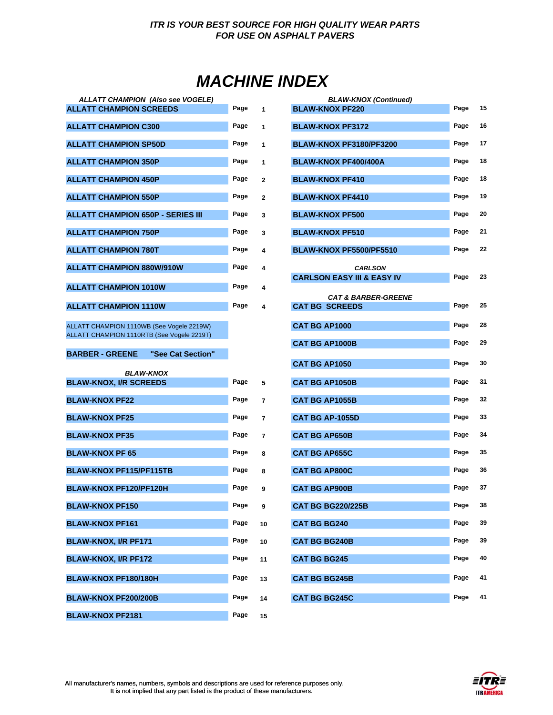# *MACHINE INDEX*

| <b>ALLATT CHAMPION (Also see VOGELE)</b>          |      |                | <b>BLAW-KNOX (Continued)</b>          |      |    |
|---------------------------------------------------|------|----------------|---------------------------------------|------|----|
| <b>ALLATT CHAMPION SCREEDS</b>                    | Page | 1              | <b>BLAW-KNOX PF220</b>                | Page | 15 |
| <b>ALLATT CHAMPION C300</b>                       |      | $\mathbf{1}$   | <b>BLAW-KNOX PF3172</b>               | Page | 16 |
| <b>ALLATT CHAMPION SP50D</b>                      | Page | 1              | BLAW-KNOX PF3180/PF3200               | Page | 17 |
| <b>ALLATT CHAMPION 350P</b>                       | Page | 1              | <b>BLAW-KNOX PF400/400A</b>           | Page | 18 |
| <b>ALLATT CHAMPION 450P</b>                       | Page | $\overline{2}$ | <b>BLAW-KNOX PF410</b>                | Page | 18 |
| <b>ALLATT CHAMPION 550P</b>                       | Page | $\overline{2}$ | <b>BLAW-KNOX PF4410</b>               | Page | 19 |
| <b>ALLATT CHAMPION 650P - SERIES III</b>          | Page | 3              | <b>BLAW-KNOX PF500</b>                | Page | 20 |
| <b>ALLATT CHAMPION 750P</b>                       | Page | 3              | <b>BLAW-KNOX PF510</b>                | Page | 21 |
| <b>ALLATT CHAMPION 780T</b>                       | Page | 4              | BLAW-KNOX PF5500/PF5510               | Page | 22 |
| <b>ALLATT CHAMPION 880W/910W</b>                  | Page | 4              | <b>CARLSON</b>                        |      |    |
|                                                   |      |                | <b>CARLSON EASY III &amp; EASY IV</b> | Page | 23 |
| <b>ALLATT CHAMPION 1010W</b>                      | Page | 4              | <b>CAT &amp; BARBER-GREENE</b>        |      |    |
| <b>ALLATT CHAMPION 1110W</b>                      | Page | 4              | <b>CAT BG SCREEDS</b>                 | Page | 25 |
|                                                   |      |                |                                       |      |    |
| ALLATT CHAMPION 1110WB (See Vogele 2219W)         |      |                | <b>CAT BG AP1000</b>                  | Page | 28 |
| ALLATT CHAMPION 1110RTB (See Vogele 2219T)        |      |                | <b>CAT BG AP1000B</b>                 | Page | 29 |
| <b>BARBER - GREENE</b><br>"See Cat Section"       |      |                |                                       |      |    |
|                                                   |      |                | CAT BG AP1050                         | Page | 30 |
| <b>BLAW-KNOX</b><br><b>BLAW-KNOX, I/R SCREEDS</b> | Page | 5              | <b>CAT BG AP1050B</b>                 | Page | 31 |
| <b>BLAW-KNOX PF22</b>                             | Page | 7              | <b>CAT BG AP1055B</b>                 | Page | 32 |
| <b>BLAW-KNOX PF25</b>                             | Page | $\overline{7}$ | <b>CAT BG AP-1055D</b>                | Page | 33 |
| <b>BLAW-KNOX PF35</b>                             | Page | $\overline{7}$ | <b>CAT BG AP650B</b>                  | Page | 34 |
| <b>BLAW-KNOX PF 65</b>                            | Page | 8              | <b>CAT BG AP655C</b>                  | Page | 35 |
| <b>BLAW-KNOX PF115/PF115TB</b>                    | Page | 8              | <b>CAT BG AP800C</b>                  | Page | 36 |
| <b>BLAW-KNOX PF120/PF120H</b>                     | Page | 9              | <b>CAT BG AP900B</b>                  | Page | 37 |
| <b>BLAW-KNOX PF150</b>                            | Page | 9              | <b>CAT BG BG220/225B</b>              | Page | 38 |

**BLAW-KNOX PF161 Page**  $10$ **BLAW-KNOX, I/R PF171 Page 30 Page** 30 **BLAW-KNOX, I/R PF172 Page**  $11$ 

**BLAW-KNOX PF180/180H Page**  $13$ 

**BLAW-KNOX PF200/200B Page 14 CAT BG BG245C Page 41 BLAW-KNOX PF2181 Page 15**

| <b>BLAW-KNOX (Continued)</b><br><b>BLAW-KNOX PF220</b>  | Page | 15 |
|---------------------------------------------------------|------|----|
| <b>BLAW-KNOX PF3172</b>                                 | Page | 16 |
| <b>BLAW-KNOX PF3180/PF3200</b>                          | Page | 17 |
| <b>BLAW-KNOX PF400/400A</b>                             | Page | 18 |
| <b>BLAW-KNOX PF410</b>                                  | Page | 18 |
| <b>BLAW-KNOX PF4410</b>                                 | Page | 19 |
| <b>BLAW-KNOX PF500</b>                                  | Page | 20 |
| <b>BLAW-KNOX PF510</b>                                  | Page | 21 |
| BLAW-KNOX PF5500/PF5510                                 | Page | 22 |
| <b>CARLSON</b>                                          |      |    |
| <b>CARLSON EASY III &amp; EASY IV</b>                   | Page | 23 |
| <b>CAT &amp; BARBER-GREENE</b><br><b>CAT BG SCREEDS</b> | Page | 25 |
| <b>CAT BG AP1000</b>                                    | Page | 28 |
| <b>CAT BG AP1000B</b>                                   | Page | 29 |
|                                                         |      |    |
| <b>CAT BG AP1050</b>                                    | Page | 30 |
| <b>CAT BG AP1050B</b>                                   | Page | 31 |
| <b>CAT BG AP1055B</b>                                   | Page | 32 |
| <b>CAT BG AP-1055D</b>                                  | Page | 33 |
| <b>CAT BG AP650B</b>                                    | Page | 34 |
| <b>CAT BG AP655C</b>                                    | Page | 35 |
| <b>CAT BG AP800C</b>                                    | Page | 36 |
| <b>CAT BG AP900B</b>                                    | Page | 37 |
| <b>CAT BG BG220/225B</b>                                | Page | 38 |
| <b>CAT BG BG240</b>                                     | Page | 39 |
| <b>CAT BG BG240B</b>                                    | Page | 39 |
| <b>CAT BG BG245</b>                                     | Page | 40 |
| <b>CAT BG BG245B</b>                                    | Page | 41 |
| <b>CAT BG BG245C</b>                                    | Page | 41 |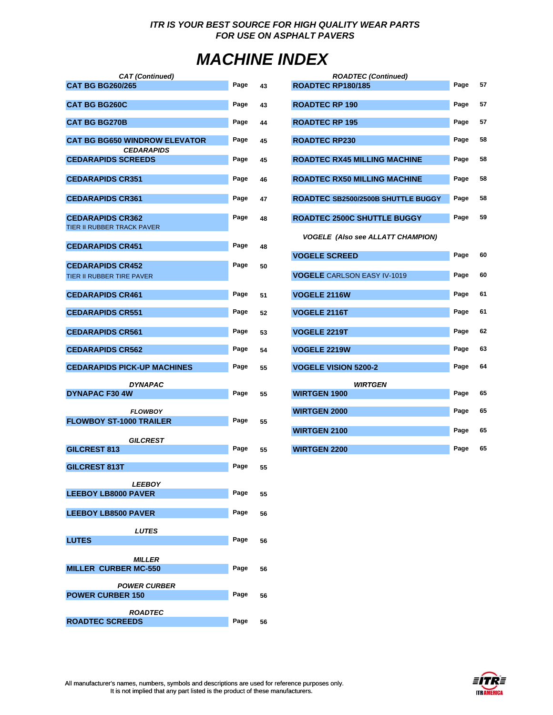# *MACHINE INDEX*

| <b>CAT</b> (Continued)                                    |      |    | <b>ROADTEC (Continued)</b>               |      |    |
|-----------------------------------------------------------|------|----|------------------------------------------|------|----|
| <b>CAT BG BG260/265</b>                                   | Page | 43 | ROADTEC RP180/185                        | Page | 57 |
| <b>CAT BG BG260C</b>                                      | Page | 43 | <b>ROADTEC RP 190</b>                    | Page | 57 |
| <b>CAT BG BG270B</b>                                      | Page | 44 | <b>ROADTEC RP 195</b>                    | Page | 57 |
| <b>CAT BG BG650 WINDROW ELEVATOR</b><br><b>CEDARAPIDS</b> | Page | 45 | <b>ROADTEC RP230</b>                     | Page | 58 |
| <b>CEDARAPIDS SCREEDS</b>                                 | Page | 45 | <b>ROADTEC RX45 MILLING MACHINE</b>      | Page | 58 |
| <b>CEDARAPIDS CR351</b>                                   | Page | 46 | <b>ROADTEC RX50 MILLING MACHINE</b>      | Page | 58 |
| <b>CEDARAPIDS CR361</b>                                   | Page | 47 | ROADTEC SB2500/2500B SHUTTLE BUGGY       | Page | 58 |
| <b>CEDARAPIDS CR362</b>                                   | Page | 48 | <b>ROADTEC 2500C SHUTTLE BUGGY</b>       | Page | 59 |
| TIER II RUBBER TRACK PAVER                                |      |    | <b>VOGELE (Also see ALLATT CHAMPION)</b> |      |    |
| <b>CEDARAPIDS CR451</b>                                   | Page | 48 | <b>VOGELE SCREED</b>                     | Page | 60 |
| <b>CEDARAPIDS CR452</b>                                   | Page | 50 |                                          |      |    |
| TIER II RUBBER TIRE PAVER                                 |      |    | <b>VOGELE</b> CARLSON EASY IV-1019       | Page | 60 |
| <b>CEDARAPIDS CR461</b>                                   | Page | 51 | <b>VOGELE 2116W</b>                      | Page | 61 |
| <b>CEDARAPIDS CR551</b>                                   | Page | 52 | VOGELE 2116T                             | Page | 61 |
| <b>CEDARAPIDS CR561</b>                                   | Page | 53 | <b>VOGELE 2219T</b>                      | Page | 62 |
| <b>CEDARAPIDS CR562</b>                                   | Page | 54 | <b>VOGELE 2219W</b>                      | Page | 63 |
| <b>CEDARAPIDS PICK-UP MACHINES</b>                        | Page | 55 | <b>VOGELE VISION 5200-2</b>              | Page | 64 |
| <b>DYNAPAC</b>                                            |      |    | <b>WIRTGEN</b>                           |      |    |
| <b>DYNAPAC F30 4W</b>                                     | Page | 55 | <b>WIRTGEN 1900</b>                      | Page | 65 |
| <b>FLOWBOY</b>                                            |      |    | <b>WIRTGEN 2000</b>                      | Page | 65 |
| <b>FLOWBOY ST-1000 TRAILER</b>                            | Page | 55 | <b>WIRTGEN 2100</b>                      | Page | 65 |
| <b>GILCREST</b>                                           |      |    |                                          |      |    |
| <b>GILCREST 813</b>                                       | Page | 55 | <b>WIRTGEN 2200</b>                      | Page | 65 |
| <b>GILCREST 813T</b>                                      | Page | 55 |                                          |      |    |
| <b>LEEBOY</b>                                             |      |    |                                          |      |    |
| <b>LEEBOY LB8000 PAVER</b>                                | Page | 55 |                                          |      |    |
| <b>LEEBOY LB8500 PAVER</b>                                | Page | 56 |                                          |      |    |
| <b>LUTES</b>                                              |      |    |                                          |      |    |
| <b>LUTES</b>                                              | Page | 56 |                                          |      |    |
| <b>MILLER</b>                                             |      |    |                                          |      |    |
| <b>MILLER CURBER MC-550</b>                               | Page | 56 |                                          |      |    |
| <b>POWER CURBER</b><br><b>POWER CURBER 150</b>            | Page | 56 |                                          |      |    |
|                                                           |      |    |                                          |      |    |
| <b>ROADTEC</b><br><b>ROADTEC SCREEDS</b>                  | Page | 56 |                                          |      |    |

| T (Continued)                       |      |    | <b>ROADTEC (Continued)</b>               |      |    |
|-------------------------------------|------|----|------------------------------------------|------|----|
| 55                                  | Page | 43 | ROADTEC RP180/185                        | Page | 57 |
|                                     | Page | 43 | <b>ROADTEC RP 190</b>                    | Page | 57 |
|                                     | Page | 44 | <b>ROADTEC RP 195</b>                    | Page | 57 |
| <b>INDROW ELEVATOR</b><br>EDARAPIDS | Page | 45 | <b>ROADTEC RP230</b>                     | Page | 58 |
| <b>REEDS</b>                        | Page | 45 | <b>ROADTEC RX45 MILLING MACHINE</b>      | Page | 58 |
| 351                                 | Page | 46 | <b>ROADTEC RX50 MILLING MACHINE</b>      | Page | 58 |
| 361                                 | Page | 47 | ROADTEC SB2500/2500B SHUTTLE BUGGY       | Page | 58 |
| 362<br><b>CK PAVER</b>              | Page | 48 | <b>ROADTEC 2500C SHUTTLE BUGGY</b>       | Page | 59 |
| 451                                 | Page | 48 | <b>VOGELE (Also see ALLATT CHAMPION)</b> |      |    |
|                                     |      |    | <b>VOGELE SCREED</b>                     | Page | 60 |
| 452<br><b>PAVER</b>                 | Page | 50 | <b>VOGELE</b> CARLSON EASY IV-1019       | Page | 60 |
| 461                                 | Page | 51 | <b>VOGELE 2116W</b>                      | Page | 61 |
| 551                                 | Page | 52 | VOGELE 2116T                             | Page | 61 |
| 561                                 | Page | 53 | VOGELE 2219T                             | Page | 62 |
| 562                                 | Page | 54 | VOGELE 2219W                             | Page | 63 |
| <b>K-UP MACHINES</b>                | Page | 55 | <b>VOGELE VISION 5200-2</b>              | Page | 64 |
| DYNAPAC                             |      |    | <b>WIRTGEN</b>                           |      |    |
|                                     | Page | 55 | <b>WIRTGEN 1900</b>                      | Page | 65 |
| <b>FLOWBOY</b><br><b>00 TRAILER</b> | Page | 55 | <b>WIRTGEN 2000</b>                      | Page | 65 |
|                                     |      |    | <b>WIRTGEN 2100</b>                      | Page | 65 |
| GILCREST                            | Page | 55 | <b>WIRTGEN 2200</b>                      | Page | 65 |

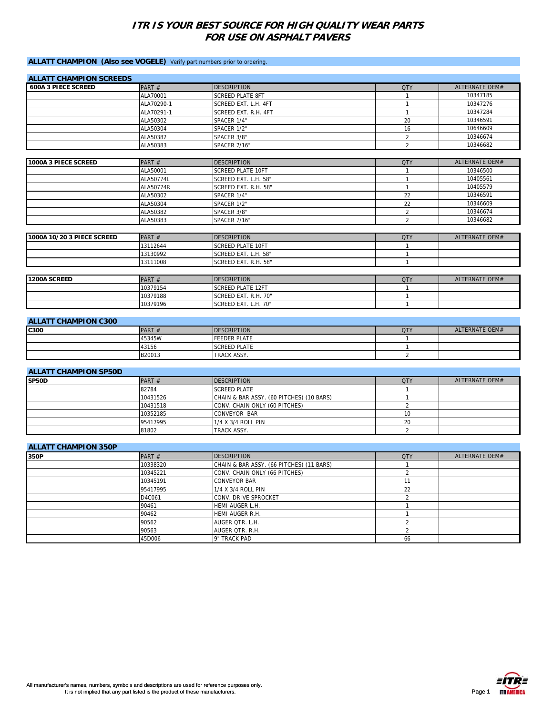#### **ALLATT CHAMPION (Also see VOGELE)** Verify part numbers prior to ordering.

| <b>ALLATT CHAMPION SCREEDS</b> |            |                          |                |                       |
|--------------------------------|------------|--------------------------|----------------|-----------------------|
| <b>600A 3 PIECE SCREED</b>     | PART#      | <b>DESCRIPTION</b>       | <b>QTY</b>     | ALTERNATE OFM#        |
|                                | ALA70001   | <b>SCREED PLATE 8FT</b>  | $\mathbf{1}$   | 10347185              |
|                                | ALA70290-1 | SCREED EXT. L.H. 4FT     | $\mathbf{1}$   | 10347276              |
|                                | ALA70291-1 | SCREED EXT. R.H. 4FT     | $\mathbf{1}$   | 10347284              |
|                                | ALA50302   | SPACER 1/4"              | 20             | 10346591              |
|                                | ALA50304   | SPACER 1/2"              | 16             | 10646609              |
|                                | ALA50382   | SPACER 3/8"              | $\overline{2}$ | 10346674              |
|                                | ALA50383   | SPACER 7/16"             | $\overline{2}$ | 10346682              |
| 1000A 3 PIECE SCREED           | PART#      | <b>DESCRIPTION</b>       | <b>QTY</b>     | <b>ALTERNATE OEM#</b> |
|                                | ALA50001   | <b>SCREED PLATE 10FT</b> | $\mathbf{1}$   | 10346500              |
|                                | ALA50774L  | SCREED EXT. L.H. 58"     | $\mathbf{1}$   | 10405561              |
|                                | ALA50774R  | SCREED EXT. R.H. 58"     | $\mathbf{1}$   | 10405579              |
|                                | ALA50302   | SPACER 1/4"              | 22             | 10346591              |
|                                | ALA50304   | SPACER 1/2"              | 22             | 10346609              |
|                                | ALA50382   | SPACER 3/8"              | $\overline{2}$ | 10346674              |
|                                | ALA50383   | <b>SPACER 7/16"</b>      | $\overline{2}$ | 10346682              |
| 1000A 10/20 3 PIECE SCREED     | PART#      | <b>DESCRIPTION</b>       | <b>QTY</b>     | <b>ALTERNATE OEM#</b> |
|                                | 13112644   | <b>SCREED PLATE 10FT</b> | $\mathbf{1}$   |                       |
|                                | 13130992   | SCREED EXT. L.H. 58"     | $\mathbf{1}$   |                       |
|                                | 13111008   | SCREED EXT. R.H. 58"     | $\mathbf{1}$   |                       |
|                                |            |                          |                |                       |
| 1200A SCREED                   | PART#      | <b>DESCRIPTION</b>       | <b>QTY</b>     | <b>ALTERNATE OEM#</b> |
|                                | 10379154   | <b>SCREED PLATE 12FT</b> | $\mathbf{1}$   |                       |
|                                | 10379188   | SCREED EXT. R.H. 70"     | $\mathbf{1}$   |                       |
|                                | 10379196   | SCREED EXT. L.H. 70"     | $\mathbf{1}$   |                       |
| <b>ALLATT CHAMPION C300</b>    |            |                          |                |                       |
| C300                           | PART#      | <b>DESCRIPTION</b>       | <b>QTY</b>     | <b>ALTERNATE OEM#</b> |
|                                | 45345W     | <b>FEEDER PLATE</b>      | $\mathbf{1}$   |                       |
|                                | 43156      | <b>SCREED PLATE</b>      |                |                       |
|                                | B20013     | TRACK ASSY.              | $\overline{2}$ |                       |

| <b>ALLATT CHAMPION SP50D</b> |          |                                          |            |                |  |  |
|------------------------------|----------|------------------------------------------|------------|----------------|--|--|
| SP50D                        | PART $#$ | <b>DESCRIPTION</b>                       | <b>QTY</b> | ALTERNATE OEM# |  |  |
|                              | 82784    | <b>SCREED PLATE</b>                      |            |                |  |  |
|                              | 10431526 | CHAIN & BAR ASSY. (60 PITCHES) (10 BARS) |            |                |  |  |
|                              | 10431518 | CONV. CHAIN ONLY (60 PITCHES)            |            |                |  |  |
|                              | 10352185 | <b>CONVEYOR BAR</b>                      | 10         |                |  |  |
|                              | 95417995 | 1/4 X 3/4 ROLL PIN                       | 20         |                |  |  |
|                              | 81802    | TRACK ASSY.                              |            |                |  |  |

| <b>ALLATT CHAMPION 350P</b> |          |                                          |            |                |  |  |
|-----------------------------|----------|------------------------------------------|------------|----------------|--|--|
| 350P                        | PART $#$ | <b>DESCRIPTION</b>                       | <b>QTY</b> | ALTERNATE OEM# |  |  |
|                             | 10338320 | CHAIN & BAR ASSY. (66 PITCHES) (11 BARS) |            |                |  |  |
|                             | 10345221 | CONV. CHAIN ONLY (66 PITCHES)            |            |                |  |  |
|                             | 10345191 | <b>CONVEYOR BAR</b>                      |            |                |  |  |
|                             | 95417995 | 1/4 X 3/4 ROLL PIN                       | 22         |                |  |  |
|                             | D4C061   | <b>CONV. DRIVE SPROCKET</b>              |            |                |  |  |
|                             | 90461    | HEMI AUGER L.H.                          |            |                |  |  |
|                             | 90462    | HEMI AUGER R.H.                          |            |                |  |  |
|                             | 90562    | AUGER QTR. L.H.                          |            |                |  |  |
|                             | 90563    | AUGER QTR. R.H.                          |            |                |  |  |
|                             | 45D006   | 9" TRACK PAD                             | 66         |                |  |  |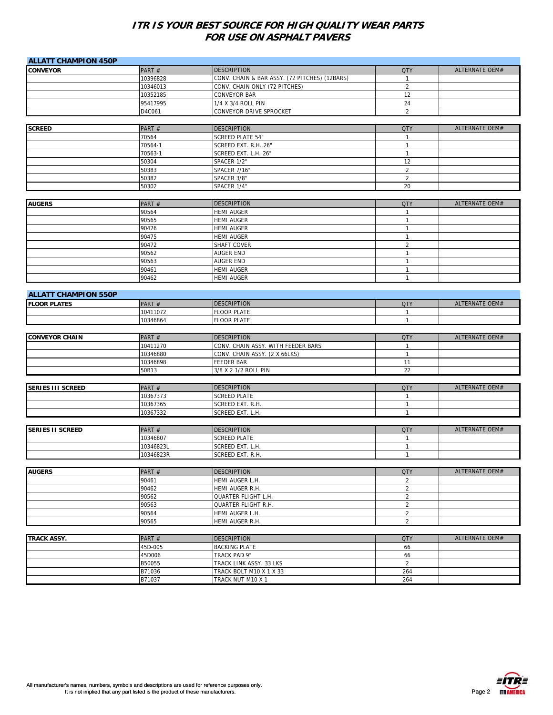| <b>CONVEYOR</b><br>PART#<br><b>DESCRIPTION</b><br><b>QTY</b><br>ALTERNATE OEM#<br>10396828<br>CONV. CHAIN & BAR ASSY. (72 PITCHES) (12BARS)<br>$\mathbf{1}$<br>$\overline{2}$<br>10346013<br>CONV. CHAIN ONLY (72 PITCHES)<br>CONVEYOR BAR<br>12<br>10352185<br>24<br>95417995<br>1/4 X 3/4 ROLL PIN<br>CONVEYOR DRIVE SPROCKET<br>$\overline{2}$<br>D4C061<br><b>DESCRIPTION</b><br>ALTERNATE OEM#<br><b>SCREED</b><br>PART #<br><b>QTY</b><br>70564<br><b>SCREED PLATE 54"</b><br>$\overline{1}$<br>70564-1<br>SCREED EXT. R.H. 26"<br>$\mathbf{1}$<br>70563-1<br>SCREED EXT. L.H. 26"<br>$\mathbf{1}$<br>50304<br>12<br>SPACER 1/2"<br>$\boldsymbol{2}$<br>50383<br>SPACER 7/16"<br>$\boldsymbol{2}$<br>50382<br>SPACER 3/8"<br>20<br>50302<br>SPACER 1/4"<br><b>DESCRIPTION</b><br>ALTERNATE OEM#<br><b>AUGERS</b><br>PART#<br><b>QTY</b><br>90564<br><b>HEMI AUGER</b><br>$\overline{1}$<br>90565<br><b>HEMI AUGER</b><br>$\mathbf{1}$<br>90476<br><b>HEMI AUGER</b><br>$\mathbf{1}$<br>90475<br><b>HEMI AUGER</b><br>$\mathbf{1}$<br>90472<br>SHAFT COVER<br>$\sqrt{2}$<br>90562<br><b>AUGER END</b><br>$\mathbf{1}$<br>90563<br><b>AUGER END</b><br>$\mathbf{1}$<br>90461<br><b>HEMI AUGER</b><br>$\mathbf{1}$<br><b>HEMI AUGER</b><br>90462<br>$\mathbf{1}$<br><b>ALLATT CHAMPION 550P</b><br><b>DESCRIPTION</b><br><b>ALTERNATE OEM#</b><br><b>FLOOR PLATES</b><br>PART#<br><b>QTY</b><br><b>FLOOR PLATE</b><br>10411072<br>$\mathbf{1}$<br>10346864<br><b>FLOOR PLATE</b><br>$\mathbf{1}$<br><b>DESCRIPTION</b><br>ALTERNATE OEM#<br><b>CONVEYOR CHAIN</b><br>PART#<br><b>QTY</b><br>CONV. CHAIN ASSY. WITH FEEDER BARS<br>10411270<br>$\mathbf{1}$<br>10346880<br>CONV. CHAIN ASSY. (2 X 66LKS)<br>$\mathbf{1}$<br>10346898<br><b>FEEDER BAR</b><br>11<br>22<br>50B13<br>3/8 X 2 1/2 ROLL PIN<br>ALTERNATE OEM#<br><b>SERIES III SCREED</b><br>PART#<br><b>DESCRIPTION</b><br><b>QTY</b><br>10367373<br><b>SCREED PLATE</b><br>$\mathbf{1}$<br>10367365<br>SCREED EXT. R.H.<br>$\mathbf{1}$<br>SCREED EXT. L.H.<br>$\mathbf{1}$<br>10367332<br>ALTERNATE OEM#<br><b>SERIES II SCREED</b><br>PART#<br><b>DESCRIPTION</b><br><b>QTY</b><br>10346807<br><b>SCREED PLATE</b><br>$\mathbf{1}$<br>10346823L<br>SCREED EXT. L.H.<br>$\mathbf{1}$<br>$\mathbf{1}$<br>10346823R<br>SCREED EXT. R.H.<br><b>DESCRIPTION</b><br><b>ALTERNATE OEM#</b><br><b>AUGERS</b><br>PART#<br><b>QTY</b><br>90461<br>HEMI AUGER L.H.<br>$\overline{2}$<br>$\sqrt{2}$<br>90462<br>HEMI AUGER R.H.<br>$\boldsymbol{2}$<br>90562<br><b>QUARTER FLIGHT L.H.</b><br>90563<br>QUARTER FLIGHT R.H.<br>$\sqrt{2}$<br>90564<br>HEMI AUGER L.H.<br>$\sqrt{2}$<br>90565<br>HEMI AUGER R.H.<br>$\overline{2}$<br><b>DESCRIPTION</b><br>ALTERNATE OEM#<br><b>TRACK ASSY.</b><br>PART #<br><b>QTY</b><br>45D-005<br>66<br><b>BACKING PLATE</b><br>45D006<br>TRACK PAD 9"<br>66<br>$\overline{2}$<br>B50055<br>TRACK LINK ASSY. 33 LKS<br>B71036<br>TRACK BOLT M10 X 1 X 33<br>264<br>264<br>B71037<br>TRACK NUT M10 X 1 | <b>ALLATT CHAMPION 450P</b> |  |  |
|-----------------------------------------------------------------------------------------------------------------------------------------------------------------------------------------------------------------------------------------------------------------------------------------------------------------------------------------------------------------------------------------------------------------------------------------------------------------------------------------------------------------------------------------------------------------------------------------------------------------------------------------------------------------------------------------------------------------------------------------------------------------------------------------------------------------------------------------------------------------------------------------------------------------------------------------------------------------------------------------------------------------------------------------------------------------------------------------------------------------------------------------------------------------------------------------------------------------------------------------------------------------------------------------------------------------------------------------------------------------------------------------------------------------------------------------------------------------------------------------------------------------------------------------------------------------------------------------------------------------------------------------------------------------------------------------------------------------------------------------------------------------------------------------------------------------------------------------------------------------------------------------------------------------------------------------------------------------------------------------------------------------------------------------------------------------------------------------------------------------------------------------------------------------------------------------------------------------------------------------------------------------------------------------------------------------------------------------------------------------------------------------------------------------------------------------------------------------------------------------------------------------------------------------------------------------------------------------------------------------------------------------------------------------------------------------------------------------------------------------------------------------------------------------------------------------------------------------------------------------------------------------------------------------------------------------------------------------------------------------------|-----------------------------|--|--|
|                                                                                                                                                                                                                                                                                                                                                                                                                                                                                                                                                                                                                                                                                                                                                                                                                                                                                                                                                                                                                                                                                                                                                                                                                                                                                                                                                                                                                                                                                                                                                                                                                                                                                                                                                                                                                                                                                                                                                                                                                                                                                                                                                                                                                                                                                                                                                                                                                                                                                                                                                                                                                                                                                                                                                                                                                                                                                                                                                                                               |                             |  |  |
|                                                                                                                                                                                                                                                                                                                                                                                                                                                                                                                                                                                                                                                                                                                                                                                                                                                                                                                                                                                                                                                                                                                                                                                                                                                                                                                                                                                                                                                                                                                                                                                                                                                                                                                                                                                                                                                                                                                                                                                                                                                                                                                                                                                                                                                                                                                                                                                                                                                                                                                                                                                                                                                                                                                                                                                                                                                                                                                                                                                               |                             |  |  |
|                                                                                                                                                                                                                                                                                                                                                                                                                                                                                                                                                                                                                                                                                                                                                                                                                                                                                                                                                                                                                                                                                                                                                                                                                                                                                                                                                                                                                                                                                                                                                                                                                                                                                                                                                                                                                                                                                                                                                                                                                                                                                                                                                                                                                                                                                                                                                                                                                                                                                                                                                                                                                                                                                                                                                                                                                                                                                                                                                                                               |                             |  |  |
|                                                                                                                                                                                                                                                                                                                                                                                                                                                                                                                                                                                                                                                                                                                                                                                                                                                                                                                                                                                                                                                                                                                                                                                                                                                                                                                                                                                                                                                                                                                                                                                                                                                                                                                                                                                                                                                                                                                                                                                                                                                                                                                                                                                                                                                                                                                                                                                                                                                                                                                                                                                                                                                                                                                                                                                                                                                                                                                                                                                               |                             |  |  |
|                                                                                                                                                                                                                                                                                                                                                                                                                                                                                                                                                                                                                                                                                                                                                                                                                                                                                                                                                                                                                                                                                                                                                                                                                                                                                                                                                                                                                                                                                                                                                                                                                                                                                                                                                                                                                                                                                                                                                                                                                                                                                                                                                                                                                                                                                                                                                                                                                                                                                                                                                                                                                                                                                                                                                                                                                                                                                                                                                                                               |                             |  |  |
|                                                                                                                                                                                                                                                                                                                                                                                                                                                                                                                                                                                                                                                                                                                                                                                                                                                                                                                                                                                                                                                                                                                                                                                                                                                                                                                                                                                                                                                                                                                                                                                                                                                                                                                                                                                                                                                                                                                                                                                                                                                                                                                                                                                                                                                                                                                                                                                                                                                                                                                                                                                                                                                                                                                                                                                                                                                                                                                                                                                               |                             |  |  |
|                                                                                                                                                                                                                                                                                                                                                                                                                                                                                                                                                                                                                                                                                                                                                                                                                                                                                                                                                                                                                                                                                                                                                                                                                                                                                                                                                                                                                                                                                                                                                                                                                                                                                                                                                                                                                                                                                                                                                                                                                                                                                                                                                                                                                                                                                                                                                                                                                                                                                                                                                                                                                                                                                                                                                                                                                                                                                                                                                                                               |                             |  |  |
|                                                                                                                                                                                                                                                                                                                                                                                                                                                                                                                                                                                                                                                                                                                                                                                                                                                                                                                                                                                                                                                                                                                                                                                                                                                                                                                                                                                                                                                                                                                                                                                                                                                                                                                                                                                                                                                                                                                                                                                                                                                                                                                                                                                                                                                                                                                                                                                                                                                                                                                                                                                                                                                                                                                                                                                                                                                                                                                                                                                               |                             |  |  |
|                                                                                                                                                                                                                                                                                                                                                                                                                                                                                                                                                                                                                                                                                                                                                                                                                                                                                                                                                                                                                                                                                                                                                                                                                                                                                                                                                                                                                                                                                                                                                                                                                                                                                                                                                                                                                                                                                                                                                                                                                                                                                                                                                                                                                                                                                                                                                                                                                                                                                                                                                                                                                                                                                                                                                                                                                                                                                                                                                                                               |                             |  |  |
|                                                                                                                                                                                                                                                                                                                                                                                                                                                                                                                                                                                                                                                                                                                                                                                                                                                                                                                                                                                                                                                                                                                                                                                                                                                                                                                                                                                                                                                                                                                                                                                                                                                                                                                                                                                                                                                                                                                                                                                                                                                                                                                                                                                                                                                                                                                                                                                                                                                                                                                                                                                                                                                                                                                                                                                                                                                                                                                                                                                               |                             |  |  |
|                                                                                                                                                                                                                                                                                                                                                                                                                                                                                                                                                                                                                                                                                                                                                                                                                                                                                                                                                                                                                                                                                                                                                                                                                                                                                                                                                                                                                                                                                                                                                                                                                                                                                                                                                                                                                                                                                                                                                                                                                                                                                                                                                                                                                                                                                                                                                                                                                                                                                                                                                                                                                                                                                                                                                                                                                                                                                                                                                                                               |                             |  |  |
|                                                                                                                                                                                                                                                                                                                                                                                                                                                                                                                                                                                                                                                                                                                                                                                                                                                                                                                                                                                                                                                                                                                                                                                                                                                                                                                                                                                                                                                                                                                                                                                                                                                                                                                                                                                                                                                                                                                                                                                                                                                                                                                                                                                                                                                                                                                                                                                                                                                                                                                                                                                                                                                                                                                                                                                                                                                                                                                                                                                               |                             |  |  |
|                                                                                                                                                                                                                                                                                                                                                                                                                                                                                                                                                                                                                                                                                                                                                                                                                                                                                                                                                                                                                                                                                                                                                                                                                                                                                                                                                                                                                                                                                                                                                                                                                                                                                                                                                                                                                                                                                                                                                                                                                                                                                                                                                                                                                                                                                                                                                                                                                                                                                                                                                                                                                                                                                                                                                                                                                                                                                                                                                                                               |                             |  |  |
|                                                                                                                                                                                                                                                                                                                                                                                                                                                                                                                                                                                                                                                                                                                                                                                                                                                                                                                                                                                                                                                                                                                                                                                                                                                                                                                                                                                                                                                                                                                                                                                                                                                                                                                                                                                                                                                                                                                                                                                                                                                                                                                                                                                                                                                                                                                                                                                                                                                                                                                                                                                                                                                                                                                                                                                                                                                                                                                                                                                               |                             |  |  |
|                                                                                                                                                                                                                                                                                                                                                                                                                                                                                                                                                                                                                                                                                                                                                                                                                                                                                                                                                                                                                                                                                                                                                                                                                                                                                                                                                                                                                                                                                                                                                                                                                                                                                                                                                                                                                                                                                                                                                                                                                                                                                                                                                                                                                                                                                                                                                                                                                                                                                                                                                                                                                                                                                                                                                                                                                                                                                                                                                                                               |                             |  |  |
|                                                                                                                                                                                                                                                                                                                                                                                                                                                                                                                                                                                                                                                                                                                                                                                                                                                                                                                                                                                                                                                                                                                                                                                                                                                                                                                                                                                                                                                                                                                                                                                                                                                                                                                                                                                                                                                                                                                                                                                                                                                                                                                                                                                                                                                                                                                                                                                                                                                                                                                                                                                                                                                                                                                                                                                                                                                                                                                                                                                               |                             |  |  |
|                                                                                                                                                                                                                                                                                                                                                                                                                                                                                                                                                                                                                                                                                                                                                                                                                                                                                                                                                                                                                                                                                                                                                                                                                                                                                                                                                                                                                                                                                                                                                                                                                                                                                                                                                                                                                                                                                                                                                                                                                                                                                                                                                                                                                                                                                                                                                                                                                                                                                                                                                                                                                                                                                                                                                                                                                                                                                                                                                                                               |                             |  |  |
|                                                                                                                                                                                                                                                                                                                                                                                                                                                                                                                                                                                                                                                                                                                                                                                                                                                                                                                                                                                                                                                                                                                                                                                                                                                                                                                                                                                                                                                                                                                                                                                                                                                                                                                                                                                                                                                                                                                                                                                                                                                                                                                                                                                                                                                                                                                                                                                                                                                                                                                                                                                                                                                                                                                                                                                                                                                                                                                                                                                               |                             |  |  |
|                                                                                                                                                                                                                                                                                                                                                                                                                                                                                                                                                                                                                                                                                                                                                                                                                                                                                                                                                                                                                                                                                                                                                                                                                                                                                                                                                                                                                                                                                                                                                                                                                                                                                                                                                                                                                                                                                                                                                                                                                                                                                                                                                                                                                                                                                                                                                                                                                                                                                                                                                                                                                                                                                                                                                                                                                                                                                                                                                                                               |                             |  |  |
|                                                                                                                                                                                                                                                                                                                                                                                                                                                                                                                                                                                                                                                                                                                                                                                                                                                                                                                                                                                                                                                                                                                                                                                                                                                                                                                                                                                                                                                                                                                                                                                                                                                                                                                                                                                                                                                                                                                                                                                                                                                                                                                                                                                                                                                                                                                                                                                                                                                                                                                                                                                                                                                                                                                                                                                                                                                                                                                                                                                               |                             |  |  |
|                                                                                                                                                                                                                                                                                                                                                                                                                                                                                                                                                                                                                                                                                                                                                                                                                                                                                                                                                                                                                                                                                                                                                                                                                                                                                                                                                                                                                                                                                                                                                                                                                                                                                                                                                                                                                                                                                                                                                                                                                                                                                                                                                                                                                                                                                                                                                                                                                                                                                                                                                                                                                                                                                                                                                                                                                                                                                                                                                                                               |                             |  |  |
|                                                                                                                                                                                                                                                                                                                                                                                                                                                                                                                                                                                                                                                                                                                                                                                                                                                                                                                                                                                                                                                                                                                                                                                                                                                                                                                                                                                                                                                                                                                                                                                                                                                                                                                                                                                                                                                                                                                                                                                                                                                                                                                                                                                                                                                                                                                                                                                                                                                                                                                                                                                                                                                                                                                                                                                                                                                                                                                                                                                               |                             |  |  |
|                                                                                                                                                                                                                                                                                                                                                                                                                                                                                                                                                                                                                                                                                                                                                                                                                                                                                                                                                                                                                                                                                                                                                                                                                                                                                                                                                                                                                                                                                                                                                                                                                                                                                                                                                                                                                                                                                                                                                                                                                                                                                                                                                                                                                                                                                                                                                                                                                                                                                                                                                                                                                                                                                                                                                                                                                                                                                                                                                                                               |                             |  |  |
|                                                                                                                                                                                                                                                                                                                                                                                                                                                                                                                                                                                                                                                                                                                                                                                                                                                                                                                                                                                                                                                                                                                                                                                                                                                                                                                                                                                                                                                                                                                                                                                                                                                                                                                                                                                                                                                                                                                                                                                                                                                                                                                                                                                                                                                                                                                                                                                                                                                                                                                                                                                                                                                                                                                                                                                                                                                                                                                                                                                               |                             |  |  |
|                                                                                                                                                                                                                                                                                                                                                                                                                                                                                                                                                                                                                                                                                                                                                                                                                                                                                                                                                                                                                                                                                                                                                                                                                                                                                                                                                                                                                                                                                                                                                                                                                                                                                                                                                                                                                                                                                                                                                                                                                                                                                                                                                                                                                                                                                                                                                                                                                                                                                                                                                                                                                                                                                                                                                                                                                                                                                                                                                                                               |                             |  |  |
|                                                                                                                                                                                                                                                                                                                                                                                                                                                                                                                                                                                                                                                                                                                                                                                                                                                                                                                                                                                                                                                                                                                                                                                                                                                                                                                                                                                                                                                                                                                                                                                                                                                                                                                                                                                                                                                                                                                                                                                                                                                                                                                                                                                                                                                                                                                                                                                                                                                                                                                                                                                                                                                                                                                                                                                                                                                                                                                                                                                               |                             |  |  |
|                                                                                                                                                                                                                                                                                                                                                                                                                                                                                                                                                                                                                                                                                                                                                                                                                                                                                                                                                                                                                                                                                                                                                                                                                                                                                                                                                                                                                                                                                                                                                                                                                                                                                                                                                                                                                                                                                                                                                                                                                                                                                                                                                                                                                                                                                                                                                                                                                                                                                                                                                                                                                                                                                                                                                                                                                                                                                                                                                                                               |                             |  |  |
|                                                                                                                                                                                                                                                                                                                                                                                                                                                                                                                                                                                                                                                                                                                                                                                                                                                                                                                                                                                                                                                                                                                                                                                                                                                                                                                                                                                                                                                                                                                                                                                                                                                                                                                                                                                                                                                                                                                                                                                                                                                                                                                                                                                                                                                                                                                                                                                                                                                                                                                                                                                                                                                                                                                                                                                                                                                                                                                                                                                               |                             |  |  |
|                                                                                                                                                                                                                                                                                                                                                                                                                                                                                                                                                                                                                                                                                                                                                                                                                                                                                                                                                                                                                                                                                                                                                                                                                                                                                                                                                                                                                                                                                                                                                                                                                                                                                                                                                                                                                                                                                                                                                                                                                                                                                                                                                                                                                                                                                                                                                                                                                                                                                                                                                                                                                                                                                                                                                                                                                                                                                                                                                                                               |                             |  |  |
|                                                                                                                                                                                                                                                                                                                                                                                                                                                                                                                                                                                                                                                                                                                                                                                                                                                                                                                                                                                                                                                                                                                                                                                                                                                                                                                                                                                                                                                                                                                                                                                                                                                                                                                                                                                                                                                                                                                                                                                                                                                                                                                                                                                                                                                                                                                                                                                                                                                                                                                                                                                                                                                                                                                                                                                                                                                                                                                                                                                               |                             |  |  |
|                                                                                                                                                                                                                                                                                                                                                                                                                                                                                                                                                                                                                                                                                                                                                                                                                                                                                                                                                                                                                                                                                                                                                                                                                                                                                                                                                                                                                                                                                                                                                                                                                                                                                                                                                                                                                                                                                                                                                                                                                                                                                                                                                                                                                                                                                                                                                                                                                                                                                                                                                                                                                                                                                                                                                                                                                                                                                                                                                                                               |                             |  |  |
|                                                                                                                                                                                                                                                                                                                                                                                                                                                                                                                                                                                                                                                                                                                                                                                                                                                                                                                                                                                                                                                                                                                                                                                                                                                                                                                                                                                                                                                                                                                                                                                                                                                                                                                                                                                                                                                                                                                                                                                                                                                                                                                                                                                                                                                                                                                                                                                                                                                                                                                                                                                                                                                                                                                                                                                                                                                                                                                                                                                               |                             |  |  |
|                                                                                                                                                                                                                                                                                                                                                                                                                                                                                                                                                                                                                                                                                                                                                                                                                                                                                                                                                                                                                                                                                                                                                                                                                                                                                                                                                                                                                                                                                                                                                                                                                                                                                                                                                                                                                                                                                                                                                                                                                                                                                                                                                                                                                                                                                                                                                                                                                                                                                                                                                                                                                                                                                                                                                                                                                                                                                                                                                                                               |                             |  |  |
|                                                                                                                                                                                                                                                                                                                                                                                                                                                                                                                                                                                                                                                                                                                                                                                                                                                                                                                                                                                                                                                                                                                                                                                                                                                                                                                                                                                                                                                                                                                                                                                                                                                                                                                                                                                                                                                                                                                                                                                                                                                                                                                                                                                                                                                                                                                                                                                                                                                                                                                                                                                                                                                                                                                                                                                                                                                                                                                                                                                               |                             |  |  |
|                                                                                                                                                                                                                                                                                                                                                                                                                                                                                                                                                                                                                                                                                                                                                                                                                                                                                                                                                                                                                                                                                                                                                                                                                                                                                                                                                                                                                                                                                                                                                                                                                                                                                                                                                                                                                                                                                                                                                                                                                                                                                                                                                                                                                                                                                                                                                                                                                                                                                                                                                                                                                                                                                                                                                                                                                                                                                                                                                                                               |                             |  |  |
|                                                                                                                                                                                                                                                                                                                                                                                                                                                                                                                                                                                                                                                                                                                                                                                                                                                                                                                                                                                                                                                                                                                                                                                                                                                                                                                                                                                                                                                                                                                                                                                                                                                                                                                                                                                                                                                                                                                                                                                                                                                                                                                                                                                                                                                                                                                                                                                                                                                                                                                                                                                                                                                                                                                                                                                                                                                                                                                                                                                               |                             |  |  |
|                                                                                                                                                                                                                                                                                                                                                                                                                                                                                                                                                                                                                                                                                                                                                                                                                                                                                                                                                                                                                                                                                                                                                                                                                                                                                                                                                                                                                                                                                                                                                                                                                                                                                                                                                                                                                                                                                                                                                                                                                                                                                                                                                                                                                                                                                                                                                                                                                                                                                                                                                                                                                                                                                                                                                                                                                                                                                                                                                                                               |                             |  |  |
|                                                                                                                                                                                                                                                                                                                                                                                                                                                                                                                                                                                                                                                                                                                                                                                                                                                                                                                                                                                                                                                                                                                                                                                                                                                                                                                                                                                                                                                                                                                                                                                                                                                                                                                                                                                                                                                                                                                                                                                                                                                                                                                                                                                                                                                                                                                                                                                                                                                                                                                                                                                                                                                                                                                                                                                                                                                                                                                                                                                               |                             |  |  |
|                                                                                                                                                                                                                                                                                                                                                                                                                                                                                                                                                                                                                                                                                                                                                                                                                                                                                                                                                                                                                                                                                                                                                                                                                                                                                                                                                                                                                                                                                                                                                                                                                                                                                                                                                                                                                                                                                                                                                                                                                                                                                                                                                                                                                                                                                                                                                                                                                                                                                                                                                                                                                                                                                                                                                                                                                                                                                                                                                                                               |                             |  |  |
|                                                                                                                                                                                                                                                                                                                                                                                                                                                                                                                                                                                                                                                                                                                                                                                                                                                                                                                                                                                                                                                                                                                                                                                                                                                                                                                                                                                                                                                                                                                                                                                                                                                                                                                                                                                                                                                                                                                                                                                                                                                                                                                                                                                                                                                                                                                                                                                                                                                                                                                                                                                                                                                                                                                                                                                                                                                                                                                                                                                               |                             |  |  |
|                                                                                                                                                                                                                                                                                                                                                                                                                                                                                                                                                                                                                                                                                                                                                                                                                                                                                                                                                                                                                                                                                                                                                                                                                                                                                                                                                                                                                                                                                                                                                                                                                                                                                                                                                                                                                                                                                                                                                                                                                                                                                                                                                                                                                                                                                                                                                                                                                                                                                                                                                                                                                                                                                                                                                                                                                                                                                                                                                                                               |                             |  |  |
|                                                                                                                                                                                                                                                                                                                                                                                                                                                                                                                                                                                                                                                                                                                                                                                                                                                                                                                                                                                                                                                                                                                                                                                                                                                                                                                                                                                                                                                                                                                                                                                                                                                                                                                                                                                                                                                                                                                                                                                                                                                                                                                                                                                                                                                                                                                                                                                                                                                                                                                                                                                                                                                                                                                                                                                                                                                                                                                                                                                               |                             |  |  |
|                                                                                                                                                                                                                                                                                                                                                                                                                                                                                                                                                                                                                                                                                                                                                                                                                                                                                                                                                                                                                                                                                                                                                                                                                                                                                                                                                                                                                                                                                                                                                                                                                                                                                                                                                                                                                                                                                                                                                                                                                                                                                                                                                                                                                                                                                                                                                                                                                                                                                                                                                                                                                                                                                                                                                                                                                                                                                                                                                                                               |                             |  |  |
|                                                                                                                                                                                                                                                                                                                                                                                                                                                                                                                                                                                                                                                                                                                                                                                                                                                                                                                                                                                                                                                                                                                                                                                                                                                                                                                                                                                                                                                                                                                                                                                                                                                                                                                                                                                                                                                                                                                                                                                                                                                                                                                                                                                                                                                                                                                                                                                                                                                                                                                                                                                                                                                                                                                                                                                                                                                                                                                                                                                               |                             |  |  |
|                                                                                                                                                                                                                                                                                                                                                                                                                                                                                                                                                                                                                                                                                                                                                                                                                                                                                                                                                                                                                                                                                                                                                                                                                                                                                                                                                                                                                                                                                                                                                                                                                                                                                                                                                                                                                                                                                                                                                                                                                                                                                                                                                                                                                                                                                                                                                                                                                                                                                                                                                                                                                                                                                                                                                                                                                                                                                                                                                                                               |                             |  |  |
|                                                                                                                                                                                                                                                                                                                                                                                                                                                                                                                                                                                                                                                                                                                                                                                                                                                                                                                                                                                                                                                                                                                                                                                                                                                                                                                                                                                                                                                                                                                                                                                                                                                                                                                                                                                                                                                                                                                                                                                                                                                                                                                                                                                                                                                                                                                                                                                                                                                                                                                                                                                                                                                                                                                                                                                                                                                                                                                                                                                               |                             |  |  |
|                                                                                                                                                                                                                                                                                                                                                                                                                                                                                                                                                                                                                                                                                                                                                                                                                                                                                                                                                                                                                                                                                                                                                                                                                                                                                                                                                                                                                                                                                                                                                                                                                                                                                                                                                                                                                                                                                                                                                                                                                                                                                                                                                                                                                                                                                                                                                                                                                                                                                                                                                                                                                                                                                                                                                                                                                                                                                                                                                                                               |                             |  |  |
|                                                                                                                                                                                                                                                                                                                                                                                                                                                                                                                                                                                                                                                                                                                                                                                                                                                                                                                                                                                                                                                                                                                                                                                                                                                                                                                                                                                                                                                                                                                                                                                                                                                                                                                                                                                                                                                                                                                                                                                                                                                                                                                                                                                                                                                                                                                                                                                                                                                                                                                                                                                                                                                                                                                                                                                                                                                                                                                                                                                               |                             |  |  |
|                                                                                                                                                                                                                                                                                                                                                                                                                                                                                                                                                                                                                                                                                                                                                                                                                                                                                                                                                                                                                                                                                                                                                                                                                                                                                                                                                                                                                                                                                                                                                                                                                                                                                                                                                                                                                                                                                                                                                                                                                                                                                                                                                                                                                                                                                                                                                                                                                                                                                                                                                                                                                                                                                                                                                                                                                                                                                                                                                                                               |                             |  |  |
|                                                                                                                                                                                                                                                                                                                                                                                                                                                                                                                                                                                                                                                                                                                                                                                                                                                                                                                                                                                                                                                                                                                                                                                                                                                                                                                                                                                                                                                                                                                                                                                                                                                                                                                                                                                                                                                                                                                                                                                                                                                                                                                                                                                                                                                                                                                                                                                                                                                                                                                                                                                                                                                                                                                                                                                                                                                                                                                                                                                               |                             |  |  |
|                                                                                                                                                                                                                                                                                                                                                                                                                                                                                                                                                                                                                                                                                                                                                                                                                                                                                                                                                                                                                                                                                                                                                                                                                                                                                                                                                                                                                                                                                                                                                                                                                                                                                                                                                                                                                                                                                                                                                                                                                                                                                                                                                                                                                                                                                                                                                                                                                                                                                                                                                                                                                                                                                                                                                                                                                                                                                                                                                                                               |                             |  |  |
|                                                                                                                                                                                                                                                                                                                                                                                                                                                                                                                                                                                                                                                                                                                                                                                                                                                                                                                                                                                                                                                                                                                                                                                                                                                                                                                                                                                                                                                                                                                                                                                                                                                                                                                                                                                                                                                                                                                                                                                                                                                                                                                                                                                                                                                                                                                                                                                                                                                                                                                                                                                                                                                                                                                                                                                                                                                                                                                                                                                               |                             |  |  |
|                                                                                                                                                                                                                                                                                                                                                                                                                                                                                                                                                                                                                                                                                                                                                                                                                                                                                                                                                                                                                                                                                                                                                                                                                                                                                                                                                                                                                                                                                                                                                                                                                                                                                                                                                                                                                                                                                                                                                                                                                                                                                                                                                                                                                                                                                                                                                                                                                                                                                                                                                                                                                                                                                                                                                                                                                                                                                                                                                                                               |                             |  |  |
|                                                                                                                                                                                                                                                                                                                                                                                                                                                                                                                                                                                                                                                                                                                                                                                                                                                                                                                                                                                                                                                                                                                                                                                                                                                                                                                                                                                                                                                                                                                                                                                                                                                                                                                                                                                                                                                                                                                                                                                                                                                                                                                                                                                                                                                                                                                                                                                                                                                                                                                                                                                                                                                                                                                                                                                                                                                                                                                                                                                               |                             |  |  |
|                                                                                                                                                                                                                                                                                                                                                                                                                                                                                                                                                                                                                                                                                                                                                                                                                                                                                                                                                                                                                                                                                                                                                                                                                                                                                                                                                                                                                                                                                                                                                                                                                                                                                                                                                                                                                                                                                                                                                                                                                                                                                                                                                                                                                                                                                                                                                                                                                                                                                                                                                                                                                                                                                                                                                                                                                                                                                                                                                                                               |                             |  |  |
|                                                                                                                                                                                                                                                                                                                                                                                                                                                                                                                                                                                                                                                                                                                                                                                                                                                                                                                                                                                                                                                                                                                                                                                                                                                                                                                                                                                                                                                                                                                                                                                                                                                                                                                                                                                                                                                                                                                                                                                                                                                                                                                                                                                                                                                                                                                                                                                                                                                                                                                                                                                                                                                                                                                                                                                                                                                                                                                                                                                               |                             |  |  |
|                                                                                                                                                                                                                                                                                                                                                                                                                                                                                                                                                                                                                                                                                                                                                                                                                                                                                                                                                                                                                                                                                                                                                                                                                                                                                                                                                                                                                                                                                                                                                                                                                                                                                                                                                                                                                                                                                                                                                                                                                                                                                                                                                                                                                                                                                                                                                                                                                                                                                                                                                                                                                                                                                                                                                                                                                                                                                                                                                                                               |                             |  |  |
|                                                                                                                                                                                                                                                                                                                                                                                                                                                                                                                                                                                                                                                                                                                                                                                                                                                                                                                                                                                                                                                                                                                                                                                                                                                                                                                                                                                                                                                                                                                                                                                                                                                                                                                                                                                                                                                                                                                                                                                                                                                                                                                                                                                                                                                                                                                                                                                                                                                                                                                                                                                                                                                                                                                                                                                                                                                                                                                                                                                               |                             |  |  |
|                                                                                                                                                                                                                                                                                                                                                                                                                                                                                                                                                                                                                                                                                                                                                                                                                                                                                                                                                                                                                                                                                                                                                                                                                                                                                                                                                                                                                                                                                                                                                                                                                                                                                                                                                                                                                                                                                                                                                                                                                                                                                                                                                                                                                                                                                                                                                                                                                                                                                                                                                                                                                                                                                                                                                                                                                                                                                                                                                                                               |                             |  |  |
|                                                                                                                                                                                                                                                                                                                                                                                                                                                                                                                                                                                                                                                                                                                                                                                                                                                                                                                                                                                                                                                                                                                                                                                                                                                                                                                                                                                                                                                                                                                                                                                                                                                                                                                                                                                                                                                                                                                                                                                                                                                                                                                                                                                                                                                                                                                                                                                                                                                                                                                                                                                                                                                                                                                                                                                                                                                                                                                                                                                               |                             |  |  |
|                                                                                                                                                                                                                                                                                                                                                                                                                                                                                                                                                                                                                                                                                                                                                                                                                                                                                                                                                                                                                                                                                                                                                                                                                                                                                                                                                                                                                                                                                                                                                                                                                                                                                                                                                                                                                                                                                                                                                                                                                                                                                                                                                                                                                                                                                                                                                                                                                                                                                                                                                                                                                                                                                                                                                                                                                                                                                                                                                                                               |                             |  |  |
|                                                                                                                                                                                                                                                                                                                                                                                                                                                                                                                                                                                                                                                                                                                                                                                                                                                                                                                                                                                                                                                                                                                                                                                                                                                                                                                                                                                                                                                                                                                                                                                                                                                                                                                                                                                                                                                                                                                                                                                                                                                                                                                                                                                                                                                                                                                                                                                                                                                                                                                                                                                                                                                                                                                                                                                                                                                                                                                                                                                               |                             |  |  |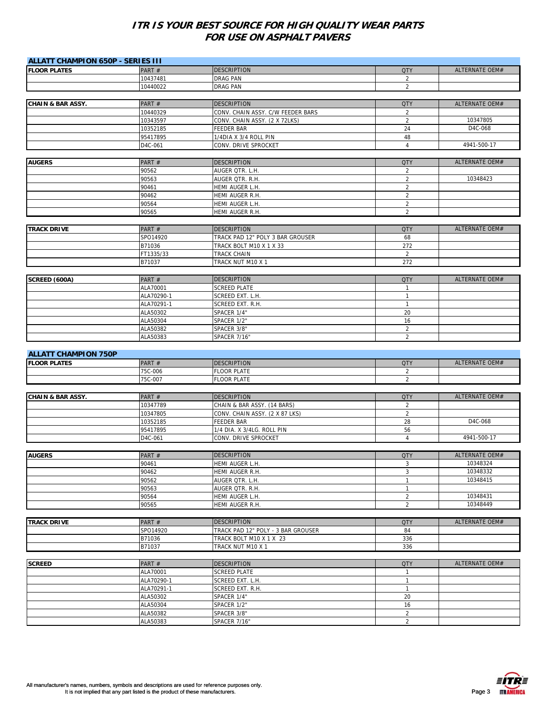| <b>ALLATT CHAMPION 650P - SERIES III</b> |                      |                                    |                                  |                |
|------------------------------------------|----------------------|------------------------------------|----------------------------------|----------------|
| <b>FLOOR PLATES</b>                      | PART#                | <b>DESCRIPTION</b>                 | <b>QTY</b>                       | ALTERNATE OEM# |
|                                          | 10437481             | DRAG PAN                           | 2                                |                |
|                                          | 10440022             | <b>DRAG PAN</b>                    | $\overline{2}$                   |                |
|                                          |                      |                                    |                                  |                |
| <b>CHAIN &amp; BAR ASSY.</b>             | PART #               | <b>DESCRIPTION</b>                 | <b>QTY</b>                       | ALTERNATE OEM# |
|                                          | 10440329             | CONV. CHAIN ASSY. C/W FEEDER BARS  | $\sqrt{2}$                       |                |
|                                          | 10343597             | CONV. CHAIN ASSY. (2 X 72LKS)      | $\overline{2}$                   | 10347805       |
|                                          | 10352185             | <b>FEEDER BAR</b>                  | 24                               | D4C-068        |
|                                          | 95417895             | 1/4DIA X 3/4 ROLL PIN              | 48                               |                |
|                                          | D4C-061              | CONV. DRIVE SPROCKET               | $\overline{4}$                   | 4941-500-17    |
|                                          |                      |                                    |                                  |                |
| <b>AUGERS</b>                            | PART#                | <b>DESCRIPTION</b>                 | <b>QTY</b>                       | ALTERNATE OEM# |
|                                          | 90562                | AUGER QTR. L.H.                    | $\overline{2}$                   |                |
|                                          | 90563                | AUGER QTR. R.H.                    | $\overline{2}$                   | 10348423       |
|                                          | 90461                | HEMI AUGER L.H.                    | $\overline{2}$                   |                |
|                                          | 90462                | HEMI AUGER R.H.                    | $\overline{2}$                   |                |
|                                          | 90564                | HEMI AUGER L.H.                    | $\sqrt{2}$                       |                |
|                                          | 90565                | HEMI AUGER R.H.                    | $\overline{2}$                   |                |
|                                          |                      |                                    |                                  |                |
| <b>TRACK DRIVE</b>                       | PART#                | <b>DESCRIPTION</b>                 | <b>QTY</b>                       | ALTERNATE OEM# |
|                                          | SPO14920             | TRACK PAD 12" POLY 3 BAR GROUSER   | 68                               |                |
|                                          | B71036               | TRACK BOLT M10 X 1 X 33            | 272                              |                |
|                                          | FT1335/33            | TRACK CHAIN                        | $\overline{2}$                   |                |
|                                          | B71037               | TRACK NUT M10 X 1                  | 272                              |                |
|                                          |                      |                                    |                                  |                |
| SCREED (600A)                            | PART#                | <b>DESCRIPTION</b>                 | <b>QTY</b>                       | ALTERNATE OEM# |
|                                          | ALA70001             | <b>SCREED PLATE</b>                | $\mathbf{1}$                     |                |
|                                          | ALA70290-1           | SCREED EXT. L.H.                   | 1                                |                |
|                                          | ALA70291-1           | SCREED EXT. R.H.                   | $\mathbf{1}$                     |                |
|                                          | ALA50302             | SPACER 1/4"                        | 20                               |                |
|                                          | ALA50304             | SPACER 1/2"                        | 16                               |                |
|                                          | ALA50382             | SPACER 3/8"                        | $\sqrt{2}$                       |                |
|                                          | ALA50383             | SPACER 7/16"                       | $\overline{2}$                   |                |
|                                          |                      |                                    |                                  |                |
| <b>ALLATT CHAMPION 750P</b>              |                      |                                    |                                  |                |
| <b>FLOOR PLATES</b>                      | PART#                | <b>DESCRIPTION</b>                 | <b>QTY</b>                       | ALTERNATE OEM# |
|                                          | 75C-006              | <b>FLOOR PLATE</b>                 | $\overline{2}$                   |                |
|                                          | 75C-007              | <b>FLOOR PLATE</b>                 | $\overline{2}$                   |                |
|                                          |                      |                                    |                                  |                |
| <b>CHAIN &amp; BAR ASSY.</b>             | PART#                | <b>DESCRIPTION</b>                 | <b>QTY</b>                       | ALTERNATE OEM# |
|                                          | 10347789             | CHAIN & BAR ASSY. (14 BARS)        | $\overline{2}$                   |                |
|                                          | 10347805             | CONV. CHAIN ASSY. (2 X 87 LKS)     | $\overline{2}$                   |                |
|                                          | 10352185             | <b>FEEDER BAR</b>                  | 28                               | D4C-068        |
|                                          | 95417895             | 1/4 DIA. X 3/4LG. ROLL PIN         | 56                               |                |
|                                          | D4C-061              | CONV. DRIVE SPROCKET               | $\overline{4}$                   | 4941-500-17    |
|                                          |                      |                                    |                                  |                |
| <b>AUGERS</b>                            | PART#                | <b>DESCRIPTION</b>                 | <b>QTY</b>                       | ALTERNATE OEM# |
|                                          | 90461                | HEMI AUGER L.H.                    | 3                                | 10348324       |
|                                          | 90462                | HEMI AUGER R.H.                    | 3                                | 10348332       |
|                                          | 90562                | AUGER QTR. L.H.                    | $\mathbf{1}$                     | 10348415       |
|                                          | 90563                | AUGER QTR. R.H.                    | $\mathbf{1}$                     |                |
|                                          | 90564                | HEMI AUGER L.H.                    | $\overline{2}$                   | 10348431       |
|                                          | 90565                | HEMI AUGER R.H.                    | $\overline{2}$                   | 10348449       |
|                                          |                      |                                    |                                  |                |
| <b>TRACK DRIVE</b>                       | PART#                | <b>DESCRIPTION</b>                 | <b>QTY</b>                       | ALTERNATE OEM# |
|                                          | SPO14920             | TRACK PAD 12" POLY - 3 BAR GROUSER | 84                               |                |
|                                          | B71036               | TRACK BOLT M10 X 1 X 23            | 336                              |                |
|                                          | B71037               | TRACK NUT M10 X 1                  | 336                              |                |
|                                          |                      |                                    |                                  |                |
| <b>SCREED</b>                            | PART#                | <b>DESCRIPTION</b>                 | <b>QTY</b>                       | ALTERNATE OEM# |
|                                          | ALA70001             | <b>SCREED PLATE</b>                | $\mathbf{1}$                     |                |
|                                          | ALA70290-1           | SCREED EXT. L.H.                   | $\mathbf{1}$                     |                |
|                                          | ALA70291-1           | SCREED EXT. R.H.                   | $\mathbf{1}$                     |                |
|                                          | ALA50302             | SPACER 1/4"                        | 20                               |                |
|                                          |                      |                                    |                                  |                |
|                                          | ALA50304             | SPACER 1/2"                        | 16                               |                |
|                                          | ALA50382<br>ALA50383 | SPACER 3/8"<br>SPACER 7/16"        | $\overline{2}$<br>$\overline{2}$ |                |

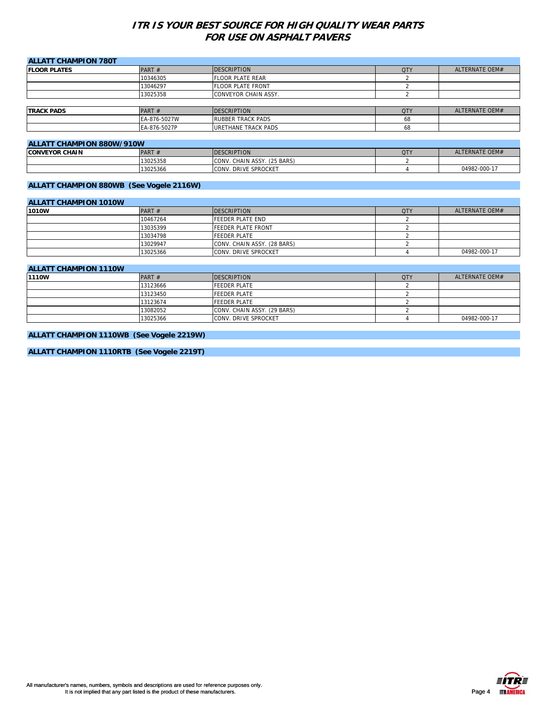| <b>ALLATT CHAMPION 780T</b>      |              |                          |                      |                |
|----------------------------------|--------------|--------------------------|----------------------|----------------|
| <b>IFLOOR PLATES</b>             | PART $#$     | <b>DESCRIPTION</b>       | <b>QTY</b>           | ALTERNATE OEM# |
|                                  | 10346305     | <b>FLOOR PLATE REAR</b>  |                      |                |
|                                  | 13046297     | <b>FLOOR PLATE FRONT</b> |                      |                |
|                                  | 13025358     | CONVEYOR CHAIN ASSY.     |                      |                |
|                                  |              |                          |                      |                |
| <b>TRACK PADS</b>                | PART $#$     | <b>DESCRIPTION</b>       | <b>QTY</b>           | ALTERNATE OEM# |
|                                  | EA-876-5027W | <b>RUBBER TRACK PADS</b> | 68                   |                |
|                                  | EA-876-5027P | URETHANE TRACK PADS      | 68                   |                |
|                                  |              |                          |                      |                |
| <b>ALLATT CHAMPION 880W/910W</b> |              |                          |                      |                |
|                                  | $B = B$      | <b>DECODIDEIOLI</b>      | $\sim$ $\sim$ $\sim$ | ATFOMATEO      |

| ALLATT VIIAIVII TOIV 000 VV/7 TOVV |             |                                       |            |                |  |  |
|------------------------------------|-------------|---------------------------------------|------------|----------------|--|--|
| <b>CONVEYOR CHAIN</b>              | <b>PART</b> | <b>DESCRIPTION</b>                    | <b>QTY</b> | ALTERNATE OEM# |  |  |
|                                    | 13025358    | . (25 BARS)<br>CONV.<br>. CHAIN ASSY. |            |                |  |  |
|                                    | 13025366    | . DRIVE SPROCKET<br>CONV.             |            | 04982-000-17   |  |  |

#### **ALLATT CHAMPION 880WB (See Vogele 2116W)**

| <b>ALLATT CHAMPION 1010W</b> |          |                              |            |                |  |  |
|------------------------------|----------|------------------------------|------------|----------------|--|--|
| 1010W                        | PART $#$ | <b>DESCRIPTION</b>           | <b>QTY</b> | ALTERNATE OEM# |  |  |
|                              | 10467264 | <b>FEEDER PLATE END</b>      |            |                |  |  |
|                              | 13035399 | <b>FEEDER PLATE FRONT</b>    |            |                |  |  |
|                              | 13034798 | <b>FEEDER PLATE</b>          |            |                |  |  |
|                              | 13029947 | CONV. CHAIN ASSY. (28 BARS)  |            |                |  |  |
|                              | 13025366 | <b>ICONV. DRIVE SPROCKET</b> |            | 04982-000-17   |  |  |

#### **ALLATT CHAMPION 1110W 1210WR PART # PESCRIPTION DESCRIPTION 12.0 MB PART # PART # PART # PART # PART # PART # PART # PART # PART # PART # PART # PART # PART # PART # PART # PART # PART # PART # PART # PART # PART # PART # PART # PART # PART** 13123666 FEEDER PLATE 2 **FEEDER PLATE** 2 13123674 FEEDER PLATE 2 13082052 CONV. CHAIN ASSY. (29 BARS) 2 13025366 CONV. DRIVE SPROCKET 4 04982-000-17

#### **ALLATT CHAMPION 1110WB (See Vogele 2219W)**

**ALLATT CHAMPION 1110RTB (See Vogele 2219T)**



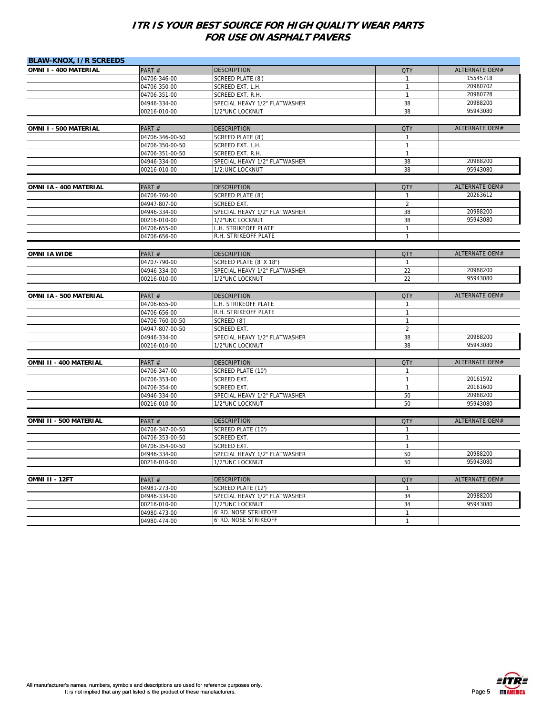| <b>BLAW-KNOX, I/R SCREEDS</b> |                              |                                                |                                |                       |
|-------------------------------|------------------------------|------------------------------------------------|--------------------------------|-----------------------|
| OMNI I - 400 MATERIAL         | PART#                        | <b>DESCRIPTION</b>                             | <b>QTY</b>                     | <b>ALTERNATE OEM#</b> |
|                               | 04706-346-00                 | SCREED PLATE (8')                              | $\mathbf{1}$                   | 15545718              |
|                               | 04706-350-00                 | SCREED EXT. L.H.                               | $\mathbf{1}$                   | 20980702              |
|                               | 04706-351-00                 | SCREED EXT. R.H.                               | $\mathbf{1}$                   | 20980728              |
|                               | 04946-334-00                 | SPECIAL HEAVY 1/2" FLATWASHER                  | 38                             | 20988200              |
|                               | 00216-010-00                 | 1/2"UNC LOCKNUT                                | 38                             | 95943080              |
|                               |                              |                                                |                                |                       |
| OMNI I - 500 MATERIAL         | PART#                        | <b>DESCRIPTION</b>                             | <b>QTY</b>                     | ALTERNATE OEM#        |
|                               | 04706-346-00-50              | SCREED PLATE (8')                              | $\mathbf{1}$                   |                       |
|                               | 04706-350-00-50              | SCREED EXT. L.H.                               | $\mathbf{1}$                   |                       |
|                               | 04706-351-00-50              | SCREED EXT. R.H.                               | $\mathbf{1}$                   |                       |
|                               | 04946-334-00                 | SPECIAL HEAVY 1/2" FLATWASHER                  | 38                             | 20988200              |
|                               | 00216-010-00                 | 1/2:UNC LOCKNUT                                | 38                             | 95943080              |
|                               |                              |                                                |                                | <b>ALTERNATE OEM#</b> |
| OMNI IA - 400 MATERIAL        | PART#                        | <b>DESCRIPTION</b>                             | <b>QTY</b>                     | 20263612              |
|                               | 04706-760-00<br>04947-807-00 | SCREED PLATE (8')<br>SCREED EXT.               | $\mathbf{1}$<br>$\overline{2}$ |                       |
|                               | 04946-334-00                 | SPECIAL HEAVY 1/2" FLATWASHER                  | 38                             | 20988200              |
|                               | 00216-010-00                 | 1/2"UNC LOCKNUT                                | 38                             | 95943080              |
|                               | 04706-655-00                 | L.H. STRIKEOFF PLATE                           | $\mathbf{1}$                   |                       |
|                               | 04706-656-00                 | R.H. STRIKEOFF PLATE                           | $\mathbf{1}$                   |                       |
|                               |                              |                                                |                                |                       |
| <b>OMNI IA WIDE</b>           | PART#                        | <b>DESCRIPTION</b>                             | <b>QTY</b>                     | ALTERNATE OEM#        |
|                               | 04707-790-00                 | SCREED PLATE (8' X 18")                        | $\mathbf{1}$                   |                       |
|                               | 04946-334-00                 | SPECIAL HEAVY 1/2" FLATWASHER                  | 22                             | 20988200              |
|                               | 00216-010-00                 | 1/2"UNC LOCKNUT                                | 22                             | 95943080              |
|                               |                              |                                                |                                |                       |
| OMNI IA - 500 MATERIAL        | PART#                        | <b>DESCRIPTION</b>                             | <b>QTY</b>                     | ALTERNATE OEM#        |
|                               | 04706-655-00                 | L.H. STRIKEOFF PLATE                           | $\mathbf{1}$                   |                       |
|                               | 04706-656-00                 | R.H. STRIKEOFF PLATE                           | $\mathbf{1}$                   |                       |
|                               | 04706-760-00-50              | SCREED (8')                                    | 1                              |                       |
|                               | 04947-807-00-50              | <b>SCREED EXT</b>                              | $\overline{2}$                 |                       |
|                               | 04946-334-00                 | SPECIAL HEAVY 1/2" FLATWASHER                  | 38                             | 20988200              |
|                               | 00216-010-00                 | 1/2"UNC LOCKNUT                                | 38                             | 95943080              |
|                               |                              |                                                |                                |                       |
| OMNI II - 400 MATERIAL        | PART#<br>04706-347-00        | <b>DESCRIPTION</b><br>SCREED PLATE (10')       | <b>QTY</b><br>$\mathbf{1}$     | ALTERNATE OEM#        |
|                               | 04706-353-00                 | SCREED EXT.                                    | $\mathbf{1}$                   | 20161592              |
|                               | 04706-354-00                 | <b>SCREED EXT.</b>                             | $\mathbf{1}$                   | 20161600              |
|                               | 04946-334-00                 | SPECIAL HEAVY 1/2" FLATWASHER                  | 50                             | 20988200              |
|                               | 00216-010-00                 | 1/2"UNC LOCKNUT                                | 50                             | 95943080              |
|                               |                              |                                                |                                |                       |
| OMNI II - 500 MATERIAL        | PART #                       | <b>DESCRIPTION</b>                             | <b>QTY</b>                     | ALTERNATE OEM#        |
|                               | 04706-347-00-50              | SCREED PLATE (10')                             | $\mathbf{1}$                   |                       |
|                               | 04706-353-00-50              | SCREED EXT.                                    | $\mathbf{1}$                   |                       |
|                               | 04706-354-00-50              | <b>SCREED EXT.</b>                             | $\mathbf{1}$                   |                       |
|                               | 04946-334-00                 | SPECIAL HEAVY 1/2" FLATWASHER                  | 50                             | 20988200              |
|                               | 00216-010-00                 | 1/2"UNC LOCKNUT                                | 50                             | 95943080              |
|                               |                              |                                                |                                |                       |
| OMNI II - 12FT                | PART #                       | <b>DESCRIPTION</b>                             | <b>QTY</b>                     | <b>ALTERNATE OEM#</b> |
|                               | 04981-273-00                 | SCREED PLATE (12')                             | $\mathbf{1}$                   |                       |
|                               | 04946-334-00                 | SPECIAL HEAVY 1/2" FLATWASHER                  | 34                             | 20988200              |
|                               | 00216-010-00                 | 1/2"UNC LOCKNUT                                | 34                             | 95943080              |
|                               | 04980-473-00<br>04980-474-00 | 6' RD. NOSE STRIKEOFF<br>6' RD. NOSE STRIKEOFF | $\mathbf{1}$<br>$\mathbf{1}$   |                       |
|                               |                              |                                                |                                |                       |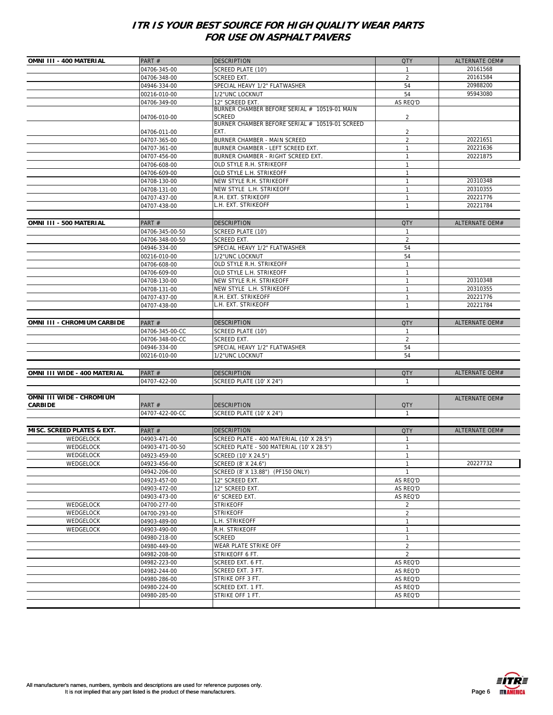| OMNI III - 400 MATERIAL      | PART#           | <b>DESCRIPTION</b>                             | QTY            | <b>ALTERNATE OEM#</b> |
|------------------------------|-----------------|------------------------------------------------|----------------|-----------------------|
|                              | 04706-345-00    | SCREED PLATE (10')                             | $\mathbf{1}$   | 20161568              |
|                              | 04706-348-00    | SCREED EXT.                                    | 2              | 20161584              |
|                              |                 |                                                | 54             | 20988200              |
|                              | 04946-334-00    | SPECIAL HEAVY 1/2" FLATWASHER                  |                |                       |
|                              | 00216-010-00    | 1/2"UNC LOCKNUT                                | 54             | 95943080              |
|                              | 04706-349-00    | 12" SCREED EXT.                                | AS REQ'D       |                       |
|                              |                 | BURNER CHAMBER BEFORE SERIAL # 10519-01 MAIN   |                |                       |
|                              | 04706-010-00    | <b>SCREED</b>                                  | 2              |                       |
|                              |                 | BURNER CHAMBER BEFORE SERIAL # 10519-01 SCREED |                |                       |
|                              | 04706-011-00    | EXT.                                           | 2              |                       |
|                              | 04707-365-00    | BURNER CHAMBER - MAIN SCREED                   | $\overline{2}$ | 20221651              |
|                              | 04707-361-00    | BURNER CHAMBER - LEFT SCREED EXT.              | $\mathbf{1}$   | 20221636              |
|                              | 04707-456-00    | BURNER CHAMBER - RIGHT SCREED EXT.             | $\mathbf{1}$   | 20221875              |
|                              | 04706-608-00    | OLD STYLE R.H. STRIKEOFF                       | $\mathbf{1}$   |                       |
|                              | 04706-609-00    | OLD STYLE L.H. STRIKEOFF                       | $\mathbf{1}$   |                       |
|                              | 04708-130-00    | NEW STYLE R.H. STRIKEOFF                       | $\mathbf{1}$   | 20310348              |
|                              | 04708-131-00    | NEW STYLE L.H. STRIKEOFF                       | $\mathbf{1}$   | 20310355              |
|                              | 04707-437-00    | R.H. EXT. STRIKEOFF                            | $\mathbf{1}$   | 20221776              |
|                              | 04707-438-00    | L.H. EXT. STRIKEOFF                            | $\mathbf{1}$   | 20221784              |
|                              |                 |                                                |                |                       |
| OMNI III - 500 MATERIAL      |                 | <b>DESCRIPTION</b>                             | <b>QTY</b>     | ALTERNATE OEM#        |
|                              | PART#           |                                                |                |                       |
|                              | 04706-345-00-50 | SCREED PLATE (10')                             | $\mathbf{1}$   |                       |
|                              | 04706-348-00-50 | SCREED EXT.                                    | $\overline{2}$ |                       |
|                              | 04946-334-00    | SPECIAL HEAVY 1/2" FLATWASHER                  | 54             |                       |
|                              | 00216-010-00    | 1/2"UNC LOCKNUT                                | 54             |                       |
|                              | 04706-608-00    | OLD STYLE R.H. STRIKEOFF                       | $\mathbf{1}$   |                       |
|                              | 04706-609-00    | OLD STYLE L.H. STRIKEOFF                       | 1              |                       |
|                              | 04708-130-00    | NEW STYLE R.H. STRIKEOFF                       | $\mathbf{1}$   | 20310348              |
|                              | 04708-131-00    | NEW STYLE L.H. STRIKEOFF                       | $\mathbf{1}$   | 20310355              |
|                              | 04707-437-00    | R.H. EXT. STRIKEOFF                            | $\mathbf{1}$   | 20221776              |
|                              | 04707-438-00    | L.H. EXT. STRIKEOFF                            | $\mathbf{1}$   | 20221784              |
|                              |                 |                                                |                |                       |
|                              | PART#           |                                                | <b>QTY</b>     | ALTERNATE OEM#        |
| OMNI III - CHROMIUM CARBIDE  |                 | <b>DESCRIPTION</b>                             |                |                       |
|                              | 04706-345-00-CC | SCREED PLATE (10')                             | 1              |                       |
|                              | 04706-348-00-CC | SCREED EXT.                                    | $\overline{2}$ |                       |
|                              | 04946-334-00    | SPECIAL HEAVY 1/2" FLATWASHER                  | 54             |                       |
|                              | 00216-010-00    | 1/2"UNC LOCKNUT                                | 54             |                       |
|                              |                 |                                                |                |                       |
| OMNI III WIDE - 400 MATERIAL | PART#           | <b>DESCRIPTION</b>                             | <b>QTY</b>     | ALTERNATE OEM#        |
|                              | 04707-422-00    | SCREED PLATE (10' X 24")                       | $\mathbf{1}$   |                       |
|                              |                 |                                                |                |                       |
| OMNI III WIDE - CHROMIUM     |                 |                                                |                | ALTERNATE OEM#        |
| <b>CARBIDE</b>               | PART#           | <b>DESCRIPTION</b>                             | <b>QTY</b>     |                       |
|                              | 04707-422-00-CC | SCREED PLATE (10' X 24")                       | $\mathbf{1}$   |                       |
|                              |                 |                                                |                |                       |
| MISC. SCREED PLATES & EXT.   | PART#           | <b>DESCRIPTION</b>                             | <b>QTY</b>     | ALTERNATE OEM#        |
| WEDGELOCK                    | 04903-471-00    | SCREED PLATE - 400 MATERIAL (10' X 28.5")      | -1             |                       |
|                              |                 |                                                |                |                       |
| WEDGELOCK                    | 04903-471-00-50 | SCREED PLATE - 500 MATERIAL (10' X 28.5")      | $\mathbf{1}$   |                       |
| WEDGELOCK                    | 04923-459-00    | SCREED (10' X 24.5")                           | $\mathbf{1}$   |                       |
| WEDGELOCK                    | 04923-456-00    | SCREED (8' X 24.6")                            | $\mathbf{1}$   | 20227732              |
|                              | 04942-206-00    | SCREED (8' X 13.88") (PF150 ONLY)              | $\mathbf{1}$   |                       |
|                              | 04923-457-00    | 12" SCREED EXT.                                | AS REQ'D       |                       |
|                              | 04903-472-00    | 12" SCREED EXT.                                | AS REQ'D       |                       |
|                              | 04903-473-00    | 6" SCREED EXT.                                 | AS REQ'D       |                       |
| WEDGELOCK                    | 04700-277-00    | <b>STRIKEOFF</b>                               | 2              |                       |
| WEDGELOCK                    | 04700-293-00    | <b>STRIKEOFF</b>                               | $\overline{a}$ |                       |
| WEDGELOCK                    | 04903-489-00    | L.H. STRIKEOFF                                 | $\mathbf{1}$   |                       |
| WEDGELOCK                    | 04903-490-00    | R.H. STRIKEOFF                                 | $\mathbf{1}$   |                       |
|                              |                 |                                                | $\mathbf{1}$   |                       |
|                              | 04980-218-00    | <b>SCREED</b>                                  |                |                       |
|                              | 04980-449-00    | WEAR PLATE STRIKE OFF                          | $\overline{2}$ |                       |
|                              | 04982-208-00    | STRIKEOFF 6 FT.                                | 2              |                       |
|                              | 04982-223-00    | SCREED EXT. 6 FT.                              | AS REQ'D       |                       |
|                              | 04982-244-00    | SCREED EXT. 3 FT.                              | AS REQ'D       |                       |
|                              | 04980-286-00    | STRIKE OFF 3 FT.                               | AS REQ'D       |                       |
|                              | 04980-224-00    | SCREED EXT. 1 FT.                              | AS REQ'D       |                       |
|                              | 04980-285-00    | STRIKE OFF 1 FT.                               | AS REQ'D       |                       |
|                              |                 |                                                |                |                       |
|                              |                 |                                                |                |                       |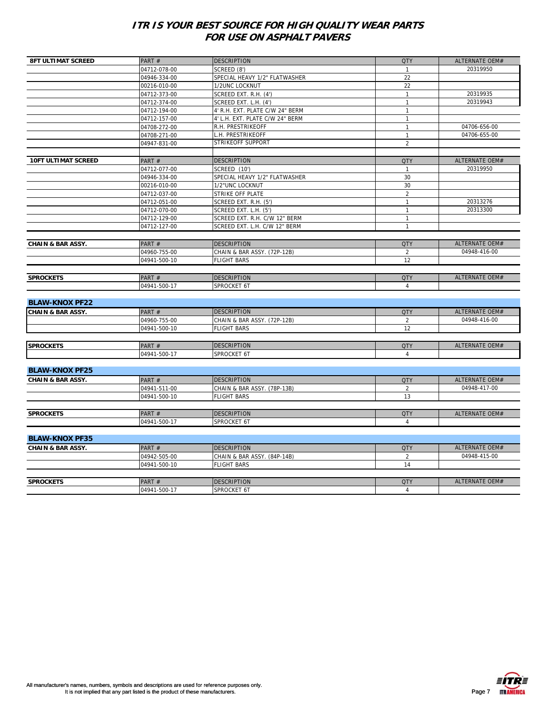| <b>8FT ULTIMAT SCREED</b>    | PART#        | <b>DESCRIPTION</b>              | <b>QTY</b>     | ALTERNATE OEM#                 |
|------------------------------|--------------|---------------------------------|----------------|--------------------------------|
|                              | 04712-078-00 | SCREED (8')                     | $\mathbf{1}$   | 20319950                       |
|                              | 04946-334-00 | SPECIAL HEAVY 1/2" FLATWASHER   | 22             |                                |
|                              | 00216-010-00 | 1/2UNC LOCKNUT                  | 22             |                                |
|                              | 04712-373-00 | SCREED EXT. R.H. (4')           | $\mathbf{1}$   | 20319935                       |
|                              | 04712-374-00 | SCREED EXT. L.H. (4')           | $\overline{1}$ | 20319943                       |
|                              | 04712-194-00 | 4' R.H. EXT. PLATE C/W 24" BERM | $\mathbf{1}$   |                                |
|                              | 04712-157-00 | 4' L.H. EXT. PLATE C/W 24" BERM | $\mathbf{1}$   |                                |
|                              | 04708-272-00 | R.H. PRESTRIKEOFF               | $\overline{1}$ | 04706-656-00                   |
|                              | 04708-271-00 | L.H. PRESTRIKEOFF               | $\mathbf{1}$   | 04706-655-00                   |
|                              | 04947-831-00 | STRIKEOFF SUPPORT               | $\overline{2}$ |                                |
|                              |              |                                 |                |                                |
| <b>10FT ULTIMAT SCREED</b>   | PART#        | <b>DESCRIPTION</b>              | <b>QTY</b>     | ALTERNATE OEM#                 |
|                              | 04712-077-00 | SCREED (10')                    | $\mathbf{1}$   | 20319950                       |
|                              | 04946-334-00 | SPECIAL HEAVY 1/2" FLATWASHER   | 30             |                                |
|                              | 00216-010-00 | 1/2"UNC LOCKNUT                 | 30             |                                |
|                              | 04712-037-00 | STRIKE OFF PLATE                | $\overline{2}$ |                                |
|                              | 04712-051-00 | SCREED EXT. R.H. (5')           | $\mathbf{1}$   | 20313276                       |
|                              | 04712-070-00 | SCREED EXT. L.H. (5')           | $\mathbf{1}$   | 20313300                       |
|                              | 04712-129-00 | SCREED EXT. R.H. C/W 12" BERM   | $\mathbf{1}$   |                                |
|                              | 04712-127-00 | SCREED EXT. L.H. C/W 12" BERM   | $\mathbf{1}$   |                                |
|                              |              |                                 |                |                                |
| <b>CHAIN &amp; BAR ASSY.</b> | PART#        | <b>DESCRIPTION</b>              | <b>QTY</b>     | ALTERNATE OEM#<br>04948-416-00 |
|                              | 04960-755-00 | CHAIN & BAR ASSY. (72P-12B)     | 2              |                                |
|                              | 04941-500-10 | <b>FLIGHT BARS</b>              | 12             |                                |
| <b>SPROCKETS</b>             | PART#        | <b>DESCRIPTION</b>              | <b>QTY</b>     | ALTERNATE OEM#                 |
|                              | 04941-500-17 | SPROCKET 6T                     | $\overline{4}$ |                                |
|                              |              |                                 |                |                                |
| <b>BLAW-KNOX PF22</b>        |              |                                 |                |                                |
| <b>CHAIN &amp; BAR ASSY.</b> | PART#        | <b>DESCRIPTION</b>              | <b>QTY</b>     | ALTERNATE OEM#                 |
|                              | 04960-755-00 | CHAIN & BAR ASSY. (72P-12B)     | $\overline{2}$ | 04948-416-00                   |
|                              | 04941-500-10 | <b>FLIGHT BARS</b>              | 12             |                                |
|                              |              |                                 |                |                                |
| <b>SPROCKETS</b>             | PART #       | <b>DESCRIPTION</b>              | <b>QTY</b>     | ALTERNATE OEM#                 |
|                              | 04941-500-17 | SPROCKET 6T                     | $\overline{4}$ |                                |
| <b>BLAW-KNOX PF25</b>        |              |                                 |                |                                |
| <b>CHAIN &amp; BAR ASSY.</b> | PART#        | <b>DESCRIPTION</b>              | <b>QTY</b>     | ALTERNATE OEM#                 |
|                              | 04941-511-00 | CHAIN & BAR ASSY. (78P-13B)     | $\overline{2}$ | 04948-417-00                   |
|                              | 04941-500-10 | <b>FLIGHT BARS</b>              | 13             |                                |
|                              |              |                                 |                |                                |
| <b>SPROCKETS</b>             | PART#        | <b>DESCRIPTION</b>              | <b>QTY</b>     | ALTERNATE OEM#                 |
|                              | 04941-500-17 | SPROCKET 6T                     | 4              |                                |
|                              |              |                                 |                |                                |
| <b>BLAW-KNOX PF35</b>        |              |                                 |                |                                |
| <b>CHAIN &amp; BAR ASSY.</b> | PART#        | <b>DESCRIPTION</b>              | <b>QTY</b>     | ALTERNATE OEM#                 |
|                              | 04942-505-00 | CHAIN & BAR ASSY. (84P-14B)     | 2              | 04948-415-00                   |
|                              | 04941-500-10 | <b>FLIGHT BARS</b>              | 14             |                                |
|                              |              |                                 |                |                                |
| <b>SPROCKETS</b>             | PART#        | <b>DESCRIPTION</b>              | <b>QTY</b>     | ALTERNATE OEM#                 |
|                              | 04941-500-17 | SPROCKET 6T                     | 4              |                                |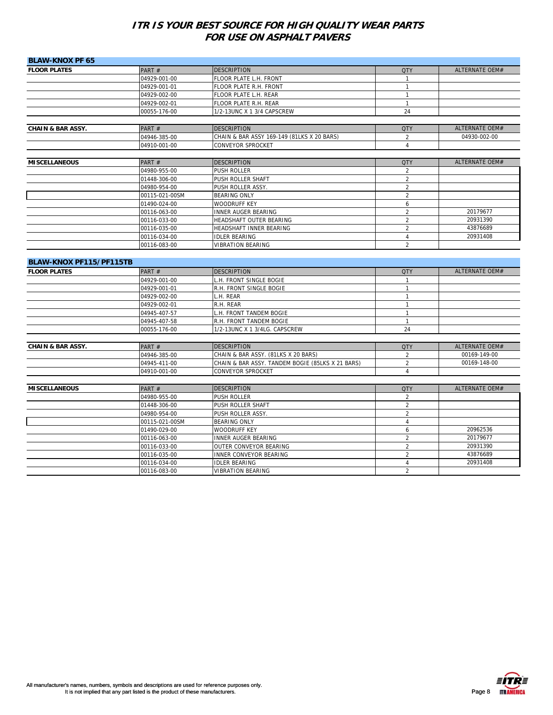| <b>BLAW-KNOX PF 65</b>       |                              |                                                                       |                                  |                |
|------------------------------|------------------------------|-----------------------------------------------------------------------|----------------------------------|----------------|
| <b>FLOOR PLATES</b>          | PART $#$                     | <b>DESCRIPTION</b>                                                    | <b>QTY</b>                       | ALTERNATE OEM# |
|                              | 04929-001-00                 | FLOOR PLATE L.H. FRONT                                                | $\mathbf{1}$                     |                |
|                              | 04929-001-01                 | FLOOR PLATE R.H. FRONT                                                | $\mathbf{1}$                     |                |
|                              | 04929-002-00                 | FLOOR PLATE L.H. REAR                                                 | $\mathbf{1}$                     |                |
|                              | 04929-002-01                 | FLOOR PLATE R.H. REAR                                                 | $\mathbf{1}$                     |                |
|                              | 00055-176-00                 | 1/2-13UNC X 1 3/4 CAPSCREW                                            | 24                               |                |
|                              |                              |                                                                       |                                  |                |
| <b>CHAIN &amp; BAR ASSY.</b> | PART #                       | <b>DESCRIPTION</b>                                                    | <b>QTY</b>                       | ALTERNATE OEM# |
|                              | 04946-385-00                 | CHAIN & BAR ASSY 169-149 (81LKS X 20 BARS)                            | 2                                | 04930-002-00   |
|                              | 04910-001-00                 | CONVEYOR SPROCKET                                                     | $\overline{4}$                   |                |
|                              |                              |                                                                       |                                  |                |
| <b>MISCELLANEOUS</b>         | PART#                        | <b>DESCRIPTION</b>                                                    | <b>QTY</b>                       | ALTERNATE OEM# |
|                              | 04980-955-00                 | <b>PUSH ROLLER</b>                                                    | 2                                |                |
|                              | 01448-306-00                 | PUSH ROLLER SHAFT                                                     | $\overline{2}$                   |                |
|                              | 04980-954-00                 | PUSH ROLLER ASSY.                                                     | $\overline{2}$                   |                |
|                              | 00115-021-00SM               | <b>BEARING ONLY</b>                                                   | $\overline{2}$                   |                |
|                              | 01490-024-00                 | WOODRUFF KEY                                                          | 6                                |                |
|                              | 00116-063-00                 | <b>INNER AUGER BEARING</b>                                            | $\overline{2}$                   | 20179677       |
|                              | 00116-033-00                 | HEADSHAFT OUTER BEARING                                               | $\overline{2}$                   | 20931390       |
|                              | 00116-035-00                 | HEADSHAFT INNER BEARING                                               | $\overline{2}$                   | 43876689       |
|                              | 00116-034-00                 | <b>IDLER BEARING</b>                                                  | 4                                | 20931408       |
|                              | 00116-083-00                 | <b>VIBRATION BEARING</b>                                              | $\overline{2}$                   |                |
| BLAW-KNOX PF115/PF115TB      |                              |                                                                       |                                  |                |
| <b>FLOOR PLATES</b>          | PART #                       | <b>DESCRIPTION</b>                                                    | <b>QTY</b>                       | ALTERNATE OEM# |
|                              | 04929-001-00                 | L.H. FRONT SINGLE BOGIE                                               | $\mathbf{1}$                     |                |
|                              | 04929-001-01                 | R.H. FRONT SINGLE BOGIE                                               | $\mathbf{1}$                     |                |
|                              | 04929-002-00                 | L.H. REAR                                                             | $\mathbf{1}$                     |                |
|                              | 04929-002-01                 | R.H. REAR                                                             | $\mathbf{1}$                     |                |
|                              | 04945-407-57                 | L.H. FRONT TANDEM BOGIE                                               | $\mathbf{1}$                     |                |
|                              | 04945-407-58                 | R.H. FRONT TANDEM BOGIE                                               | $\mathbf{1}$                     |                |
|                              | 00055-176-00                 | 1/2-13UNC X 1 3/4LG. CAPSCREW                                         | 24                               |                |
|                              |                              |                                                                       |                                  |                |
| <b>CHAIN &amp; BAR ASSY.</b> | PART#                        | <b>DESCRIPTION</b>                                                    | <b>QTY</b>                       | ALTERNATE OEM# |
|                              | 04946-385-00                 | CHAIN & BAR ASSY. (81LKS X 20 BARS)                                   | $\overline{2}$                   | 00169-149-00   |
|                              | 04945-411-00                 | CHAIN & BAR ASSY. TANDEM BOGIE (85LKS X 21 BARS)<br>CONVEYOR SPROCKET | 2<br>$\overline{4}$              | 00169-148-00   |
|                              |                              |                                                                       |                                  |                |
|                              | 04910-001-00                 |                                                                       |                                  |                |
|                              |                              |                                                                       |                                  |                |
| <b>MISCELLANEOUS</b>         | PART#                        | <b>DESCRIPTION</b>                                                    | <b>QTY</b>                       | ALTERNATE OEM# |
|                              | 04980-955-00                 | PUSH ROLLER                                                           | $\overline{2}$                   |                |
|                              | 01448-306-00                 | PUSH ROLLER SHAFT                                                     | $\overline{2}$                   |                |
|                              | 04980-954-00                 | PUSH ROLLER ASSY.                                                     | $\overline{2}$                   |                |
|                              | 00115-021-00SM               | <b>BEARING ONLY</b>                                                   | $\overline{4}$                   |                |
|                              | 01490-029-00                 | <b>WOODRUFF KEY</b>                                                   | 6                                | 20962536       |
|                              | 00116-063-00                 | <b>INNER AUGER BEARING</b>                                            | $\sqrt{2}$                       | 20179677       |
|                              | 00116-033-00                 | OUTER CONVEYOR BEARING                                                | $\overline{2}$                   | 20931390       |
|                              | 00116-035-00                 | <b>INNER CONVEYOR BEARING</b>                                         | $\overline{2}$                   | 43876689       |
|                              | 00116-034-00<br>00116-083-00 | <b>IDLER BEARING</b><br><b>VIBRATION BEARING</b>                      | $\overline{4}$<br>$\overline{2}$ | 20931408       |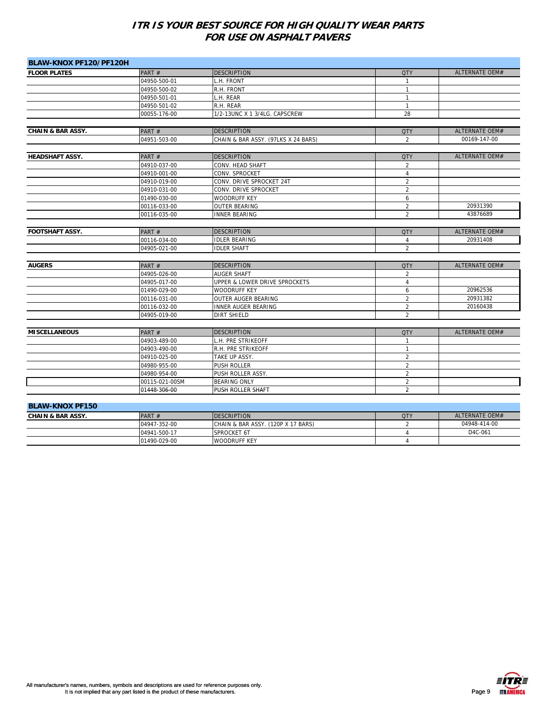| BLAW-KNOX PF120/PF120H       |                |                                     |                |                       |
|------------------------------|----------------|-------------------------------------|----------------|-----------------------|
| <b>FLOOR PLATES</b>          | PART#          | <b>DESCRIPTION</b>                  | <b>QTY</b>     | ALTERNATE OEM#        |
|                              | 04950-500-01   | H. FRONT                            | $\mathbf{1}$   |                       |
|                              | 04950-500-02   | R.H. FRONT                          | $\mathbf{1}$   |                       |
|                              | 04950-501-01   | L.H. REAR                           | $\mathbf{1}$   |                       |
|                              | 04950-501-02   | R.H. REAR                           | $\mathbf{1}$   |                       |
|                              | 00055-176-00   | 1/2-13UNC X 1 3/4LG. CAPSCREW       | 28             |                       |
|                              |                |                                     |                |                       |
| <b>CHAIN &amp; BAR ASSY.</b> | PART#          | <b>DESCRIPTION</b>                  | <b>QTY</b>     | <b>ALTERNATE OEM#</b> |
|                              | 04951-503-00   | CHAIN & BAR ASSY. (97LKS X 24 BARS) | 2              | 00169-147-00          |
| <b>HEADSHAFT ASSY.</b>       | PART#          | <b>DESCRIPTION</b>                  | <b>QTY</b>     | <b>ALTERNATE OEM#</b> |
|                              | 04910-037-00   | CONV. HEAD SHAFT                    | $\overline{2}$ |                       |
|                              | 04910-001-00   | CONV. SPROCKET                      | $\overline{4}$ |                       |
|                              | 04910-019-00   | CONV. DRIVE SPROCKET 24T            | $\overline{2}$ |                       |
|                              | 04910-031-00   | CONV. DRIVE SPROCKET                | $\overline{2}$ |                       |
|                              | 01490-030-00   | <b>WOODRUFF KEY</b>                 | 6              |                       |
|                              | 00116-033-00   | <b>OUTER BEARING</b>                | $\overline{2}$ | 20931390              |
|                              | 00116-035-00   | <b>INNER BEARING</b>                | $\overline{2}$ | 43876689              |
|                              |                |                                     |                |                       |
| <b>FOOTSHAFT ASSY.</b>       | PART#          | <b>DESCRIPTION</b>                  | <b>QTY</b>     | <b>ALTERNATE OEM#</b> |
|                              | 00116-034-00   | <b>IDLER BEARING</b>                | $\overline{4}$ | 20931408              |
|                              | 04905-021-00   | <b>IDLER SHAFT</b>                  | $\overline{2}$ |                       |
|                              |                |                                     |                |                       |
| <b>AUGERS</b>                | PART#          | <b>DESCRIPTION</b>                  | <b>QTY</b>     | <b>ALTERNATE OEM#</b> |
|                              | 04905-026-00   | <b>AUGER SHAFT</b>                  | $\overline{2}$ |                       |
|                              | 04905-017-00   | UPPER & LOWER DRIVE SPROCKETS       | $\overline{4}$ |                       |
|                              | 01490-029-00   | <b>WOODRUFF KEY</b>                 | 6              | 20962536              |
|                              | 00116-031-00   | OUTER AUGER BEARING                 | $\overline{2}$ | 20931382              |
|                              | 00116-032-00   | <b>INNER AUGER BEARING</b>          | $\overline{2}$ | 20160438              |
|                              | 04905-019-00   | <b>DIRT SHIELD</b>                  | $\overline{2}$ |                       |
| <b>MISCELLANEOUS</b>         | PART#          | <b>DESCRIPTION</b>                  | <b>QTY</b>     | ALTERNATE OEM#        |
|                              | 04903-489-00   | L.H. PRE STRIKEOFF                  | $\mathbf{1}$   |                       |
|                              | 04903-490-00   | R.H. PRE STRIKEOFF                  | $\mathbf{1}$   |                       |
|                              | 04910-025-00   | TAKE UP ASSY.                       | $\overline{2}$ |                       |
|                              | 04980-955-00   | PUSH ROLLER                         | $\overline{2}$ |                       |
|                              | 04980-954-00   | PUSH ROLLER ASSY.                   | $\overline{2}$ |                       |
|                              | 00115-021-00SM | <b>BEARING ONLY</b>                 | $\overline{2}$ |                       |
|                              | 01448-306-00   | PUSH ROLLER SHAFT                   | $\overline{2}$ |                       |
|                              |                |                                     |                |                       |
| <b>BLAW-KNOX PF150</b>       |                |                                     |                |                       |

| $P-P'$                       |              |                                    |            |                |  |
|------------------------------|--------------|------------------------------------|------------|----------------|--|
| <b>CHAIN &amp; BAR ASSY.</b> | PART $#$     | <b>IDESCRIPTION</b>                | <b>QTY</b> | ALTERNATE OEM# |  |
|                              | 04947-352-00 | CHAIN & BAR ASSY. (120P X 17 BARS) |            | 04948-414-00   |  |
|                              | 04941-500-17 | <b>SPROCKET 6T</b>                 |            | D4C-061        |  |
|                              | 01490-029-00 | <b>WOODRUFF KEY</b>                |            |                |  |

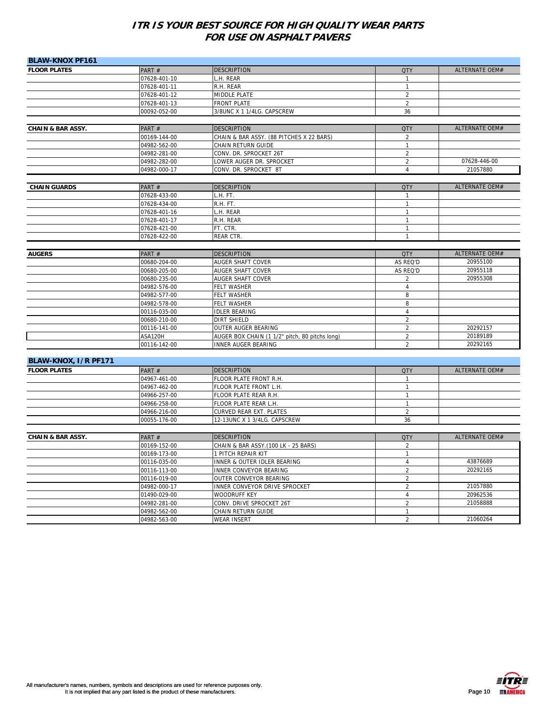| <b>BLAW-KNOX PF161</b>       |              |                                                |                |                       |
|------------------------------|--------------|------------------------------------------------|----------------|-----------------------|
| <b>FLOOR PLATES</b>          | PART#        | <b>DESCRIPTION</b>                             | <b>QTY</b>     | ALTERNATE OEM#        |
|                              | 07628-401-10 | L.H. REAR                                      | $\mathbf{1}$   |                       |
|                              | 07628-401-11 | R.H. REAR                                      | $\mathbf{1}$   |                       |
|                              | 07628-401-12 | MIDDLE PLATE                                   | $\overline{2}$ |                       |
|                              | 07628-401-13 | <b>FRONT PLATE</b>                             | $\overline{2}$ |                       |
|                              | 00092-052-00 | 3/8UNC X 1 1/4LG. CAPSCREW                     | 36             |                       |
|                              |              |                                                |                |                       |
| <b>CHAIN &amp; BAR ASSY.</b> | PART#        | <b>DESCRIPTION</b>                             | <b>QTY</b>     | ALTERNATE OEM#        |
|                              | 00169-144-00 | CHAIN & BAR ASSY. (88 PITCHES X 22 BARS)       | $\overline{2}$ |                       |
|                              | 04982-562-00 | CHAIN RETURN GUIDE                             | $\mathbf{1}$   |                       |
|                              | 04982-281-00 | CONV. DR. SPROCKET 26T                         | $\overline{2}$ |                       |
|                              | 04982-282-00 | LOWER AUGER DR. SPROCKET                       | $\overline{2}$ | 07628-446-00          |
|                              | 04982-000-17 | CONV. DR. SPROCKET 8T                          | $\overline{4}$ | 21057880              |
| <b>CHAIN GUARDS</b>          | PART#        | <b>DESCRIPTION</b>                             | <b>QTY</b>     | ALTERNATE OEM#        |
|                              | 07628-433-00 | L.H. FT.                                       | $\overline{1}$ |                       |
|                              | 07628-434-00 | R.H. FT.                                       | $\mathbf{1}$   |                       |
|                              | 07628-401-16 | .H. REAR                                       | $\mathbf{1}$   |                       |
|                              | 07628-401-17 | R.H. REAR                                      | $\mathbf{1}$   |                       |
|                              | 07628-421-00 | FT. CTR.                                       | 1              |                       |
|                              | 07628-422-00 | REAR CTR.                                      | $\mathbf{1}$   |                       |
|                              |              |                                                |                |                       |
| <b>AUGERS</b>                | PART#        | <b>DESCRIPTION</b>                             | <b>QTY</b>     | ALTERNATE OEM#        |
|                              | 00680-204-00 | AUGER SHAFT COVER                              | AS REQ'D       | 20955100              |
|                              | 00680-205-00 | <b>AUGER SHAFT COVER</b>                       | AS REQ'D       | 20955118              |
|                              | 00680-235-00 | <b>AUGER SHAFT COVER</b>                       | 2              | 20955308              |
|                              | 04982-576-00 | <b>FELT WASHER</b>                             | $\overline{4}$ |                       |
|                              | 04982-577-00 | <b>FELT WASHER</b>                             | 8              |                       |
|                              | 04982-578-00 | <b>FELT WASHER</b>                             | 8              |                       |
|                              | 00116-035-00 | <b>IDLER BEARING</b>                           | $\overline{4}$ |                       |
|                              | 00680-210-00 | <b>DIRT SHIELD</b>                             | $\overline{2}$ |                       |
|                              | 00116-141-00 | OUTER AUGER BEARING                            | $\overline{2}$ | 20292157              |
|                              | ASA120H      | AUGER BOX CHAIN (1 1/2" pitch, 80 pitchs long) | $\overline{2}$ | 20189189              |
|                              | 00116-142-00 | <b>INNER AUGER BEARING</b>                     | $\overline{2}$ | 20292165              |
|                              |              |                                                |                |                       |
| BLAW-KNOX, I/R PF171         |              |                                                |                |                       |
| <b>FLOOR PLATES</b>          | PART#        | <b>DESCRIPTION</b>                             | <b>QTY</b>     | <b>ALTERNATE OEM#</b> |
|                              | 04967-461-00 | FLOOR PLATE FRONT R.H.                         | 1              |                       |
|                              | 04967-462-00 | FLOOR PLATE FRONT L.H.                         | $\mathbf{1}$   |                       |
|                              | 04966-257-00 | FLOOR PLATE REAR R.H.                          | $\mathbf{1}$   |                       |
|                              | 04966-258-00 | FLOOR PLATE REAR L.H.                          | $\mathbf{1}$   |                       |
|                              | 04966-216-00 | CURVED REAR EXT. PLATES                        | $\overline{2}$ |                       |
|                              | 00055-176-00 | 12-13UNC X 1 3/4LG. CAPSCREW                   | 36             |                       |
| <b>CHAIN &amp; BAR ASSY.</b> | PART#        | <b>DESCRIPTION</b>                             | <b>QTY</b>     | ALTERNATE OEM#        |
|                              | 00169-152-00 | CHAIN & BAR ASSY.(100 LK - 25 BARS)            | 2              |                       |
|                              | 00169-173-00 | 1 PITCH REPAIR KIT                             | $\mathbf{1}$   |                       |
|                              | 00116-035-00 | INNER & OUTER IDLER BEARING                    | 4              | 43876689              |
|                              | 00116-113-00 | INNER CONVEYOR BEARING                         | $\overline{2}$ | 20292165              |
|                              | 00116-019-00 | OUTER CONVEYOR BEARING                         | $\overline{2}$ |                       |
|                              | 04982-000-17 | INNER CONVEYOR DRIVE SPROCKET                  | $\overline{2}$ | 21057880              |
|                              | 01490-029-00 | WOODRUFF KEY                                   | 4              | 20962536              |
|                              | 04982-281-00 | CONV. DRIVE SPROCKET 26T                       | $\overline{2}$ | 21058888              |
|                              | 04982-562-00 | CHAIN RETURN GUIDE                             | 1              |                       |
|                              | 04982-563-00 | <b>WEAR INSERT</b>                             | $\overline{2}$ | 21060264              |

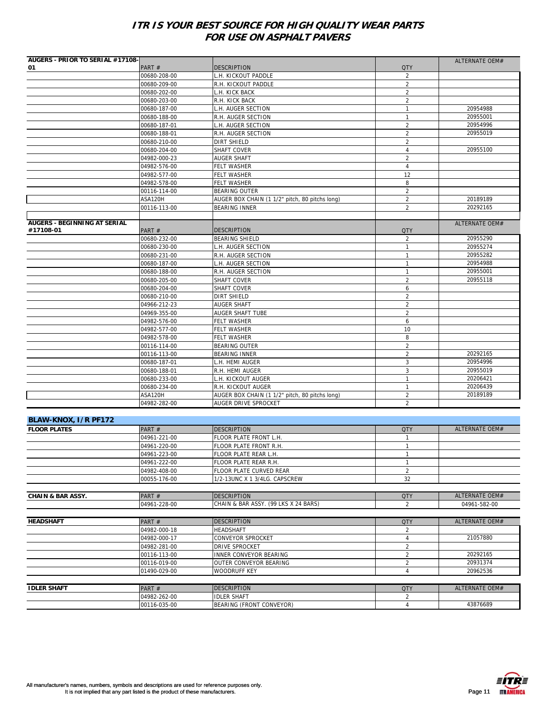| AUGERS - PRIOR TO SERIAL #17108- |              |                                                |                | ALTERNATE OEM# |
|----------------------------------|--------------|------------------------------------------------|----------------|----------------|
| 01                               | PART#        | <b>DESCRIPTION</b>                             | <b>QTY</b>     |                |
|                                  | 00680-208-00 | L.H. KICKOUT PADDLE                            | $\overline{2}$ |                |
|                                  | 00680-209-00 | R.H. KICKOUT PADDLE                            | 2              |                |
|                                  | 00680-202-00 | L.H. KICK BACK                                 | 2              |                |
|                                  | 00680-203-00 | R.H. KICK BACK                                 | $\overline{2}$ |                |
|                                  | 00680-187-00 | H. AUGER SECTION                               | $\mathbf{1}$   | 20954988       |
|                                  | 00680-188-00 | R.H. AUGER SECTION                             | $\mathbf{1}$   | 20955001       |
|                                  | 00680-187-01 | L.H. AUGER SECTION                             | $\overline{2}$ | 20954996       |
|                                  | 00680-188-01 | R.H. AUGER SECTION                             | $\overline{2}$ | 20955019       |
|                                  | 00680-210-00 | <b>DIRT SHIELD</b>                             | $\overline{2}$ |                |
|                                  | 00680-204-00 | SHAFT COVER                                    | $\overline{4}$ | 20955100       |
|                                  | 04982-000-23 | <b>AUGER SHAFT</b>                             | 2              |                |
|                                  | 04982-576-00 | <b>FELT WASHER</b>                             | $\overline{4}$ |                |
|                                  | 04982-577-00 | <b>FELT WASHER</b>                             | 12             |                |
|                                  | 04982-578-00 | <b>FELT WASHER</b>                             | 8              |                |
|                                  | 00116-114-00 | <b>BEARING OUTER</b>                           | $\overline{2}$ |                |
|                                  | ASA120H      | AUGER BOX CHAIN (1 1/2" pitch, 80 pitchs long) | $\overline{2}$ | 20189189       |
|                                  | 00116-113-00 | <b>BEARING INNER</b>                           | $\overline{2}$ | 20292165       |
| AUGERS - BEGINNING AT SERIAL     |              |                                                |                |                |
| #17108-01                        | PART#        | <b>DESCRIPTION</b>                             | <b>QTY</b>     | ALTERNATE OEM# |
|                                  | 00680-232-00 | <b>BEARING SHIELD</b>                          | $\overline{2}$ | 20955290       |
|                                  | 00680-230-00 | H. AUGER SECTION                               | $\mathbf{1}$   | 20955274       |
|                                  | 00680-231-00 | R.H. AUGER SECTION                             | $\mathbf{1}$   | 20955282       |
|                                  | 00680-187-00 | L.H. AUGER SECTION                             | $\mathbf{1}$   | 20954988       |
|                                  | 00680-188-00 | R.H. AUGER SECTION                             | $\mathbf{1}$   | 20955001       |
|                                  | 00680-205-00 | SHAFT COVER                                    | $\overline{2}$ | 20955118       |
|                                  | 00680-204-00 | SHAFT COVER                                    | 6              |                |
|                                  | 00680-210-00 | <b>DIRT SHIELD</b>                             | 2              |                |
|                                  | 04966-212-23 | <b>AUGER SHAFT</b>                             | $\overline{2}$ |                |
|                                  | 04969-355-00 | <b>AUGER SHAFT TUBE</b>                        | 2              |                |
|                                  | 04982-576-00 | <b>FELT WASHER</b>                             | 6              |                |
|                                  | 04982-577-00 | <b>FELT WASHER</b>                             | 10             |                |
|                                  | 04982-578-00 | <b>FELT WASHER</b>                             | 8              |                |
|                                  | 00116-114-00 | <b>BEARING OUTER</b>                           | $\overline{2}$ |                |
|                                  | 00116-113-00 | <b>BEARING INNER</b>                           | 2              | 20292165       |
|                                  | 00680-187-01 | L.H. HEMI AUGER                                | 3              | 20954996       |
|                                  | 00680-188-01 | R.H. HEMI AUGER                                | $\mathbf{3}$   | 20955019       |
|                                  | 00680-233-00 | L.H. KICKOUT AUGER                             | $\mathbf{1}$   | 20206421       |
|                                  | 00680-234-00 | R.H. KICKOUT AUGER                             | $\mathbf{1}$   | 20206439       |
|                                  | ASA120H      | AUGER BOX CHAIN (1 1/2" pitch, 80 pitchs long) | $\overline{2}$ | 20189189       |
|                                  | 04982-282-00 | AUGER DRIVE SPROCKET                           | $\overline{2}$ |                |
|                                  |              |                                                |                |                |
| BLAW-KNOX, I/R PF172             |              |                                                |                |                |
| <b>FLOOR PLATES</b>              | PART#        | <b>DESCRIPTION</b>                             | <b>QTY</b>     | ALTERNATE OEM# |
|                                  | 04961-221-00 | FLOOR PLATE FRONT L.H.                         | $\mathbf{1}$   |                |
|                                  | 04961-220-00 | FLOOR PLATE FRONT R.H.                         | $\mathbf{1}$   |                |
|                                  | 04961-223-00 | FLOOR PLATE REAR L.H.                          | $\mathbf{1}$   |                |
|                                  | 04961-222-00 | FLOOR PLATE REAR R.H.                          | $\mathbf{1}$   |                |
|                                  | 04982-408-00 | FLOOR PLATE CURVED REAR                        | 2              |                |
|                                  | 00055-176-00 | 1/2-13UNC X 1 3/4LG. CAPSCREW                  | 32             |                |
|                                  |              |                                                |                |                |
| <b>CHAIN &amp; BAR ASSY.</b>     | PART#        | <b>DESCRIPTION</b>                             | <b>QTY</b>     | ALTERNATE OEM# |
|                                  | 04961-228-00 | CHAIN & BAR ASSY. (99 LKS X 24 BARS)           | $\overline{2}$ | 04961-582-00   |
|                                  |              |                                                |                |                |
| <b>HEADSHAFT</b>                 | PART#        | <b>DESCRIPTION</b>                             | <b>QTY</b>     | ALTERNATE OEM# |
|                                  | 04982-000-18 | <b>HEADSHAFT</b>                               | 2              |                |
|                                  | 04982-000-17 | CONVEYOR SPROCKET                              | $\overline{4}$ | 21057880       |
|                                  | 04982-281-00 | DRIVE SPROCKET                                 | $\overline{2}$ |                |
|                                  | 00116-113-00 | <b>INNER CONVEYOR BEARING</b>                  | $\overline{2}$ | 20292165       |
|                                  | 00116-019-00 | OUTER CONVEYOR BEARING                         | $\overline{2}$ | 20931374       |
|                                  | 01490-029-00 | <b>WOODRUFF KEY</b>                            | $\overline{4}$ | 20962536       |
|                                  |              |                                                |                |                |
| <b>IDLER SHAFT</b>               | PART#        | <b>DESCRIPTION</b>                             | <b>QTY</b>     | ALTERNATE OEM# |
|                                  | 04982-262-00 | <b>IDLER SHAFT</b>                             | 2              |                |
|                                  | 00116-035-00 | BEARING (FRONT CONVEYOR)                       | 4              | 43876689       |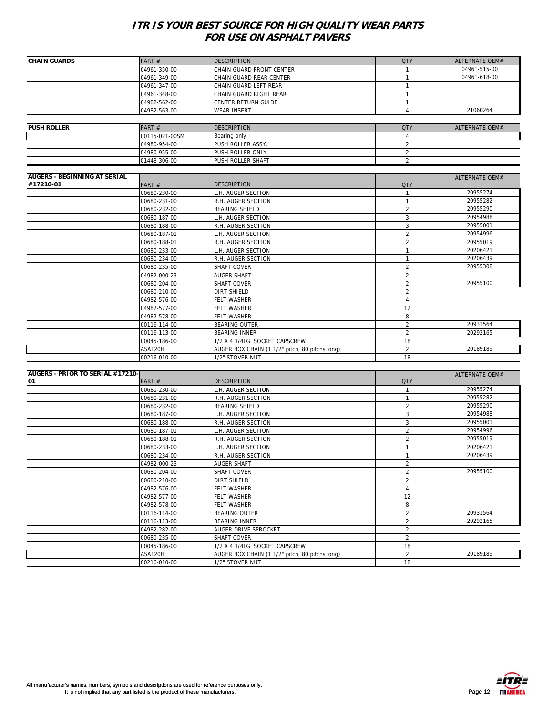| <b>CHAIN GUARDS</b>                 | PART#                        | <b>DESCRIPTION</b>                             | <b>QTY</b>          | <b>ALTERNATE OEM#</b> |
|-------------------------------------|------------------------------|------------------------------------------------|---------------------|-----------------------|
|                                     | 04961-350-00                 | CHAIN GUARD FRONT CENTER                       | -1                  | 04961-515-00          |
|                                     | 04961-349-00                 | CHAIN GUARD REAR CENTER                        | $\mathbf{1}$        | 04961-618-00          |
|                                     | 04961-347-00                 | CHAIN GUARD LEFT REAR                          | 1                   |                       |
|                                     | 04961-348-00                 | CHAIN GUARD RIGHT REAR                         | $\mathbf{1}$        |                       |
|                                     | 04982-562-00                 | CENTER RETURN GUIDE                            | $\mathbf{1}$        |                       |
|                                     | 04982-563-00                 | <b>WEAR INSERT</b>                             | $\overline{4}$      | 21060264              |
|                                     |                              |                                                |                     |                       |
| <b>PUSH ROLLER</b>                  | PART#                        | <b>DESCRIPTION</b>                             | <b>QTY</b>          | ALTERNATE OEM#        |
|                                     | 00115-021-00SM               | Bearing only                                   | 4                   |                       |
|                                     | 04980-954-00                 | PUSH ROLLER ASSY.                              | $\overline{2}$      |                       |
|                                     | 04980-955-00                 | PUSH ROLLER ONLY                               | $\overline{2}$      |                       |
|                                     | 01448-306-00                 | PUSH ROLLER SHAFT                              | $\overline{2}$      |                       |
|                                     |                              |                                                |                     |                       |
| <b>AUGERS - BEGINNING AT SERIAL</b> |                              |                                                |                     | ALTERNATE OEM#        |
| #17210-01                           | PART#                        | <b>DESCRIPTION</b>                             | <b>QTY</b>          |                       |
|                                     | 00680-230-00                 | L.H. AUGER SECTION                             | $\mathbf{1}$        | 20955274              |
|                                     | 00680-231-00                 | R.H. AUGER SECTION                             | 1                   | 20955282              |
|                                     | 00680-232-00                 | <b>BEARING SHIELD</b>                          | $\overline{2}$      | 20955290              |
|                                     | 00680-187-00                 | H. AUGER SECTION                               | 3                   | 20954988              |
|                                     | 00680-188-00                 | R.H. AUGER SECTION                             | 3                   | 20955001              |
|                                     | 00680-187-01                 | L.H. AUGER SECTION                             | $\overline{2}$      | 20954996              |
|                                     | 00680-188-01                 | R.H. AUGER SECTION                             | $\overline{2}$      | 20955019              |
|                                     | 00680-233-00                 | L.H. AUGER SECTION                             | $\mathbf{1}$        | 20206421              |
|                                     | 00680-234-00                 | R.H. AUGER SECTION                             | 1                   | 20206439              |
|                                     | 00680-235-00                 | SHAFT COVER                                    | $\overline{2}$      | 20955308              |
|                                     | 04982-000-23                 | AUGER SHAFT                                    | $\overline{2}$      |                       |
|                                     | 00680-204-00                 | SHAFT COVER                                    | $\overline{2}$      | 20955100              |
|                                     | 00680-210-00                 | DIRT SHIELD                                    | $\overline{2}$      |                       |
|                                     | 04982-576-00                 | FELT WASHER                                    | $\sqrt{4}$          |                       |
|                                     | 04982-577-00                 | FELT WASHER                                    | 12                  |                       |
|                                     | 04982-578-00                 | FELT WASHER                                    | 8                   |                       |
|                                     | 00116-114-00                 | BEARING OUTER                                  | $\overline{2}$      | 20931564              |
|                                     | 00116-113-00                 | <b>BEARING INNER</b>                           | $\overline{2}$      | 20292165              |
|                                     | 00045-186-00                 | 1/2 X 4 1/4LG. SOCKET CAPSCREW                 | 18                  |                       |
|                                     | ASA120H                      | AUGER BOX CHAIN (1 1/2" pitch, 80 pitchs long) | $\overline{2}$      | 20189189              |
|                                     | 00216-010-00                 | 1/2" STOVER NUT                                | 18                  |                       |
|                                     |                              |                                                |                     |                       |
| AUGERS - PRIOR TO SERIAL #17210-    |                              |                                                |                     | ALTERNATE OEM#        |
| 01                                  | PART#                        | <b>DESCRIPTION</b>                             | <b>QTY</b>          |                       |
|                                     | 00680-230-00                 | L.H. AUGER SECTION                             | $\mathbf{1}$        | 20955274              |
|                                     | 00680-231-00                 | R.H. AUGER SECTION                             | $\mathbf{1}$        | 20955282              |
|                                     | 00680-232-00                 | BEARING SHIELD                                 | $\overline{2}$      | 20955290              |
|                                     | 00680-187-00                 | L.H. AUGER SECTION                             | 3                   | 20954988              |
|                                     | 00680-188-00                 | R.H. AUGER SECTION                             | 3                   | 20955001              |
|                                     | 00680-187-01                 | L.H. AUGER SECTION                             | $\overline{2}$      | 20954996              |
|                                     | 00680-188-01                 | R.H. AUGER SECTION                             | 2                   | 20955019<br>20206421  |
|                                     | 00680-233-00                 | L.H. AUGER SECTION                             | $\mathbf{1}$<br>1   | 20206439              |
|                                     | 00680-234-00                 | R.H. AUGER SECTION                             |                     |                       |
|                                     | 04982-000-23                 | <b>AUGER SHAFT</b><br>SHAFT COVER              | 2<br>$\overline{2}$ | 20955100              |
|                                     | 00680-204-00<br>00680-210-00 | DIRT SHIELD                                    | $\overline{2}$      |                       |
|                                     |                              | FELT WASHER                                    | 4                   |                       |
|                                     | 04982-576-00<br>04982-577-00 | FELT WASHER                                    | 12                  |                       |
|                                     | 04982-578-00                 | FELT WASHER                                    | 8                   |                       |
|                                     | 00116-114-00                 | BEARING OUTER                                  | $\overline{2}$      | 20931564              |
|                                     | 00116-113-00                 | BEARING INNER                                  | $\overline{2}$      | 20292165              |
|                                     | 04982-282-00                 | AUGER DRIVE SPROCKET                           | $\overline{2}$      |                       |
|                                     | 00680-235-00                 | SHAFT COVER                                    | $\overline{2}$      |                       |
|                                     | 00045-186-00                 | 1/2 X 4 1/4LG. SOCKET CAPSCREW                 | 18                  |                       |
|                                     | ASA120H                      | AUGER BOX CHAIN (1 1/2" pitch, 80 pitchs long) | $\overline{a}$      | 20189189              |
|                                     | 00216-010-00                 | 1/2" STOVER NUT                                | 18                  |                       |
|                                     |                              |                                                |                     |                       |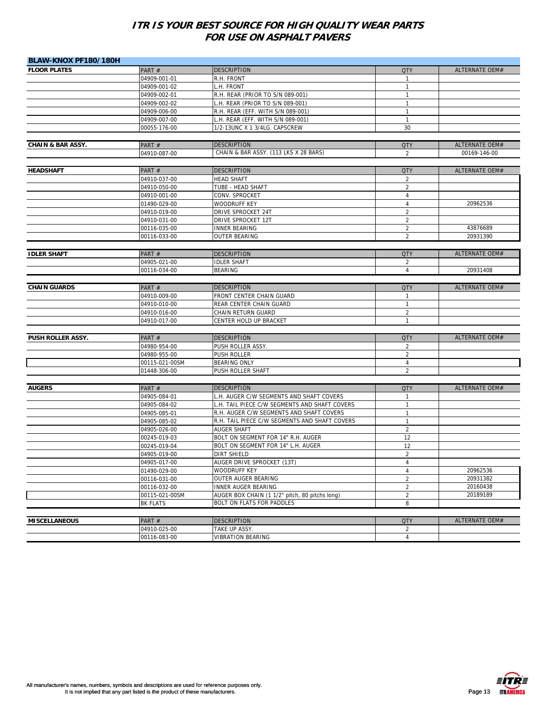| BLAW-KNOX PF180/180H         |                              |                                                             |                |                |
|------------------------------|------------------------------|-------------------------------------------------------------|----------------|----------------|
| <b>FLOOR PLATES</b>          | PART#                        | <b>DESCRIPTION</b>                                          | QTY            | ALTERNATE OEM# |
|                              | 04909-001-01                 | R.H. FRONT                                                  | $\mathbf{1}$   |                |
|                              | 04909-001-02                 | L.H. FRONT                                                  | $\mathbf{1}$   |                |
|                              | 04909-002-01                 | R.H. REAR (PRIOR TO S/N 089-001)                            | 1              |                |
|                              | 04909-002-02                 | L.H. REAR (PRIOR TO S/N 089-001)                            | $\mathbf{1}$   |                |
|                              | 04909-006-00                 | R.H. REAR (EFF. WITH S/N 089-001)                           | $\mathbf{1}$   |                |
|                              | 04909-007-00                 | L.H. REAR (EFF. WITH S/N 089-001)                           | $\mathbf{1}$   |                |
|                              | 00055-176-00                 | 1/2-13UNC X 1 3/4LG. CAPSCREW                               | 30             |                |
|                              |                              |                                                             |                |                |
| <b>CHAIN &amp; BAR ASSY.</b> | PART#                        | <b>DESCRIPTION</b><br>CHAIN & BAR ASSY. (113 LKS X 28 BARS) | <b>QTY</b>     | ALTERNATE OEM# |
|                              | 04910-087-00                 |                                                             | $\overline{2}$ | 00169-146-00   |
| <b>HEADSHAFT</b>             | PART#                        | <b>DESCRIPTION</b>                                          | <b>QTY</b>     | ALTERNATE OEM# |
|                              | 04910-037-00                 | <b>HEAD SHAFT</b>                                           | $\overline{2}$ |                |
|                              |                              |                                                             | $\overline{2}$ |                |
|                              | 04910-050-00<br>04910-001-00 | TUBE - HEAD SHAFT<br>CONV. SPROCKET                         | $\overline{4}$ |                |
|                              | 01490-029-00                 | <b>WOODRUFF KEY</b>                                         | $\overline{4}$ | 20962536       |
|                              | 04910-019-00                 | DRIVE SPROCKET 24T                                          | $\overline{2}$ |                |
|                              | 04910-031-00                 | DRIVE SPROCKET 12T                                          | $\overline{2}$ |                |
|                              | 00116-035-00                 | <b>INNER BEARING</b>                                        | $\overline{2}$ | 43876689       |
|                              | 00116-033-00                 | OUTER BEARING                                               | $\overline{2}$ | 20931390       |
|                              |                              |                                                             |                |                |
| <b>IDLER SHAFT</b>           | PART#                        | <b>DESCRIPTION</b>                                          | <b>QTY</b>     | ALTERNATE OEM# |
|                              | 04905-021-00                 | <b>IDLER SHAFT</b>                                          | $\overline{2}$ |                |
|                              | 00116-034-00                 | <b>BEARING</b>                                              | $\overline{4}$ | 20931408       |
|                              |                              |                                                             |                |                |
| <b>CHAIN GUARDS</b>          | PART#                        | <b>DESCRIPTION</b>                                          | <b>QTY</b>     | ALTERNATE OEM# |
|                              | 04910-009-00                 | FRONT CENTER CHAIN GUARD                                    | $\mathbf{1}$   |                |
|                              | 04910-010-00                 | REAR CENTER CHAIN GUARD                                     | $\mathbf{1}$   |                |
|                              | 04910-016-00                 | CHAIN RETURN GUARD                                          | $\overline{2}$ |                |
|                              | 04910-017-00                 | CENTER HOLD UP BRACKET                                      | $\mathbf{1}$   |                |
|                              |                              |                                                             |                |                |
| PUSH ROLLER ASSY.            | PART#                        | <b>DESCRIPTION</b>                                          | <b>QTY</b>     | ALTERNATE OEM# |
|                              | 04980-954-00                 | PUSH ROLLER ASSY.                                           | $\overline{2}$ |                |
|                              | 04980-955-00                 | PUSH ROLLER                                                 | $\overline{2}$ |                |
|                              | 00115-021-00SM               | <b>BEARING ONLY</b>                                         | $\overline{4}$ |                |
|                              | 01448-306-00                 | PUSH ROLLER SHAFT                                           | $\overline{2}$ |                |
| <b>AUGERS</b>                | PART#                        | <b>DESCRIPTION</b>                                          | <b>QTY</b>     | ALTERNATE OEM# |
|                              | 04905-084-01                 | L.H. AUGER C/W SEGMENTS AND SHAFT COVERS                    | $\mathbf{1}$   |                |
|                              | 04905-084-02                 | L.H. TAIL PIECE C/W SEGMENTS AND SHAFT COVERS               | $\mathbf{1}$   |                |
|                              | 04905-085-01                 | R.H. AUGER C/W SEGMENTS AND SHAFT COVERS                    | 1              |                |
|                              | 04905-085-02                 | R.H. TAIL PIECE C/W SEGMENTS AND SHAFT COVERS               | $\mathbf{1}$   |                |
|                              | 04905-026-00                 | AUGER SHAFT                                                 | $\overline{2}$ |                |
|                              | 00245-019-03                 | BOLT ON SEGMENT FOR 14" R.H. AUGER                          | 12             |                |
|                              | 00245-019-04                 | BOLT ON SEGMENT FOR 14" L.H. AUGER                          | 12             |                |
|                              | 04905-019-00                 | <b>DIRT SHIELD</b>                                          | $\overline{2}$ |                |
|                              | 04905-017-00                 | <b>AUGER DRIVE SPROCKET (13T)</b>                           | 4              |                |
|                              | 01490-029-00                 | WOODRUFF KEY                                                | $\overline{4}$ | 20962536       |
|                              | 00116-031-00                 | OUTER AUGER BEARING                                         | $\overline{c}$ | 20931382       |
|                              | 00116-032-00                 | INNER AUGER BEARING                                         | $\overline{2}$ | 20160438       |
|                              | 00115-021-00SM               | AUGER BOX CHAIN (1 1/2" pitch, 80 pitchs long)              | $\overline{2}$ | 20189189       |
|                              | BK FLATS                     | BOLT ON FLATS FOR PADDLES                                   | 8              |                |
|                              |                              |                                                             |                |                |
| <b>MISCELLANEOUS</b>         | PART#                        | <b>DESCRIPTION</b>                                          | <b>QTY</b>     | ALTERNATE OEM# |
|                              | 04910-025-00                 | TAKE UP ASSY.                                               | $\overline{2}$ |                |
|                              | 00116-083-00                 | <b>VIBRATION BEARING</b>                                    | $\overline{4}$ |                |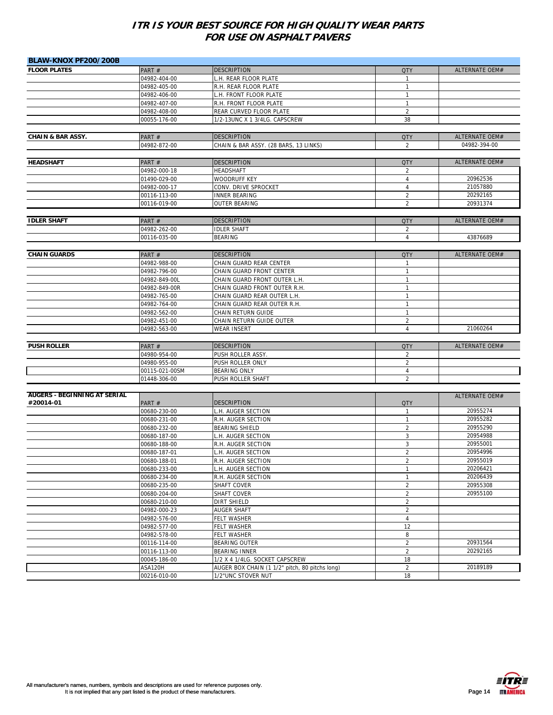| BLAW-KNOX PF200/200B                |                                |                                                                      |                                  |                       |
|-------------------------------------|--------------------------------|----------------------------------------------------------------------|----------------------------------|-----------------------|
| <b>FLOOR PLATES</b>                 | PART#                          | <b>DESCRIPTION</b>                                                   | <b>QTY</b>                       | ALTERNATE OEM#        |
|                                     | 04982-404-00                   | L.H. REAR FLOOR PLATE                                                | $\mathbf{1}$                     |                       |
|                                     | 04982-405-00                   | R.H. REAR FLOOR PLATE                                                | $\mathbf{1}$                     |                       |
|                                     | 04982-406-00                   | L.H. FRONT FLOOR PLATE                                               | $\mathbf{1}$                     |                       |
|                                     | 04982-407-00                   | R.H. FRONT FLOOR PLATE                                               | $\mathbf{1}$                     |                       |
|                                     | 04982-408-00                   | REAR CURVED FLOOR PLATE                                              | $\overline{2}$                   |                       |
|                                     | 00055-176-00                   | 1/2-13UNC X 1 3/4LG. CAPSCREW                                        | 38                               |                       |
|                                     |                                |                                                                      |                                  |                       |
| <b>CHAIN &amp; BAR ASSY.</b>        | PART#                          | <b>DESCRIPTION</b>                                                   | <b>QTY</b>                       | ALTERNATE OEM#        |
|                                     | 04982-872-00                   | CHAIN & BAR ASSY. (28 BARS, 13 LINKS)                                | $\overline{2}$                   | 04982-394-00          |
|                                     |                                |                                                                      |                                  |                       |
| <b>HEADSHAFT</b>                    | PART#                          | <b>DESCRIPTION</b>                                                   | <b>QTY</b>                       | ALTERNATE OEM#        |
|                                     | 04982-000-18                   | <b>HEADSHAFT</b>                                                     | 2                                |                       |
|                                     | 01490-029-00                   | WOODRUFF KEY                                                         | $\overline{4}$                   | 20962536              |
|                                     | 04982-000-17                   | CONV. DRIVE SPROCKET                                                 | $\overline{4}$                   | 21057880              |
|                                     | 00116-113-00                   | <b>INNER BEARING</b>                                                 | $\overline{2}$                   | 20292165              |
|                                     | 00116-019-00                   | <b>OUTER BEARING</b>                                                 | $\overline{2}$                   | 20931374              |
|                                     |                                |                                                                      |                                  |                       |
| <b>IDLER SHAFT</b>                  | PART#                          | <b>DESCRIPTION</b>                                                   | <b>QTY</b>                       | ALTERNATE OEM#        |
|                                     | 04982-262-00                   | <b>IDLER SHAFT</b>                                                   | $\overline{2}$                   |                       |
|                                     | 00116-035-00                   | <b>BEARING</b>                                                       | $\overline{4}$                   | 43876689              |
| <b>CHAIN GUARDS</b>                 | PART#                          | <b>DESCRIPTION</b>                                                   | <b>QTY</b>                       | <b>ALTERNATE OEM#</b> |
|                                     | 04982-988-00                   | CHAIN GUARD REAR CENTER                                              | $\mathbf{1}$                     |                       |
|                                     | 04982-796-00                   | CHAIN GUARD FRONT CENTER                                             | $\mathbf{1}$                     |                       |
|                                     | 04982-849-00L                  | CHAIN GUARD FRONT OUTER L.H.                                         | $\mathbf{1}$                     |                       |
|                                     | 04982-849-00R                  | CHAIN GUARD FRONT OUTER R.H.                                         | $\mathbf{1}$                     |                       |
|                                     | 04982-765-00                   | CHAIN GUARD REAR OUTER L.H.                                          | 1                                |                       |
|                                     | 04982-764-00                   | CHAIN GUARD REAR OUTER R.H.                                          | $\mathbf{1}$                     |                       |
|                                     | 04982-562-00                   | CHAIN RETURN GUIDE                                                   | 1                                |                       |
|                                     | 04982-451-00                   | CHAIN RETURN GUIDE OUTER                                             | $\overline{2}$                   |                       |
|                                     | 04982-563-00                   | <b>WEAR INSERT</b>                                                   | $\overline{4}$                   | 21060264              |
|                                     |                                |                                                                      |                                  |                       |
| <b>PUSH ROLLER</b>                  |                                | <b>DESCRIPTION</b>                                                   |                                  |                       |
|                                     |                                |                                                                      |                                  |                       |
|                                     | PART#                          |                                                                      | <b>QTY</b>                       | ALTERNATE OEM#        |
|                                     | 04980-954-00                   | PUSH ROLLER ASSY.                                                    | $\overline{2}$<br>$\overline{2}$ |                       |
|                                     | 04980-955-00                   | PUSH ROLLER ONLY                                                     | 4                                |                       |
|                                     | 00115-021-00SM<br>01448-306-00 | <b>BEARING ONLY</b><br>PUSH ROLLER SHAFT                             | $\overline{2}$                   |                       |
|                                     |                                |                                                                      |                                  |                       |
| <b>AUGERS - BEGINNING AT SERIAL</b> |                                |                                                                      |                                  | ALTERNATE OEM#        |
| #20014-01                           | PART#                          | <b>DESCRIPTION</b>                                                   | <b>QTY</b>                       |                       |
|                                     | 00680-230-00                   | L.H. AUGER SECTION                                                   | $\mathbf{1}$                     | 20955274              |
|                                     | 00680-231-00                   | R.H. AUGER SECTION                                                   | 1                                | 20955282              |
|                                     | 00680-232-00                   | <b>BEARING SHIELD</b>                                                | $\overline{2}$                   | 20955290              |
|                                     | 00680-187-00                   | L.H. AUGER SECTION                                                   | 3                                | 20954988              |
|                                     | 00680-188-00                   | R.H. AUGER SECTION                                                   | 3                                | 20955001              |
|                                     | 00680-187-01                   | L.H. AUGER SECTION                                                   | $\overline{2}$                   | 20954996              |
|                                     | 00680-188-01                   | <b>R.H. AUGER SECTION</b>                                            | $\overline{2}$                   | 20955019              |
|                                     | 00680-233-00                   | L.H. AUGER SECTION                                                   | $\mathbf{1}$                     | 20206421              |
|                                     | 00680-234-00                   | R.H. AUGER SECTION                                                   | $\mathbf{1}$                     | 20206439              |
|                                     | 00680-235-00                   | <b>SHAFT COVER</b>                                                   | $\overline{2}$                   | 20955308              |
|                                     | 00680-204-00                   | <b>SHAFT COVER</b>                                                   | $\overline{2}$                   | 20955100              |
|                                     | 00680-210-00                   | <b>DIRT SHIELD</b>                                                   | $\overline{2}$                   |                       |
|                                     | 04982-000-23                   | AUGER SHAFT                                                          | $\overline{2}$                   |                       |
|                                     | 04982-576-00                   | FELT WASHER                                                          | 4                                |                       |
|                                     | 04982-577-00                   | <b>FELT WASHER</b>                                                   | 12                               |                       |
|                                     | 04982-578-00                   | FELT WASHER                                                          | 8                                |                       |
|                                     | 00116-114-00                   | <b>BEARING OUTER</b>                                                 | $\overline{a}$                   | 20931564              |
|                                     | 00116-113-00                   | <b>BEARING INNER</b>                                                 | $\sqrt{2}$                       | 20292165              |
|                                     | 00045-186-00                   | 1/2 X 4 1/4LG. SOCKET CAPSCREW                                       | 18                               |                       |
|                                     | ASA120H<br>00216-010-00        | AUGER BOX CHAIN (1 1/2" pitch, 80 pitchs long)<br>1/2"UNC STOVER NUT | $\sqrt{2}$<br>18                 | 20189189              |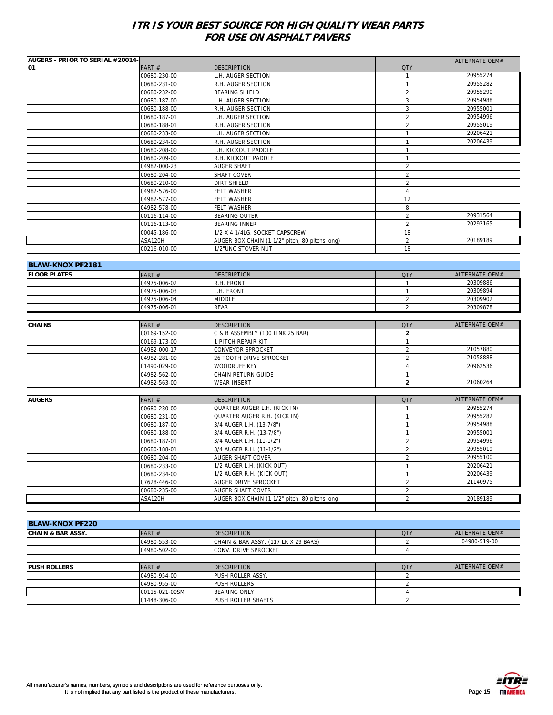| PART#<br><b>DESCRIPTION</b><br><b>QTY</b><br>01<br>20955274<br>00680-230-00<br>L.H. AUGER SECTION<br>1<br>20955282<br>$\mathbf{1}$<br>00680-231-00<br>R.H. AUGER SECTION<br>20955290<br>00680-232-00<br><b>BEARING SHIELD</b><br>$\overline{2}$<br>20954988<br>3<br>00680-187-00<br>L.H. AUGER SECTION<br>R.H. AUGER SECTION<br>$\mathbf{3}$<br>20955001<br>00680-188-00<br>$\overline{2}$<br>20954996<br>00680-187-01<br>L.H. AUGER SECTION<br>20955019<br>R.H. AUGER SECTION<br>$\overline{2}$<br>00680-188-01<br>20206421<br>L.H. AUGER SECTION<br>$\mathbf{1}$<br>00680-233-00<br>20206439<br>$\mathbf{1}$<br>00680-234-00<br>R.H. AUGER SECTION<br>$\mathbf{1}$<br>00680-208-00<br>L.H. KICKOUT PADDLE<br>00680-209-00<br>R.H. KICKOUT PADDLE<br>$\overline{1}$<br>$\sqrt{2}$<br>04982-000-23<br><b>AUGER SHAFT</b><br>$\overline{2}$<br>00680-204-00<br>SHAFT COVER<br>$\overline{2}$<br>00680-210-00<br><b>DIRT SHIELD</b><br>$\overline{4}$<br>04982-576-00<br><b>FELT WASHER</b><br>12<br>04982-577-00<br><b>FELT WASHER</b><br>8<br>04982-578-00<br><b>FELT WASHER</b><br>$\overline{2}$<br>20931564<br>00116-114-00<br><b>BEARING OUTER</b><br>$\overline{2}$<br>20292165<br>00116-113-00<br><b>BEARING INNER</b><br>00045-186-00<br>1/2 X 4 1/4LG. SOCKET CAPSCREW<br>18<br>20189189<br>$\overline{2}$<br>ASA120H<br>AUGER BOX CHAIN (1 1/2" pitch, 80 pitchs long)<br>18<br>1/2"UNC STOVER NUT<br>00216-010-00<br><b>BLAW-KNOX PF2181</b><br><b>ALTERNATE OEM#</b><br>PART#<br><b>QTY</b><br><b>FLOOR PLATES</b><br><b>DESCRIPTION</b><br>20309886<br>04975-006-02<br>R.H. FRONT<br>$\mathbf{1}$<br>20309894<br>04975-006-03<br>L.H. FRONT<br>1<br>20309902<br>$\sqrt{2}$<br>04975-006-04<br><b>MIDDLE</b><br>$\overline{2}$<br>20309878<br>04975-006-01<br><b>REAR</b><br><b>ALTERNATE OEM#</b><br><b>DESCRIPTION</b><br><b>CHAINS</b><br>PART#<br><b>QTY</b><br>00169-152-00<br>C & B ASSEMBLY (100 LINK 25 BAR)<br>$\mathbf{2}$<br>00169-173-00<br>1 PITCH REPAIR KIT<br>$\mathbf{1}$<br>21057880<br><b>CONVEYOR SPROCKET</b><br>$\overline{2}$<br>04982-000-17<br>$\overline{2}$<br>21058888<br>04982-281-00<br><b>26 TOOTH DRIVE SPROCKET</b><br>20962536<br>01490-029-00<br><b>WOODRUFF KEY</b><br>$\sqrt{4}$<br>04982-562-00<br>CHAIN RETURN GUIDE<br>$\mathbf{1}$<br>$\overline{2}$<br>21060264<br>04982-563-00<br><b>WEAR INSERT</b><br><b>DESCRIPTION</b><br><b>QTY</b><br>ALTERNATE OEM#<br><b>AUGERS</b><br>PART#<br>20955274<br>00680-230-00<br>QUARTER AUGER L.H. (KICK IN)<br>$\mathbf{1}$<br>QUARTER AUGER R.H. (KICK IN)<br>20955282<br>00680-231-00<br>$\mathbf{1}$<br>20954988<br>3/4 AUGER L.H. (13-7/8")<br>$\mathbf{1}$<br>00680-187-00<br>20955001<br>00680-188-00<br>3/4 AUGER R.H. (13-7/8")<br>$\mathbf{1}$<br>20954996<br>$\overline{2}$<br>3/4 AUGER L.H. (11-1/2")<br>00680-187-01<br>3/4 AUGER R.H. (11-1/2")<br>20955019<br>00680-188-01<br>2<br>20955100<br>AUGER SHAFT COVER<br>$\sqrt{2}$<br>00680-204-00<br>20206421<br>00680-233-00<br>1/2 AUGER L.H. (KICK OUT)<br>1<br>1/2 AUGER R.H. (KICK OUT)<br>20206439<br>00680-234-00<br>$\mathbf{1}$<br>21140975<br>07628-446-00<br>AUGER DRIVE SPROCKET<br>$\overline{2}$<br>$\overline{2}$<br><b>AUGER SHAFT COVER</b><br>00680-235-00<br>20189189<br>ASA120H<br>AUGER BOX CHAIN (1 1/2" pitch, 80 pitchs long<br>$\overline{2}$<br><b>BLAW-KNOX PF220</b><br>ALTERNATE OEM#<br>PART#<br><b>DESCRIPTION</b><br><b>QTY</b><br><b>CHAIN &amp; BAR ASSY.</b><br>04980-519-00<br>04980-553-00<br>CHAIN & BAR ASSY. (117 LK X 29 BARS)<br>2<br>$\overline{4}$<br>04980-502-00<br>CONV. DRIVE SPROCKET<br>ALTERNATE OEM#<br>PART#<br><b>DESCRIPTION</b><br><b>QTY</b><br><b>PUSH ROLLERS</b><br>04980-954-00<br>PUSH ROLLER ASSY.<br>2<br>$\overline{2}$<br>04980-955-00<br><b>PUSH ROLLERS</b><br>00115-021-00SM<br><b>BEARING ONLY</b><br>4<br>$\overline{2}$<br>PUSH ROLLER SHAFTS<br>01448-306-00 | <b>AUGERS - PRIOR TO SERIAL #20014-</b> |  | ALTERNATE OEM# |
|----------------------------------------------------------------------------------------------------------------------------------------------------------------------------------------------------------------------------------------------------------------------------------------------------------------------------------------------------------------------------------------------------------------------------------------------------------------------------------------------------------------------------------------------------------------------------------------------------------------------------------------------------------------------------------------------------------------------------------------------------------------------------------------------------------------------------------------------------------------------------------------------------------------------------------------------------------------------------------------------------------------------------------------------------------------------------------------------------------------------------------------------------------------------------------------------------------------------------------------------------------------------------------------------------------------------------------------------------------------------------------------------------------------------------------------------------------------------------------------------------------------------------------------------------------------------------------------------------------------------------------------------------------------------------------------------------------------------------------------------------------------------------------------------------------------------------------------------------------------------------------------------------------------------------------------------------------------------------------------------------------------------------------------------------------------------------------------------------------------------------------------------------------------------------------------------------------------------------------------------------------------------------------------------------------------------------------------------------------------------------------------------------------------------------------------------------------------------------------------------------------------------------------------------------------------------------------------------------------------------------------------------------------------------------------------------------------------------------------------------------------------------------------------------------------------------------------------------------------------------------------------------------------------------------------------------------------------------------------------------------------------------------------------------------------------------------------------------------------------------------------------------------------------------------------------------------------------------------------------------------------------------------------------------------------------------------------------------------------------------------------------------------------------------------------------------------------------------------------------------------------------------------------------------------------------------------------------------------------------------------------------------------------------------------------------------------------------------------------------------------------------------------------------------------------------------------------------------------------------------------------------------|-----------------------------------------|--|----------------|
|                                                                                                                                                                                                                                                                                                                                                                                                                                                                                                                                                                                                                                                                                                                                                                                                                                                                                                                                                                                                                                                                                                                                                                                                                                                                                                                                                                                                                                                                                                                                                                                                                                                                                                                                                                                                                                                                                                                                                                                                                                                                                                                                                                                                                                                                                                                                                                                                                                                                                                                                                                                                                                                                                                                                                                                                                                                                                                                                                                                                                                                                                                                                                                                                                                                                                                                                                                                                                                                                                                                                                                                                                                                                                                                                                                                                                                                                                              |                                         |  |                |
|                                                                                                                                                                                                                                                                                                                                                                                                                                                                                                                                                                                                                                                                                                                                                                                                                                                                                                                                                                                                                                                                                                                                                                                                                                                                                                                                                                                                                                                                                                                                                                                                                                                                                                                                                                                                                                                                                                                                                                                                                                                                                                                                                                                                                                                                                                                                                                                                                                                                                                                                                                                                                                                                                                                                                                                                                                                                                                                                                                                                                                                                                                                                                                                                                                                                                                                                                                                                                                                                                                                                                                                                                                                                                                                                                                                                                                                                                              |                                         |  |                |
|                                                                                                                                                                                                                                                                                                                                                                                                                                                                                                                                                                                                                                                                                                                                                                                                                                                                                                                                                                                                                                                                                                                                                                                                                                                                                                                                                                                                                                                                                                                                                                                                                                                                                                                                                                                                                                                                                                                                                                                                                                                                                                                                                                                                                                                                                                                                                                                                                                                                                                                                                                                                                                                                                                                                                                                                                                                                                                                                                                                                                                                                                                                                                                                                                                                                                                                                                                                                                                                                                                                                                                                                                                                                                                                                                                                                                                                                                              |                                         |  |                |
|                                                                                                                                                                                                                                                                                                                                                                                                                                                                                                                                                                                                                                                                                                                                                                                                                                                                                                                                                                                                                                                                                                                                                                                                                                                                                                                                                                                                                                                                                                                                                                                                                                                                                                                                                                                                                                                                                                                                                                                                                                                                                                                                                                                                                                                                                                                                                                                                                                                                                                                                                                                                                                                                                                                                                                                                                                                                                                                                                                                                                                                                                                                                                                                                                                                                                                                                                                                                                                                                                                                                                                                                                                                                                                                                                                                                                                                                                              |                                         |  |                |
|                                                                                                                                                                                                                                                                                                                                                                                                                                                                                                                                                                                                                                                                                                                                                                                                                                                                                                                                                                                                                                                                                                                                                                                                                                                                                                                                                                                                                                                                                                                                                                                                                                                                                                                                                                                                                                                                                                                                                                                                                                                                                                                                                                                                                                                                                                                                                                                                                                                                                                                                                                                                                                                                                                                                                                                                                                                                                                                                                                                                                                                                                                                                                                                                                                                                                                                                                                                                                                                                                                                                                                                                                                                                                                                                                                                                                                                                                              |                                         |  |                |
|                                                                                                                                                                                                                                                                                                                                                                                                                                                                                                                                                                                                                                                                                                                                                                                                                                                                                                                                                                                                                                                                                                                                                                                                                                                                                                                                                                                                                                                                                                                                                                                                                                                                                                                                                                                                                                                                                                                                                                                                                                                                                                                                                                                                                                                                                                                                                                                                                                                                                                                                                                                                                                                                                                                                                                                                                                                                                                                                                                                                                                                                                                                                                                                                                                                                                                                                                                                                                                                                                                                                                                                                                                                                                                                                                                                                                                                                                              |                                         |  |                |
|                                                                                                                                                                                                                                                                                                                                                                                                                                                                                                                                                                                                                                                                                                                                                                                                                                                                                                                                                                                                                                                                                                                                                                                                                                                                                                                                                                                                                                                                                                                                                                                                                                                                                                                                                                                                                                                                                                                                                                                                                                                                                                                                                                                                                                                                                                                                                                                                                                                                                                                                                                                                                                                                                                                                                                                                                                                                                                                                                                                                                                                                                                                                                                                                                                                                                                                                                                                                                                                                                                                                                                                                                                                                                                                                                                                                                                                                                              |                                         |  |                |
|                                                                                                                                                                                                                                                                                                                                                                                                                                                                                                                                                                                                                                                                                                                                                                                                                                                                                                                                                                                                                                                                                                                                                                                                                                                                                                                                                                                                                                                                                                                                                                                                                                                                                                                                                                                                                                                                                                                                                                                                                                                                                                                                                                                                                                                                                                                                                                                                                                                                                                                                                                                                                                                                                                                                                                                                                                                                                                                                                                                                                                                                                                                                                                                                                                                                                                                                                                                                                                                                                                                                                                                                                                                                                                                                                                                                                                                                                              |                                         |  |                |
|                                                                                                                                                                                                                                                                                                                                                                                                                                                                                                                                                                                                                                                                                                                                                                                                                                                                                                                                                                                                                                                                                                                                                                                                                                                                                                                                                                                                                                                                                                                                                                                                                                                                                                                                                                                                                                                                                                                                                                                                                                                                                                                                                                                                                                                                                                                                                                                                                                                                                                                                                                                                                                                                                                                                                                                                                                                                                                                                                                                                                                                                                                                                                                                                                                                                                                                                                                                                                                                                                                                                                                                                                                                                                                                                                                                                                                                                                              |                                         |  |                |
|                                                                                                                                                                                                                                                                                                                                                                                                                                                                                                                                                                                                                                                                                                                                                                                                                                                                                                                                                                                                                                                                                                                                                                                                                                                                                                                                                                                                                                                                                                                                                                                                                                                                                                                                                                                                                                                                                                                                                                                                                                                                                                                                                                                                                                                                                                                                                                                                                                                                                                                                                                                                                                                                                                                                                                                                                                                                                                                                                                                                                                                                                                                                                                                                                                                                                                                                                                                                                                                                                                                                                                                                                                                                                                                                                                                                                                                                                              |                                         |  |                |
|                                                                                                                                                                                                                                                                                                                                                                                                                                                                                                                                                                                                                                                                                                                                                                                                                                                                                                                                                                                                                                                                                                                                                                                                                                                                                                                                                                                                                                                                                                                                                                                                                                                                                                                                                                                                                                                                                                                                                                                                                                                                                                                                                                                                                                                                                                                                                                                                                                                                                                                                                                                                                                                                                                                                                                                                                                                                                                                                                                                                                                                                                                                                                                                                                                                                                                                                                                                                                                                                                                                                                                                                                                                                                                                                                                                                                                                                                              |                                         |  |                |
|                                                                                                                                                                                                                                                                                                                                                                                                                                                                                                                                                                                                                                                                                                                                                                                                                                                                                                                                                                                                                                                                                                                                                                                                                                                                                                                                                                                                                                                                                                                                                                                                                                                                                                                                                                                                                                                                                                                                                                                                                                                                                                                                                                                                                                                                                                                                                                                                                                                                                                                                                                                                                                                                                                                                                                                                                                                                                                                                                                                                                                                                                                                                                                                                                                                                                                                                                                                                                                                                                                                                                                                                                                                                                                                                                                                                                                                                                              |                                         |  |                |
|                                                                                                                                                                                                                                                                                                                                                                                                                                                                                                                                                                                                                                                                                                                                                                                                                                                                                                                                                                                                                                                                                                                                                                                                                                                                                                                                                                                                                                                                                                                                                                                                                                                                                                                                                                                                                                                                                                                                                                                                                                                                                                                                                                                                                                                                                                                                                                                                                                                                                                                                                                                                                                                                                                                                                                                                                                                                                                                                                                                                                                                                                                                                                                                                                                                                                                                                                                                                                                                                                                                                                                                                                                                                                                                                                                                                                                                                                              |                                         |  |                |
|                                                                                                                                                                                                                                                                                                                                                                                                                                                                                                                                                                                                                                                                                                                                                                                                                                                                                                                                                                                                                                                                                                                                                                                                                                                                                                                                                                                                                                                                                                                                                                                                                                                                                                                                                                                                                                                                                                                                                                                                                                                                                                                                                                                                                                                                                                                                                                                                                                                                                                                                                                                                                                                                                                                                                                                                                                                                                                                                                                                                                                                                                                                                                                                                                                                                                                                                                                                                                                                                                                                                                                                                                                                                                                                                                                                                                                                                                              |                                         |  |                |
|                                                                                                                                                                                                                                                                                                                                                                                                                                                                                                                                                                                                                                                                                                                                                                                                                                                                                                                                                                                                                                                                                                                                                                                                                                                                                                                                                                                                                                                                                                                                                                                                                                                                                                                                                                                                                                                                                                                                                                                                                                                                                                                                                                                                                                                                                                                                                                                                                                                                                                                                                                                                                                                                                                                                                                                                                                                                                                                                                                                                                                                                                                                                                                                                                                                                                                                                                                                                                                                                                                                                                                                                                                                                                                                                                                                                                                                                                              |                                         |  |                |
|                                                                                                                                                                                                                                                                                                                                                                                                                                                                                                                                                                                                                                                                                                                                                                                                                                                                                                                                                                                                                                                                                                                                                                                                                                                                                                                                                                                                                                                                                                                                                                                                                                                                                                                                                                                                                                                                                                                                                                                                                                                                                                                                                                                                                                                                                                                                                                                                                                                                                                                                                                                                                                                                                                                                                                                                                                                                                                                                                                                                                                                                                                                                                                                                                                                                                                                                                                                                                                                                                                                                                                                                                                                                                                                                                                                                                                                                                              |                                         |  |                |
|                                                                                                                                                                                                                                                                                                                                                                                                                                                                                                                                                                                                                                                                                                                                                                                                                                                                                                                                                                                                                                                                                                                                                                                                                                                                                                                                                                                                                                                                                                                                                                                                                                                                                                                                                                                                                                                                                                                                                                                                                                                                                                                                                                                                                                                                                                                                                                                                                                                                                                                                                                                                                                                                                                                                                                                                                                                                                                                                                                                                                                                                                                                                                                                                                                                                                                                                                                                                                                                                                                                                                                                                                                                                                                                                                                                                                                                                                              |                                         |  |                |
|                                                                                                                                                                                                                                                                                                                                                                                                                                                                                                                                                                                                                                                                                                                                                                                                                                                                                                                                                                                                                                                                                                                                                                                                                                                                                                                                                                                                                                                                                                                                                                                                                                                                                                                                                                                                                                                                                                                                                                                                                                                                                                                                                                                                                                                                                                                                                                                                                                                                                                                                                                                                                                                                                                                                                                                                                                                                                                                                                                                                                                                                                                                                                                                                                                                                                                                                                                                                                                                                                                                                                                                                                                                                                                                                                                                                                                                                                              |                                         |  |                |
|                                                                                                                                                                                                                                                                                                                                                                                                                                                                                                                                                                                                                                                                                                                                                                                                                                                                                                                                                                                                                                                                                                                                                                                                                                                                                                                                                                                                                                                                                                                                                                                                                                                                                                                                                                                                                                                                                                                                                                                                                                                                                                                                                                                                                                                                                                                                                                                                                                                                                                                                                                                                                                                                                                                                                                                                                                                                                                                                                                                                                                                                                                                                                                                                                                                                                                                                                                                                                                                                                                                                                                                                                                                                                                                                                                                                                                                                                              |                                         |  |                |
|                                                                                                                                                                                                                                                                                                                                                                                                                                                                                                                                                                                                                                                                                                                                                                                                                                                                                                                                                                                                                                                                                                                                                                                                                                                                                                                                                                                                                                                                                                                                                                                                                                                                                                                                                                                                                                                                                                                                                                                                                                                                                                                                                                                                                                                                                                                                                                                                                                                                                                                                                                                                                                                                                                                                                                                                                                                                                                                                                                                                                                                                                                                                                                                                                                                                                                                                                                                                                                                                                                                                                                                                                                                                                                                                                                                                                                                                                              |                                         |  |                |
|                                                                                                                                                                                                                                                                                                                                                                                                                                                                                                                                                                                                                                                                                                                                                                                                                                                                                                                                                                                                                                                                                                                                                                                                                                                                                                                                                                                                                                                                                                                                                                                                                                                                                                                                                                                                                                                                                                                                                                                                                                                                                                                                                                                                                                                                                                                                                                                                                                                                                                                                                                                                                                                                                                                                                                                                                                                                                                                                                                                                                                                                                                                                                                                                                                                                                                                                                                                                                                                                                                                                                                                                                                                                                                                                                                                                                                                                                              |                                         |  |                |
|                                                                                                                                                                                                                                                                                                                                                                                                                                                                                                                                                                                                                                                                                                                                                                                                                                                                                                                                                                                                                                                                                                                                                                                                                                                                                                                                                                                                                                                                                                                                                                                                                                                                                                                                                                                                                                                                                                                                                                                                                                                                                                                                                                                                                                                                                                                                                                                                                                                                                                                                                                                                                                                                                                                                                                                                                                                                                                                                                                                                                                                                                                                                                                                                                                                                                                                                                                                                                                                                                                                                                                                                                                                                                                                                                                                                                                                                                              |                                         |  |                |
|                                                                                                                                                                                                                                                                                                                                                                                                                                                                                                                                                                                                                                                                                                                                                                                                                                                                                                                                                                                                                                                                                                                                                                                                                                                                                                                                                                                                                                                                                                                                                                                                                                                                                                                                                                                                                                                                                                                                                                                                                                                                                                                                                                                                                                                                                                                                                                                                                                                                                                                                                                                                                                                                                                                                                                                                                                                                                                                                                                                                                                                                                                                                                                                                                                                                                                                                                                                                                                                                                                                                                                                                                                                                                                                                                                                                                                                                                              |                                         |  |                |
|                                                                                                                                                                                                                                                                                                                                                                                                                                                                                                                                                                                                                                                                                                                                                                                                                                                                                                                                                                                                                                                                                                                                                                                                                                                                                                                                                                                                                                                                                                                                                                                                                                                                                                                                                                                                                                                                                                                                                                                                                                                                                                                                                                                                                                                                                                                                                                                                                                                                                                                                                                                                                                                                                                                                                                                                                                                                                                                                                                                                                                                                                                                                                                                                                                                                                                                                                                                                                                                                                                                                                                                                                                                                                                                                                                                                                                                                                              |                                         |  |                |
|                                                                                                                                                                                                                                                                                                                                                                                                                                                                                                                                                                                                                                                                                                                                                                                                                                                                                                                                                                                                                                                                                                                                                                                                                                                                                                                                                                                                                                                                                                                                                                                                                                                                                                                                                                                                                                                                                                                                                                                                                                                                                                                                                                                                                                                                                                                                                                                                                                                                                                                                                                                                                                                                                                                                                                                                                                                                                                                                                                                                                                                                                                                                                                                                                                                                                                                                                                                                                                                                                                                                                                                                                                                                                                                                                                                                                                                                                              |                                         |  |                |
|                                                                                                                                                                                                                                                                                                                                                                                                                                                                                                                                                                                                                                                                                                                                                                                                                                                                                                                                                                                                                                                                                                                                                                                                                                                                                                                                                                                                                                                                                                                                                                                                                                                                                                                                                                                                                                                                                                                                                                                                                                                                                                                                                                                                                                                                                                                                                                                                                                                                                                                                                                                                                                                                                                                                                                                                                                                                                                                                                                                                                                                                                                                                                                                                                                                                                                                                                                                                                                                                                                                                                                                                                                                                                                                                                                                                                                                                                              |                                         |  |                |
|                                                                                                                                                                                                                                                                                                                                                                                                                                                                                                                                                                                                                                                                                                                                                                                                                                                                                                                                                                                                                                                                                                                                                                                                                                                                                                                                                                                                                                                                                                                                                                                                                                                                                                                                                                                                                                                                                                                                                                                                                                                                                                                                                                                                                                                                                                                                                                                                                                                                                                                                                                                                                                                                                                                                                                                                                                                                                                                                                                                                                                                                                                                                                                                                                                                                                                                                                                                                                                                                                                                                                                                                                                                                                                                                                                                                                                                                                              |                                         |  |                |
|                                                                                                                                                                                                                                                                                                                                                                                                                                                                                                                                                                                                                                                                                                                                                                                                                                                                                                                                                                                                                                                                                                                                                                                                                                                                                                                                                                                                                                                                                                                                                                                                                                                                                                                                                                                                                                                                                                                                                                                                                                                                                                                                                                                                                                                                                                                                                                                                                                                                                                                                                                                                                                                                                                                                                                                                                                                                                                                                                                                                                                                                                                                                                                                                                                                                                                                                                                                                                                                                                                                                                                                                                                                                                                                                                                                                                                                                                              |                                         |  |                |
|                                                                                                                                                                                                                                                                                                                                                                                                                                                                                                                                                                                                                                                                                                                                                                                                                                                                                                                                                                                                                                                                                                                                                                                                                                                                                                                                                                                                                                                                                                                                                                                                                                                                                                                                                                                                                                                                                                                                                                                                                                                                                                                                                                                                                                                                                                                                                                                                                                                                                                                                                                                                                                                                                                                                                                                                                                                                                                                                                                                                                                                                                                                                                                                                                                                                                                                                                                                                                                                                                                                                                                                                                                                                                                                                                                                                                                                                                              |                                         |  |                |
|                                                                                                                                                                                                                                                                                                                                                                                                                                                                                                                                                                                                                                                                                                                                                                                                                                                                                                                                                                                                                                                                                                                                                                                                                                                                                                                                                                                                                                                                                                                                                                                                                                                                                                                                                                                                                                                                                                                                                                                                                                                                                                                                                                                                                                                                                                                                                                                                                                                                                                                                                                                                                                                                                                                                                                                                                                                                                                                                                                                                                                                                                                                                                                                                                                                                                                                                                                                                                                                                                                                                                                                                                                                                                                                                                                                                                                                                                              |                                         |  |                |
|                                                                                                                                                                                                                                                                                                                                                                                                                                                                                                                                                                                                                                                                                                                                                                                                                                                                                                                                                                                                                                                                                                                                                                                                                                                                                                                                                                                                                                                                                                                                                                                                                                                                                                                                                                                                                                                                                                                                                                                                                                                                                                                                                                                                                                                                                                                                                                                                                                                                                                                                                                                                                                                                                                                                                                                                                                                                                                                                                                                                                                                                                                                                                                                                                                                                                                                                                                                                                                                                                                                                                                                                                                                                                                                                                                                                                                                                                              |                                         |  |                |
|                                                                                                                                                                                                                                                                                                                                                                                                                                                                                                                                                                                                                                                                                                                                                                                                                                                                                                                                                                                                                                                                                                                                                                                                                                                                                                                                                                                                                                                                                                                                                                                                                                                                                                                                                                                                                                                                                                                                                                                                                                                                                                                                                                                                                                                                                                                                                                                                                                                                                                                                                                                                                                                                                                                                                                                                                                                                                                                                                                                                                                                                                                                                                                                                                                                                                                                                                                                                                                                                                                                                                                                                                                                                                                                                                                                                                                                                                              |                                         |  |                |
|                                                                                                                                                                                                                                                                                                                                                                                                                                                                                                                                                                                                                                                                                                                                                                                                                                                                                                                                                                                                                                                                                                                                                                                                                                                                                                                                                                                                                                                                                                                                                                                                                                                                                                                                                                                                                                                                                                                                                                                                                                                                                                                                                                                                                                                                                                                                                                                                                                                                                                                                                                                                                                                                                                                                                                                                                                                                                                                                                                                                                                                                                                                                                                                                                                                                                                                                                                                                                                                                                                                                                                                                                                                                                                                                                                                                                                                                                              |                                         |  |                |
|                                                                                                                                                                                                                                                                                                                                                                                                                                                                                                                                                                                                                                                                                                                                                                                                                                                                                                                                                                                                                                                                                                                                                                                                                                                                                                                                                                                                                                                                                                                                                                                                                                                                                                                                                                                                                                                                                                                                                                                                                                                                                                                                                                                                                                                                                                                                                                                                                                                                                                                                                                                                                                                                                                                                                                                                                                                                                                                                                                                                                                                                                                                                                                                                                                                                                                                                                                                                                                                                                                                                                                                                                                                                                                                                                                                                                                                                                              |                                         |  |                |
|                                                                                                                                                                                                                                                                                                                                                                                                                                                                                                                                                                                                                                                                                                                                                                                                                                                                                                                                                                                                                                                                                                                                                                                                                                                                                                                                                                                                                                                                                                                                                                                                                                                                                                                                                                                                                                                                                                                                                                                                                                                                                                                                                                                                                                                                                                                                                                                                                                                                                                                                                                                                                                                                                                                                                                                                                                                                                                                                                                                                                                                                                                                                                                                                                                                                                                                                                                                                                                                                                                                                                                                                                                                                                                                                                                                                                                                                                              |                                         |  |                |
|                                                                                                                                                                                                                                                                                                                                                                                                                                                                                                                                                                                                                                                                                                                                                                                                                                                                                                                                                                                                                                                                                                                                                                                                                                                                                                                                                                                                                                                                                                                                                                                                                                                                                                                                                                                                                                                                                                                                                                                                                                                                                                                                                                                                                                                                                                                                                                                                                                                                                                                                                                                                                                                                                                                                                                                                                                                                                                                                                                                                                                                                                                                                                                                                                                                                                                                                                                                                                                                                                                                                                                                                                                                                                                                                                                                                                                                                                              |                                         |  |                |
|                                                                                                                                                                                                                                                                                                                                                                                                                                                                                                                                                                                                                                                                                                                                                                                                                                                                                                                                                                                                                                                                                                                                                                                                                                                                                                                                                                                                                                                                                                                                                                                                                                                                                                                                                                                                                                                                                                                                                                                                                                                                                                                                                                                                                                                                                                                                                                                                                                                                                                                                                                                                                                                                                                                                                                                                                                                                                                                                                                                                                                                                                                                                                                                                                                                                                                                                                                                                                                                                                                                                                                                                                                                                                                                                                                                                                                                                                              |                                         |  |                |
|                                                                                                                                                                                                                                                                                                                                                                                                                                                                                                                                                                                                                                                                                                                                                                                                                                                                                                                                                                                                                                                                                                                                                                                                                                                                                                                                                                                                                                                                                                                                                                                                                                                                                                                                                                                                                                                                                                                                                                                                                                                                                                                                                                                                                                                                                                                                                                                                                                                                                                                                                                                                                                                                                                                                                                                                                                                                                                                                                                                                                                                                                                                                                                                                                                                                                                                                                                                                                                                                                                                                                                                                                                                                                                                                                                                                                                                                                              |                                         |  |                |
|                                                                                                                                                                                                                                                                                                                                                                                                                                                                                                                                                                                                                                                                                                                                                                                                                                                                                                                                                                                                                                                                                                                                                                                                                                                                                                                                                                                                                                                                                                                                                                                                                                                                                                                                                                                                                                                                                                                                                                                                                                                                                                                                                                                                                                                                                                                                                                                                                                                                                                                                                                                                                                                                                                                                                                                                                                                                                                                                                                                                                                                                                                                                                                                                                                                                                                                                                                                                                                                                                                                                                                                                                                                                                                                                                                                                                                                                                              |                                         |  |                |
|                                                                                                                                                                                                                                                                                                                                                                                                                                                                                                                                                                                                                                                                                                                                                                                                                                                                                                                                                                                                                                                                                                                                                                                                                                                                                                                                                                                                                                                                                                                                                                                                                                                                                                                                                                                                                                                                                                                                                                                                                                                                                                                                                                                                                                                                                                                                                                                                                                                                                                                                                                                                                                                                                                                                                                                                                                                                                                                                                                                                                                                                                                                                                                                                                                                                                                                                                                                                                                                                                                                                                                                                                                                                                                                                                                                                                                                                                              |                                         |  |                |
|                                                                                                                                                                                                                                                                                                                                                                                                                                                                                                                                                                                                                                                                                                                                                                                                                                                                                                                                                                                                                                                                                                                                                                                                                                                                                                                                                                                                                                                                                                                                                                                                                                                                                                                                                                                                                                                                                                                                                                                                                                                                                                                                                                                                                                                                                                                                                                                                                                                                                                                                                                                                                                                                                                                                                                                                                                                                                                                                                                                                                                                                                                                                                                                                                                                                                                                                                                                                                                                                                                                                                                                                                                                                                                                                                                                                                                                                                              |                                         |  |                |
|                                                                                                                                                                                                                                                                                                                                                                                                                                                                                                                                                                                                                                                                                                                                                                                                                                                                                                                                                                                                                                                                                                                                                                                                                                                                                                                                                                                                                                                                                                                                                                                                                                                                                                                                                                                                                                                                                                                                                                                                                                                                                                                                                                                                                                                                                                                                                                                                                                                                                                                                                                                                                                                                                                                                                                                                                                                                                                                                                                                                                                                                                                                                                                                                                                                                                                                                                                                                                                                                                                                                                                                                                                                                                                                                                                                                                                                                                              |                                         |  |                |
|                                                                                                                                                                                                                                                                                                                                                                                                                                                                                                                                                                                                                                                                                                                                                                                                                                                                                                                                                                                                                                                                                                                                                                                                                                                                                                                                                                                                                                                                                                                                                                                                                                                                                                                                                                                                                                                                                                                                                                                                                                                                                                                                                                                                                                                                                                                                                                                                                                                                                                                                                                                                                                                                                                                                                                                                                                                                                                                                                                                                                                                                                                                                                                                                                                                                                                                                                                                                                                                                                                                                                                                                                                                                                                                                                                                                                                                                                              |                                         |  |                |
|                                                                                                                                                                                                                                                                                                                                                                                                                                                                                                                                                                                                                                                                                                                                                                                                                                                                                                                                                                                                                                                                                                                                                                                                                                                                                                                                                                                                                                                                                                                                                                                                                                                                                                                                                                                                                                                                                                                                                                                                                                                                                                                                                                                                                                                                                                                                                                                                                                                                                                                                                                                                                                                                                                                                                                                                                                                                                                                                                                                                                                                                                                                                                                                                                                                                                                                                                                                                                                                                                                                                                                                                                                                                                                                                                                                                                                                                                              |                                         |  |                |
|                                                                                                                                                                                                                                                                                                                                                                                                                                                                                                                                                                                                                                                                                                                                                                                                                                                                                                                                                                                                                                                                                                                                                                                                                                                                                                                                                                                                                                                                                                                                                                                                                                                                                                                                                                                                                                                                                                                                                                                                                                                                                                                                                                                                                                                                                                                                                                                                                                                                                                                                                                                                                                                                                                                                                                                                                                                                                                                                                                                                                                                                                                                                                                                                                                                                                                                                                                                                                                                                                                                                                                                                                                                                                                                                                                                                                                                                                              |                                         |  |                |
|                                                                                                                                                                                                                                                                                                                                                                                                                                                                                                                                                                                                                                                                                                                                                                                                                                                                                                                                                                                                                                                                                                                                                                                                                                                                                                                                                                                                                                                                                                                                                                                                                                                                                                                                                                                                                                                                                                                                                                                                                                                                                                                                                                                                                                                                                                                                                                                                                                                                                                                                                                                                                                                                                                                                                                                                                                                                                                                                                                                                                                                                                                                                                                                                                                                                                                                                                                                                                                                                                                                                                                                                                                                                                                                                                                                                                                                                                              |                                         |  |                |
|                                                                                                                                                                                                                                                                                                                                                                                                                                                                                                                                                                                                                                                                                                                                                                                                                                                                                                                                                                                                                                                                                                                                                                                                                                                                                                                                                                                                                                                                                                                                                                                                                                                                                                                                                                                                                                                                                                                                                                                                                                                                                                                                                                                                                                                                                                                                                                                                                                                                                                                                                                                                                                                                                                                                                                                                                                                                                                                                                                                                                                                                                                                                                                                                                                                                                                                                                                                                                                                                                                                                                                                                                                                                                                                                                                                                                                                                                              |                                         |  |                |
|                                                                                                                                                                                                                                                                                                                                                                                                                                                                                                                                                                                                                                                                                                                                                                                                                                                                                                                                                                                                                                                                                                                                                                                                                                                                                                                                                                                                                                                                                                                                                                                                                                                                                                                                                                                                                                                                                                                                                                                                                                                                                                                                                                                                                                                                                                                                                                                                                                                                                                                                                                                                                                                                                                                                                                                                                                                                                                                                                                                                                                                                                                                                                                                                                                                                                                                                                                                                                                                                                                                                                                                                                                                                                                                                                                                                                                                                                              |                                         |  |                |
|                                                                                                                                                                                                                                                                                                                                                                                                                                                                                                                                                                                                                                                                                                                                                                                                                                                                                                                                                                                                                                                                                                                                                                                                                                                                                                                                                                                                                                                                                                                                                                                                                                                                                                                                                                                                                                                                                                                                                                                                                                                                                                                                                                                                                                                                                                                                                                                                                                                                                                                                                                                                                                                                                                                                                                                                                                                                                                                                                                                                                                                                                                                                                                                                                                                                                                                                                                                                                                                                                                                                                                                                                                                                                                                                                                                                                                                                                              |                                         |  |                |
|                                                                                                                                                                                                                                                                                                                                                                                                                                                                                                                                                                                                                                                                                                                                                                                                                                                                                                                                                                                                                                                                                                                                                                                                                                                                                                                                                                                                                                                                                                                                                                                                                                                                                                                                                                                                                                                                                                                                                                                                                                                                                                                                                                                                                                                                                                                                                                                                                                                                                                                                                                                                                                                                                                                                                                                                                                                                                                                                                                                                                                                                                                                                                                                                                                                                                                                                                                                                                                                                                                                                                                                                                                                                                                                                                                                                                                                                                              |                                         |  |                |
|                                                                                                                                                                                                                                                                                                                                                                                                                                                                                                                                                                                                                                                                                                                                                                                                                                                                                                                                                                                                                                                                                                                                                                                                                                                                                                                                                                                                                                                                                                                                                                                                                                                                                                                                                                                                                                                                                                                                                                                                                                                                                                                                                                                                                                                                                                                                                                                                                                                                                                                                                                                                                                                                                                                                                                                                                                                                                                                                                                                                                                                                                                                                                                                                                                                                                                                                                                                                                                                                                                                                                                                                                                                                                                                                                                                                                                                                                              |                                         |  |                |
|                                                                                                                                                                                                                                                                                                                                                                                                                                                                                                                                                                                                                                                                                                                                                                                                                                                                                                                                                                                                                                                                                                                                                                                                                                                                                                                                                                                                                                                                                                                                                                                                                                                                                                                                                                                                                                                                                                                                                                                                                                                                                                                                                                                                                                                                                                                                                                                                                                                                                                                                                                                                                                                                                                                                                                                                                                                                                                                                                                                                                                                                                                                                                                                                                                                                                                                                                                                                                                                                                                                                                                                                                                                                                                                                                                                                                                                                                              |                                         |  |                |
|                                                                                                                                                                                                                                                                                                                                                                                                                                                                                                                                                                                                                                                                                                                                                                                                                                                                                                                                                                                                                                                                                                                                                                                                                                                                                                                                                                                                                                                                                                                                                                                                                                                                                                                                                                                                                                                                                                                                                                                                                                                                                                                                                                                                                                                                                                                                                                                                                                                                                                                                                                                                                                                                                                                                                                                                                                                                                                                                                                                                                                                                                                                                                                                                                                                                                                                                                                                                                                                                                                                                                                                                                                                                                                                                                                                                                                                                                              |                                         |  |                |
|                                                                                                                                                                                                                                                                                                                                                                                                                                                                                                                                                                                                                                                                                                                                                                                                                                                                                                                                                                                                                                                                                                                                                                                                                                                                                                                                                                                                                                                                                                                                                                                                                                                                                                                                                                                                                                                                                                                                                                                                                                                                                                                                                                                                                                                                                                                                                                                                                                                                                                                                                                                                                                                                                                                                                                                                                                                                                                                                                                                                                                                                                                                                                                                                                                                                                                                                                                                                                                                                                                                                                                                                                                                                                                                                                                                                                                                                                              |                                         |  |                |
|                                                                                                                                                                                                                                                                                                                                                                                                                                                                                                                                                                                                                                                                                                                                                                                                                                                                                                                                                                                                                                                                                                                                                                                                                                                                                                                                                                                                                                                                                                                                                                                                                                                                                                                                                                                                                                                                                                                                                                                                                                                                                                                                                                                                                                                                                                                                                                                                                                                                                                                                                                                                                                                                                                                                                                                                                                                                                                                                                                                                                                                                                                                                                                                                                                                                                                                                                                                                                                                                                                                                                                                                                                                                                                                                                                                                                                                                                              |                                         |  |                |
|                                                                                                                                                                                                                                                                                                                                                                                                                                                                                                                                                                                                                                                                                                                                                                                                                                                                                                                                                                                                                                                                                                                                                                                                                                                                                                                                                                                                                                                                                                                                                                                                                                                                                                                                                                                                                                                                                                                                                                                                                                                                                                                                                                                                                                                                                                                                                                                                                                                                                                                                                                                                                                                                                                                                                                                                                                                                                                                                                                                                                                                                                                                                                                                                                                                                                                                                                                                                                                                                                                                                                                                                                                                                                                                                                                                                                                                                                              |                                         |  |                |
|                                                                                                                                                                                                                                                                                                                                                                                                                                                                                                                                                                                                                                                                                                                                                                                                                                                                                                                                                                                                                                                                                                                                                                                                                                                                                                                                                                                                                                                                                                                                                                                                                                                                                                                                                                                                                                                                                                                                                                                                                                                                                                                                                                                                                                                                                                                                                                                                                                                                                                                                                                                                                                                                                                                                                                                                                                                                                                                                                                                                                                                                                                                                                                                                                                                                                                                                                                                                                                                                                                                                                                                                                                                                                                                                                                                                                                                                                              |                                         |  |                |
|                                                                                                                                                                                                                                                                                                                                                                                                                                                                                                                                                                                                                                                                                                                                                                                                                                                                                                                                                                                                                                                                                                                                                                                                                                                                                                                                                                                                                                                                                                                                                                                                                                                                                                                                                                                                                                                                                                                                                                                                                                                                                                                                                                                                                                                                                                                                                                                                                                                                                                                                                                                                                                                                                                                                                                                                                                                                                                                                                                                                                                                                                                                                                                                                                                                                                                                                                                                                                                                                                                                                                                                                                                                                                                                                                                                                                                                                                              |                                         |  |                |
|                                                                                                                                                                                                                                                                                                                                                                                                                                                                                                                                                                                                                                                                                                                                                                                                                                                                                                                                                                                                                                                                                                                                                                                                                                                                                                                                                                                                                                                                                                                                                                                                                                                                                                                                                                                                                                                                                                                                                                                                                                                                                                                                                                                                                                                                                                                                                                                                                                                                                                                                                                                                                                                                                                                                                                                                                                                                                                                                                                                                                                                                                                                                                                                                                                                                                                                                                                                                                                                                                                                                                                                                                                                                                                                                                                                                                                                                                              |                                         |  |                |
|                                                                                                                                                                                                                                                                                                                                                                                                                                                                                                                                                                                                                                                                                                                                                                                                                                                                                                                                                                                                                                                                                                                                                                                                                                                                                                                                                                                                                                                                                                                                                                                                                                                                                                                                                                                                                                                                                                                                                                                                                                                                                                                                                                                                                                                                                                                                                                                                                                                                                                                                                                                                                                                                                                                                                                                                                                                                                                                                                                                                                                                                                                                                                                                                                                                                                                                                                                                                                                                                                                                                                                                                                                                                                                                                                                                                                                                                                              |                                         |  |                |
|                                                                                                                                                                                                                                                                                                                                                                                                                                                                                                                                                                                                                                                                                                                                                                                                                                                                                                                                                                                                                                                                                                                                                                                                                                                                                                                                                                                                                                                                                                                                                                                                                                                                                                                                                                                                                                                                                                                                                                                                                                                                                                                                                                                                                                                                                                                                                                                                                                                                                                                                                                                                                                                                                                                                                                                                                                                                                                                                                                                                                                                                                                                                                                                                                                                                                                                                                                                                                                                                                                                                                                                                                                                                                                                                                                                                                                                                                              |                                         |  |                |
|                                                                                                                                                                                                                                                                                                                                                                                                                                                                                                                                                                                                                                                                                                                                                                                                                                                                                                                                                                                                                                                                                                                                                                                                                                                                                                                                                                                                                                                                                                                                                                                                                                                                                                                                                                                                                                                                                                                                                                                                                                                                                                                                                                                                                                                                                                                                                                                                                                                                                                                                                                                                                                                                                                                                                                                                                                                                                                                                                                                                                                                                                                                                                                                                                                                                                                                                                                                                                                                                                                                                                                                                                                                                                                                                                                                                                                                                                              |                                         |  |                |
|                                                                                                                                                                                                                                                                                                                                                                                                                                                                                                                                                                                                                                                                                                                                                                                                                                                                                                                                                                                                                                                                                                                                                                                                                                                                                                                                                                                                                                                                                                                                                                                                                                                                                                                                                                                                                                                                                                                                                                                                                                                                                                                                                                                                                                                                                                                                                                                                                                                                                                                                                                                                                                                                                                                                                                                                                                                                                                                                                                                                                                                                                                                                                                                                                                                                                                                                                                                                                                                                                                                                                                                                                                                                                                                                                                                                                                                                                              |                                         |  |                |

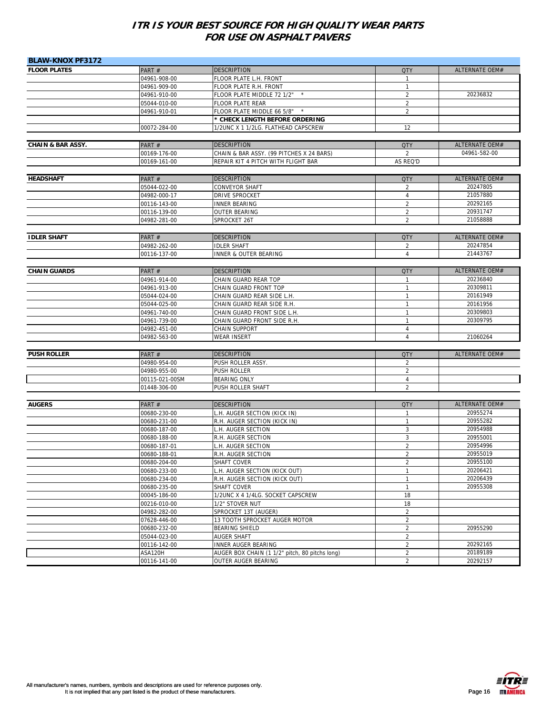| <b>BLAW-KNOX PF3172</b>      |                              |                                                      |                                  |                       |
|------------------------------|------------------------------|------------------------------------------------------|----------------------------------|-----------------------|
| <b>FLOOR PLATES</b>          | PART#                        | <b>DESCRIPTION</b>                                   | <b>QTY</b>                       | <b>ALTERNATE OEM#</b> |
|                              | 04961-908-00                 | FLOOR PLATE L.H. FRONT                               | 1                                |                       |
|                              | 04961-909-00                 | FLOOR PLATE R.H. FRONT                               | $\mathbf{1}$                     |                       |
|                              | 04961-910-00                 | FLOOR PLATE MIDDLE 72 1/2" *                         | $\overline{2}$                   | 20236832              |
|                              | 05044-010-00                 | <b>FLOOR PLATE REAR</b>                              | $\overline{2}$                   |                       |
|                              | 04961-910-01                 | FLOOR PLATE MIDDLE 66 5/8" *                         | $\overline{2}$                   |                       |
|                              |                              | * CHECK LENGTH BEFORE ORDERING                       |                                  |                       |
|                              | 00072-284-00                 | 1/2UNC X 1 1/2LG. FLATHEAD CAPSCREW                  | 12                               |                       |
|                              |                              |                                                      |                                  |                       |
| <b>CHAIN &amp; BAR ASSY.</b> | PART#                        | <b>DESCRIPTION</b>                                   | <b>QTY</b>                       | <b>ALTERNATE OEM#</b> |
|                              | 00169-176-00                 | CHAIN & BAR ASSY. (99 PITCHES X 24 BARS)             | $\overline{2}$                   | 04961-582-00          |
|                              | 00169-161-00                 | REPAIR KIT 4 PITCH WITH FLIGHT BAR                   | AS REQ'D                         |                       |
|                              |                              |                                                      |                                  | <b>ALTERNATE OEM#</b> |
| <b>HEADSHAFT</b>             | PART#                        | <b>DESCRIPTION</b>                                   | <b>QTY</b>                       | 20247805              |
|                              | 05044-022-00                 | CONVEYOR SHAFT                                       | 2                                | 21057880              |
|                              | 04982-000-17                 | DRIVE SPROCKET                                       | $\overline{4}$<br>$\overline{2}$ | 20292165              |
|                              | 00116-143-00                 | <b>INNER BEARING</b><br><b>OUTER BEARING</b>         | $\overline{2}$                   | 20931747              |
|                              | 00116-139-00<br>04982-281-00 | SPROCKET 26T                                         | $\overline{2}$                   | 21058888              |
|                              |                              |                                                      |                                  |                       |
| <b>IDLER SHAFT</b>           | PART #                       | <b>DESCRIPTION</b>                                   | <b>QTY</b>                       | ALTERNATE OEM#        |
|                              | 04982-262-00                 | <b>IDLER SHAFT</b>                                   | 2                                | 20247854              |
|                              | 00116-137-00                 | INNER & OUTER BEARING                                | $\overline{4}$                   | 21443767              |
|                              |                              |                                                      |                                  |                       |
| <b>CHAIN GUARDS</b>          | PART#                        | <b>DESCRIPTION</b>                                   | <b>QTY</b>                       | ALTERNATE OEM#        |
|                              | 04961-914-00                 | CHAIN GUARD REAR TOP                                 | $\mathbf{1}$                     | 20236840              |
|                              | 04961-913-00                 | CHAIN GUARD FRONT TOP                                | $\mathbf{1}$                     | 20309811              |
|                              | 05044-024-00                 | CHAIN GUARD REAR SIDE L.H.                           | $\mathbf{1}$                     | 20161949              |
|                              | 05044-025-00                 | CHAIN GUARD REAR SIDE R.H.                           | $\mathbf{1}$                     | 20161956              |
|                              | 04961-740-00                 | CHAIN GUARD FRONT SIDE L.H.                          | 1                                | 20309803              |
|                              | 04961-739-00                 | CHAIN GUARD FRONT SIDE R.H.                          | $\mathbf{1}$                     | 20309795              |
|                              | 04982-451-00                 | CHAIN SUPPORT                                        | 4                                |                       |
|                              | 04982-563-00                 | WEAR INSERT                                          | $\overline{4}$                   | 21060264              |
| <b>PUSH ROLLER</b>           | PART#                        | <b>DESCRIPTION</b>                                   | <b>QTY</b>                       | ALTERNATE OEM#        |
|                              | 04980-954-00                 | PUSH ROLLER ASSY.                                    | $\overline{2}$                   |                       |
|                              | 04980-955-00                 | PUSH ROLLER                                          | 2                                |                       |
|                              | 00115-021-00SM               | <b>BEARING ONLY</b>                                  | $\overline{4}$                   |                       |
|                              | 01448-306-00                 | PUSH ROLLER SHAFT                                    | $\overline{2}$                   |                       |
|                              |                              |                                                      |                                  |                       |
| <b>AUGERS</b>                | PART#                        | <b>DESCRIPTION</b>                                   | <b>QTY</b>                       | ALTERNATE OEM#        |
|                              | 00680-230-00                 | L.H. AUGER SECTION (KICK IN)                         | $\mathbf{1}$                     | 20955274              |
|                              | 00680-231-00                 | R.H. AUGER SECTION (KICK IN)                         | $\mathbf{1}$                     | 20955282              |
|                              | 00680-187-00                 | L.H. AUGER SECTION                                   | 3                                | 20954988              |
|                              | 00680-188-00                 | R.H. AUGER SECTION                                   | 3                                | 20955001              |
|                              | 00680-187-01                 | H. AUGER SECTION                                     | $\overline{2}$                   | 20954996              |
|                              | 00680-188-01                 | R.H. AUGER SECTION                                   | $\overline{2}$                   | 20955019              |
|                              | 00680-204-00                 | SHAFT COVER                                          | 2                                | 20955100              |
|                              | 00680-233-00                 | L.H. AUGER SECTION (KICK OUT)                        | 1                                | 20206421              |
|                              | 00680-234-00                 | R.H. AUGER SECTION (KICK OUT)                        | 1                                | 20206439              |
|                              | 00680-235-00                 | SHAFT COVER                                          | $\mathbf{1}$                     | 20955308              |
|                              | 00045-186-00                 | 1/2UNC X 4 1/4LG. SOCKET CAPSCREW<br>1/2" STOVER NUT | 18<br>18                         |                       |
|                              | 00216-010-00<br>04982-282-00 | SPROCKET 13T (AUGER)                                 | $\overline{a}$                   |                       |
|                              | 07628-446-00                 | 13 TOOTH SPROCKET AUGER MOTOR                        | $\overline{2}$                   |                       |
|                              | 00680-232-00                 | BEARING SHIELD                                       | $\overline{2}$                   | 20955290              |
|                              | 05044-023-00                 | <b>AUGER SHAFT</b>                                   | $\overline{2}$                   |                       |
|                              | 00116-142-00                 | INNER AUGER BEARING                                  | $\overline{2}$                   | 20292165              |
|                              | ASA120H                      | AUGER BOX CHAIN (1 1/2" pitch, 80 pitchs long)       | $\overline{a}$                   | 20189189              |
|                              | 00116-141-00                 | OUTER AUGER BEARING                                  | $\overline{2}$                   | 20292157              |

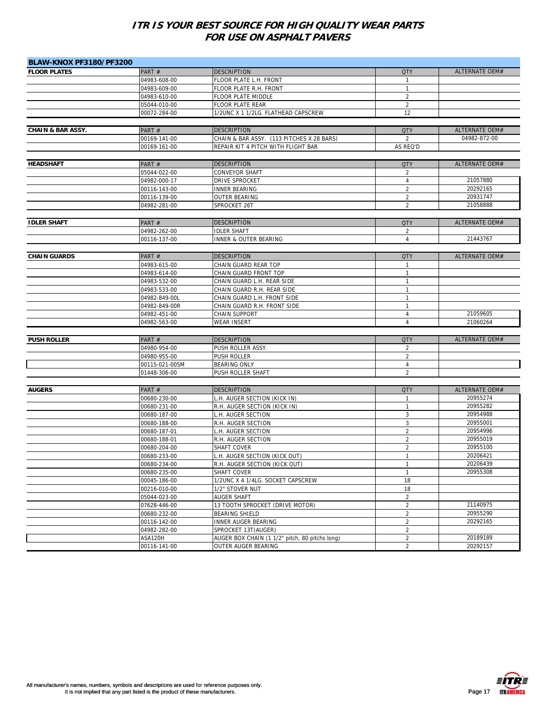| <b>BLAW-KNOX PF3180/PF3200</b> |                |                                                |                |                       |
|--------------------------------|----------------|------------------------------------------------|----------------|-----------------------|
| <b>FLOOR PLATES</b>            | PART#          | <b>DESCRIPTION</b>                             | <b>QTY</b>     | ALTERNATE OEM#        |
|                                | 04983-608-00   | FLOOR PLATE L.H. FRONT                         | $\mathbf{1}$   |                       |
|                                | 04983-609-00   | FLOOR PLATE R.H. FRONT                         | 1              |                       |
|                                | 04983-610-00   | FLOOR PLATE MIDDLE                             | $\overline{2}$ |                       |
|                                | 05044-010-00   | FLOOR PLATE REAR                               | $\overline{2}$ |                       |
|                                | 00072-284-00   | 1/2UNC X 1 1/2LG. FLATHEAD CAPSCREW            | 12             |                       |
|                                |                |                                                |                |                       |
| <b>CHAIN &amp; BAR ASSY.</b>   | PART#          | <b>DESCRIPTION</b>                             | <b>QTY</b>     | ALTERNATE OEM#        |
|                                | 00169-141-00   | CHAIN & BAR ASSY. (113 PITCHES X 28 BARS)      | $\overline{2}$ | 04982-872-00          |
|                                | 00169-161-00   | REPAIR KIT 4 PITCH WITH FLIGHT BAR             | AS REQ'D       |                       |
|                                |                |                                                |                |                       |
| <b>HEADSHAFT</b>               | PART#          | <b>DESCRIPTION</b>                             | <b>QTY</b>     | ALTERNATE OEM#        |
|                                | 05044-022-00   | <b>CONVEYOR SHAFT</b>                          | 2              |                       |
|                                | 04982-000-17   | DRIVE SPROCKET                                 | $\overline{4}$ | 21057880              |
|                                | 00116-143-00   | <b>INNER BEARING</b>                           | $\overline{2}$ | 20292165              |
|                                | 00116-139-00   | <b>OUTER BEARING</b>                           | $\overline{2}$ | 20931747              |
|                                | 04982-281-00   | SPROCKET 26T                                   | $\overline{2}$ | 21058888              |
|                                |                |                                                |                |                       |
| <b>IDLER SHAFT</b>             | PART#          | <b>DESCRIPTION</b>                             | <b>QTY</b>     | ALTERNATE OEM#        |
|                                | 04982-262-00   | <b>IDLER SHAFT</b>                             | 2              |                       |
|                                | 00116-137-00   | INNER & OUTER BEARING                          | $\overline{4}$ | 21443767              |
|                                |                |                                                |                |                       |
| <b>CHAIN GUARDS</b>            | PART#          | <b>DESCRIPTION</b>                             | <b>QTY</b>     | ALTERNATE OEM#        |
|                                | 04983-615-00   | CHAIN GUARD REAR TOP                           | $\mathbf{1}$   |                       |
|                                | 04983-614-00   | CHAIN GUARD FRONT TOP                          | $\mathbf{1}$   |                       |
|                                | 04983-532-00   | CHAIN GUARD L.H. REAR SIDE                     | $\mathbf{1}$   |                       |
|                                | 04983-533-00   | CHAIN GUARD R.H. REAR SIDE                     | $\mathbf{1}$   |                       |
|                                | 04982-849-00L  | CHAIN GUARD L.H. FRONT SIDE                    | 1              |                       |
|                                | 04982-849-00R  | CHAIN GUARD R.H. FRONT SIDE                    | 1              |                       |
|                                | 04982-451-00   | CHAIN SUPPORT                                  | 4              | 21059605              |
|                                | 04982-563-00   | <b>WEAR INSERT</b>                             | $\overline{4}$ | 21060264              |
|                                |                |                                                |                |                       |
| <b>PUSH ROLLER</b>             | PART#          | <b>DESCRIPTION</b>                             | <b>QTY</b>     | ALTERNATE OEM#        |
|                                | 04980-954-00   | PUSH ROLLER ASSY.                              | 2              |                       |
|                                | 04980-955-00   | PUSH ROLLER                                    | $\overline{2}$ |                       |
|                                | 00115-021-00SM | <b>BEARING ONLY</b>                            | 4              |                       |
|                                | 01448-306-00   | PUSH ROLLER SHAFT                              | $\overline{2}$ |                       |
|                                |                |                                                |                |                       |
| <b>AUGERS</b>                  | PART #         | <b>DESCRIPTION</b>                             | <b>QTY</b>     | <b>ALTERNATE OEM#</b> |
|                                | 00680-230-00   | L.H. AUGER SECTION (KICK IN)                   | $\mathbf{1}$   | 20955274              |
|                                | 00680-231-00   | R.H. AUGER SECTION (KICK IN)                   | $\mathbf{1}$   | 20955282              |
|                                | 00680-187-00   | L.H. AUGER SECTION                             | 3              | 20954988              |
|                                | 00680-188-00   | R.H. AUGER SECTION                             | 3              | 20955001              |
|                                | 00680-187-01   | H. AUGER SECTION                               | $\overline{2}$ | 20954996              |
|                                | 00680-188-01   | R.H. AUGER SECTION                             | $\overline{2}$ | 20955019              |
|                                | 00680-204-00   | SHAFT COVER                                    | $\overline{2}$ | 20955100              |
|                                | 00680-233-00   | L.H. AUGER SECTION (KICK OUT)                  | $\mathbf{1}$   | 20206421              |
|                                | 00680-234-00   | R.H. AUGER SECTION (KICK OUT)                  |                | 20206439              |
|                                | 00680-235-00   | SHAFT COVER                                    | $\mathbf{1}$   | 20955308              |
|                                | 00045-186-00   | 1/2UNC X 4 1/4LG. SOCKET CAPSCREW              | 18             |                       |
|                                | 00216-010-00   | 1/2" STOVER NUT                                | 18             |                       |
|                                | 05044-023-00   | AUGER SHAFT                                    | $\overline{2}$ |                       |
|                                | 07628-446-00   | 13 TOOTH SPROCKET (DRIVE MOTOR)                | $\overline{2}$ | 21140975              |
|                                | 00680-232-00   | BEARING SHIELD                                 | $\overline{2}$ | 20955290              |
|                                | 00116-142-00   | <b>INNER AUGER BEARING</b>                     | $\overline{a}$ | 20292165              |
|                                | 04982-282-00   | SPROCKET 13T(AUGER)                            | $\overline{a}$ |                       |
|                                | ASA120H        | AUGER BOX CHAIN (1 1/2" pitch, 80 pitchs long) | $\overline{a}$ | 20189189              |
|                                | 00116-141-00   | OUTER AUGER BEARING                            | $\overline{2}$ | 20292157              |

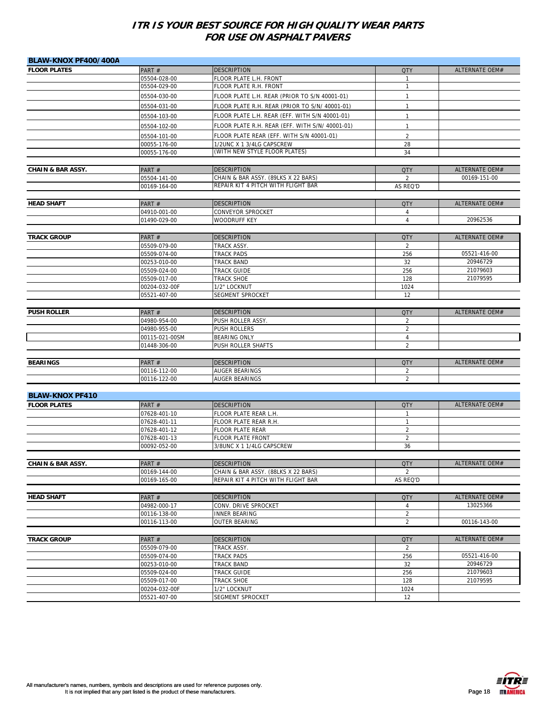| BLAW-KNOX PF400/400A         |                                |                                                            |                     |                       |
|------------------------------|--------------------------------|------------------------------------------------------------|---------------------|-----------------------|
| <b>FLOOR PLATES</b>          | PART#                          | <b>DESCRIPTION</b>                                         | <b>QTY</b>          | ALTERNATE OEM#        |
|                              | 05504-028-00                   | FLOOR PLATE L.H. FRONT                                     | $\mathbf{1}$        |                       |
|                              | 05504-029-00                   | FLOOR PLATE R.H. FRONT                                     | $\mathbf{1}$        |                       |
|                              | 05504-030-00                   | FLOOR PLATE L.H. REAR (PRIOR TO S/N 40001-01)              | $\mathbf{1}$        |                       |
|                              | 05504-031-00                   | FLOOR PLATE R.H. REAR (PRIOR TO S/N/ 40001-01)             | $\mathbf{1}$        |                       |
|                              | 05504-103-00                   | FLOOR PLATE L.H. REAR (EFF. WITH S/N 40001-01)             | $\mathbf{1}$        |                       |
|                              |                                |                                                            |                     |                       |
|                              | 05504-102-00                   | FLOOR PLATE R.H. REAR (EFF. WITH S/N/ 40001-01)            | $\mathbf{1}$        |                       |
|                              | 05504-101-00                   | FLOOR PLATE REAR (EFF. WITH S/N 40001-01)                  | 2                   |                       |
|                              | 00055-176-00                   | 1/2UNC X 1 3/4LG CAPSCREW<br>(WITH NEW STYLE FLOOR PLATES) | 28<br>34            |                       |
|                              | 00055-176-00                   |                                                            |                     |                       |
| <b>CHAIN &amp; BAR ASSY.</b> | PART#                          | <b>DESCRIPTION</b>                                         | <b>QTY</b>          | <b>ALTERNATE OEM#</b> |
|                              | 05504-141-00                   | CHAIN & BAR ASSY. (89LKS X 22 BARS)                        | 2                   | 00169-151-00          |
|                              | 00169-164-00                   | REPAIR KIT 4 PITCH WITH FLIGHT BAR                         | AS REQ'D            |                       |
|                              |                                |                                                            |                     |                       |
| <b>HEAD SHAFT</b>            | PART#                          | <b>DESCRIPTION</b>                                         | <b>QTY</b>          | ALTERNATE OEM#        |
|                              | 04910-001-00                   | CONVEYOR SPROCKET                                          | $\overline{4}$      |                       |
|                              | 01490-029-00                   | <b>WOODRUFF KEY</b>                                        | $\overline{4}$      | 20962536              |
|                              |                                |                                                            |                     |                       |
| <b>TRACK GROUP</b>           | PART#                          | <b>DESCRIPTION</b>                                         | <b>QTY</b>          | <b>ALTERNATE OEM#</b> |
|                              | 05509-079-00                   | TRACK ASSY.                                                | 2                   |                       |
|                              | 05509-074-00                   | <b>TRACK PADS</b>                                          | 256                 | 05521-416-00          |
|                              | 00253-010-00                   | <b>TRACK BAND</b>                                          | 32                  | 20946729              |
|                              | 05509-024-00                   | <b>TRACK GUIDE</b>                                         | 256                 | 21079603              |
|                              | 05509-017-00                   | TRACK SHOE                                                 | 128                 | 21079595              |
|                              | 00204-032-00F                  | 1/2" LOCKNUT                                               | 1024                |                       |
|                              | 05521-407-00                   | SEGMENT SPROCKET                                           | 12                  |                       |
|                              |                                |                                                            |                     |                       |
| <b>PUSH ROLLER</b>           | PART#                          | <b>DESCRIPTION</b>                                         | <b>QTY</b>          | ALTERNATE OEM#        |
|                              | 04980-954-00                   | PUSH ROLLER ASSY.                                          | 2<br>$\overline{2}$ |                       |
|                              | 04980-955-00<br>00115-021-00SM | <b>PUSH ROLLERS</b><br><b>BEARING ONLY</b>                 | 4                   |                       |
|                              | 01448-306-00                   | PUSH ROLLER SHAFTS                                         | 2                   |                       |
|                              |                                |                                                            |                     |                       |
| <b>BEARINGS</b>              | PART#                          | <b>DESCRIPTION</b>                                         | <b>QTY</b>          | ALTERNATE OEM#        |
|                              | 00116-112-00                   | AUGER BEARINGS                                             | 2                   |                       |
|                              | 00116-122-00                   | AUGER BEARINGS                                             | $\overline{2}$      |                       |
|                              |                                |                                                            |                     |                       |
| <b>BLAW-KNOX PF410</b>       |                                |                                                            |                     |                       |
| <b>FLOOR PLATES</b>          | PART#                          | <b>DESCRIPTION</b>                                         | <b>QTY</b>          | ALTERNATE OEM#        |
|                              | 07628-401-10                   | FLOOR PLATE REAR L.H.                                      | $\mathbf{1}$        |                       |
|                              | 07628-401-11                   | FLOOR PLATE REAR R.H.                                      | $\mathbf{1}$        |                       |
|                              | 07628-401-12                   | <b>FLOOR PLATE REAR</b>                                    | $\overline{2}$      |                       |
|                              | 07628-401-13                   | <b>FLOOR PLATE FRONT</b>                                   | 2                   |                       |
|                              | 00092-052-00                   | 3/8UNC X 1 1/4LG CAPSCREW                                  | 36                  |                       |
|                              |                                |                                                            |                     |                       |
| <b>CHAIN &amp; BAR ASSY.</b> | PART #                         | <b>DESCRIPTION</b>                                         | <b>QIY</b>          | ALTERNATE OEM#        |
|                              | 00169-144-00                   | CHAIN & BAR ASSY. (88LKS X 22 BARS)                        | $\overline{2}$      |                       |
|                              | 00169-165-00                   | REPAIR KIT 4 PITCH WITH FLIGHT BAR                         | AS REQ'D            |                       |
| <b>HEAD SHAFT</b>            | PART#                          | <b>DESCRIPTION</b>                                         | <b>QTY</b>          | ALTERNATE OEM#        |
|                              | 04982-000-17                   | CONV. DRIVE SPROCKET                                       | 4                   | 13025366              |
|                              | 00116-138-00                   | <b>INNER BEARING</b>                                       | $\sqrt{2}$          |                       |
|                              | 00116-113-00                   | OUTER BEARING                                              | $\overline{2}$      | 00116-143-00          |
|                              |                                |                                                            |                     |                       |
| <b>TRACK GROUP</b>           | PART#                          | <b>DESCRIPTION</b>                                         | <b>QTY</b>          | <b>ALTERNATE OEM#</b> |
|                              | 05509-079-00                   | TRACK ASSY.                                                | 2                   |                       |
|                              | 05509-074-00                   | TRACK PADS                                                 | 256                 | 05521-416-00          |
|                              | 00253-010-00                   | TRACK BAND                                                 | 32                  | 20946729              |
|                              | 05509-024-00                   | TRACK GUIDE                                                | 256                 | 21079603              |
|                              | 05509-017-00                   | TRACK SHOE                                                 | 128                 | 21079595              |
|                              | 00204-032-00F                  | 1/2" LOCKNUT                                               | 1024                |                       |
|                              | 05521-407-00                   | SEGMENT SPROCKET                                           | 12                  |                       |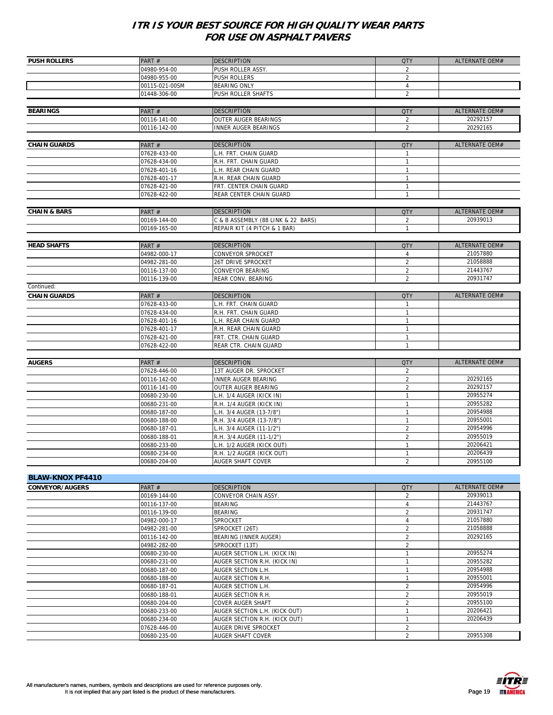| <b>ALTERNATE OEM#</b><br>PART#<br><b>DESCRIPTION</b><br><b>QTY</b><br>04980-954-00<br>PUSH ROLLER ASSY.<br>$\overline{\phantom{a}}$<br>04980-955-00<br>PUSH ROLLERS<br>$\overline{2}$<br>00115-021-00SM<br>BEARING ONLY<br>4<br>$\overline{2}$<br>01448-306-00<br>PUSH ROLLER SHAFTS<br><b>ALTERNATE OEM#</b><br><b>DESCRIPTION</b><br>PART#<br><b>QTY</b><br>20292157<br>00116-141-00<br><b>OUTER AUGER BEARINGS</b><br>$\overline{2}$<br>$\overline{2}$<br>20292165<br>00116-142-00<br><b>INNER AUGER BEARINGS</b><br>ALTERNATE OEM#<br><b>DESCRIPTION</b><br>PART#<br><b>QTY</b><br>L.H. FRT. CHAIN GUARD<br>07628-433-00<br>$\mathbf{1}$<br>07628-434-00<br>R.H. FRT. CHAIN GUARD<br>$\mathbf{1}$<br>07628-401-16<br>L.H. REAR CHAIN GUARD<br>1<br>R.H. REAR CHAIN GUARD<br>1<br>07628-401-17<br>07628-421-00<br>FRT. CENTER CHAIN GUARD<br>$\mathbf{1}$<br>REAR CENTER CHAIN GUARD<br>$\mathbf{1}$<br>07628-422-00<br>ALTERNATE OEM#<br><b>DESCRIPTION</b><br>PART#<br><b>QTY</b><br>00169-144-00<br>C & B ASSEMBLY (88 LINK & 22 BARS)<br>20939013<br>$\overline{2}$<br>REPAIR KIT (4 PITCH & 1 BAR)<br>00169-165-00<br>$\mathbf{1}$<br>ALTERNATE OEM#<br>PART#<br><b>DESCRIPTION</b><br><b>QTY</b><br>21057880<br>04982-000-17<br>CONVEYOR SPROCKET<br>4<br>$\overline{2}$<br>21058888<br>04982-281-00<br>26T DRIVE SPROCKET<br>21443767<br>CONVEYOR BEARING<br>$\overline{2}$<br>00116-137-00<br>$\overline{2}$<br>20931747<br>00116-139-00<br>REAR CONV. BEARING<br>PART#<br><b>DESCRIPTION</b><br><b>QTY</b><br>ALTERNATE OEM#<br>07628-433-00<br>L.H. FRT. CHAIN GUARD<br>$\mathbf{1}$<br>R.H. FRT. CHAIN GUARD<br>$\mathbf{1}$<br>07628-434-00<br>$\mathbf{1}$<br>07628-401-16<br>L.H. REAR CHAIN GUARD<br>$\mathbf{1}$<br>R.H. REAR CHAIN GUARD<br>07628-401-17<br>$\mathbf{1}$<br>07628-421-00<br>FRT. CTR. CHAIN GUARD<br>REAR CTR. CHAIN GUARD<br>07628-422-00<br>ALTERNATE OEM#<br><b>DESCRIPTION</b><br>PART#<br><b>QTY</b><br>07628-446-00<br>13T AUGER DR. SPROCKET<br>2<br>20292165<br>$\overline{2}$<br>00116-142-00<br>INNER AUGER BEARING<br>20292157<br>$\overline{2}$<br>00116-141-00<br>OUTER AUGER BEARING<br>20955274<br>00680-230-00<br>L.H. 1/4 AUGER (KICK IN)<br>$\mathbf{1}$<br>20955282<br>R.H. 1/4 AUGER (KICK IN)<br>$\mathbf{1}$<br>00680-231-00<br>20954988<br>L.H. 3/4 AUGER (13-7/8")<br>1<br>00680-187-00<br>20955001<br>00680-188-00<br>R.H. 3/4 AUGER (13-7/8")<br>$\mathbf{1}$<br>20954996<br>$\overline{2}$<br>00680-187-01<br>L.H. 3/4 AUGER (11-1/2")<br>$\overline{2}$<br>20955019<br>00680-188-01<br>R.H. 3/4 AUGER (11-1/2")<br>20206421<br>00680-233-00<br>L.H. 1/2 AUGER (KICK OUT)<br>$\mathbf{1}$<br>20206439<br>$\mathbf{1}$<br>R.H. 1/2 AUGER (KICK OUT)<br>00680-234-00<br>20955100<br>00680-204-00<br>AUGER SHAFT COVER<br>$\overline{2}$<br><b>ALTERNATE OEM#</b><br>PART#<br><b>QTY</b><br><b>DESCRIPTION</b><br>20939013<br>00169-144-00<br>CONVEYOR CHAIN ASSY.<br>2<br>21443767<br>00116-137-00<br>BEARING<br>4<br>20931747<br><b>BEARING</b><br>$\overline{2}$<br>00116-139-00<br>04982-000-17<br>SPROCKET<br>4<br>21057880<br>$\overline{2}$<br>21058888<br>04982-281-00<br>SPROCKET (26T)<br>20292165<br>$\overline{2}$<br>BEARING (INNER AUGER)<br>00116-142-00<br>$\overline{2}$<br>04982-282-00<br>SPROCKET (13T)<br>20955274<br>00680-230-00<br>AUGER SECTION L.H. (KICK IN)<br>$\mathbf{1}$<br>20955282<br>$\mathbf{1}$<br>AUGER SECTION R.H. (KICK IN)<br>00680-231-00<br>$\mathbf{1}$<br>20954988<br>00680-187-00<br>AUGER SECTION L.H.<br>$\mathbf{1}$<br>20955001<br>AUGER SECTION R.H.<br>00680-188-00<br>20954996<br>$\overline{2}$<br>AUGER SECTION L.H.<br>00680-187-01<br>$\overline{c}$<br>20955019<br>00680-188-01<br>AUGER SECTION R.H.<br>$\overline{c}$<br>20955100<br>00680-204-00<br>COVER AUGER SHAFT<br>20206421<br>00680-233-00<br>AUGER SECTION L.H. (KICK OUT)<br>1<br>20206439<br>$\mathbf{1}$<br>00680-234-00<br>AUGER SECTION R.H. (KICK OUT) | <b>PUSH ROLLERS</b><br><b>BEARINGS</b><br><b>CHAIN GUARDS</b><br><b>CHAIN &amp; BARS</b><br><b>HEAD SHAFTS</b><br>Continued:<br><b>CHAIN GUARDS</b><br><b>AUGERS</b><br><b>BLAW-KNOX PF4410</b><br><b>CONVEYOR/AUGERS</b><br>AUGER DRIVE SPROCKET<br>$\overline{2}$<br>07628-446-00<br>$\overline{2}$<br>20955308<br>00680-235-00<br>AUGER SHAFT COVER |  |  |  |
|-----------------------------------------------------------------------------------------------------------------------------------------------------------------------------------------------------------------------------------------------------------------------------------------------------------------------------------------------------------------------------------------------------------------------------------------------------------------------------------------------------------------------------------------------------------------------------------------------------------------------------------------------------------------------------------------------------------------------------------------------------------------------------------------------------------------------------------------------------------------------------------------------------------------------------------------------------------------------------------------------------------------------------------------------------------------------------------------------------------------------------------------------------------------------------------------------------------------------------------------------------------------------------------------------------------------------------------------------------------------------------------------------------------------------------------------------------------------------------------------------------------------------------------------------------------------------------------------------------------------------------------------------------------------------------------------------------------------------------------------------------------------------------------------------------------------------------------------------------------------------------------------------------------------------------------------------------------------------------------------------------------------------------------------------------------------------------------------------------------------------------------------------------------------------------------------------------------------------------------------------------------------------------------------------------------------------------------------------------------------------------------------------------------------------------------------------------------------------------------------------------------------------------------------------------------------------------------------------------------------------------------------------------------------------------------------------------------------------------------------------------------------------------------------------------------------------------------------------------------------------------------------------------------------------------------------------------------------------------------------------------------------------------------------------------------------------------------------------------------------------------------------------------------------------------------------------------------------------------------------------------------------------------------------------------------------------------------------------------------------------------------------------------------------------------------------------------------------------------------------------------------------------------------------------------------------------------------------------------------------------------------------------------------------------------------------------------------------------------------------------------------------------------------------------------------------------------------------------------------------------------------------------------------------------------------------------|--------------------------------------------------------------------------------------------------------------------------------------------------------------------------------------------------------------------------------------------------------------------------------------------------------------------------------------------------------|--|--|--|
|                                                                                                                                                                                                                                                                                                                                                                                                                                                                                                                                                                                                                                                                                                                                                                                                                                                                                                                                                                                                                                                                                                                                                                                                                                                                                                                                                                                                                                                                                                                                                                                                                                                                                                                                                                                                                                                                                                                                                                                                                                                                                                                                                                                                                                                                                                                                                                                                                                                                                                                                                                                                                                                                                                                                                                                                                                                                                                                                                                                                                                                                                                                                                                                                                                                                                                                                                                                                                                                                                                                                                                                                                                                                                                                                                                                                                                                                                                                                               |                                                                                                                                                                                                                                                                                                                                                        |  |  |  |
|                                                                                                                                                                                                                                                                                                                                                                                                                                                                                                                                                                                                                                                                                                                                                                                                                                                                                                                                                                                                                                                                                                                                                                                                                                                                                                                                                                                                                                                                                                                                                                                                                                                                                                                                                                                                                                                                                                                                                                                                                                                                                                                                                                                                                                                                                                                                                                                                                                                                                                                                                                                                                                                                                                                                                                                                                                                                                                                                                                                                                                                                                                                                                                                                                                                                                                                                                                                                                                                                                                                                                                                                                                                                                                                                                                                                                                                                                                                                               |                                                                                                                                                                                                                                                                                                                                                        |  |  |  |
|                                                                                                                                                                                                                                                                                                                                                                                                                                                                                                                                                                                                                                                                                                                                                                                                                                                                                                                                                                                                                                                                                                                                                                                                                                                                                                                                                                                                                                                                                                                                                                                                                                                                                                                                                                                                                                                                                                                                                                                                                                                                                                                                                                                                                                                                                                                                                                                                                                                                                                                                                                                                                                                                                                                                                                                                                                                                                                                                                                                                                                                                                                                                                                                                                                                                                                                                                                                                                                                                                                                                                                                                                                                                                                                                                                                                                                                                                                                                               |                                                                                                                                                                                                                                                                                                                                                        |  |  |  |
|                                                                                                                                                                                                                                                                                                                                                                                                                                                                                                                                                                                                                                                                                                                                                                                                                                                                                                                                                                                                                                                                                                                                                                                                                                                                                                                                                                                                                                                                                                                                                                                                                                                                                                                                                                                                                                                                                                                                                                                                                                                                                                                                                                                                                                                                                                                                                                                                                                                                                                                                                                                                                                                                                                                                                                                                                                                                                                                                                                                                                                                                                                                                                                                                                                                                                                                                                                                                                                                                                                                                                                                                                                                                                                                                                                                                                                                                                                                                               |                                                                                                                                                                                                                                                                                                                                                        |  |  |  |
|                                                                                                                                                                                                                                                                                                                                                                                                                                                                                                                                                                                                                                                                                                                                                                                                                                                                                                                                                                                                                                                                                                                                                                                                                                                                                                                                                                                                                                                                                                                                                                                                                                                                                                                                                                                                                                                                                                                                                                                                                                                                                                                                                                                                                                                                                                                                                                                                                                                                                                                                                                                                                                                                                                                                                                                                                                                                                                                                                                                                                                                                                                                                                                                                                                                                                                                                                                                                                                                                                                                                                                                                                                                                                                                                                                                                                                                                                                                                               |                                                                                                                                                                                                                                                                                                                                                        |  |  |  |
|                                                                                                                                                                                                                                                                                                                                                                                                                                                                                                                                                                                                                                                                                                                                                                                                                                                                                                                                                                                                                                                                                                                                                                                                                                                                                                                                                                                                                                                                                                                                                                                                                                                                                                                                                                                                                                                                                                                                                                                                                                                                                                                                                                                                                                                                                                                                                                                                                                                                                                                                                                                                                                                                                                                                                                                                                                                                                                                                                                                                                                                                                                                                                                                                                                                                                                                                                                                                                                                                                                                                                                                                                                                                                                                                                                                                                                                                                                                                               |                                                                                                                                                                                                                                                                                                                                                        |  |  |  |
|                                                                                                                                                                                                                                                                                                                                                                                                                                                                                                                                                                                                                                                                                                                                                                                                                                                                                                                                                                                                                                                                                                                                                                                                                                                                                                                                                                                                                                                                                                                                                                                                                                                                                                                                                                                                                                                                                                                                                                                                                                                                                                                                                                                                                                                                                                                                                                                                                                                                                                                                                                                                                                                                                                                                                                                                                                                                                                                                                                                                                                                                                                                                                                                                                                                                                                                                                                                                                                                                                                                                                                                                                                                                                                                                                                                                                                                                                                                                               |                                                                                                                                                                                                                                                                                                                                                        |  |  |  |
|                                                                                                                                                                                                                                                                                                                                                                                                                                                                                                                                                                                                                                                                                                                                                                                                                                                                                                                                                                                                                                                                                                                                                                                                                                                                                                                                                                                                                                                                                                                                                                                                                                                                                                                                                                                                                                                                                                                                                                                                                                                                                                                                                                                                                                                                                                                                                                                                                                                                                                                                                                                                                                                                                                                                                                                                                                                                                                                                                                                                                                                                                                                                                                                                                                                                                                                                                                                                                                                                                                                                                                                                                                                                                                                                                                                                                                                                                                                                               |                                                                                                                                                                                                                                                                                                                                                        |  |  |  |
|                                                                                                                                                                                                                                                                                                                                                                                                                                                                                                                                                                                                                                                                                                                                                                                                                                                                                                                                                                                                                                                                                                                                                                                                                                                                                                                                                                                                                                                                                                                                                                                                                                                                                                                                                                                                                                                                                                                                                                                                                                                                                                                                                                                                                                                                                                                                                                                                                                                                                                                                                                                                                                                                                                                                                                                                                                                                                                                                                                                                                                                                                                                                                                                                                                                                                                                                                                                                                                                                                                                                                                                                                                                                                                                                                                                                                                                                                                                                               |                                                                                                                                                                                                                                                                                                                                                        |  |  |  |
|                                                                                                                                                                                                                                                                                                                                                                                                                                                                                                                                                                                                                                                                                                                                                                                                                                                                                                                                                                                                                                                                                                                                                                                                                                                                                                                                                                                                                                                                                                                                                                                                                                                                                                                                                                                                                                                                                                                                                                                                                                                                                                                                                                                                                                                                                                                                                                                                                                                                                                                                                                                                                                                                                                                                                                                                                                                                                                                                                                                                                                                                                                                                                                                                                                                                                                                                                                                                                                                                                                                                                                                                                                                                                                                                                                                                                                                                                                                                               |                                                                                                                                                                                                                                                                                                                                                        |  |  |  |
|                                                                                                                                                                                                                                                                                                                                                                                                                                                                                                                                                                                                                                                                                                                                                                                                                                                                                                                                                                                                                                                                                                                                                                                                                                                                                                                                                                                                                                                                                                                                                                                                                                                                                                                                                                                                                                                                                                                                                                                                                                                                                                                                                                                                                                                                                                                                                                                                                                                                                                                                                                                                                                                                                                                                                                                                                                                                                                                                                                                                                                                                                                                                                                                                                                                                                                                                                                                                                                                                                                                                                                                                                                                                                                                                                                                                                                                                                                                                               |                                                                                                                                                                                                                                                                                                                                                        |  |  |  |
|                                                                                                                                                                                                                                                                                                                                                                                                                                                                                                                                                                                                                                                                                                                                                                                                                                                                                                                                                                                                                                                                                                                                                                                                                                                                                                                                                                                                                                                                                                                                                                                                                                                                                                                                                                                                                                                                                                                                                                                                                                                                                                                                                                                                                                                                                                                                                                                                                                                                                                                                                                                                                                                                                                                                                                                                                                                                                                                                                                                                                                                                                                                                                                                                                                                                                                                                                                                                                                                                                                                                                                                                                                                                                                                                                                                                                                                                                                                                               |                                                                                                                                                                                                                                                                                                                                                        |  |  |  |
|                                                                                                                                                                                                                                                                                                                                                                                                                                                                                                                                                                                                                                                                                                                                                                                                                                                                                                                                                                                                                                                                                                                                                                                                                                                                                                                                                                                                                                                                                                                                                                                                                                                                                                                                                                                                                                                                                                                                                                                                                                                                                                                                                                                                                                                                                                                                                                                                                                                                                                                                                                                                                                                                                                                                                                                                                                                                                                                                                                                                                                                                                                                                                                                                                                                                                                                                                                                                                                                                                                                                                                                                                                                                                                                                                                                                                                                                                                                                               |                                                                                                                                                                                                                                                                                                                                                        |  |  |  |
|                                                                                                                                                                                                                                                                                                                                                                                                                                                                                                                                                                                                                                                                                                                                                                                                                                                                                                                                                                                                                                                                                                                                                                                                                                                                                                                                                                                                                                                                                                                                                                                                                                                                                                                                                                                                                                                                                                                                                                                                                                                                                                                                                                                                                                                                                                                                                                                                                                                                                                                                                                                                                                                                                                                                                                                                                                                                                                                                                                                                                                                                                                                                                                                                                                                                                                                                                                                                                                                                                                                                                                                                                                                                                                                                                                                                                                                                                                                                               |                                                                                                                                                                                                                                                                                                                                                        |  |  |  |
|                                                                                                                                                                                                                                                                                                                                                                                                                                                                                                                                                                                                                                                                                                                                                                                                                                                                                                                                                                                                                                                                                                                                                                                                                                                                                                                                                                                                                                                                                                                                                                                                                                                                                                                                                                                                                                                                                                                                                                                                                                                                                                                                                                                                                                                                                                                                                                                                                                                                                                                                                                                                                                                                                                                                                                                                                                                                                                                                                                                                                                                                                                                                                                                                                                                                                                                                                                                                                                                                                                                                                                                                                                                                                                                                                                                                                                                                                                                                               |                                                                                                                                                                                                                                                                                                                                                        |  |  |  |
|                                                                                                                                                                                                                                                                                                                                                                                                                                                                                                                                                                                                                                                                                                                                                                                                                                                                                                                                                                                                                                                                                                                                                                                                                                                                                                                                                                                                                                                                                                                                                                                                                                                                                                                                                                                                                                                                                                                                                                                                                                                                                                                                                                                                                                                                                                                                                                                                                                                                                                                                                                                                                                                                                                                                                                                                                                                                                                                                                                                                                                                                                                                                                                                                                                                                                                                                                                                                                                                                                                                                                                                                                                                                                                                                                                                                                                                                                                                                               |                                                                                                                                                                                                                                                                                                                                                        |  |  |  |
|                                                                                                                                                                                                                                                                                                                                                                                                                                                                                                                                                                                                                                                                                                                                                                                                                                                                                                                                                                                                                                                                                                                                                                                                                                                                                                                                                                                                                                                                                                                                                                                                                                                                                                                                                                                                                                                                                                                                                                                                                                                                                                                                                                                                                                                                                                                                                                                                                                                                                                                                                                                                                                                                                                                                                                                                                                                                                                                                                                                                                                                                                                                                                                                                                                                                                                                                                                                                                                                                                                                                                                                                                                                                                                                                                                                                                                                                                                                                               |                                                                                                                                                                                                                                                                                                                                                        |  |  |  |
|                                                                                                                                                                                                                                                                                                                                                                                                                                                                                                                                                                                                                                                                                                                                                                                                                                                                                                                                                                                                                                                                                                                                                                                                                                                                                                                                                                                                                                                                                                                                                                                                                                                                                                                                                                                                                                                                                                                                                                                                                                                                                                                                                                                                                                                                                                                                                                                                                                                                                                                                                                                                                                                                                                                                                                                                                                                                                                                                                                                                                                                                                                                                                                                                                                                                                                                                                                                                                                                                                                                                                                                                                                                                                                                                                                                                                                                                                                                                               |                                                                                                                                                                                                                                                                                                                                                        |  |  |  |
|                                                                                                                                                                                                                                                                                                                                                                                                                                                                                                                                                                                                                                                                                                                                                                                                                                                                                                                                                                                                                                                                                                                                                                                                                                                                                                                                                                                                                                                                                                                                                                                                                                                                                                                                                                                                                                                                                                                                                                                                                                                                                                                                                                                                                                                                                                                                                                                                                                                                                                                                                                                                                                                                                                                                                                                                                                                                                                                                                                                                                                                                                                                                                                                                                                                                                                                                                                                                                                                                                                                                                                                                                                                                                                                                                                                                                                                                                                                                               |                                                                                                                                                                                                                                                                                                                                                        |  |  |  |
|                                                                                                                                                                                                                                                                                                                                                                                                                                                                                                                                                                                                                                                                                                                                                                                                                                                                                                                                                                                                                                                                                                                                                                                                                                                                                                                                                                                                                                                                                                                                                                                                                                                                                                                                                                                                                                                                                                                                                                                                                                                                                                                                                                                                                                                                                                                                                                                                                                                                                                                                                                                                                                                                                                                                                                                                                                                                                                                                                                                                                                                                                                                                                                                                                                                                                                                                                                                                                                                                                                                                                                                                                                                                                                                                                                                                                                                                                                                                               |                                                                                                                                                                                                                                                                                                                                                        |  |  |  |
|                                                                                                                                                                                                                                                                                                                                                                                                                                                                                                                                                                                                                                                                                                                                                                                                                                                                                                                                                                                                                                                                                                                                                                                                                                                                                                                                                                                                                                                                                                                                                                                                                                                                                                                                                                                                                                                                                                                                                                                                                                                                                                                                                                                                                                                                                                                                                                                                                                                                                                                                                                                                                                                                                                                                                                                                                                                                                                                                                                                                                                                                                                                                                                                                                                                                                                                                                                                                                                                                                                                                                                                                                                                                                                                                                                                                                                                                                                                                               |                                                                                                                                                                                                                                                                                                                                                        |  |  |  |
|                                                                                                                                                                                                                                                                                                                                                                                                                                                                                                                                                                                                                                                                                                                                                                                                                                                                                                                                                                                                                                                                                                                                                                                                                                                                                                                                                                                                                                                                                                                                                                                                                                                                                                                                                                                                                                                                                                                                                                                                                                                                                                                                                                                                                                                                                                                                                                                                                                                                                                                                                                                                                                                                                                                                                                                                                                                                                                                                                                                                                                                                                                                                                                                                                                                                                                                                                                                                                                                                                                                                                                                                                                                                                                                                                                                                                                                                                                                                               |                                                                                                                                                                                                                                                                                                                                                        |  |  |  |
|                                                                                                                                                                                                                                                                                                                                                                                                                                                                                                                                                                                                                                                                                                                                                                                                                                                                                                                                                                                                                                                                                                                                                                                                                                                                                                                                                                                                                                                                                                                                                                                                                                                                                                                                                                                                                                                                                                                                                                                                                                                                                                                                                                                                                                                                                                                                                                                                                                                                                                                                                                                                                                                                                                                                                                                                                                                                                                                                                                                                                                                                                                                                                                                                                                                                                                                                                                                                                                                                                                                                                                                                                                                                                                                                                                                                                                                                                                                                               |                                                                                                                                                                                                                                                                                                                                                        |  |  |  |
|                                                                                                                                                                                                                                                                                                                                                                                                                                                                                                                                                                                                                                                                                                                                                                                                                                                                                                                                                                                                                                                                                                                                                                                                                                                                                                                                                                                                                                                                                                                                                                                                                                                                                                                                                                                                                                                                                                                                                                                                                                                                                                                                                                                                                                                                                                                                                                                                                                                                                                                                                                                                                                                                                                                                                                                                                                                                                                                                                                                                                                                                                                                                                                                                                                                                                                                                                                                                                                                                                                                                                                                                                                                                                                                                                                                                                                                                                                                                               |                                                                                                                                                                                                                                                                                                                                                        |  |  |  |
|                                                                                                                                                                                                                                                                                                                                                                                                                                                                                                                                                                                                                                                                                                                                                                                                                                                                                                                                                                                                                                                                                                                                                                                                                                                                                                                                                                                                                                                                                                                                                                                                                                                                                                                                                                                                                                                                                                                                                                                                                                                                                                                                                                                                                                                                                                                                                                                                                                                                                                                                                                                                                                                                                                                                                                                                                                                                                                                                                                                                                                                                                                                                                                                                                                                                                                                                                                                                                                                                                                                                                                                                                                                                                                                                                                                                                                                                                                                                               |                                                                                                                                                                                                                                                                                                                                                        |  |  |  |
|                                                                                                                                                                                                                                                                                                                                                                                                                                                                                                                                                                                                                                                                                                                                                                                                                                                                                                                                                                                                                                                                                                                                                                                                                                                                                                                                                                                                                                                                                                                                                                                                                                                                                                                                                                                                                                                                                                                                                                                                                                                                                                                                                                                                                                                                                                                                                                                                                                                                                                                                                                                                                                                                                                                                                                                                                                                                                                                                                                                                                                                                                                                                                                                                                                                                                                                                                                                                                                                                                                                                                                                                                                                                                                                                                                                                                                                                                                                                               |                                                                                                                                                                                                                                                                                                                                                        |  |  |  |
|                                                                                                                                                                                                                                                                                                                                                                                                                                                                                                                                                                                                                                                                                                                                                                                                                                                                                                                                                                                                                                                                                                                                                                                                                                                                                                                                                                                                                                                                                                                                                                                                                                                                                                                                                                                                                                                                                                                                                                                                                                                                                                                                                                                                                                                                                                                                                                                                                                                                                                                                                                                                                                                                                                                                                                                                                                                                                                                                                                                                                                                                                                                                                                                                                                                                                                                                                                                                                                                                                                                                                                                                                                                                                                                                                                                                                                                                                                                                               |                                                                                                                                                                                                                                                                                                                                                        |  |  |  |
|                                                                                                                                                                                                                                                                                                                                                                                                                                                                                                                                                                                                                                                                                                                                                                                                                                                                                                                                                                                                                                                                                                                                                                                                                                                                                                                                                                                                                                                                                                                                                                                                                                                                                                                                                                                                                                                                                                                                                                                                                                                                                                                                                                                                                                                                                                                                                                                                                                                                                                                                                                                                                                                                                                                                                                                                                                                                                                                                                                                                                                                                                                                                                                                                                                                                                                                                                                                                                                                                                                                                                                                                                                                                                                                                                                                                                                                                                                                                               |                                                                                                                                                                                                                                                                                                                                                        |  |  |  |
|                                                                                                                                                                                                                                                                                                                                                                                                                                                                                                                                                                                                                                                                                                                                                                                                                                                                                                                                                                                                                                                                                                                                                                                                                                                                                                                                                                                                                                                                                                                                                                                                                                                                                                                                                                                                                                                                                                                                                                                                                                                                                                                                                                                                                                                                                                                                                                                                                                                                                                                                                                                                                                                                                                                                                                                                                                                                                                                                                                                                                                                                                                                                                                                                                                                                                                                                                                                                                                                                                                                                                                                                                                                                                                                                                                                                                                                                                                                                               |                                                                                                                                                                                                                                                                                                                                                        |  |  |  |
|                                                                                                                                                                                                                                                                                                                                                                                                                                                                                                                                                                                                                                                                                                                                                                                                                                                                                                                                                                                                                                                                                                                                                                                                                                                                                                                                                                                                                                                                                                                                                                                                                                                                                                                                                                                                                                                                                                                                                                                                                                                                                                                                                                                                                                                                                                                                                                                                                                                                                                                                                                                                                                                                                                                                                                                                                                                                                                                                                                                                                                                                                                                                                                                                                                                                                                                                                                                                                                                                                                                                                                                                                                                                                                                                                                                                                                                                                                                                               |                                                                                                                                                                                                                                                                                                                                                        |  |  |  |
|                                                                                                                                                                                                                                                                                                                                                                                                                                                                                                                                                                                                                                                                                                                                                                                                                                                                                                                                                                                                                                                                                                                                                                                                                                                                                                                                                                                                                                                                                                                                                                                                                                                                                                                                                                                                                                                                                                                                                                                                                                                                                                                                                                                                                                                                                                                                                                                                                                                                                                                                                                                                                                                                                                                                                                                                                                                                                                                                                                                                                                                                                                                                                                                                                                                                                                                                                                                                                                                                                                                                                                                                                                                                                                                                                                                                                                                                                                                                               |                                                                                                                                                                                                                                                                                                                                                        |  |  |  |
|                                                                                                                                                                                                                                                                                                                                                                                                                                                                                                                                                                                                                                                                                                                                                                                                                                                                                                                                                                                                                                                                                                                                                                                                                                                                                                                                                                                                                                                                                                                                                                                                                                                                                                                                                                                                                                                                                                                                                                                                                                                                                                                                                                                                                                                                                                                                                                                                                                                                                                                                                                                                                                                                                                                                                                                                                                                                                                                                                                                                                                                                                                                                                                                                                                                                                                                                                                                                                                                                                                                                                                                                                                                                                                                                                                                                                                                                                                                                               |                                                                                                                                                                                                                                                                                                                                                        |  |  |  |
|                                                                                                                                                                                                                                                                                                                                                                                                                                                                                                                                                                                                                                                                                                                                                                                                                                                                                                                                                                                                                                                                                                                                                                                                                                                                                                                                                                                                                                                                                                                                                                                                                                                                                                                                                                                                                                                                                                                                                                                                                                                                                                                                                                                                                                                                                                                                                                                                                                                                                                                                                                                                                                                                                                                                                                                                                                                                                                                                                                                                                                                                                                                                                                                                                                                                                                                                                                                                                                                                                                                                                                                                                                                                                                                                                                                                                                                                                                                                               |                                                                                                                                                                                                                                                                                                                                                        |  |  |  |
|                                                                                                                                                                                                                                                                                                                                                                                                                                                                                                                                                                                                                                                                                                                                                                                                                                                                                                                                                                                                                                                                                                                                                                                                                                                                                                                                                                                                                                                                                                                                                                                                                                                                                                                                                                                                                                                                                                                                                                                                                                                                                                                                                                                                                                                                                                                                                                                                                                                                                                                                                                                                                                                                                                                                                                                                                                                                                                                                                                                                                                                                                                                                                                                                                                                                                                                                                                                                                                                                                                                                                                                                                                                                                                                                                                                                                                                                                                                                               |                                                                                                                                                                                                                                                                                                                                                        |  |  |  |
|                                                                                                                                                                                                                                                                                                                                                                                                                                                                                                                                                                                                                                                                                                                                                                                                                                                                                                                                                                                                                                                                                                                                                                                                                                                                                                                                                                                                                                                                                                                                                                                                                                                                                                                                                                                                                                                                                                                                                                                                                                                                                                                                                                                                                                                                                                                                                                                                                                                                                                                                                                                                                                                                                                                                                                                                                                                                                                                                                                                                                                                                                                                                                                                                                                                                                                                                                                                                                                                                                                                                                                                                                                                                                                                                                                                                                                                                                                                                               |                                                                                                                                                                                                                                                                                                                                                        |  |  |  |
|                                                                                                                                                                                                                                                                                                                                                                                                                                                                                                                                                                                                                                                                                                                                                                                                                                                                                                                                                                                                                                                                                                                                                                                                                                                                                                                                                                                                                                                                                                                                                                                                                                                                                                                                                                                                                                                                                                                                                                                                                                                                                                                                                                                                                                                                                                                                                                                                                                                                                                                                                                                                                                                                                                                                                                                                                                                                                                                                                                                                                                                                                                                                                                                                                                                                                                                                                                                                                                                                                                                                                                                                                                                                                                                                                                                                                                                                                                                                               |                                                                                                                                                                                                                                                                                                                                                        |  |  |  |
|                                                                                                                                                                                                                                                                                                                                                                                                                                                                                                                                                                                                                                                                                                                                                                                                                                                                                                                                                                                                                                                                                                                                                                                                                                                                                                                                                                                                                                                                                                                                                                                                                                                                                                                                                                                                                                                                                                                                                                                                                                                                                                                                                                                                                                                                                                                                                                                                                                                                                                                                                                                                                                                                                                                                                                                                                                                                                                                                                                                                                                                                                                                                                                                                                                                                                                                                                                                                                                                                                                                                                                                                                                                                                                                                                                                                                                                                                                                                               |                                                                                                                                                                                                                                                                                                                                                        |  |  |  |
|                                                                                                                                                                                                                                                                                                                                                                                                                                                                                                                                                                                                                                                                                                                                                                                                                                                                                                                                                                                                                                                                                                                                                                                                                                                                                                                                                                                                                                                                                                                                                                                                                                                                                                                                                                                                                                                                                                                                                                                                                                                                                                                                                                                                                                                                                                                                                                                                                                                                                                                                                                                                                                                                                                                                                                                                                                                                                                                                                                                                                                                                                                                                                                                                                                                                                                                                                                                                                                                                                                                                                                                                                                                                                                                                                                                                                                                                                                                                               |                                                                                                                                                                                                                                                                                                                                                        |  |  |  |
|                                                                                                                                                                                                                                                                                                                                                                                                                                                                                                                                                                                                                                                                                                                                                                                                                                                                                                                                                                                                                                                                                                                                                                                                                                                                                                                                                                                                                                                                                                                                                                                                                                                                                                                                                                                                                                                                                                                                                                                                                                                                                                                                                                                                                                                                                                                                                                                                                                                                                                                                                                                                                                                                                                                                                                                                                                                                                                                                                                                                                                                                                                                                                                                                                                                                                                                                                                                                                                                                                                                                                                                                                                                                                                                                                                                                                                                                                                                                               |                                                                                                                                                                                                                                                                                                                                                        |  |  |  |
|                                                                                                                                                                                                                                                                                                                                                                                                                                                                                                                                                                                                                                                                                                                                                                                                                                                                                                                                                                                                                                                                                                                                                                                                                                                                                                                                                                                                                                                                                                                                                                                                                                                                                                                                                                                                                                                                                                                                                                                                                                                                                                                                                                                                                                                                                                                                                                                                                                                                                                                                                                                                                                                                                                                                                                                                                                                                                                                                                                                                                                                                                                                                                                                                                                                                                                                                                                                                                                                                                                                                                                                                                                                                                                                                                                                                                                                                                                                                               |                                                                                                                                                                                                                                                                                                                                                        |  |  |  |
|                                                                                                                                                                                                                                                                                                                                                                                                                                                                                                                                                                                                                                                                                                                                                                                                                                                                                                                                                                                                                                                                                                                                                                                                                                                                                                                                                                                                                                                                                                                                                                                                                                                                                                                                                                                                                                                                                                                                                                                                                                                                                                                                                                                                                                                                                                                                                                                                                                                                                                                                                                                                                                                                                                                                                                                                                                                                                                                                                                                                                                                                                                                                                                                                                                                                                                                                                                                                                                                                                                                                                                                                                                                                                                                                                                                                                                                                                                                                               |                                                                                                                                                                                                                                                                                                                                                        |  |  |  |
|                                                                                                                                                                                                                                                                                                                                                                                                                                                                                                                                                                                                                                                                                                                                                                                                                                                                                                                                                                                                                                                                                                                                                                                                                                                                                                                                                                                                                                                                                                                                                                                                                                                                                                                                                                                                                                                                                                                                                                                                                                                                                                                                                                                                                                                                                                                                                                                                                                                                                                                                                                                                                                                                                                                                                                                                                                                                                                                                                                                                                                                                                                                                                                                                                                                                                                                                                                                                                                                                                                                                                                                                                                                                                                                                                                                                                                                                                                                                               |                                                                                                                                                                                                                                                                                                                                                        |  |  |  |
|                                                                                                                                                                                                                                                                                                                                                                                                                                                                                                                                                                                                                                                                                                                                                                                                                                                                                                                                                                                                                                                                                                                                                                                                                                                                                                                                                                                                                                                                                                                                                                                                                                                                                                                                                                                                                                                                                                                                                                                                                                                                                                                                                                                                                                                                                                                                                                                                                                                                                                                                                                                                                                                                                                                                                                                                                                                                                                                                                                                                                                                                                                                                                                                                                                                                                                                                                                                                                                                                                                                                                                                                                                                                                                                                                                                                                                                                                                                                               |                                                                                                                                                                                                                                                                                                                                                        |  |  |  |
|                                                                                                                                                                                                                                                                                                                                                                                                                                                                                                                                                                                                                                                                                                                                                                                                                                                                                                                                                                                                                                                                                                                                                                                                                                                                                                                                                                                                                                                                                                                                                                                                                                                                                                                                                                                                                                                                                                                                                                                                                                                                                                                                                                                                                                                                                                                                                                                                                                                                                                                                                                                                                                                                                                                                                                                                                                                                                                                                                                                                                                                                                                                                                                                                                                                                                                                                                                                                                                                                                                                                                                                                                                                                                                                                                                                                                                                                                                                                               |                                                                                                                                                                                                                                                                                                                                                        |  |  |  |
|                                                                                                                                                                                                                                                                                                                                                                                                                                                                                                                                                                                                                                                                                                                                                                                                                                                                                                                                                                                                                                                                                                                                                                                                                                                                                                                                                                                                                                                                                                                                                                                                                                                                                                                                                                                                                                                                                                                                                                                                                                                                                                                                                                                                                                                                                                                                                                                                                                                                                                                                                                                                                                                                                                                                                                                                                                                                                                                                                                                                                                                                                                                                                                                                                                                                                                                                                                                                                                                                                                                                                                                                                                                                                                                                                                                                                                                                                                                                               |                                                                                                                                                                                                                                                                                                                                                        |  |  |  |
|                                                                                                                                                                                                                                                                                                                                                                                                                                                                                                                                                                                                                                                                                                                                                                                                                                                                                                                                                                                                                                                                                                                                                                                                                                                                                                                                                                                                                                                                                                                                                                                                                                                                                                                                                                                                                                                                                                                                                                                                                                                                                                                                                                                                                                                                                                                                                                                                                                                                                                                                                                                                                                                                                                                                                                                                                                                                                                                                                                                                                                                                                                                                                                                                                                                                                                                                                                                                                                                                                                                                                                                                                                                                                                                                                                                                                                                                                                                                               |                                                                                                                                                                                                                                                                                                                                                        |  |  |  |
|                                                                                                                                                                                                                                                                                                                                                                                                                                                                                                                                                                                                                                                                                                                                                                                                                                                                                                                                                                                                                                                                                                                                                                                                                                                                                                                                                                                                                                                                                                                                                                                                                                                                                                                                                                                                                                                                                                                                                                                                                                                                                                                                                                                                                                                                                                                                                                                                                                                                                                                                                                                                                                                                                                                                                                                                                                                                                                                                                                                                                                                                                                                                                                                                                                                                                                                                                                                                                                                                                                                                                                                                                                                                                                                                                                                                                                                                                                                                               |                                                                                                                                                                                                                                                                                                                                                        |  |  |  |
|                                                                                                                                                                                                                                                                                                                                                                                                                                                                                                                                                                                                                                                                                                                                                                                                                                                                                                                                                                                                                                                                                                                                                                                                                                                                                                                                                                                                                                                                                                                                                                                                                                                                                                                                                                                                                                                                                                                                                                                                                                                                                                                                                                                                                                                                                                                                                                                                                                                                                                                                                                                                                                                                                                                                                                                                                                                                                                                                                                                                                                                                                                                                                                                                                                                                                                                                                                                                                                                                                                                                                                                                                                                                                                                                                                                                                                                                                                                                               |                                                                                                                                                                                                                                                                                                                                                        |  |  |  |
|                                                                                                                                                                                                                                                                                                                                                                                                                                                                                                                                                                                                                                                                                                                                                                                                                                                                                                                                                                                                                                                                                                                                                                                                                                                                                                                                                                                                                                                                                                                                                                                                                                                                                                                                                                                                                                                                                                                                                                                                                                                                                                                                                                                                                                                                                                                                                                                                                                                                                                                                                                                                                                                                                                                                                                                                                                                                                                                                                                                                                                                                                                                                                                                                                                                                                                                                                                                                                                                                                                                                                                                                                                                                                                                                                                                                                                                                                                                                               |                                                                                                                                                                                                                                                                                                                                                        |  |  |  |
|                                                                                                                                                                                                                                                                                                                                                                                                                                                                                                                                                                                                                                                                                                                                                                                                                                                                                                                                                                                                                                                                                                                                                                                                                                                                                                                                                                                                                                                                                                                                                                                                                                                                                                                                                                                                                                                                                                                                                                                                                                                                                                                                                                                                                                                                                                                                                                                                                                                                                                                                                                                                                                                                                                                                                                                                                                                                                                                                                                                                                                                                                                                                                                                                                                                                                                                                                                                                                                                                                                                                                                                                                                                                                                                                                                                                                                                                                                                                               |                                                                                                                                                                                                                                                                                                                                                        |  |  |  |
|                                                                                                                                                                                                                                                                                                                                                                                                                                                                                                                                                                                                                                                                                                                                                                                                                                                                                                                                                                                                                                                                                                                                                                                                                                                                                                                                                                                                                                                                                                                                                                                                                                                                                                                                                                                                                                                                                                                                                                                                                                                                                                                                                                                                                                                                                                                                                                                                                                                                                                                                                                                                                                                                                                                                                                                                                                                                                                                                                                                                                                                                                                                                                                                                                                                                                                                                                                                                                                                                                                                                                                                                                                                                                                                                                                                                                                                                                                                                               |                                                                                                                                                                                                                                                                                                                                                        |  |  |  |
|                                                                                                                                                                                                                                                                                                                                                                                                                                                                                                                                                                                                                                                                                                                                                                                                                                                                                                                                                                                                                                                                                                                                                                                                                                                                                                                                                                                                                                                                                                                                                                                                                                                                                                                                                                                                                                                                                                                                                                                                                                                                                                                                                                                                                                                                                                                                                                                                                                                                                                                                                                                                                                                                                                                                                                                                                                                                                                                                                                                                                                                                                                                                                                                                                                                                                                                                                                                                                                                                                                                                                                                                                                                                                                                                                                                                                                                                                                                                               |                                                                                                                                                                                                                                                                                                                                                        |  |  |  |
|                                                                                                                                                                                                                                                                                                                                                                                                                                                                                                                                                                                                                                                                                                                                                                                                                                                                                                                                                                                                                                                                                                                                                                                                                                                                                                                                                                                                                                                                                                                                                                                                                                                                                                                                                                                                                                                                                                                                                                                                                                                                                                                                                                                                                                                                                                                                                                                                                                                                                                                                                                                                                                                                                                                                                                                                                                                                                                                                                                                                                                                                                                                                                                                                                                                                                                                                                                                                                                                                                                                                                                                                                                                                                                                                                                                                                                                                                                                                               |                                                                                                                                                                                                                                                                                                                                                        |  |  |  |
|                                                                                                                                                                                                                                                                                                                                                                                                                                                                                                                                                                                                                                                                                                                                                                                                                                                                                                                                                                                                                                                                                                                                                                                                                                                                                                                                                                                                                                                                                                                                                                                                                                                                                                                                                                                                                                                                                                                                                                                                                                                                                                                                                                                                                                                                                                                                                                                                                                                                                                                                                                                                                                                                                                                                                                                                                                                                                                                                                                                                                                                                                                                                                                                                                                                                                                                                                                                                                                                                                                                                                                                                                                                                                                                                                                                                                                                                                                                                               |                                                                                                                                                                                                                                                                                                                                                        |  |  |  |
|                                                                                                                                                                                                                                                                                                                                                                                                                                                                                                                                                                                                                                                                                                                                                                                                                                                                                                                                                                                                                                                                                                                                                                                                                                                                                                                                                                                                                                                                                                                                                                                                                                                                                                                                                                                                                                                                                                                                                                                                                                                                                                                                                                                                                                                                                                                                                                                                                                                                                                                                                                                                                                                                                                                                                                                                                                                                                                                                                                                                                                                                                                                                                                                                                                                                                                                                                                                                                                                                                                                                                                                                                                                                                                                                                                                                                                                                                                                                               |                                                                                                                                                                                                                                                                                                                                                        |  |  |  |
|                                                                                                                                                                                                                                                                                                                                                                                                                                                                                                                                                                                                                                                                                                                                                                                                                                                                                                                                                                                                                                                                                                                                                                                                                                                                                                                                                                                                                                                                                                                                                                                                                                                                                                                                                                                                                                                                                                                                                                                                                                                                                                                                                                                                                                                                                                                                                                                                                                                                                                                                                                                                                                                                                                                                                                                                                                                                                                                                                                                                                                                                                                                                                                                                                                                                                                                                                                                                                                                                                                                                                                                                                                                                                                                                                                                                                                                                                                                                               |                                                                                                                                                                                                                                                                                                                                                        |  |  |  |
|                                                                                                                                                                                                                                                                                                                                                                                                                                                                                                                                                                                                                                                                                                                                                                                                                                                                                                                                                                                                                                                                                                                                                                                                                                                                                                                                                                                                                                                                                                                                                                                                                                                                                                                                                                                                                                                                                                                                                                                                                                                                                                                                                                                                                                                                                                                                                                                                                                                                                                                                                                                                                                                                                                                                                                                                                                                                                                                                                                                                                                                                                                                                                                                                                                                                                                                                                                                                                                                                                                                                                                                                                                                                                                                                                                                                                                                                                                                                               |                                                                                                                                                                                                                                                                                                                                                        |  |  |  |
|                                                                                                                                                                                                                                                                                                                                                                                                                                                                                                                                                                                                                                                                                                                                                                                                                                                                                                                                                                                                                                                                                                                                                                                                                                                                                                                                                                                                                                                                                                                                                                                                                                                                                                                                                                                                                                                                                                                                                                                                                                                                                                                                                                                                                                                                                                                                                                                                                                                                                                                                                                                                                                                                                                                                                                                                                                                                                                                                                                                                                                                                                                                                                                                                                                                                                                                                                                                                                                                                                                                                                                                                                                                                                                                                                                                                                                                                                                                                               |                                                                                                                                                                                                                                                                                                                                                        |  |  |  |
|                                                                                                                                                                                                                                                                                                                                                                                                                                                                                                                                                                                                                                                                                                                                                                                                                                                                                                                                                                                                                                                                                                                                                                                                                                                                                                                                                                                                                                                                                                                                                                                                                                                                                                                                                                                                                                                                                                                                                                                                                                                                                                                                                                                                                                                                                                                                                                                                                                                                                                                                                                                                                                                                                                                                                                                                                                                                                                                                                                                                                                                                                                                                                                                                                                                                                                                                                                                                                                                                                                                                                                                                                                                                                                                                                                                                                                                                                                                                               |                                                                                                                                                                                                                                                                                                                                                        |  |  |  |
|                                                                                                                                                                                                                                                                                                                                                                                                                                                                                                                                                                                                                                                                                                                                                                                                                                                                                                                                                                                                                                                                                                                                                                                                                                                                                                                                                                                                                                                                                                                                                                                                                                                                                                                                                                                                                                                                                                                                                                                                                                                                                                                                                                                                                                                                                                                                                                                                                                                                                                                                                                                                                                                                                                                                                                                                                                                                                                                                                                                                                                                                                                                                                                                                                                                                                                                                                                                                                                                                                                                                                                                                                                                                                                                                                                                                                                                                                                                                               |                                                                                                                                                                                                                                                                                                                                                        |  |  |  |
|                                                                                                                                                                                                                                                                                                                                                                                                                                                                                                                                                                                                                                                                                                                                                                                                                                                                                                                                                                                                                                                                                                                                                                                                                                                                                                                                                                                                                                                                                                                                                                                                                                                                                                                                                                                                                                                                                                                                                                                                                                                                                                                                                                                                                                                                                                                                                                                                                                                                                                                                                                                                                                                                                                                                                                                                                                                                                                                                                                                                                                                                                                                                                                                                                                                                                                                                                                                                                                                                                                                                                                                                                                                                                                                                                                                                                                                                                                                                               |                                                                                                                                                                                                                                                                                                                                                        |  |  |  |
|                                                                                                                                                                                                                                                                                                                                                                                                                                                                                                                                                                                                                                                                                                                                                                                                                                                                                                                                                                                                                                                                                                                                                                                                                                                                                                                                                                                                                                                                                                                                                                                                                                                                                                                                                                                                                                                                                                                                                                                                                                                                                                                                                                                                                                                                                                                                                                                                                                                                                                                                                                                                                                                                                                                                                                                                                                                                                                                                                                                                                                                                                                                                                                                                                                                                                                                                                                                                                                                                                                                                                                                                                                                                                                                                                                                                                                                                                                                                               |                                                                                                                                                                                                                                                                                                                                                        |  |  |  |
|                                                                                                                                                                                                                                                                                                                                                                                                                                                                                                                                                                                                                                                                                                                                                                                                                                                                                                                                                                                                                                                                                                                                                                                                                                                                                                                                                                                                                                                                                                                                                                                                                                                                                                                                                                                                                                                                                                                                                                                                                                                                                                                                                                                                                                                                                                                                                                                                                                                                                                                                                                                                                                                                                                                                                                                                                                                                                                                                                                                                                                                                                                                                                                                                                                                                                                                                                                                                                                                                                                                                                                                                                                                                                                                                                                                                                                                                                                                                               |                                                                                                                                                                                                                                                                                                                                                        |  |  |  |
|                                                                                                                                                                                                                                                                                                                                                                                                                                                                                                                                                                                                                                                                                                                                                                                                                                                                                                                                                                                                                                                                                                                                                                                                                                                                                                                                                                                                                                                                                                                                                                                                                                                                                                                                                                                                                                                                                                                                                                                                                                                                                                                                                                                                                                                                                                                                                                                                                                                                                                                                                                                                                                                                                                                                                                                                                                                                                                                                                                                                                                                                                                                                                                                                                                                                                                                                                                                                                                                                                                                                                                                                                                                                                                                                                                                                                                                                                                                                               |                                                                                                                                                                                                                                                                                                                                                        |  |  |  |
|                                                                                                                                                                                                                                                                                                                                                                                                                                                                                                                                                                                                                                                                                                                                                                                                                                                                                                                                                                                                                                                                                                                                                                                                                                                                                                                                                                                                                                                                                                                                                                                                                                                                                                                                                                                                                                                                                                                                                                                                                                                                                                                                                                                                                                                                                                                                                                                                                                                                                                                                                                                                                                                                                                                                                                                                                                                                                                                                                                                                                                                                                                                                                                                                                                                                                                                                                                                                                                                                                                                                                                                                                                                                                                                                                                                                                                                                                                                                               |                                                                                                                                                                                                                                                                                                                                                        |  |  |  |
|                                                                                                                                                                                                                                                                                                                                                                                                                                                                                                                                                                                                                                                                                                                                                                                                                                                                                                                                                                                                                                                                                                                                                                                                                                                                                                                                                                                                                                                                                                                                                                                                                                                                                                                                                                                                                                                                                                                                                                                                                                                                                                                                                                                                                                                                                                                                                                                                                                                                                                                                                                                                                                                                                                                                                                                                                                                                                                                                                                                                                                                                                                                                                                                                                                                                                                                                                                                                                                                                                                                                                                                                                                                                                                                                                                                                                                                                                                                                               |                                                                                                                                                                                                                                                                                                                                                        |  |  |  |
|                                                                                                                                                                                                                                                                                                                                                                                                                                                                                                                                                                                                                                                                                                                                                                                                                                                                                                                                                                                                                                                                                                                                                                                                                                                                                                                                                                                                                                                                                                                                                                                                                                                                                                                                                                                                                                                                                                                                                                                                                                                                                                                                                                                                                                                                                                                                                                                                                                                                                                                                                                                                                                                                                                                                                                                                                                                                                                                                                                                                                                                                                                                                                                                                                                                                                                                                                                                                                                                                                                                                                                                                                                                                                                                                                                                                                                                                                                                                               |                                                                                                                                                                                                                                                                                                                                                        |  |  |  |
|                                                                                                                                                                                                                                                                                                                                                                                                                                                                                                                                                                                                                                                                                                                                                                                                                                                                                                                                                                                                                                                                                                                                                                                                                                                                                                                                                                                                                                                                                                                                                                                                                                                                                                                                                                                                                                                                                                                                                                                                                                                                                                                                                                                                                                                                                                                                                                                                                                                                                                                                                                                                                                                                                                                                                                                                                                                                                                                                                                                                                                                                                                                                                                                                                                                                                                                                                                                                                                                                                                                                                                                                                                                                                                                                                                                                                                                                                                                                               |                                                                                                                                                                                                                                                                                                                                                        |  |  |  |
|                                                                                                                                                                                                                                                                                                                                                                                                                                                                                                                                                                                                                                                                                                                                                                                                                                                                                                                                                                                                                                                                                                                                                                                                                                                                                                                                                                                                                                                                                                                                                                                                                                                                                                                                                                                                                                                                                                                                                                                                                                                                                                                                                                                                                                                                                                                                                                                                                                                                                                                                                                                                                                                                                                                                                                                                                                                                                                                                                                                                                                                                                                                                                                                                                                                                                                                                                                                                                                                                                                                                                                                                                                                                                                                                                                                                                                                                                                                                               |                                                                                                                                                                                                                                                                                                                                                        |  |  |  |
|                                                                                                                                                                                                                                                                                                                                                                                                                                                                                                                                                                                                                                                                                                                                                                                                                                                                                                                                                                                                                                                                                                                                                                                                                                                                                                                                                                                                                                                                                                                                                                                                                                                                                                                                                                                                                                                                                                                                                                                                                                                                                                                                                                                                                                                                                                                                                                                                                                                                                                                                                                                                                                                                                                                                                                                                                                                                                                                                                                                                                                                                                                                                                                                                                                                                                                                                                                                                                                                                                                                                                                                                                                                                                                                                                                                                                                                                                                                                               |                                                                                                                                                                                                                                                                                                                                                        |  |  |  |
|                                                                                                                                                                                                                                                                                                                                                                                                                                                                                                                                                                                                                                                                                                                                                                                                                                                                                                                                                                                                                                                                                                                                                                                                                                                                                                                                                                                                                                                                                                                                                                                                                                                                                                                                                                                                                                                                                                                                                                                                                                                                                                                                                                                                                                                                                                                                                                                                                                                                                                                                                                                                                                                                                                                                                                                                                                                                                                                                                                                                                                                                                                                                                                                                                                                                                                                                                                                                                                                                                                                                                                                                                                                                                                                                                                                                                                                                                                                                               |                                                                                                                                                                                                                                                                                                                                                        |  |  |  |
|                                                                                                                                                                                                                                                                                                                                                                                                                                                                                                                                                                                                                                                                                                                                                                                                                                                                                                                                                                                                                                                                                                                                                                                                                                                                                                                                                                                                                                                                                                                                                                                                                                                                                                                                                                                                                                                                                                                                                                                                                                                                                                                                                                                                                                                                                                                                                                                                                                                                                                                                                                                                                                                                                                                                                                                                                                                                                                                                                                                                                                                                                                                                                                                                                                                                                                                                                                                                                                                                                                                                                                                                                                                                                                                                                                                                                                                                                                                                               |                                                                                                                                                                                                                                                                                                                                                        |  |  |  |
|                                                                                                                                                                                                                                                                                                                                                                                                                                                                                                                                                                                                                                                                                                                                                                                                                                                                                                                                                                                                                                                                                                                                                                                                                                                                                                                                                                                                                                                                                                                                                                                                                                                                                                                                                                                                                                                                                                                                                                                                                                                                                                                                                                                                                                                                                                                                                                                                                                                                                                                                                                                                                                                                                                                                                                                                                                                                                                                                                                                                                                                                                                                                                                                                                                                                                                                                                                                                                                                                                                                                                                                                                                                                                                                                                                                                                                                                                                                                               |                                                                                                                                                                                                                                                                                                                                                        |  |  |  |
|                                                                                                                                                                                                                                                                                                                                                                                                                                                                                                                                                                                                                                                                                                                                                                                                                                                                                                                                                                                                                                                                                                                                                                                                                                                                                                                                                                                                                                                                                                                                                                                                                                                                                                                                                                                                                                                                                                                                                                                                                                                                                                                                                                                                                                                                                                                                                                                                                                                                                                                                                                                                                                                                                                                                                                                                                                                                                                                                                                                                                                                                                                                                                                                                                                                                                                                                                                                                                                                                                                                                                                                                                                                                                                                                                                                                                                                                                                                                               |                                                                                                                                                                                                                                                                                                                                                        |  |  |  |
|                                                                                                                                                                                                                                                                                                                                                                                                                                                                                                                                                                                                                                                                                                                                                                                                                                                                                                                                                                                                                                                                                                                                                                                                                                                                                                                                                                                                                                                                                                                                                                                                                                                                                                                                                                                                                                                                                                                                                                                                                                                                                                                                                                                                                                                                                                                                                                                                                                                                                                                                                                                                                                                                                                                                                                                                                                                                                                                                                                                                                                                                                                                                                                                                                                                                                                                                                                                                                                                                                                                                                                                                                                                                                                                                                                                                                                                                                                                                               |                                                                                                                                                                                                                                                                                                                                                        |  |  |  |
|                                                                                                                                                                                                                                                                                                                                                                                                                                                                                                                                                                                                                                                                                                                                                                                                                                                                                                                                                                                                                                                                                                                                                                                                                                                                                                                                                                                                                                                                                                                                                                                                                                                                                                                                                                                                                                                                                                                                                                                                                                                                                                                                                                                                                                                                                                                                                                                                                                                                                                                                                                                                                                                                                                                                                                                                                                                                                                                                                                                                                                                                                                                                                                                                                                                                                                                                                                                                                                                                                                                                                                                                                                                                                                                                                                                                                                                                                                                                               |                                                                                                                                                                                                                                                                                                                                                        |  |  |  |
|                                                                                                                                                                                                                                                                                                                                                                                                                                                                                                                                                                                                                                                                                                                                                                                                                                                                                                                                                                                                                                                                                                                                                                                                                                                                                                                                                                                                                                                                                                                                                                                                                                                                                                                                                                                                                                                                                                                                                                                                                                                                                                                                                                                                                                                                                                                                                                                                                                                                                                                                                                                                                                                                                                                                                                                                                                                                                                                                                                                                                                                                                                                                                                                                                                                                                                                                                                                                                                                                                                                                                                                                                                                                                                                                                                                                                                                                                                                                               |                                                                                                                                                                                                                                                                                                                                                        |  |  |  |
|                                                                                                                                                                                                                                                                                                                                                                                                                                                                                                                                                                                                                                                                                                                                                                                                                                                                                                                                                                                                                                                                                                                                                                                                                                                                                                                                                                                                                                                                                                                                                                                                                                                                                                                                                                                                                                                                                                                                                                                                                                                                                                                                                                                                                                                                                                                                                                                                                                                                                                                                                                                                                                                                                                                                                                                                                                                                                                                                                                                                                                                                                                                                                                                                                                                                                                                                                                                                                                                                                                                                                                                                                                                                                                                                                                                                                                                                                                                                               |                                                                                                                                                                                                                                                                                                                                                        |  |  |  |
|                                                                                                                                                                                                                                                                                                                                                                                                                                                                                                                                                                                                                                                                                                                                                                                                                                                                                                                                                                                                                                                                                                                                                                                                                                                                                                                                                                                                                                                                                                                                                                                                                                                                                                                                                                                                                                                                                                                                                                                                                                                                                                                                                                                                                                                                                                                                                                                                                                                                                                                                                                                                                                                                                                                                                                                                                                                                                                                                                                                                                                                                                                                                                                                                                                                                                                                                                                                                                                                                                                                                                                                                                                                                                                                                                                                                                                                                                                                                               |                                                                                                                                                                                                                                                                                                                                                        |  |  |  |
|                                                                                                                                                                                                                                                                                                                                                                                                                                                                                                                                                                                                                                                                                                                                                                                                                                                                                                                                                                                                                                                                                                                                                                                                                                                                                                                                                                                                                                                                                                                                                                                                                                                                                                                                                                                                                                                                                                                                                                                                                                                                                                                                                                                                                                                                                                                                                                                                                                                                                                                                                                                                                                                                                                                                                                                                                                                                                                                                                                                                                                                                                                                                                                                                                                                                                                                                                                                                                                                                                                                                                                                                                                                                                                                                                                                                                                                                                                                                               |                                                                                                                                                                                                                                                                                                                                                        |  |  |  |
|                                                                                                                                                                                                                                                                                                                                                                                                                                                                                                                                                                                                                                                                                                                                                                                                                                                                                                                                                                                                                                                                                                                                                                                                                                                                                                                                                                                                                                                                                                                                                                                                                                                                                                                                                                                                                                                                                                                                                                                                                                                                                                                                                                                                                                                                                                                                                                                                                                                                                                                                                                                                                                                                                                                                                                                                                                                                                                                                                                                                                                                                                                                                                                                                                                                                                                                                                                                                                                                                                                                                                                                                                                                                                                                                                                                                                                                                                                                                               |                                                                                                                                                                                                                                                                                                                                                        |  |  |  |
|                                                                                                                                                                                                                                                                                                                                                                                                                                                                                                                                                                                                                                                                                                                                                                                                                                                                                                                                                                                                                                                                                                                                                                                                                                                                                                                                                                                                                                                                                                                                                                                                                                                                                                                                                                                                                                                                                                                                                                                                                                                                                                                                                                                                                                                                                                                                                                                                                                                                                                                                                                                                                                                                                                                                                                                                                                                                                                                                                                                                                                                                                                                                                                                                                                                                                                                                                                                                                                                                                                                                                                                                                                                                                                                                                                                                                                                                                                                                               |                                                                                                                                                                                                                                                                                                                                                        |  |  |  |
|                                                                                                                                                                                                                                                                                                                                                                                                                                                                                                                                                                                                                                                                                                                                                                                                                                                                                                                                                                                                                                                                                                                                                                                                                                                                                                                                                                                                                                                                                                                                                                                                                                                                                                                                                                                                                                                                                                                                                                                                                                                                                                                                                                                                                                                                                                                                                                                                                                                                                                                                                                                                                                                                                                                                                                                                                                                                                                                                                                                                                                                                                                                                                                                                                                                                                                                                                                                                                                                                                                                                                                                                                                                                                                                                                                                                                                                                                                                                               |                                                                                                                                                                                                                                                                                                                                                        |  |  |  |
|                                                                                                                                                                                                                                                                                                                                                                                                                                                                                                                                                                                                                                                                                                                                                                                                                                                                                                                                                                                                                                                                                                                                                                                                                                                                                                                                                                                                                                                                                                                                                                                                                                                                                                                                                                                                                                                                                                                                                                                                                                                                                                                                                                                                                                                                                                                                                                                                                                                                                                                                                                                                                                                                                                                                                                                                                                                                                                                                                                                                                                                                                                                                                                                                                                                                                                                                                                                                                                                                                                                                                                                                                                                                                                                                                                                                                                                                                                                                               |                                                                                                                                                                                                                                                                                                                                                        |  |  |  |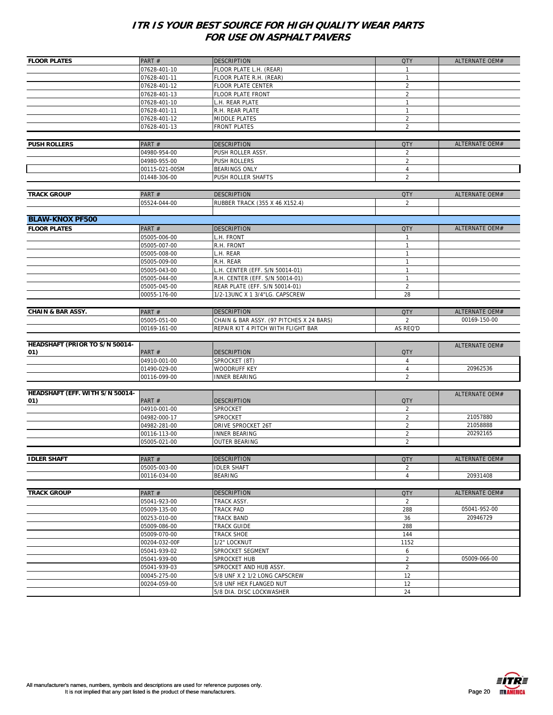| <b>FLOOR PLATES</b>                   | PART #                       | <b>DESCRIPTION</b>                       | <b>QTY</b>     | ALTERNATE OEM#        |
|---------------------------------------|------------------------------|------------------------------------------|----------------|-----------------------|
|                                       | 07628-401-10                 | FLOOR PLATE L.H. (REAR)                  | 1              |                       |
|                                       | 07628-401-11                 | FLOOR PLATE R.H. (REAR)                  | $\mathbf{1}$   |                       |
|                                       | 07628-401-12                 | FLOOR PLATE CENTER                       | $\overline{2}$ |                       |
|                                       | 07628-401-13                 | FLOOR PLATE FRONT                        | $\overline{2}$ |                       |
|                                       | 07628-401-10                 | L.H. REAR PLATE                          | $\mathbf{1}$   |                       |
|                                       | 07628-401-11                 | R.H. REAR PLATE                          | $\mathbf{1}$   |                       |
|                                       | 07628-401-12                 | MIDDLE PLATES                            | $\overline{2}$ |                       |
|                                       | 07628-401-13                 | <b>FRONT PLATES</b>                      | $\overline{2}$ |                       |
|                                       |                              |                                          |                |                       |
| <b>PUSH ROLLERS</b>                   | PART#                        | <b>DESCRIPTION</b>                       | <b>QTY</b>     | ALTERNATE OEM#        |
|                                       | 04980-954-00                 | PUSH ROLLER ASSY.                        | $\overline{2}$ |                       |
|                                       | 04980-955-00                 | PUSH ROLLERS                             | $\sqrt{2}$     |                       |
|                                       | 00115-021-00SM               | <b>BEARINGS ONLY</b>                     | 4              |                       |
|                                       | 01448-306-00                 | PUSH ROLLER SHAFTS                       | $\overline{2}$ |                       |
|                                       |                              |                                          |                |                       |
| <b>TRACK GROUP</b>                    | PART#                        | <b>DESCRIPTION</b>                       | <b>QTY</b>     | ALTERNATE OEM#        |
|                                       | 05524-044-00                 | RUBBER TRACK (355 X 46 X152.4)           | $\overline{2}$ |                       |
|                                       |                              |                                          |                |                       |
| <b>BLAW-KNOX PF500</b>                |                              |                                          |                |                       |
| <b>FLOOR PLATES</b>                   | PART #                       | <b>DESCRIPTION</b>                       | <b>QTY</b>     | ALTERNATE OEM#        |
|                                       | 05005-006-00                 | L.H. FRONT                               | $\mathbf{1}$   |                       |
|                                       | 05005-007-00                 | R.H. FRONT                               | $\mathbf{1}$   |                       |
|                                       | 05005-008-00                 | H. Rear                                  | $\mathbf{1}$   |                       |
|                                       | 05005-009-00                 | R.H. REAR                                | $\mathbf{1}$   |                       |
|                                       | 05005-043-00                 | L.H. CENTER (EFF. S/N 50014-01)          | $\mathbf{1}$   |                       |
|                                       | 05005-044-00                 | R.H. CENTER (EFF. S/N 50014-01)          | $\mathbf{1}$   |                       |
|                                       | 05005-045-00                 | REAR PLATE (EFF. S/N 50014-01)           | $\overline{2}$ |                       |
|                                       | 00055-176-00                 | 1/2-13UNC X 1 3/4"LG. CAPSCREW           | 28             |                       |
|                                       |                              |                                          |                |                       |
| <b>CHAIN &amp; BAR ASSY.</b>          | PART#                        | <b>DESCRIPTION</b>                       | <b>QTY</b>     | ALTERNATE OEM#        |
|                                       | 05005-051-00                 | CHAIN & BAR ASSY. (97 PITCHES X 24 BARS) | $\overline{2}$ | 00169-150-00          |
|                                       | 00169-161-00                 | REPAIR KIT 4 PITCH WITH FLIGHT BAR       | AS REQ'D       |                       |
| <b>HEADSHAFT (PRIOR TO S/N 50014-</b> |                              |                                          |                |                       |
| 01)                                   | PART#                        | <b>DESCRIPTION</b>                       | <b>QTY</b>     | ALTERNATE OEM#        |
|                                       | 04910-001-00                 | SPROCKET (8T)                            | 4              |                       |
|                                       | 01490-029-00                 | WOODRUFF KEY                             | $\overline{4}$ | 20962536              |
|                                       | 00116-099-00                 | <b>INNER BEARING</b>                     | $\overline{2}$ |                       |
|                                       |                              |                                          |                |                       |
| HEADSHAFT (EFF. WITH S/N 50014-       |                              |                                          |                | ALTERNATE OEM#        |
| 01)                                   | PART#                        | <b>DESCRIPTION</b>                       | <b>QTY</b>     |                       |
|                                       | 04910-001-00                 | SPROCKET                                 | $\overline{2}$ |                       |
|                                       | 04982-000-17                 | SPROCKET                                 | $\overline{2}$ | 21057880              |
|                                       | 04982-281-00                 | DRIVE SPROCKET 26T                       | $\overline{2}$ | 21058888              |
|                                       | 00116-113-00                 | <b>INNER BEARING</b>                     | $\overline{2}$ | 20292165              |
|                                       | 05005-021-00                 | <b>OUTER BEARING</b>                     | $\overline{2}$ |                       |
|                                       |                              |                                          |                |                       |
| <b>IDLER SHAFT</b>                    | PART #                       | <b>DESCRIPTION</b>                       | QIY            | <b>ALTERNATE OEM#</b> |
|                                       | 05005-003-00                 | <b>IDLER SHAFT</b>                       | $\overline{2}$ |                       |
|                                       | 00116-034-00                 | <b>BEARING</b>                           | 4              | 20931408              |
|                                       |                              |                                          |                |                       |
| <b>TRACK GROUP</b>                    | PART#                        | <b>DESCRIPTION</b>                       | <b>QTY</b>     | ALTERNATE OEM#        |
|                                       | 05041-923-00                 | TRACK ASSY.                              | $\overline{2}$ |                       |
|                                       | 05009-135-00                 | TRACK PAD                                | 288            | 05041-952-00          |
|                                       | 00253-010-00                 | <b>TRACK BAND</b><br><b>TRACK GUIDE</b>  | 36             | 20946729              |
|                                       | 05009-086-00<br>05009-070-00 | <b>TRACK SHOE</b>                        | 288<br>144     |                       |
|                                       | 00204-032-00F                | 1/2" LOCKNUT                             | 1152           |                       |
|                                       | 05041-939-02                 | SPROCKET SEGMENT                         | 6              |                       |
|                                       | 05041-939-00                 | SPROCKET HUB                             | $\overline{2}$ | 05009-066-00          |
|                                       | 05041-939-03                 | SPROCKET AND HUB ASSY.                   | $\overline{2}$ |                       |
|                                       | 00045-275-00                 | 5/8 UNF X 2 1/2 LONG CAPSCREW            | 12             |                       |
|                                       | 00204-059-00                 | 5/8 UNF HEX FLANGED NUT                  | 12             |                       |
|                                       |                              | 5/8 DIA. DISC LOCKWASHER                 | 24             |                       |
|                                       |                              |                                          |                |                       |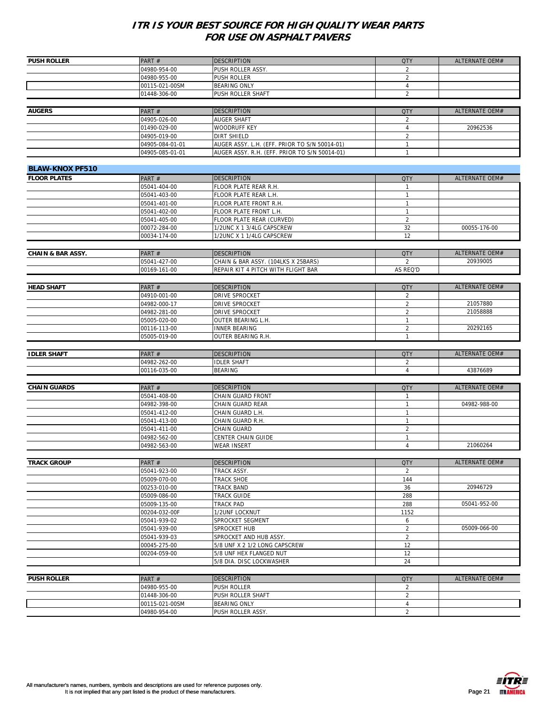| <b>PUSH ROLLER</b>           | PART#                          | <b>DESCRIPTION</b>                            | <b>QTY</b>                   | ALTERNATE OEM# |
|------------------------------|--------------------------------|-----------------------------------------------|------------------------------|----------------|
|                              | 04980-954-00                   | PUSH ROLLER ASSY.                             | 2                            |                |
|                              | 04980-955-00                   | <b>PUSH ROLLER</b>                            | $\overline{2}$               |                |
|                              | 00115-021-00SM                 | <b>BEARING ONLY</b>                           | 4                            |                |
|                              | 01448-306-00                   | PUSH ROLLER SHAFT                             | $\overline{2}$               |                |
|                              |                                |                                               |                              |                |
| <b>AUGERS</b>                |                                | <b>DESCRIPTION</b>                            |                              | ALTERNATE OEM# |
|                              | PART#                          |                                               | <b>QTY</b>                   |                |
|                              | 04905-026-00                   | <b>AUGER SHAFT</b>                            | $\overline{2}$               |                |
|                              | 01490-029-00                   | WOODRUFF KEY                                  | 4                            | 20962536       |
|                              | 04905-019-00                   | <b>DIRT SHIELD</b>                            | $\overline{2}$               |                |
|                              | 04905-084-01-01                | AUGER ASSY. L.H. (EFF. PRIOR TO S/N 50014-01) | 1                            |                |
|                              | 04905-085-01-01                | AUGER ASSY. R.H. (EFF. PRIOR TO S/N 50014-01) | $\mathbf{1}$                 |                |
|                              |                                |                                               |                              |                |
| <b>BLAW-KNOX PF510</b>       |                                |                                               |                              |                |
| <b>FLOOR PLATES</b>          | PART#                          | <b>DESCRIPTION</b>                            | <b>QTY</b>                   | ALTERNATE OEM# |
|                              | 05041-404-00                   | FLOOR PLATE REAR R.H.                         | $\mathbf{1}$                 |                |
|                              | 05041-403-00                   | FLOOR PLATE REAR L.H.                         | 1                            |                |
|                              | 05041-401-00                   |                                               | 1                            |                |
|                              |                                | FLOOR PLATE FRONT R.H.                        |                              |                |
|                              | 05041-402-00                   | FLOOR PLATE FRONT L.H.                        | $\mathbf{1}$                 |                |
|                              | 05041-405-00                   | FLOOR PLATE REAR (CURVED)                     | $\overline{c}$               |                |
|                              | 00072-284-00                   | 1/2UNC X 1 3/4LG CAPSCREW                     | 32                           | 00055-176-00   |
|                              | 00034-174-00                   | 1/2UNC X 1 1/4LG CAPSCREW                     | 12                           |                |
|                              |                                |                                               |                              |                |
| <b>CHAIN &amp; BAR ASSY.</b> | PART#                          | <b>DESCRIPTION</b>                            | <b>QTY</b>                   | ALTERNATE OEM# |
|                              | 05041-427-00                   | CHAIN & BAR ASSY. (104LKS X 25BARS)           | $\overline{2}$               | 20939005       |
|                              | 00169-161-00                   | REPAIR KIT 4 PITCH WITH FLIGHT BAR            | AS REQ'D                     |                |
|                              |                                |                                               |                              |                |
| <b>HEAD SHAFT</b>            | PART#                          | <b>DESCRIPTION</b>                            | <b>QTY</b>                   | ALTERNATE OEM# |
|                              |                                |                                               |                              |                |
|                              | 04910-001-00                   | DRIVE SPROCKET                                | $\overline{2}$               |                |
|                              | 04982-000-17                   | DRIVE SPROCKET                                | $\overline{2}$               | 21057880       |
|                              | 04982-281-00                   | DRIVE SPROCKET                                | $\overline{2}$               | 21058888       |
|                              | 05005-020-00                   | OUTER BEARING L.H.                            | $\mathbf{1}$                 |                |
|                              | 00116-113-00                   | <b>INNER BEARING</b>                          | $\overline{2}$               | 20292165       |
|                              | 05005-019-00                   | OUTER BEARING R.H.                            | $\mathbf{1}$                 |                |
|                              |                                |                                               |                              |                |
|                              |                                |                                               |                              |                |
| <b>IDLER SHAFT</b>           | PART#                          | <b>DESCRIPTION</b>                            | <b>QTY</b>                   | ALTERNATE OEM# |
|                              |                                |                                               |                              |                |
|                              | 04982-262-00                   | <b>IDLER SHAFT</b>                            | 2<br>$\overline{4}$          |                |
|                              | 00116-035-00                   | <b>BEARING</b>                                |                              | 43876689       |
|                              |                                |                                               |                              |                |
| <b>CHAIN GUARDS</b>          | PART#                          | <b>DESCRIPTION</b>                            | <b>QTY</b>                   | ALTERNATE OEM# |
|                              | 05041-408-00                   | CHAIN GUARD FRONT                             | $\mathbf{1}$                 |                |
|                              | 04982-398-00                   | CHAIN GUARD REAR                              | 1                            | 04982-988-00   |
|                              | 05041-412-00                   | CHAIN GUARD L.H.                              | $\mathbf{1}$                 |                |
|                              | 05041-413-00                   | CHAIN GUARD R.H.                              | $\mathbf{1}$                 |                |
|                              | 05041-411-00                   | CHAIN GUARD                                   | $\overline{2}$               |                |
|                              | 04982-562-00                   | CENTER CHAIN GUIDE                            | $\mathbf{1}$                 |                |
|                              | 04982-563-00                   | <b>WEAR INSERT</b>                            | $\overline{4}$               | 21060264       |
|                              |                                |                                               |                              |                |
| <b>TRACK GROUP</b>           | PART#                          | <b>DESCRIPTION</b>                            | <b>QTY</b>                   | ALTERNATE OEM# |
|                              | 05041-923-00                   | TRACK ASSY.                                   | $\overline{2}$               |                |
|                              | 05009-070-00                   |                                               |                              |                |
|                              |                                | <b>TRACK SHOE</b>                             | 144                          |                |
|                              | 00253-010-00                   | <b>TRACK BAND</b>                             | 36                           | 20946729       |
|                              | 05009-086-00                   | <b>TRACK GUIDE</b>                            | 288                          |                |
|                              | 05009-135-00                   | TRACK PAD                                     | 288                          | 05041-952-00   |
|                              | 00204-032-00F                  | 1/2UNF LOCKNUT                                | 1152                         |                |
|                              | 05041-939-02                   | SPROCKET SEGMENT                              | 6                            |                |
|                              | 05041-939-00                   | SPROCKET HUB                                  | $\overline{2}$               | 05009-066-00   |
|                              | 05041-939-03                   | SPROCKET AND HUB ASSY.                        | $\overline{2}$               |                |
|                              | 00045-275-00                   | 5/8 UNF X 2 1/2 LONG CAPSCREW                 | 12                           |                |
|                              | 00204-059-00                   | 5/8 UNF HEX FLANGED NUT                       | 12                           |                |
|                              |                                | 5/8 DIA. DISC LOCKWASHER                      | 24                           |                |
|                              |                                |                                               |                              |                |
|                              |                                |                                               |                              |                |
| <b>PUSH ROLLER</b>           | PART#                          | <b>DESCRIPTION</b>                            | <b>QTY</b>                   | ALTERNATE OEM# |
|                              | 04980-955-00                   | PUSH ROLLER                                   | $\overline{2}$               |                |
|                              | 01448-306-00                   | PUSH ROLLER SHAFT                             | $\overline{2}$               |                |
|                              | 00115-021-00SM<br>04980-954-00 | <b>BEARING ONLY</b><br>PUSH ROLLER ASSY.      | $\sqrt{4}$<br>$\overline{2}$ |                |

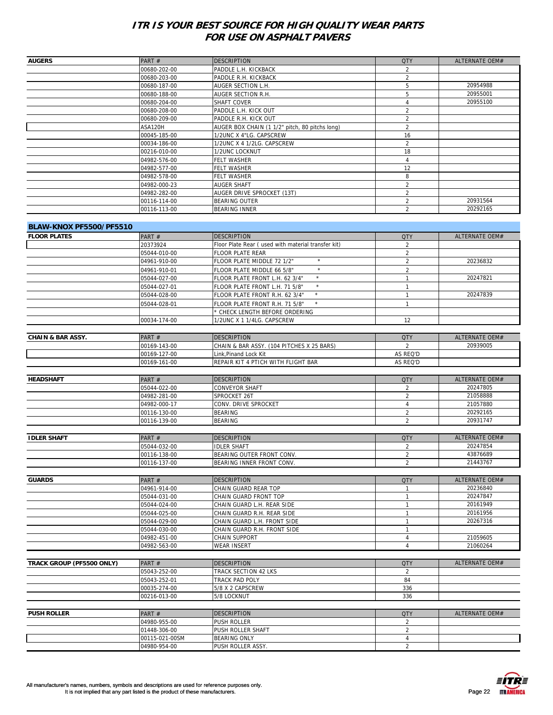| <b>AUGERS</b>                | PART#          | <b>DESCRIPTION</b>                                 | <b>QTY</b>     | ALTERNATE OEM#        |
|------------------------------|----------------|----------------------------------------------------|----------------|-----------------------|
|                              | 00680-202-00   | PADDLE L.H. KICKBACK                               | $\overline{2}$ |                       |
|                              | 00680-203-00   | PADDLE R.H. KICKBACK                               | $\overline{2}$ |                       |
|                              | 00680-187-00   | AUGER SECTION L.H.                                 | 5              | 20954988              |
|                              | 00680-188-00   | AUGER SECTION R.H.                                 | 5              | 20955001              |
|                              | 00680-204-00   | SHAFT COVER                                        | 4              | 20955100              |
|                              | 00680-208-00   | PADDLE L.H. KICK OUT                               | $\overline{2}$ |                       |
|                              | 00680-209-00   | PADDLE R.H. KICK OUT                               | $\overline{2}$ |                       |
|                              | ASA120H        | AUGER BOX CHAIN (1 1/2" pitch, 80 pitchs long)     | $\overline{2}$ |                       |
|                              | 00045-185-00   | 1/2UNC X 4"LG. CAPSCREW                            | 16             |                       |
|                              | 00034-186-00   | 1/2UNC X 4 1/2LG. CAPSCREW                         | $\overline{2}$ |                       |
|                              | 00216-010-00   | 1/2UNC LOCKNUT                                     | 18             |                       |
|                              | 04982-576-00   | FELT WASHER                                        | $\overline{4}$ |                       |
|                              | 04982-577-00   | FELT WASHER                                        | 12             |                       |
|                              | 04982-578-00   | FELT WASHER                                        | 8              |                       |
|                              | 04982-000-23   | <b>AUGER SHAFT</b>                                 | $\overline{2}$ |                       |
|                              | 04982-282-00   | AUGER DRIVE SPROCKET (13T)                         | $\overline{2}$ |                       |
|                              | 00116-114-00   | BEARING OUTER                                      | $\overline{2}$ | 20931564              |
|                              |                |                                                    |                | 20292165              |
|                              | 00116-113-00   | BEARING INNER                                      | 2              |                       |
|                              |                |                                                    |                |                       |
| BLAW-KNOX PF5500/PF5510      |                |                                                    |                |                       |
| <b>FLOOR PLATES</b>          | PART#          | <b>DESCRIPTION</b>                                 | <b>QTY</b>     | <b>ALTERNATE OEM#</b> |
|                              | 20373924       | Floor Plate Rear (used with material transfer kit) | $\overline{2}$ |                       |
|                              | 05044-010-00   | FLOOR PLATE REAR                                   | $\overline{2}$ |                       |
|                              | 04961-910-00   | $\star$<br>FLOOR PLATE MIDDLE 72 1/2"              | $\overline{2}$ | 20236832              |
|                              | 04961-910-01   | $\star$<br>FLOOR PLATE MIDDLE 66 5/8"              | $\overline{2}$ |                       |
|                              | 05044-027-00   | $\star$<br>FLOOR PLATE FRONT L.H. 62 3/4"          | $\mathbf{1}$   | 20247821              |
|                              | 05044-027-01   | $\star$<br>FLOOR PLATE FRONT L.H. 71 5/8"          | $\mathbf{1}$   |                       |
|                              | 05044-028-00   | FLOOR PLATE FRONT R.H. 62 3/4"                     | $\mathbf{1}$   | 20247839              |
|                              | 05044-028-01   | $\star$                                            | $\mathbf{1}$   |                       |
|                              |                | FLOOR PLATE FRONT R.H. 71 5/8"                     |                |                       |
|                              |                | * CHECK LENGTH BEFORE ORDERING                     | 12             |                       |
|                              | 00034-174-00   | 1/2UNC X 1 1/4LG. CAPSCREW                         |                |                       |
|                              |                |                                                    |                |                       |
| <b>CHAIN &amp; BAR ASSY.</b> | PART#          | <b>DESCRIPTION</b>                                 | <b>QTY</b>     | ALTERNATE OEM#        |
|                              | 00169-143-00   | CHAIN & BAR ASSY. (104 PITCHES X 25 BARS)          | $\overline{2}$ | 20939005              |
|                              | 00169-127-00   | Link, Pinand Lock Kit                              | AS REQ'D       |                       |
|                              | 00169-161-00   | REPAIR KIT 4 PTICH WITH FLIGHT BAR                 | AS REQ'D       |                       |
|                              |                |                                                    |                |                       |
| <b>HEADSHAFT</b>             | PART#          | <b>DESCRIPTION</b>                                 | <b>QTY</b>     | ALTERNATE OEM#        |
|                              | 05044-022-00   | CONVEYOR SHAFT                                     | 2              | 20247805              |
|                              | 04982-281-00   | SPROCKET 26T                                       | $\overline{2}$ | 21058888              |
|                              | 04982-000-17   | CONV. DRIVE SPROCKET                               | 4              | 21057880              |
|                              | 00116-130-00   | BEARING                                            | $\overline{2}$ | 20292165              |
|                              | 00116-139-00   | BEARING                                            | $\overline{2}$ | 20931747              |
|                              |                |                                                    |                |                       |
| <b>IDLER SHAFT</b>           | PART#          | <b>DESCRIPTION</b>                                 | <b>QTY</b>     | ALTERNATE OEM#        |
|                              | 05044-032-00   | <b>IDLER SHAFT</b>                                 | 2              | 20247854              |
|                              | 00116-138-00   | BEARING OUTER FRONT CONV.                          | $\overline{c}$ | 43876689              |
|                              | 00116-137-00   | BEARING INNER FRONT CONV.                          | 2              | 21443767              |
|                              |                |                                                    |                |                       |
|                              |                |                                                    |                |                       |
| <b>GUARDS</b>                | PART#          | <b>DESCRIPTION</b>                                 | <b>QTY</b>     | <b>ALTERNATE OEM#</b> |
|                              | 04961-914-00   | CHAIN GUARD REAR TOP                               | $\mathbf{1}$   | 20236840              |
|                              | 05044-031-00   | CHAIN GUARD FRONT TOP                              | $\mathbf{1}$   | 20247847              |
|                              | 05044-024-00   | CHAIN GUARD L.H. REAR SIDE                         | $\mathbf{1}$   | 20161949              |
|                              | 05044-025-00   | CHAIN GUARD R.H. REAR SIDE                         | $\mathbf{1}$   | 20161956              |
|                              | 05044-029-00   | CHAIN GUARD L.H. FRONT SIDE                        | $\mathbf{1}$   | 20267316              |
|                              | 05044-030-00   | CHAIN GUARD R.H. FRONT SIDE                        | $\mathbf{1}$   |                       |
|                              | 04982-451-00   | CHAIN SUPPORT                                      | 4              | 21059605              |
|                              | 04982-563-00   | <b>WEAR INSERT</b>                                 | $\overline{4}$ | 21060264              |
|                              |                |                                                    |                |                       |
| TRACK GROUP (PF5500 ONLY)    | PART#          | <b>DESCRIPTION</b>                                 | <b>QTY</b>     | ALTERNATE OEM#        |
|                              | 05043-252-00   | TRACK SECTION 42 LKS                               | 2              |                       |
|                              | 05043-252-01   | TRACK PAD POLY                                     | 84             |                       |
|                              | 00035-274-00   | 5/8 X 2 CAPSCREW                                   | 336            |                       |
|                              | 00216-013-00   | 5/8 LOCKNUT                                        | 336            |                       |
|                              |                |                                                    |                |                       |
|                              |                |                                                    | <b>QTY</b>     | ALTERNATE OEM#        |
| <b>PUSH ROLLER</b>           | PART#          | <b>DESCRIPTION</b>                                 |                |                       |
|                              | 04980-955-00   | PUSH ROLLER                                        | 2              |                       |
|                              | 01448-306-00   | PUSH ROLLER SHAFT                                  | 2              |                       |
|                              | 00115-021-00SM | BEARING ONLY                                       | $\overline{4}$ |                       |
|                              | 04980-954-00   | PUSH ROLLER ASSY.                                  | 2              |                       |

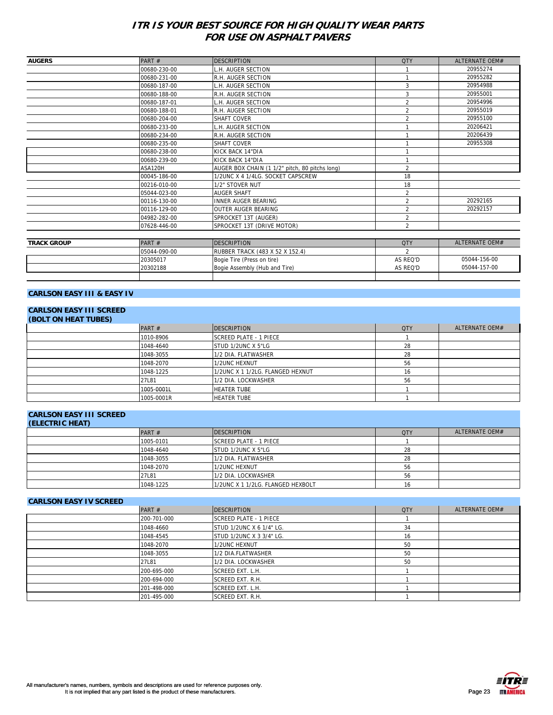| <b>AUGERS</b>      | PART#        | <b>DESCRIPTION</b>                             | <b>QTY</b>               | <b>ALTERNATE OEM#</b> |
|--------------------|--------------|------------------------------------------------|--------------------------|-----------------------|
|                    | 00680-230-00 | L.H. AUGER SECTION                             |                          | 20955274              |
|                    | 00680-231-00 | R.H. AUGER SECTION                             |                          | 20955282              |
|                    | 00680-187-00 | L.H. AUGER SECTION                             |                          | 20954988              |
|                    | 00680-188-00 | R.H. AUGER SECTION                             |                          | 20955001              |
|                    | 00680-187-01 | L.H. AUGER SECTION                             | $\mathfrak{p}$           | 20954996              |
|                    | 00680-188-01 | R.H. AUGER SECTION                             | $\overline{\mathcal{L}}$ | 20955019              |
|                    | 00680-204-00 | <b>SHAFT COVER</b>                             | $\mathfrak{p}$           | 20955100              |
|                    | 00680-233-00 | L.H. AUGER SECTION                             |                          | 20206421              |
|                    | 00680-234-00 | R.H. AUGER SECTION                             |                          | 20206439              |
|                    | 00680-235-00 | <b>SHAFT COVER</b>                             |                          | 20955308              |
|                    | 00680-238-00 | <b>KICK BACK 14"DIA</b>                        |                          |                       |
|                    | 00680-239-00 | KICK BACK 14"DIA                               |                          |                       |
|                    | ASA120H      | AUGER BOX CHAIN (1 1/2" pitch, 80 pitchs long) | $\overline{2}$           |                       |
|                    | 00045-186-00 | 1/2UNC X 4 1/4LG. SOCKET CAPSCREW              | 18                       |                       |
|                    | 00216-010-00 | 1/2" STOVER NUT                                | 18                       |                       |
|                    | 05044-023-00 | <b>AUGER SHAFT</b>                             | $\overline{\mathcal{L}}$ |                       |
|                    | 00116-130-00 | <b>INNER AUGER BEARING</b>                     | $\mathcal{P}$            | 20292165              |
|                    | 00116-129-00 | <b>OUTER AUGER BEARING</b>                     | $\overline{\mathcal{L}}$ | 20292157              |
|                    | 04982-282-00 | SPROCKET 13T (AUGER)                           |                          |                       |
|                    | 07628-446-00 | SPROCKET 13T (DRIVE MOTOR)                     | $\overline{\mathcal{L}}$ |                       |
|                    |              |                                                |                          |                       |
| <b>TRACK GROUP</b> | PART#        | <b>DESCRIPTION</b>                             | <b>QTY</b>               | <b>ALTERNATE OEM#</b> |

| <b>TRACK GROUP</b> | PART#        | <b>IDESCRIPTION</b>                    | <b>QTY</b> | ALTERNATE OFM# |
|--------------------|--------------|----------------------------------------|------------|----------------|
|                    | 05044-090-00 | <b>RUBBER TRACK (483 X 52 X 152.4)</b> |            |                |
|                    | 20305017     | Bogie Tire (Press on tire)             | AS REQ'D   | 05044-156-00   |
|                    | 20302188     | Bogie Assembly (Hub and Tire)          | AS REQ'D   | 05044-157-00   |
|                    |              |                                        |            |                |

#### **CARLSON EASY III & EASY IV**

# **CARLSON EASY III SCREED**

| <b>(BOLT ON HEAT TUBES)</b> |            |                                  |            |                |  |
|-----------------------------|------------|----------------------------------|------------|----------------|--|
|                             | PART $#$   | <b>IDESCRIPTION</b>              | <b>QTY</b> | ALTERNATE OEM# |  |
|                             | 1010-8906  | <b>SCREED PLATE - 1 PIECE</b>    |            |                |  |
|                             | 1048-4640  | STUD 1/2UNC X 5"LG               | 28         |                |  |
|                             | 1048-3055  | 1/2 DIA. FLATWASHER              | 28         |                |  |
|                             | 1048-2070  | 1/2UNC HEXNUT                    | 56         |                |  |
|                             | 1048-1225  | 1/2UNC X 1 1/2LG. FLANGED HEXNUT | 16         |                |  |
|                             | 27L81      | 1/2 DIA. LOCKWASHER              | 56         |                |  |
|                             | 1005-0001L | <b>HEATER TUBE</b>               |            |                |  |
|                             | 1005-0001R | <b>HEATER TUBE</b>               |            |                |  |

# **CARLSON EASY III SCREED**

| (ELECTRIC HEAT) |           |                                   |            |                |
|-----------------|-----------|-----------------------------------|------------|----------------|
|                 | PART $#$  | <b>IDESCRIPTION</b>               | <b>QTY</b> | ALTERNATE OEM# |
|                 | 1005-0101 | SCREED PLATE - 1 PIECE            |            |                |
|                 | 1048-4640 | <b>STUD 1/2UNC X 5"LG</b>         | 28         |                |
|                 | 1048-3055 | 1/2 DIA. FLATWASHER               | 28         |                |
|                 | 1048-2070 | 1/2UNC HEXNUT                     | 56         |                |
|                 | 27L81     | 1/2 DIA. LOCKWASHER               | 56         |                |
|                 | 1048-1225 | 1/2UNC X 1 1/2LG. FLANGED HEXBOLT | 16         |                |

#### **CARLSON EASY IV SCREED**

| PART $#$    | <b>DESCRIPTION</b>              | <b>QTY</b> | ALTERNATE OEM# |
|-------------|---------------------------------|------------|----------------|
| 200-701-000 | <b>SCREED PLATE - 1 PIECE</b>   |            |                |
| 1048-4660   | <b>STUD 1/2UNC X 6 1/4" LG.</b> | 34         |                |
| 1048-4545   | <b>STUD 1/2UNC X 3 3/4" LG.</b> | 16         |                |
| 1048-2070   | 1/2UNC HEXNUT                   | 50         |                |
| 1048-3055   | 1/2 DIA.FLATWASHER              | 50         |                |
| 27L81       | 1/2 DIA. LOCKWASHER             | 50         |                |
| 200-695-000 | SCREED EXT. L.H.                |            |                |
| 200-694-000 | SCREED EXT. R.H.                |            |                |
| 201-498-000 | <b>SCREED EXT. L.H.</b>         |            |                |
| 201-495-000 | SCREED EXT. R.H.                |            |                |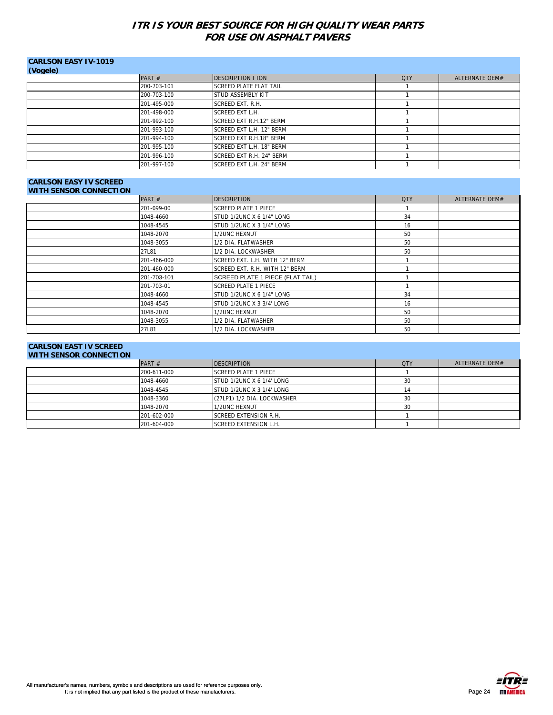| <b>CARLSON EASY IV-1019</b> |             |                               |            |                |
|-----------------------------|-------------|-------------------------------|------------|----------------|
| (Vogele)                    |             |                               |            |                |
|                             | PART $#$    | <b>IDESCRIPTION I ION</b>     | <b>QTY</b> | ALTERNATE OEM# |
|                             | 200-703-101 | <b>SCREED PLATE FLAT TAIL</b> |            |                |
|                             | 200-703-100 | <b>STUD ASSEMBLY KIT</b>      |            |                |
|                             | 201-495-000 | <b>SCREED EXT. R.H.</b>       |            |                |
|                             | 201-498-000 | <b>SCREED EXT L.H.</b>        |            |                |
|                             | 201-992-100 | SCREED EXT R.H.12" BERM       |            |                |
|                             | 201-993-100 | SCREED EXT L.H. 12" BERM      |            |                |
|                             | 201-994-100 | SCREED EXT R.H.18" BERM       |            |                |
|                             | 201-995-100 | SCREED EXT L.H. 18" BERM      |            |                |
|                             | 201-996-100 | SCREED EXT R.H. 24" BERM      |            |                |
|                             | 201-997-100 | SCREED EXT L.H. 24" BERM      |            |                |

#### **CARLSON EASY IV SCREED WITH SENSOR CONNECTION**

| <b>WITH SENSOR CONNECTION</b> |             |                                         |            |                |
|-------------------------------|-------------|-----------------------------------------|------------|----------------|
|                               | PART#       | <b>DESCRIPTION</b>                      | <b>QTY</b> | ALTERNATE OEM# |
|                               | 201-099-00  | <b>SCREED PLATE 1 PIECE</b>             |            |                |
|                               | 1048-4660   | STUD 1/2UNC X 6 1/4" LONG               | 34         |                |
|                               | 1048-4545   | STUD 1/2UNC X 3 1/4" LONG               | 16         |                |
|                               | 1048-2070   | 1/2UNC HEXNUT                           | 50         |                |
|                               | 1048-3055   | 1/2 DIA. FLATWASHER                     | 50         |                |
|                               | 27L81       | 1/2 DIA. LOCKWASHER                     | 50         |                |
|                               | 201-466-000 | SCREED EXT. L.H. WITH 12" BERM          |            |                |
|                               | 201-460-000 | SCREED EXT. R.H. WITH 12" BERM          |            |                |
|                               | 201-703-101 | <b>SCREED PLATE 1 PIECE (FLAT TAIL)</b> |            |                |
|                               | 201-703-01  | <b>SCREED PLATE 1 PIECE</b>             |            |                |
|                               | 1048-4660   | STUD 1/2UNC X 6 1/4" LONG               | 34         |                |
|                               | 1048-4545   | STUD 1/2UNC X 3 3/4' LONG               | 16         |                |
|                               | 1048-2070   | 1/2UNC HEXNUT                           | 50         |                |
|                               | 1048-3055   | 1/2 DIA. FLATWASHER                     | 50         |                |
|                               | 27L81       | 1/2 DIA. LOCKWASHER                     | 50         |                |

#### **CARLSON EAST IV SCREED WITH SENSOR CONNECTION**

| <b>WITH SENSOR CONNECTION</b> |             |                                   |            |                |  |
|-------------------------------|-------------|-----------------------------------|------------|----------------|--|
|                               | PART $#$    | <b>DESCRIPTION</b>                | <b>QTY</b> | ALTERNATE OEM# |  |
|                               | 200-611-000 | <b>SCREED PLATE 1 PIECE</b>       |            |                |  |
|                               | 1048-4660   | <b>STUD 1/2UNC X 6 1/4' LONG</b>  | 30         |                |  |
|                               | 1048-4545   | <b>ISTUD 1/2UNC X 3 1/4' LONG</b> | 14         |                |  |
|                               | 1048-3360   | (27LP1) 1/2 DIA. LOCKWASHER       | 30         |                |  |
|                               | 1048-2070   | 1/2UNC HEXNUT                     | 30         |                |  |
|                               | 201-602-000 | <b>SCREED EXTENSION R.H.</b>      |            |                |  |
|                               | 201-604-000 | <b>SCREED EXTENSION L.H.</b>      |            |                |  |

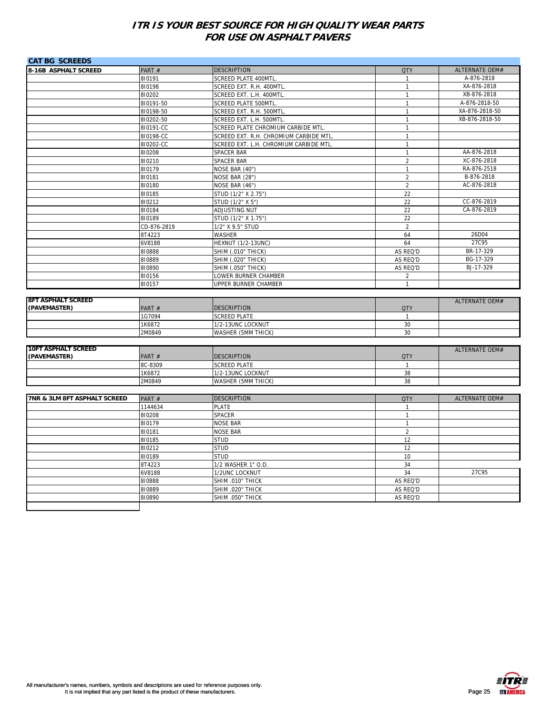| <b>CAT BG SCREEDS</b>                     |             |                                        |                |                        |
|-------------------------------------------|-------------|----------------------------------------|----------------|------------------------|
| 8-16B ASPHALT SCREED                      | PART#       | <b>DESCRIPTION</b>                     | <b>QTY</b>     | ALTERNATE OEM#         |
|                                           | 810191      | SCREED PLATE 400MTL.                   | $\mathbf{1}$   | A-876-2818             |
|                                           | 810198      | SCREED EXT. R.H. 400MTL.               | $\mathbf{1}$   | XA-876-2818            |
|                                           | 810202      | SCREED EXT. L.H. 400MTL                | $\mathbf{1}$   | XB-876-2818            |
|                                           | 810191-50   | SCREED PLATE 500MTL.                   | $\mathbf{1}$   | A-876-2818-50          |
|                                           | 810198-50   | SCREED EXT. R.H. 500MTL                | $\mathbf{1}$   | XA-876-2818-50         |
|                                           | 810202-50   | SCREED EXT. L.H. 500MTL                | $\mathbf{1}$   | XB-876-2818-50         |
|                                           | 810191-CC   | SCREED PLATE CHROMIUM CARBIDE MTL.     | $\mathbf{1}$   |                        |
|                                           | 810198-CC   | SCREED EXT. R.H. CHROMIUM CARBIDE MTL  | $\mathbf{1}$   |                        |
|                                           | 810202-CC   | SCREED EXT. L.H. CHROMIUM CARBIDE MTL. | $\mathbf{1}$   |                        |
|                                           | 810208      | <b>SPACER BAR</b>                      | $\mathbf{1}$   | AA-876-2818            |
|                                           | 810210      | SPACER BAR                             | $\overline{2}$ | XC-876-2818            |
|                                           | 810179      | NOSE BAR (40")                         | $\mathbf{1}$   | RA-876-2518            |
|                                           | 810181      | NOSE BAR (28")                         | $\overline{2}$ | B-876-2818             |
|                                           | 810180      | NOSE BAR (46")                         | $\overline{2}$ | AC-876-2818            |
|                                           | 810185      | STUD (1/2" X 2.75")                    | 22             |                        |
|                                           | 810212      | STUD (1/2" X 5")                       | 22             | CC-876-2819            |
|                                           | 810184      | ADJUSTING NUT                          | 22             | CA-876-2819            |
|                                           | 810189      | STUD (1/2" X 1.75")                    | 22             |                        |
|                                           | CD-876-2819 | 1/2" X 9.5" STUD                       | $\overline{2}$ |                        |
|                                           | 8T4223      | WASHER                                 | 64             | 26D04                  |
|                                           | 6V8188      | <b>HEXNUT (1/2-13UNC)</b>              | 64             | 27C95                  |
|                                           | 810888      | <b>SHIM (.010" THICK)</b>              | AS REQ'D       | BR-17-329              |
|                                           |             |                                        |                |                        |
|                                           | 810889      | <b>SHIM (.020" THICK)</b>              | AS REQ'D       | BG-17-329<br>BJ-17-329 |
|                                           | 810890      | <b>SHIM (.050" THICK)</b>              | AS REQ'D       |                        |
|                                           | 810156      | LOWER BURNER CHAMBER                   | 2              |                        |
|                                           | 810157      | UPPER BURNER CHAMBER                   | $\mathbf{1}$   |                        |
|                                           |             |                                        |                |                        |
| <b>8FT ASPHALT SCREED</b><br>(PAVEMASTER) | PART #      | <b>DESCRIPTION</b>                     | <b>QTY</b>     | <b>ALTERNATE OEM#</b>  |
|                                           | 1G7094      | <b>SCREED PLATE</b>                    | $\mathbf{1}$   |                        |
|                                           | 1K6872      | 1/2-13UNC LOCKNUT                      | 30             |                        |
|                                           | 2M0849      | WASHER (5MM THICK)                     | 30             |                        |
|                                           |             |                                        |                |                        |
| <b>10FT ASPHALT SCREED</b>                |             |                                        |                |                        |
| (PAVEMASTER)                              | PART #      | <b>DESCRIPTION</b>                     | <b>QTY</b>     | ALTERNATE OEM#         |
|                                           | 8C-8309     | <b>SCREED PLATE</b>                    | $\mathbf{1}$   |                        |
|                                           |             |                                        | 38             |                        |
|                                           | 1K6872      | 1/2-13UNC LOCKNUT                      |                |                        |
|                                           | 2M0849      | WASHER (5MM THICK)                     | 38             |                        |
|                                           |             |                                        |                |                        |
| 7NR & 3LM 8FT ASPHALT SCREED              | PART #      | <b>DESCRIPTION</b>                     | <b>QTY</b>     | ALTERNATE OEM#         |
|                                           | 1144634     | <b>PLATE</b>                           | $\mathbf{1}$   |                        |
|                                           | 810208      | SPACER                                 | $\mathbf{1}$   |                        |
|                                           | 810179      | <b>NOSE BAR</b>                        | $\mathbf{1}$   |                        |
|                                           |             | <b>NOSE BAR</b>                        | $\overline{2}$ |                        |
|                                           | 810181      |                                        |                |                        |
|                                           | 810185      | <b>STUD</b>                            | 12             |                        |
|                                           | 810212      | <b>STUD</b>                            | 12             |                        |
|                                           | 810189      | <b>STUD</b>                            | 10             |                        |
|                                           | 8T4223      | 1/2 WASHER 1" O.D.                     | 34             |                        |
|                                           | 6V8188      | 1/2UNC LOCKNUT                         | 34             | 27C95                  |
|                                           | 810888      | SHIM .010" THICK                       | AS REQ'D       |                        |
|                                           | 810889      | SHIM .020" THICK                       | AS REQ'D       |                        |
|                                           | 810890      | SHIM .050" THICK                       | AS REQ'D       |                        |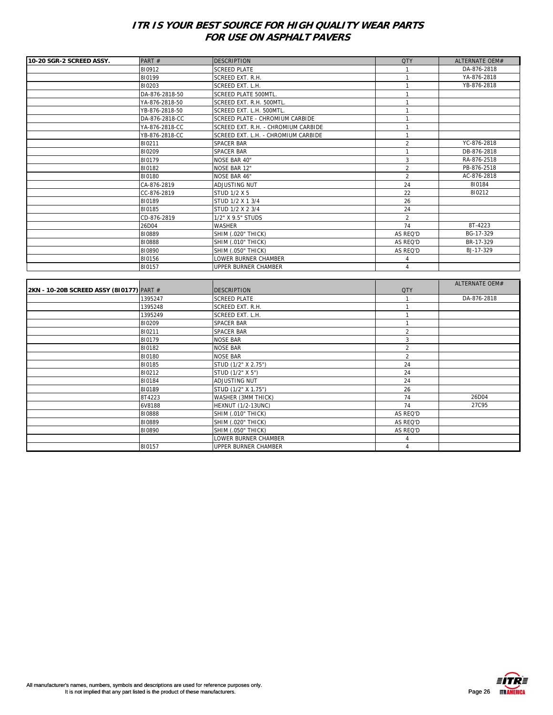| 10-20 SGR-2 SCREED ASSY. | PART#          | <b>DESCRIPTION</b>                  | <b>QTY</b>     | <b>ALTERNATE OFM#</b> |
|--------------------------|----------------|-------------------------------------|----------------|-----------------------|
|                          | 810912         | <b>SCREED PLATE</b>                 |                | DA-876-2818           |
|                          | 810199         | SCREED EXT. R.H.                    |                | YA-876-2818           |
|                          | 810203         | SCREED EXT. L.H.                    |                | YB-876-2818           |
|                          | DA-876-2818-50 | <b>SCREED PLATE 500MTL.</b>         |                |                       |
|                          | YA-876-2818-50 | SCREED EXT. R.H. 500MTL.            |                |                       |
|                          | YB-876-2818-50 | SCREED EXT. L.H. 500MTL.            |                |                       |
|                          | DA-876-2818-CC | SCREED PLATE - CHROMIUM CARBIDE     |                |                       |
|                          | YA-876-2818-CC | SCREED EXT. R.H. - CHROMIUM CARBIDE |                |                       |
|                          | YB-876-2818-CC | SCREED EXT. L.H. - CHROMIUM CARBIDE |                |                       |
|                          | 810211         | <b>SPACER BAR</b>                   | $\overline{2}$ | YC-876-2818           |
|                          | 810209         | <b>SPACER BAR</b>                   |                | DB-876-2818           |
|                          | 810179         | <b>NOSE BAR 40"</b>                 | 3              | RA-876-2518           |
|                          | 810182         | <b>NOSE BAR 12"</b>                 | $\overline{2}$ | PB-876-2518           |
|                          | 810180         | <b>NOSE BAR 46"</b>                 | $\overline{2}$ | AC-876-2818           |
|                          | CA-876-2819    | ADJUSTING NUT                       | 24             | 810184                |
|                          | CC-876-2819    | STUD 1/2 X 5                        | 22             | 810212                |
|                          | 810189         | STUD 1/2 X 1 3/4                    | 26             |                       |
|                          | 810185         | STUD 1/2 X 2 3/4                    | 24             |                       |
|                          | CD-876-2819    | 1/2" X 9.5" STUDS                   | $\overline{2}$ |                       |
|                          | 26D04          | <b>WASHER</b>                       | 74             | 8T-4223               |
|                          | 810889         | <b>SHIM (.020" THICK)</b>           | AS REQ'D       | BG-17-329             |
|                          | 810888         | <b>SHIM (.010" THICK)</b>           | AS REQ'D       | BR-17-329             |
|                          | 810890         | <b>SHIM (.050" THICK)</b>           | AS REQ'D       | BJ-17-329             |
|                          | 810156         | LOWER BURNER CHAMBER                |                |                       |
|                          | 810157         | UPPER BURNER CHAMBER                |                |                       |

|                                          |         |                           |                          | ALTERNATE OEM# |
|------------------------------------------|---------|---------------------------|--------------------------|----------------|
| 2KN - 10-20B SCREED ASSY (810177) PART # |         | <b>DESCRIPTION</b>        | <b>QTY</b>               |                |
|                                          | 1395247 | <b>SCREED PLATE</b>       |                          | DA-876-2818    |
|                                          | 1395248 | SCREED EXT. R.H.          |                          |                |
|                                          | 1395249 | SCREED EXT. L.H.          |                          |                |
|                                          | 810209  | <b>SPACER BAR</b>         |                          |                |
|                                          | 810211  | <b>SPACER BAR</b>         | $\overline{\phantom{a}}$ |                |
|                                          | 810179  | <b>NOSE BAR</b>           | 3                        |                |
|                                          | 810182  | <b>NOSE BAR</b>           | $\overline{2}$           |                |
|                                          | 810180  | <b>NOSE BAR</b>           | $\mathfrak{D}$           |                |
|                                          | 810185  | STUD (1/2" X 2.75")       | 24                       |                |
|                                          | 810212  | STUD (1/2" X 5")          | 24                       |                |
|                                          | 810184  | ADJUSTING NUT             | 24                       |                |
|                                          | 810189  | STUD (1/2" X 1.75")       | 26                       |                |
|                                          | 8T4223  | WASHER (3MM THICK)        | 74                       | 26D04          |
|                                          | 6V8188  | <b>HEXNUT (1/2-13UNC)</b> | 74                       | 27C95          |
|                                          | 810888  | <b>SHIM (.010" THICK)</b> | AS REQ'D                 |                |
|                                          | 810889  | <b>SHIM (.020" THICK)</b> | AS REQ'D                 |                |
|                                          | 810890  | <b>SHIM (.050" THICK)</b> | AS REQ'D                 |                |
|                                          |         | LOWER BURNER CHAMBER      |                          |                |
|                                          | 810157  | UPPER BURNER CHAMBER      | 4                        |                |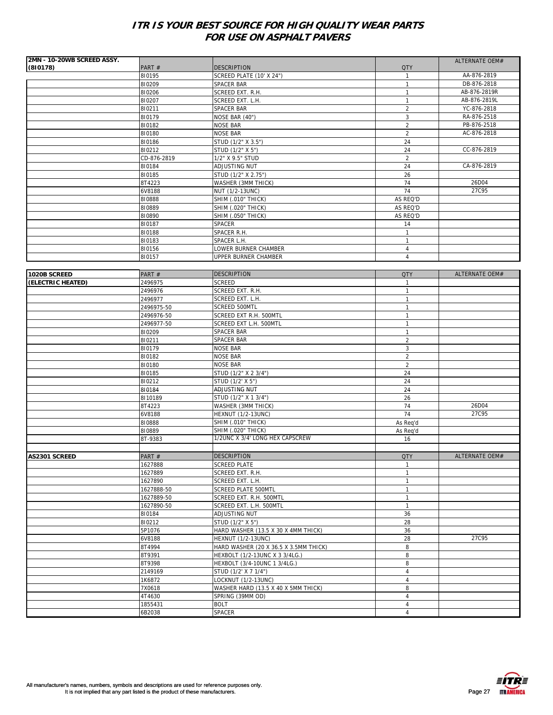| 2MN - 10-20WB SCREED ASSY. |                       |                                         |                              | ALTERNATE OEM#        |
|----------------------------|-----------------------|-----------------------------------------|------------------------------|-----------------------|
| (810178)                   | PART#                 | <b>DESCRIPTION</b>                      | <b>QTY</b>                   |                       |
|                            | 810195                | SCREED PLATE (10' X 24")                | -1                           | AA-876-2819           |
|                            | 810209                | SPACER BAR                              | $\mathbf{1}$                 | DB-876-2818           |
|                            | 810206                | SCREED EXT. R.H.                        | $\mathbf{1}$                 | AB-876-2819R          |
|                            | 810207                | SCREED EXT. L.H.                        | $\mathbf{1}$                 | AB-876-2819L          |
|                            | 810211                | SPACER BAR                              | $\sqrt{2}$                   | YC-876-2818           |
|                            | 810179                | NOSE BAR (40")                          | 3                            | RA-876-2518           |
|                            | 810182                | <b>NOSE BAR</b>                         | $\sqrt{2}$                   | PB-876-2518           |
|                            | 810180                | <b>NOSE BAR</b>                         | $\overline{2}$               | AC-876-2818           |
|                            | 810186                | STUD (1/2" X 3.5")                      | 24                           |                       |
|                            | 810212                | STUD (1/2" X 5")                        | 24                           | CC-876-2819           |
|                            | CD-876-2819           | 1/2" X 9.5" STUD                        | $\overline{2}$               |                       |
|                            | 810184                | ADJUSTING NUT                           | 24                           | CA-876-2819           |
|                            | 810185                | STUD (1/2" X 2.75")                     | 26                           |                       |
|                            | 8T4223                | WASHER (3MM THICK)                      | 74                           | 26D04                 |
|                            | 6V8188                | NUT (1/2-13UNC)                         | 74                           | 27C95                 |
|                            | 810888                | <b>SHIM (.010" THICK)</b>               | AS REQ'D                     |                       |
|                            | 810889                | <b>SHIM (.020" THICK)</b>               | AS REQ'D                     |                       |
|                            | 810890                | <b>SHIM (.050" THICK)</b>               | AS REQ'D                     |                       |
|                            | 810187                | SPACER                                  | 14                           |                       |
|                            | 810188                | SPACER R.H.                             | $\mathbf{1}$                 |                       |
|                            | 810183                | SPACER L.H.                             | $\mathbf{1}$                 |                       |
|                            | 810156                | LOWER BURNER CHAMBER                    | $\overline{4}$               |                       |
|                            | 810157                | UPPER BURNER CHAMBER                    | $\overline{4}$               |                       |
|                            |                       |                                         |                              |                       |
| 1020B SCREED               | PART#                 | <b>DESCRIPTION</b>                      | <b>QTY</b>                   | ALTERNATE OEM#        |
| (ELECTRIC HEATED)          | 2496975               | SCREED                                  | $\mathbf{1}$                 |                       |
|                            | 2496976               | SCREED EXT. R.H.                        | $\mathbf{1}$                 |                       |
|                            |                       | SCREED EXT. L.H.                        | $\mathbf{1}$                 |                       |
|                            | 2496977<br>2496975-50 |                                         | $\mathbf{1}$                 |                       |
|                            |                       | SCREED 500MTL<br>SCREED EXT R.H. 500MTL |                              |                       |
|                            | 2496976-50            | SCREED EXT L.H. 500MTL                  | $\mathbf{1}$<br>$\mathbf{1}$ |                       |
|                            | 2496977-50            |                                         |                              |                       |
|                            | 810209                | SPACER BAR                              | $\mathbf{1}$                 |                       |
|                            | 810211                | SPACER BAR                              | $\overline{2}$               |                       |
|                            | 810179                | <b>NOSE BAR</b>                         | 3                            |                       |
|                            | 810182                | <b>NOSE BAR</b>                         | $\overline{2}$               |                       |
|                            | 810180                | <b>NOSE BAR</b>                         | $\overline{2}$               |                       |
|                            | 810185                | STUD (1/2" X 2 3/4")                    | 24                           |                       |
|                            | 810212                | STUD (1/2' X 5")                        | 24                           |                       |
|                            | 810184                | ADJUSTING NUT                           | 24                           |                       |
|                            | 8110189               | STUD (1/2" X 1 3/4")                    | 26                           |                       |
|                            | 8T4223                | WASHER (3MM THICK)                      | 74                           | 26D04                 |
|                            | 6V8188                | <b>HEXNUT (1/2-13UNC)</b>               | 74                           | 27C95                 |
|                            | 810888                | SHIM (.010" THICK)                      | As Reg'd                     |                       |
|                            | 810889                | <b>SHIM (.020" THICK)</b>               | As Req'd                     |                       |
|                            | 8T-9383               | 1/2UNC X 3/4' LONG HEX CAPSCREW         | 16                           |                       |
|                            |                       |                                         |                              |                       |
| AS2301 SCREED              | PART#                 | <b>DESCRIPTION</b>                      | <b>QTY</b>                   | <b>ALTERNATE OFM#</b> |
|                            | 1627888               | <b>SCREED PLATE</b>                     | $\mathbf{1}$                 |                       |
|                            | 1627889               | SCREED EXT. R.H.                        | $\mathbf{1}$                 |                       |
|                            | 1627890               | SCREED EXT. L.H.                        | $\mathbf{1}$                 |                       |
|                            | 1627888-50            | <b>SCREED PLATE 500MTL</b>              | $\mathbf{1}$                 |                       |
|                            | 1627889-50            | SCREED EXT. R.H. 500MTL                 | $\mathbf{1}$                 |                       |
|                            | 1627890-50            | SCREED EXT. L.H. 500MTL                 | $\mathbf{1}$                 |                       |
|                            | 810184                | ADJUSTING NUT                           | 36                           |                       |
|                            | 810212                | STUD (1/2" X 5")                        | 28                           |                       |
|                            | 5P1076                | HARD WASHER (13.5 X 30 X 4MM THICK)     | 36                           |                       |
|                            | 6V8188                | <b>HEXNUT (1/2-13UNC)</b>               | 28                           | 27C95                 |
|                            | 8T4994                | HARD WASHER (20 X 36.5 X 3.5MM THICK)   | 8                            |                       |
|                            | 8T9391                | HEXBOLT (1/2-13UNC X 3 3/4LG.)          | 8                            |                       |
|                            | 8T9398                | HEXBOLT (3/4-10UNC 1 3/4LG.)            | 8                            |                       |
|                            | 2149169               | STUD (1/2' X 7 1/4")                    | $\sqrt{4}$                   |                       |
|                            | 1K6872                | LOCKNUT (1/2-13UNC)                     | $\overline{4}$               |                       |
|                            | 7X0618                | WASHER HARD (13.5 X 40 X 5MM THICK)     | 8                            |                       |
|                            | 4T4630                | SPRING (39MM OD)                        | $\overline{4}$               |                       |
|                            | 1855431               | <b>BOLT</b>                             | $\overline{4}$               |                       |
|                            | 6B2038                | SPACER                                  | $\overline{4}$               |                       |

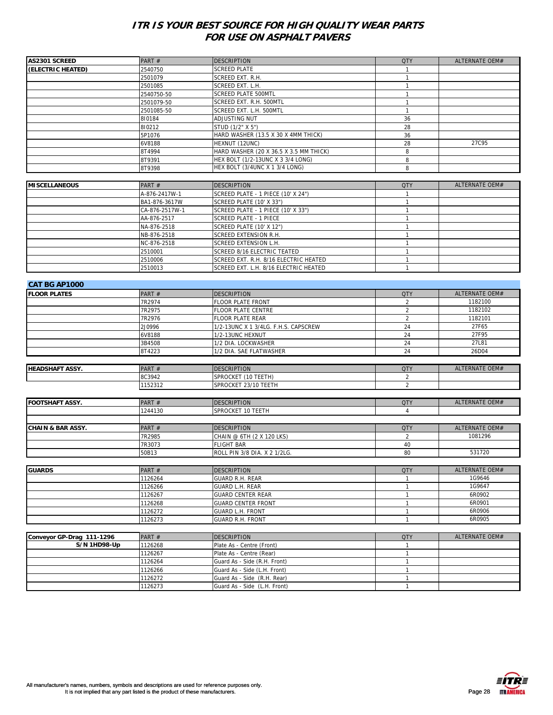| AS2301 SCREED                | PART#          | <b>DESCRIPTION</b>                     | <b>QTY</b>     | ALTERNATE OEM#        |
|------------------------------|----------------|----------------------------------------|----------------|-----------------------|
| (ELECTRIC HEATED)            | 2540750        | <b>SCREED PLATE</b>                    | -1             |                       |
|                              | 2501079        | SCREED EXT. R.H.                       | $\mathbf{1}$   |                       |
|                              | 2501085        | SCREED EXT. L.H.                       | $\mathbf{1}$   |                       |
|                              | 2540750-50     | <b>SCREED PLATE 500MTL</b>             | $\mathbf{1}$   |                       |
|                              | 2501079-50     | SCREED EXT. R.H. 500MTL                | $\mathbf{1}$   |                       |
|                              | 2501085-50     | SCREED EXT. L.H. 500MTL                | $\mathbf{1}$   |                       |
|                              | 810184         | ADJUSTING NUT                          | 36             |                       |
|                              | 810212         | STUD (1/2" X 5")                       | 28             |                       |
|                              | 5P1076         | HARD WASHER (13.5 X 30 X 4MM THICK)    | 36             |                       |
|                              | 6V8188         | HEXNUT (12UNC)                         | 28             | 27C95                 |
|                              | 8T4994         | HARD WASHER (20 X 36.5 X 3.5 MM THICK) | 8              |                       |
|                              | 8T9391         | HEX BOLT (1/2-13UNC X 3 3/4 LONG)      | 8              |                       |
|                              | 8T9398         | HEX BOLT (3/4UNC X 1 3/4 LONG)         | 8              |                       |
|                              |                |                                        |                |                       |
| <b>MISCELLANEOUS</b>         | PART#          | <b>DESCRIPTION</b>                     | <b>QTY</b>     | <b>ALTERNATE OEM#</b> |
|                              | A-876-2417W-1  | SCREED PLATE - 1 PIECE (10' X 24")     | $\mathbf{1}$   |                       |
|                              | BA1-876-3617W  | <b>SCREED PLATE (10' X 33")</b>        | $\mathbf{1}$   |                       |
|                              | CA-876-2517W-1 | SCREED PLATE - 1 PIECE (10' X 33")     | $\mathbf{1}$   |                       |
|                              | AA-876-2517    | SCREED PLATE - 1 PIECE                 | $\mathbf{1}$   |                       |
|                              | NA-876-2518    | SCREED PLATE (10' X 12")               | $\mathbf{1}$   |                       |
|                              | NB-876-2518    | SCREED EXTENSION R.H.                  | $\mathbf{1}$   |                       |
|                              | NC-876-2518    | SCREED EXTENSION L.H.                  | $\mathbf{1}$   |                       |
|                              | 2510001        | SCREED 8/16 ELECTRIC TEATED            | $\mathbf{1}$   |                       |
|                              | 2510006        | SCREED EXT. R.H. 8/16 ELECTRIC HEATED  | $\mathbf{1}$   |                       |
|                              | 2510013        | SCREED EXT. L.H. 8/16 ELECTRIC HEATED  | $\mathbf{1}$   |                       |
|                              |                |                                        |                |                       |
|                              |                |                                        |                |                       |
| <b>CAT BG AP1000</b>         |                |                                        |                |                       |
| <b>FLOOR PLATES</b>          | PART #         | <b>DESCRIPTION</b>                     | <b>QTY</b>     | ALTERNATE OEM#        |
|                              | 7R2974         | FLOOR PLATE FRONT                      | $\overline{2}$ | 1182100               |
|                              | 7R2975         | <b>FLOOR PLATE CENTRE</b>              | $\overline{2}$ | 1182102               |
|                              | 7R2976         | FLOOR PLATE REAR                       | $\overline{2}$ | 1182101               |
|                              | 2J0996         | 1/2-13UNC X 1 3/4LG. F.H.S. CAPSCREW   | 24             | 27F65                 |
|                              | 6V8188         | 1/2-13UNC HEXNUT                       | 24             | 27F95                 |
|                              | 3B4508         | 1/2 DIA. LOCKWASHER                    | 24             | 27L81                 |
|                              | 8T4223         | 1/2 DIA. SAE FLATWASHER                | 24             | 26D04                 |
|                              |                |                                        |                |                       |
| <b>HEADSHAFT ASSY.</b>       | PART #         | <b>DESCRIPTION</b>                     | <b>QTY</b>     | ALTERNATE OEM#        |
|                              | 8C3942         | SPROCKET (10 TEETH)                    | 2              |                       |
|                              | 1152312        | SPROCKET 23/10 TEETH                   | $\overline{2}$ |                       |
|                              |                |                                        |                |                       |
| <b>FOOTSHAFT ASSY.</b>       | PART#          | <b>DESCRIPTION</b>                     | <b>QTY</b>     | ALTERNATE OEM#        |
|                              | 1244130        | SPROCKET 10 TEETH                      | $\overline{4}$ |                       |
|                              |                |                                        |                |                       |
| <b>CHAIN &amp; BAR ASSY.</b> | PART#          | <b>DESCRIPTION</b>                     | <b>QTY</b>     | ALTERNATE OEM#        |
|                              | 7R2985         | CHAIN @ 6TH (2 X 120 LKS)              | 2              | 1081296               |
|                              | 7R3073         | <b>FLIGHT BAR</b>                      | 40             |                       |
|                              | 50B13          | ROLL PIN 3/8 DIA. X 2 1/2LG.           | 80             | 531720                |
|                              |                |                                        |                |                       |
| <b>GUARDS</b>                | PART#          | <b>DESCRIPTION</b>                     | <b>QTY</b>     | ALTERNATE OEM#        |
|                              | 1126264        | GUARD R.H. REAR                        | $\mathbf{1}$   | 1G9646                |
|                              | 1126266        | GUARD L.H. REAR                        | $\mathbf{1}$   | 1G9647                |
|                              | 1126267        | <b>GUARD CENTER REAR</b>               | $\mathbf{1}$   | 6R0902                |
|                              | 1126268        | <b>GUARD CENTER FRONT</b>              | $\mathbf{1}$   | 6R0901                |
|                              | 1126272        | <b>GUARD L.H. FRONT</b>                | $\mathbf{1}$   | 6R0906                |
|                              | 1126273        | <b>GUARD R.H. FRONT</b>                | $\mathbf{1}$   | 6R0905                |
|                              |                |                                        |                |                       |
| Conveyor GP-Drag 111-1296    | PART#          | <b>DESCRIPTION</b>                     | <b>QTY</b>     | ALTERNATE OEM#        |
| S/N 1HD98-Up                 | 1126268        | Plate As - Centre (Front)              | $\mathbf{1}$   |                       |
|                              | 1126267        | Plate As - Centre (Rear)               | $\mathbf{1}$   |                       |
|                              | 1126264        | Guard As - Side (R.H. Front)           | $\mathbf{1}$   |                       |
|                              | 1126266        | Guard As - Side (L.H. Front)           | $\mathbf{1}$   |                       |
|                              | 1126272        | Guard As - Side (R.H. Rear)            | $\mathbf{1}$   |                       |
|                              | 1126273        | Guard As - Side (L.H. Front)           | $\mathbf{1}$   |                       |
|                              |                |                                        |                |                       |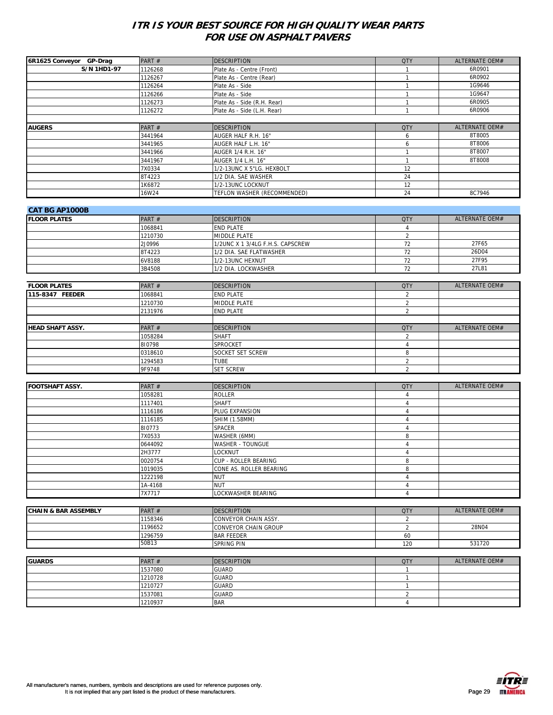| 6R1625 Conveyor GP-Drag         | PART#   | <b>DESCRIPTION</b>               | <b>QTY</b>     | ALTERNATE OEM# |
|---------------------------------|---------|----------------------------------|----------------|----------------|
| <b>S/N 1HD1-97</b>              | 1126268 | Plate As - Centre (Front)        | $\mathbf{1}$   | 6R0901         |
|                                 | 1126267 | Plate As - Centre (Rear)         | $\mathbf{1}$   | 6R0902         |
|                                 | 1126264 | Plate As - Side                  | $\mathbf{1}$   | 1G9646         |
|                                 | 1126266 | Plate As - Side                  | $\mathbf{1}$   | 1G9647         |
|                                 |         |                                  |                |                |
|                                 | 1126273 | Plate As - Side (R.H. Rear)      | $\mathbf{1}$   | 6R0905         |
|                                 | 1126272 | Plate As - Side (L.H. Rear)      | $\mathbf{1}$   | 6R0906         |
|                                 |         |                                  |                |                |
| <b>AUGERS</b>                   | PART#   | <b>DESCRIPTION</b>               | <b>QTY</b>     | ALTERNATE OEM# |
|                                 | 3441964 | AUGER HALF R.H. 16"              | 6              | 8T8005         |
|                                 | 3441965 | AUGER HALF L.H. 16"              | 6              | 8T8006         |
|                                 | 3441966 | AUGER 1/4 R.H. 16"               | $\mathbf{1}$   | 8T8007         |
|                                 | 3441967 | AUGER 1/4 L.H. 16"               | $\mathbf{1}$   | 8T8008         |
|                                 | 7X0334  | 1/2-13UNC X 5"LG. HEXBOLT        | 12             |                |
|                                 | 8T4223  | 1/2 DIA. SAE WASHER              | 24             |                |
|                                 |         |                                  |                |                |
|                                 | 1K6872  | 1/2-13UNC LOCKNUT                | 12             |                |
|                                 | 16W24   | TEFLON WASHER (RECOMMENDED)      | 24             | 8C7946         |
|                                 |         |                                  |                |                |
| <b>CAT BG AP1000B</b>           |         |                                  |                |                |
| <b>FLOOR PLATES</b>             | PART #  | <b>DESCRIPTION</b>               | <b>QTY</b>     | ALTERNATE OEM# |
|                                 | 1068841 | <b>END PLATE</b>                 | $\overline{4}$ |                |
|                                 | 1210730 | MIDDLE PLATE                     | $\overline{2}$ |                |
|                                 | 2J0996  |                                  | 72             | 27F65          |
|                                 |         | 1/2UNC X 1 3/4LG F.H.S. CAPSCREW |                | 26D04          |
|                                 | 8T4223  | 1/2 DIA. SAE FLATWASHER          | 72             |                |
|                                 | 6V8188  | 1/2-13UNC HEXNUT                 | 72             | 27F95          |
|                                 | 3B4508  | 1/2 DIA. LOCKWASHER              | 72             | 27L81          |
|                                 |         |                                  |                |                |
| <b>FLOOR PLATES</b>             | PART#   | <b>DESCRIPTION</b>               | <b>QTY</b>     | ALTERNATE OEM# |
| 115-8347 FEEDER                 | 1068841 | <b>END PLATE</b>                 | $\overline{a}$ |                |
|                                 | 1210730 | MIDDLE PLATE                     | $\overline{2}$ |                |
|                                 | 2131976 | END PLATE                        | $\overline{2}$ |                |
|                                 |         |                                  |                |                |
|                                 |         |                                  |                |                |
| <b>HEAD SHAFT ASSY.</b>         | PART#   | <b>DESCRIPTION</b>               | <b>QTY</b>     | ALTERNATE OEM# |
|                                 | 1058284 | <b>SHAFT</b>                     | $\overline{2}$ |                |
|                                 | 810798  | SPROCKET                         | $\overline{4}$ |                |
|                                 | 0318610 | SOCKET SET SCREW                 | 8              |                |
|                                 | 1294583 | <b>TUBE</b>                      | $\overline{a}$ |                |
|                                 | 9F9748  | SET SCREW                        | $\overline{2}$ |                |
|                                 |         |                                  |                |                |
| <b>FOOTSHAFT ASSY.</b>          | PART#   | <b>DESCRIPTION</b>               | <b>QTY</b>     | ALTERNATE OEM# |
|                                 |         |                                  |                |                |
|                                 | 1058281 | <b>ROLLER</b>                    | $\overline{4}$ |                |
|                                 | 1117401 | <b>SHAFT</b>                     | $\overline{4}$ |                |
|                                 | 1116186 | PLUG EXPANSION                   | $\overline{4}$ |                |
|                                 | 1116185 | SHIM (1.58MM)                    | $\overline{4}$ |                |
|                                 | 810773  | SPACER                           | $\overline{4}$ |                |
|                                 | 7X0533  | WASHER (6MM)                     | 8              |                |
|                                 | 0644092 | WASHER - TOUNGUE                 | $\overline{4}$ |                |
|                                 | 2H3777  | LOCKNUT                          | 4              |                |
|                                 | 0020754 | CUP - ROLLER BEARING             | 8              |                |
|                                 | 1019035 | CONE AS. ROLLER BEARING          | 8              |                |
|                                 | 1222198 | <b>NUT</b>                       | $\overline{4}$ |                |
|                                 | 1A-4168 | <b>NUT</b>                       | $\overline{4}$ |                |
|                                 |         |                                  |                |                |
|                                 | 7X7717  | LOCKWASHER BEARING               | $\overline{4}$ |                |
|                                 |         |                                  |                |                |
| <b>CHAIN &amp; BAR ASSEMBLY</b> | PART#   | <b>DESCRIPTION</b>               | <b>QTY</b>     | ALTERNATE OEM# |
|                                 | 1158346 | CONVEYOR CHAIN ASSY.             | $\overline{2}$ |                |
|                                 | 1196652 | CONVEYOR CHAIN GROUP             | $\overline{2}$ | 28N04          |
|                                 | 1296759 | <b>BAR FEEDER</b>                | 60             |                |
|                                 | 50B13   | SPRING PIN                       | 120            | 531720         |
|                                 |         |                                  |                |                |
| <b>GUARDS</b>                   | PART #  |                                  |                | ALTERNATE OEM# |
|                                 |         | <b>DESCRIPTION</b>               | <b>QTY</b>     |                |
|                                 | 1537080 | <b>GUARD</b>                     | $\mathbf{1}$   |                |
|                                 | 1210728 | <b>GUARD</b>                     | $\mathbf{1}$   |                |
|                                 | 1210727 | <b>GUARD</b>                     | $\mathbf{1}$   |                |
|                                 | 1537081 | <b>GUARD</b>                     | $\overline{a}$ |                |
|                                 | 1210937 | <b>BAR</b>                       | $\overline{4}$ |                |
|                                 |         |                                  |                |                |

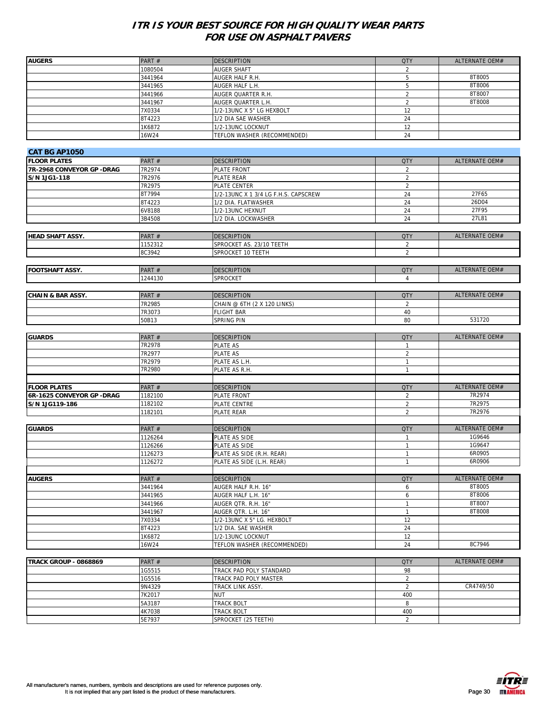| <b>AUGERS</b>                | PART#   | <b>DESCRIPTION</b>                         | <b>QTY</b>     | ALTERNATE OEM#        |
|------------------------------|---------|--------------------------------------------|----------------|-----------------------|
|                              | 1080504 | <b>AUGER SHAFT</b>                         | 2              |                       |
|                              | 3441964 | AUGER HALF R.H.                            | 5              | 8T8005                |
|                              | 3441965 | AUGER HALF L.H.                            | 5              | 8T8006                |
|                              | 3441966 | AUGER QUARTER R.H.                         | $\overline{2}$ | 8T8007                |
|                              |         |                                            |                |                       |
|                              | 3441967 | AUGER QUARTER L.H.                         | $\sqrt{2}$     | 8T8008                |
|                              | 7X0334  | 1/2-13UNC X 5" LG HEXBOLT                  | 12             |                       |
|                              | 8T4223  | 1/2 DIA SAE WASHER                         | 24             |                       |
|                              | 1K6872  | 1/2-13UNC LOCKNUT                          | 12             |                       |
|                              | 16W24   | TEFLON WASHER (RECOMMENDED)                | 24             |                       |
|                              |         |                                            |                |                       |
| <b>CAT BG AP1050</b>         |         |                                            |                |                       |
| <b>FLOOR PLATES</b>          | PART#   | <b>DESCRIPTION</b>                         | <b>QTY</b>     | ALTERNATE OEM#        |
| 7R-2968 CONVEYOR GP - DRAG   | 7R2974  | PLATE FRONT                                | $\overline{2}$ |                       |
| S/N 1JG1-118                 | 7R2976  | PLATE REAR                                 | $\overline{2}$ |                       |
|                              | 7R2975  |                                            | $\overline{2}$ |                       |
|                              |         | PLATE CENTER                               |                |                       |
|                              | 8T7994  | 1/2-13UNC X 1 3/4 LG F.H.S. CAPSCREW       | 24             | 27F65                 |
|                              | 8T4223  | 1/2 DIA. FLATWASHER                        | 24             | 26D04                 |
|                              | 6V8188  | 1/2-13UNC HEXNUT                           | 24             | 27F95                 |
|                              | 3B4508  | 1/2 DIA. LOCKWASHER                        | 24             | 27L81                 |
|                              |         |                                            |                |                       |
| <b>HEAD SHAFT ASSY.</b>      | PART#   | <b>DESCRIPTION</b>                         | <b>QTY</b>     | ALTERNATE OEM#        |
|                              | 1152312 | SPROCKET AS. 23/10 TEETH                   | $\overline{2}$ |                       |
|                              | 8C3942  | SPROCKET 10 TEETH                          | $\overline{2}$ |                       |
|                              |         |                                            |                |                       |
|                              |         |                                            |                |                       |
| <b>FOOTSHAFT ASSY.</b>       | PART#   | <b>DESCRIPTION</b>                         | <b>QTY</b>     | ALTERNATE OEM#        |
|                              | 1244130 | <b>SPROCKET</b>                            | $\overline{4}$ |                       |
|                              |         |                                            |                |                       |
| <b>CHAIN &amp; BAR ASSY.</b> | PART#   | <b>DESCRIPTION</b>                         | <b>QTY</b>     | <b>ALTERNATE OEM#</b> |
|                              | 7R2985  | CHAIN @ 6TH (2 X 120 LINKS)                | 2              |                       |
|                              | 7R3073  | <b>FLIGHT BAR</b>                          | 40             |                       |
|                              | 50B13   | SPRING PIN                                 | 80             | 531720                |
|                              |         |                                            |                |                       |
| <b>GUARDS</b>                | PART#   | <b>DESCRIPTION</b>                         | <b>QTY</b>     | ALTERNATE OEM#        |
|                              | 7R2978  | PLATE AS                                   | $\mathbf{1}$   |                       |
|                              |         |                                            | $\overline{2}$ |                       |
|                              | 7R2977  | PLATE AS                                   |                |                       |
|                              | 7R2979  | PLATE AS L.H.                              | $\mathbf{1}$   |                       |
|                              | 7R2980  | PLATE AS R.H.                              | $\mathbf{1}$   |                       |
|                              |         |                                            |                |                       |
| <b>FLOOR PLATES</b>          | PART #  | <b>DESCRIPTION</b>                         | <b>QTY</b>     | ALTERNATE OEM#        |
| 6R-1625 CONVEYOR GP - DRAG   | 1182100 | PLATE FRONT                                | $\overline{2}$ | 7R2974                |
| S/N 1JG119-186               | 1182102 | PLATE CENTRE                               | $\overline{2}$ | 7R2975                |
|                              | 1182101 | <b>PLATE REAR</b>                          | $\overline{2}$ | 7R2976                |
|                              |         |                                            |                |                       |
| <b>GUARDS</b>                | PART#   | <b>DESCRIPTION</b>                         | <b>QTY</b>     | ALTERNATE OEM#        |
|                              | 1126264 | PLATE AS SIDE                              | 1              | 1G9646                |
|                              | 1126266 |                                            | $\mathbf{1}$   | 1G9647                |
|                              |         | PLATE AS SIDE<br>PLATE AS SIDE (R.H. REAR) | $\mathbf{1}$   | 6R0905                |
|                              | 1126273 |                                            |                |                       |
|                              | 1126272 | PLATE AS SIDE (L.H. REAR)                  | $\mathbf{1}$   | 6R0906                |
|                              |         |                                            |                |                       |
| <b>AUGERS</b>                | PART#   | <b>DESCRIPTION</b>                         | <b>QTY</b>     | ALTERNATE OEM#        |
|                              | 3441964 | AUGER HALF R.H. 16"                        | 6              | 8T8005                |
|                              | 3441965 | AUGER HALF L.H. 16"                        | 6              | 8T8006                |
|                              | 3441966 | AUGER QTR. R.H. 16"                        | $\mathbf{1}$   | 8T8007                |
|                              | 3441967 | AUGER QTR. L.H. 16"                        | $\mathbf{1}$   | 8T8008                |
|                              | 7X0334  | 1/2-13UNC X 5" LG. HEXBOLT                 | 12             |                       |
|                              | 8T4223  | 1/2 DIA. SAE WASHER                        | 24             |                       |
|                              | 1K6872  | 1/2-13UNC LOCKNUT                          | 12             |                       |
|                              | 16W24   | TEFLON WASHER (RECOMMENDED)                | 24             | 8C7946                |
|                              |         |                                            |                |                       |
|                              |         |                                            |                |                       |
| <b>TRACK GROUP - 0868869</b> | PART#   | <b>DESCRIPTION</b>                         | <b>QTY</b>     | ALTERNATE OEM#        |
|                              | 1G5515  | TRACK PAD POLY STANDARD                    | 98             |                       |
|                              | 1G5516  | TRACK PAD POLY MASTER                      | $\overline{2}$ |                       |
|                              | 9N4329  | TRACK LINK ASSY.                           | $\overline{2}$ | CR4749/50             |
|                              | 7K2017  | <b>NUT</b>                                 | 400            |                       |
|                              | 5A3187  | TRACK BOLT                                 | 8              |                       |
|                              | 4K7038  | TRACK BOLT                                 | 400            |                       |
|                              | 5E7937  | SPROCKET (25 TEETH)                        | $\overline{2}$ |                       |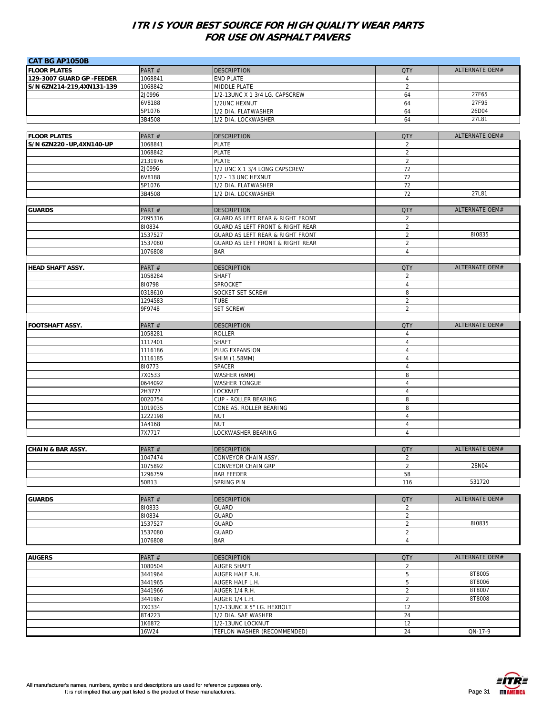| <b>CAT BG AP1050B</b>                            |                    |                                                 |                                  |                       |
|--------------------------------------------------|--------------------|-------------------------------------------------|----------------------------------|-----------------------|
| <b>FLOOR PLATES</b>                              | PART#              | <b>DESCRIPTION</b>                              | <b>QTY</b>                       | ALTERNATE OEM#        |
| 129-3007 GUARD GP -FEEDER                        | 1068841            | <b>END PLATE</b>                                | $\overline{4}$                   |                       |
| S/N 6ZN214-219,4XN131-139                        | 1068842            | MIDDLE PLATE                                    | $\overline{2}$                   |                       |
|                                                  | 2J0996             | 1/2-13UNC X 1 3/4 LG. CAPSCREW                  | 64                               | 27F65                 |
|                                                  | 6V8188             | 1/2UNC HEXNUT                                   | 64                               | 27F95                 |
|                                                  | 5P1076             | 1/2 DIA. FLATWASHER                             | 64                               | 26D04                 |
|                                                  | 3B4508             | 1/2 DIA. LOCKWASHER                             | 64                               | 27L81                 |
|                                                  |                    |                                                 |                                  | ALTERNATE OEM#        |
| <b>FLOOR PLATES</b><br>S/N 6ZN220 - UP,4XN140-UP | PART #<br>1068841  | <b>DESCRIPTION</b><br><b>PLATE</b>              | <b>QTY</b><br>$\overline{2}$     |                       |
|                                                  | 1068842            | <b>PLATE</b>                                    | $\sqrt{2}$                       |                       |
|                                                  | 2131976            | <b>PLATE</b>                                    | $\overline{2}$                   |                       |
|                                                  | 2J0996             | 1/2 UNC X 1 3/4 LONG CAPSCREW                   | 72                               |                       |
|                                                  | 6V8188             | 1/2 - 13 UNC HEXNUT                             | 72                               |                       |
|                                                  | 5P1076             | 1/2 DIA. FLATWASHER                             | 72                               |                       |
|                                                  | 3B4508             | 1/2 DIA. LOCKWASHER                             | 72                               | 27L81                 |
|                                                  |                    |                                                 |                                  |                       |
| <b>GUARDS</b>                                    | PART#              | <b>DESCRIPTION</b>                              | <b>QTY</b>                       | ALTERNATE OEM#        |
|                                                  | 2095316            | GUARD AS LEFT REAR & RIGHT FRONT                | 2                                |                       |
|                                                  | 810834             | GUARD AS LEFT FRONT & RIGHT REAR                | $\overline{2}$                   |                       |
|                                                  | 1537527            | GUARD AS LEFT REAR & RIGHT FRONT                | $\overline{2}$                   | 810835                |
|                                                  | 1537080            | <b>GUARD AS LEFT FRONT &amp; RIGHT REAR</b>     | $\sqrt{2}$                       |                       |
|                                                  | 1076808            | <b>BAR</b>                                      | $\overline{4}$                   |                       |
|                                                  |                    |                                                 |                                  |                       |
| <b>HEAD SHAFT ASSY.</b>                          | PART #             | <b>DESCRIPTION</b>                              | <b>QTY</b>                       | <b>ALTERNATE OEM#</b> |
|                                                  | 1058284<br>810798  | <b>SHAFT</b><br>SPROCKET                        | 2<br>$\overline{4}$              |                       |
|                                                  | 0318610            | SOCKET SET SCREW                                | 8                                |                       |
|                                                  | 1294583            | <b>TUBE</b>                                     | $\overline{2}$                   |                       |
|                                                  | 9F9748             | <b>SET SCREW</b>                                | $\overline{2}$                   |                       |
|                                                  |                    |                                                 |                                  |                       |
| <b>FOOTSHAFT ASSY.</b>                           | PART#              | <b>DESCRIPTION</b>                              | <b>QTY</b>                       | ALTERNATE OEM#        |
|                                                  | 1058281            | <b>ROLLER</b>                                   | $\overline{4}$                   |                       |
|                                                  | 1117401            | <b>SHAFT</b>                                    | $\overline{4}$                   |                       |
|                                                  | 1116186            | PLUG EXPANSION                                  | $\overline{4}$                   |                       |
|                                                  | 1116185            | SHIM (1.58MM)                                   | $\overline{4}$                   |                       |
|                                                  | 810773             | SPACER                                          | $\sqrt{4}$                       |                       |
|                                                  | 7X0533             | WASHER (6MM)                                    | 8                                |                       |
|                                                  | 0644092            | <b>WASHER TONGUE</b>                            | $\overline{4}$                   |                       |
|                                                  | 2H3777             | LOCKNUT                                         | $\overline{\mathbf{4}}$          |                       |
|                                                  | 0020754            | CUP - ROLLER BEARING<br>CONE AS. ROLLER BEARING | 8<br>8                           |                       |
|                                                  | 1019035<br>1222198 | <b>NUT</b>                                      | $\overline{4}$                   |                       |
|                                                  | 1A4168             | <b>NUT</b>                                      | $\overline{4}$                   |                       |
|                                                  | 7X7717             | LOCKWASHER BEARING                              | $\overline{4}$                   |                       |
|                                                  |                    |                                                 |                                  |                       |
| <b>CHAIN &amp; BAR ASSY.</b>                     | PART#              | <b>DESCRIPTION</b>                              | <b>QTY</b>                       | ALTERNATE OEM#        |
|                                                  | 1047474            | <b>CONVEYOR CHAIN ASSY.</b>                     | 2                                |                       |
|                                                  | 1075892            | CONVEYOR CHAIN GRP                              | $\overline{2}$                   | 28N04                 |
|                                                  | 1296759            | <b>BAR FEEDER</b>                               | 58                               |                       |
|                                                  | 50B13              | <b>SPRING PIN</b>                               | 116                              | 531720                |
|                                                  |                    |                                                 |                                  |                       |
| <b>GUARDS</b>                                    | PART #             | <b>DESCRIPTION</b>                              | <b>QTY</b>                       | <b>ALTERNATE OEM#</b> |
|                                                  | 810833             | <b>GUARD</b>                                    | $\overline{2}$                   |                       |
|                                                  | 810834             | <b>GUARD</b>                                    | $\overline{2}$                   |                       |
|                                                  | 1537527            | <b>GUARD</b>                                    | $\overline{2}$                   | 810835                |
|                                                  | 1537080<br>1076808 | <b>GUARD</b><br><b>BAR</b>                      | $\overline{2}$<br>$\overline{4}$ |                       |
|                                                  |                    |                                                 |                                  |                       |
| <b>AUGERS</b>                                    | PART#              | <b>DESCRIPTION</b>                              | <b>QTY</b>                       | ALTERNATE OEM#        |
|                                                  | 1080504            | <b>AUGER SHAFT</b>                              | $\overline{2}$                   |                       |
|                                                  | 3441964            | AUGER HALF R.H.                                 | $\sqrt{5}$                       | 8T8005                |
|                                                  | 3441965            | AUGER HALF L.H.                                 | 5                                | 8T8006                |
|                                                  | 3441966            | AUGER 1/4 R.H.                                  | $\sqrt{2}$                       | 8T8007                |
|                                                  | 3441967            | AUGER 1/4 L.H.                                  | $\sqrt{2}$                       | 8T8008                |
|                                                  | 7X0334             | 1/2-13UNC X 5" LG. HEXBOLT                      | 12                               |                       |
|                                                  | 8T4223             | 1/2 DIA. SAE WASHER                             | 24                               |                       |
|                                                  | 1K6872             | 1/2-13UNC LOCKNUT                               | 12                               |                       |
|                                                  | 16W24              | TEFLON WASHER (RECOMMENDED)                     | 24                               | QN-17-9               |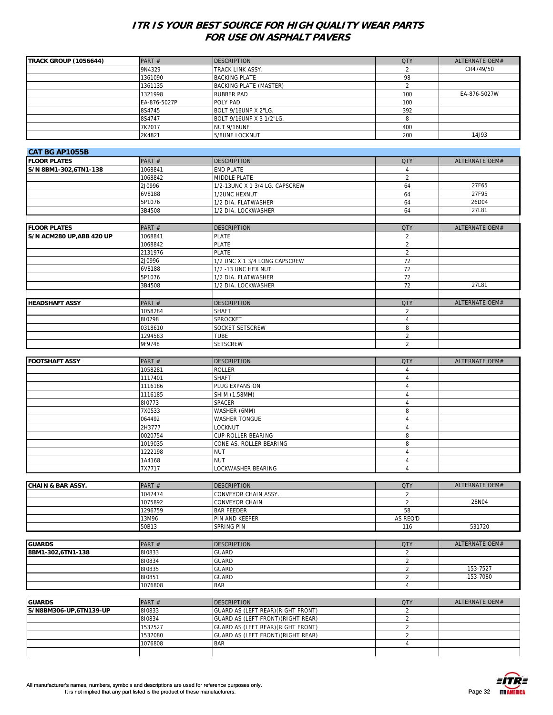| <b>TRACK GROUP (1056644)</b> | PART $#$     | <b>DESCRIPTION</b>       | <b>QTY</b> | ALTERNATE OEM# |
|------------------------------|--------------|--------------------------|------------|----------------|
|                              | 9N4329       | TRACK LINK ASSY.         |            | CR4749/50      |
|                              | 1361090      | <b>BACKING PLATE</b>     | 98         |                |
|                              | 1361135      | BACKING PLATE (MASTER)   |            |                |
|                              | 1321998      | <b>RUBBER PAD</b>        | 100        | EA-876-5027W   |
|                              | EA-876-5027P | POLY PAD                 | 100        |                |
|                              | 8S4745       | BOLT 9/16UNF X 2"LG.     | 392        |                |
|                              | 8S4747       | BOLT 9/16UNF X 3 1/2"LG. |            |                |
|                              | 7K2017       | NUT 9/16UNF              | 400        |                |
|                              | 2K4821       | 5/8UNF LOCKNUT           | 200        | 14J93          |

| <b>CAT BG AP1055B</b>    |         |                                |                |                       |
|--------------------------|---------|--------------------------------|----------------|-----------------------|
| <b>FLOOR PLATES</b>      | PART#   | <b>DESCRIPTION</b>             | QTY            | ALTERNATE OEM#        |
| S/N 8BM1-302,6TN1-138    | 1068841 | <b>END PLATE</b>               |                |                       |
|                          | 1068842 | MIDDLE PLATE                   | $\overline{2}$ |                       |
|                          | 2J0996  | 1/2-13UNC X 1 3/4 LG. CAPSCREW | 64             | 27F65                 |
|                          | 6V8188  | 1/2UNC HEXNUT                  | 64             | 27F95                 |
|                          | 5P1076  | 1/2 DIA. FLATWASHER            | 64             | 26D04                 |
|                          | 3B4508  | 1/2 DIA. LOCKWASHER            | 64             | 27L81                 |
|                          |         |                                |                |                       |
| <b>FLOOR PLATES</b>      | PART#   | <b>DESCRIPTION</b>             | <b>QTY</b>     | <b>ALTERNATE OEM#</b> |
| S/N ACM280 UP,ABB 420 UP | 1068841 | <b>PLATE</b>                   | $\overline{2}$ |                       |
|                          | 1068842 | <b>PLATE</b>                   | $\overline{2}$ |                       |
|                          | 2131976 | <b>PLATE</b>                   | $\overline{2}$ |                       |
|                          | 2J0996  | 1/2 UNC X 1 3/4 LONG CAPSCREW  | 72             |                       |
|                          | 6V8188  | 1/2 - 13 UNC HEX NUT           | 72             |                       |
|                          | 5P1076  | 1/2 DIA. FLATWASHER            | 72             |                       |
|                          | 3B4508  | 1/2 DIA. LOCKWASHER            | 72             | 27L81                 |
|                          |         |                                |                |                       |
| <b>HEADSHAFT ASSY</b>    | PART#   | <b>DESCRIPTION</b>             | QTY            | ALTERNATE OEM#        |
|                          | 1058284 | <b>SHAFT</b>                   | $\overline{2}$ |                       |
|                          | 810798  | <b>SPROCKET</b>                | 4              |                       |
|                          | 0318610 | <b>SOCKET SETSCREW</b>         | 8              |                       |
|                          | 1294583 | TUBE                           | $\overline{2}$ |                       |
|                          | 9F9748  | <b>SETSCREW</b>                | $\overline{2}$ |                       |

| <b>FOOTSHAFT ASSY</b> | PART#   | <b>DESCRIPTION</b>        | <b>QTY</b> | ALTERNATE OEM# |
|-----------------------|---------|---------------------------|------------|----------------|
|                       | 1058281 | <b>ROLLER</b>             |            |                |
|                       | 1117401 | <b>SHAFT</b>              |            |                |
|                       | 1116186 | PLUG EXPANSION            |            |                |
|                       | 1116185 | SHIM (1.58MM)             |            |                |
|                       | 810773  | <b>SPACER</b>             |            |                |
|                       | 7X0533  | WASHER (6MM)              | 8          |                |
|                       | 064492  | <b>WASHER TONGUE</b>      |            |                |
|                       | 2H3777  | LOCKNUT                   |            |                |
|                       | 0020754 | <b>CUP-ROLLER BEARING</b> |            |                |
|                       | 1019035 | CONE AS. ROLLER BEARING   | я          |                |
|                       | 1222198 | <b>NUT</b>                |            |                |
|                       | 1A4168  | <b>NUT</b>                |            |                |
|                       | 7X7717  | LOCKWASHER BEARING        |            |                |

| CHAIN & BAR ASSY. | PART $#$ | <b>IDESCRIPTION</b>         | <b>QTY</b> | ALTERNATE OEM# |
|-------------------|----------|-----------------------------|------------|----------------|
|                   | 1047474  | <b>CONVEYOR CHAIN ASSY.</b> |            |                |
|                   | 1075892  | <b>CONVEYOR CHAIN</b>       |            | 28N04          |
|                   | 1296759  | <b>BAR FEEDER</b>           | 58         |                |
|                   | 13M96    | <b>IPIN AND KEEPER</b>      | AS REQ'D   |                |
|                   | 50B13    | <b>SPRING PIN</b>           | 116        | 531720         |

|                   |          |                     |            | ALTERNATE OEM# |
|-------------------|----------|---------------------|------------|----------------|
| <b>GUARDS</b>     | PART $#$ | <b>IDESCRIPTION</b> | <b>QTY</b> |                |
| 8BM1-302,6TN1-138 | 810833   | <b>GUARD</b>        |            |                |
|                   | 810834   | <b>GUARD</b>        |            |                |
|                   | 810835   | <b>GUARD</b>        |            | 153-7527       |
|                   | 810851   | <b>GUARD</b>        |            | 153-7080       |
|                   | 1076808  | <b>BAR</b>          |            |                |

| <b>GUARDS</b>          | PART $#$ | <b>IDESCRIPTION</b>                | OTY | ALTERNATE OEM# |
|------------------------|----------|------------------------------------|-----|----------------|
| S/N8BM306-UP,6TN139-UP | 810833   | GUARD AS (LEFT REAR) (RIGHT FRONT) |     |                |
|                        | 810834   | GUARD AS (LEFT FRONT) (RIGHT REAR) |     |                |
|                        | 1537527  | GUARD AS (LEFT REAR) (RIGHT FRONT) |     |                |
|                        | 1537080  | GUARD AS (LEFT FRONT) (RIGHT REAR) |     |                |
|                        | 1076808  | <b>BAR</b>                         |     |                |
|                        |          |                                    |     |                |

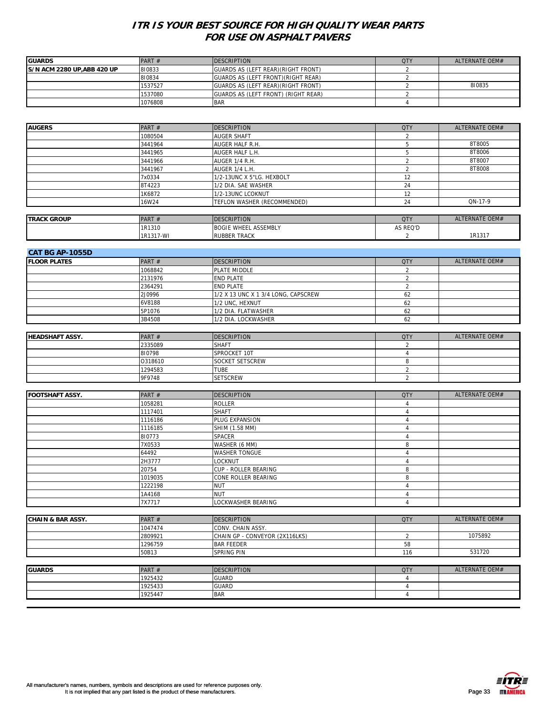| <b>GUARDS</b>               | PART $#$ | <b>IDESCRIPTION</b>                 | OTY | ALTERNATE OEM# |
|-----------------------------|----------|-------------------------------------|-----|----------------|
| IS/N ACM 2280 UP.ABB 420 UP | 810833   | GUARDS AS (LEFT REAR) (RIGHT FRONT) |     |                |
|                             | 810834   | GUARDS AS (LEFT FRONT) (RIGHT REAR) |     |                |
|                             | 1537527  | GUARDS AS (LEFT REAR) (RIGHT FRONT) |     | 810835         |
|                             | 1537080  | GUARDS AS (LEFT FRONT) (RIGHT REAR) |     |                |
|                             | 1076808  | <b>BAR</b>                          |     |                |

| <b>AUGERS</b>      | PART#    | <b>DESCRIPTION</b>          | <b>QTY</b> | ALTERNATE OEM# |
|--------------------|----------|-----------------------------|------------|----------------|
|                    | 1080504  | <b>AUGER SHAFT</b>          |            |                |
|                    | 3441964  | <b>AUGER HALF R.H.</b>      |            | 8T8005         |
|                    | 3441965  | AUGER HALF L.H.             |            | 8T8006         |
|                    | 3441966  | AUGER 1/4 R.H.              |            | 8T8007         |
|                    | 3441967  | AUGER 1/4 L.H.              |            | 8T8008         |
|                    | 7x0334   | 1/2-13UNC X 5"LG. HEXBOLT   | 12         |                |
|                    | 8T4223   | 1/2 DIA. SAE WASHER         | 24         |                |
|                    | 1K6872   | 1/2-13UNC LCOKNUT           | 12         |                |
|                    | 16W24    | TEFLON WASHER (RECOMMENDED) | 24         | ON-17-9        |
|                    |          |                             |            |                |
| <b>TRACK GROUP</b> | PART $#$ | <b>IDESCRIPTION</b>         | <b>OTY</b> | ALTERNATE OEM# |

| <b>TRACK GROUP</b> | <b>PART</b> | CRIPTION                                       | $\cap T$ | ALTERNATE OEM# |
|--------------------|-------------|------------------------------------------------|----------|----------------|
|                    | 1R1310      | <b>ASSEMBLY</b><br><b>BOGIE WHEEL</b><br>71 A. | AS REQ'D |                |
|                    | 1R1317-WI   | <b>RUBBER TRACK</b>                            |          | 1R1317         |
|                    |             |                                                |          |                |

| <b>CAT BG AP-1055D</b> |          |                                     |            |                |  |
|------------------------|----------|-------------------------------------|------------|----------------|--|
| <b>IFLOOR PLATES</b>   | PART $#$ | <b>DESCRIPTION</b>                  | <b>QTY</b> | ALTERNATE OEM# |  |
|                        | 1068842  | PLATE MIDDLE                        |            |                |  |
|                        | 2131976  | <b>END PLATE</b>                    |            |                |  |
|                        | 2364291  | <b>END PLATE</b>                    |            |                |  |
|                        | 2J0996   | 1/2 X 13 UNC X 1 3/4 LONG, CAPSCREW | 62         |                |  |
|                        | 6V8188   | 1/2 UNC, HEXNUT                     | 62         |                |  |
|                        | 5P1076   | 1/2 DIA. FLATWASHER                 | 62         |                |  |
|                        | 3B4508   | 1/2 DIA. LOCKWASHER                 | 62         |                |  |

| <b>HEADSHAFT ASSY.</b> | PART $#$ | <b>DESCRIPTION</b>     | <b>QTY</b> | ALTERNATE OEM# |
|------------------------|----------|------------------------|------------|----------------|
|                        | 2335089  | <b>SHAFT</b>           |            |                |
|                        | 810798   | SPROCKET 10T           |            |                |
|                        | 0318610  | <b>SOCKET SETSCREW</b> |            |                |
|                        | 1294583  | TUBE                   |            |                |
|                        | 9F9748   | <b>SETSCREW</b>        |            |                |

| <b>FOOTSHAFT ASSY.</b> | PART #  | <b>DESCRIPTION</b>        | <b>QTY</b> | ALTERNATE OEM# |
|------------------------|---------|---------------------------|------------|----------------|
|                        | 1058281 | <b>ROLLER</b>             |            |                |
|                        | 1117401 | <b>SHAFT</b>              |            |                |
|                        | 1116186 | PLUG EXPANSION            |            |                |
|                        | 1116185 | SHIM (1.58 MM)            |            |                |
|                        | 810773  | <b>SPACER</b>             |            |                |
|                        | 7X0533  | WASHER (6 MM)             |            |                |
|                        | 64492   | <b>WASHER TONGUE</b>      |            |                |
|                        | 2H3777  | <b>LOCKNUT</b>            |            |                |
|                        | 20754   | CUP - ROLLER BEARING      |            |                |
|                        | 1019035 | CONE ROLLER BEARING       |            |                |
|                        | 1222198 | <b>NUT</b>                |            |                |
|                        | 1A4168  | <b>NUT</b>                |            |                |
|                        | 7X7717  | <b>LOCKWASHER BEARING</b> |            |                |

| .                            | -----    | -------------                  | <b>Contract of the Contract of the Contract of the Contract of the Contract of the Contract of the Contract of the Contract of the Contract of the Contract of the Contract of the Contract of The Contract of The Contract of T</b> | 1.777311777777111 |
|------------------------------|----------|--------------------------------|--------------------------------------------------------------------------------------------------------------------------------------------------------------------------------------------------------------------------------------|-------------------|
|                              |          |                                |                                                                                                                                                                                                                                      |                   |
|                              | 50B13    | <b>ISPRING PIN</b>             | 116                                                                                                                                                                                                                                  | 531720            |
|                              | 1296759  | <b>BAR FEEDER</b>              | 58                                                                                                                                                                                                                                   |                   |
|                              | 2809921  | CHAIN GP - CONVEYOR (2X116LKS) |                                                                                                                                                                                                                                      | 1075892           |
|                              | 1047474  | <b>CONV. CHAIN ASSY.</b>       |                                                                                                                                                                                                                                      |                   |
| <b>CHAIN &amp; BAR ASSY.</b> | PART $#$ | <b>IDESCRIPTION</b>            | <b>QTY</b>                                                                                                                                                                                                                           | ALTERNATE OEM#    |

| <b>GUARDS</b> | PART#   | <b>DESCRIPTION</b> | <b>QTY</b> | ALTERNATE OEM# |
|---------------|---------|--------------------|------------|----------------|
|               | 1925432 | <b>GUARD</b>       |            |                |
|               | 1925433 | <b>GUARD</b>       |            |                |
|               | 1925447 | <b>BAR</b>         |            |                |
|               |         |                    |            |                |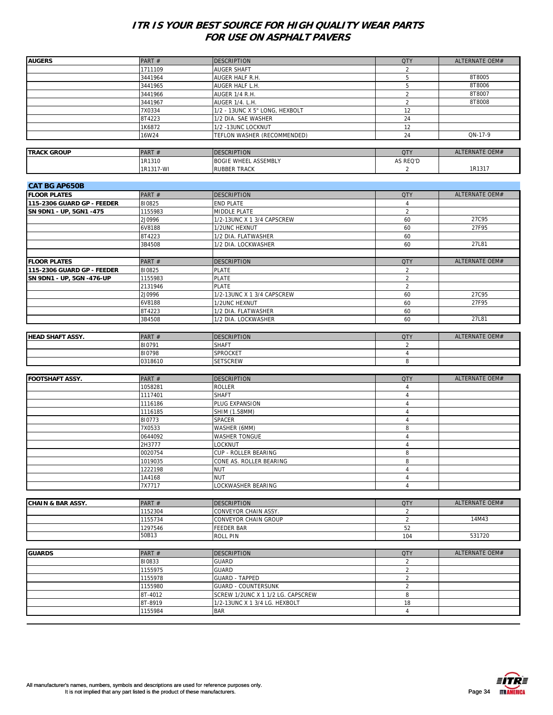| <b>AUGERS</b>                | PART#     | <b>DESCRIPTION</b>                | <b>QTY</b>     | ALTERNATE OEM# |
|------------------------------|-----------|-----------------------------------|----------------|----------------|
|                              | 1711109   | AUGER SHAFT                       | 2              |                |
|                              | 3441964   | AUGER HALF R.H.                   | 5              | 8T8005         |
|                              | 3441965   | AUGER HALF L.H.                   | 5              | 8T8006         |
|                              | 3441966   | AUGER 1/4 R.H.                    | $\overline{2}$ | 8T8007         |
|                              | 3441967   | AUGER 1/4. L.H.                   | $\overline{2}$ | 8T8008         |
|                              | 7X0334    | 1/2 - 13UNC X 5" LONG, HEXBOLT    | 12             |                |
|                              | 8T4223    | 1/2 DIA. SAE WASHER               | 24             |                |
|                              |           |                                   |                |                |
|                              | 1K6872    | 1/2 -13UNC LOCKNUT                | 12             |                |
|                              | 16W24     | TEFLON WASHER (RECOMMENDED)       | 24             | QN-17-9        |
|                              |           |                                   |                |                |
| <b>TRACK GROUP</b>           | PART#     | <b>DESCRIPTION</b>                | <b>QTY</b>     | ALTERNATE OEM# |
|                              | 1R1310    | <b>BOGIE WHEEL ASSEMBLY</b>       | AS REQ'D       |                |
|                              | 1R1317-WI | RUBBER TRACK                      | $\overline{2}$ | 1R1317         |
|                              |           |                                   |                |                |
| <b>CAT BG AP650B</b>         |           |                                   |                |                |
| <b>FLOOR PLATES</b>          | PART #    | <b>DESCRIPTION</b>                | <b>QTY</b>     | ALTERNATE OEM# |
| 115-2306 GUARD GP - FEEDER   | 810825    | END PLATE                         | 4              |                |
|                              |           |                                   |                |                |
| SN 9DN1 - UP, 5GN1 -475      | 1155983   | MIDDLE PLATE                      | $\overline{2}$ |                |
|                              | 2J0996    | 1/2-13UNC X 1 3/4 CAPSCREW        | 60             | 27C95          |
|                              | 6V8188    | 1/2UNC HEXNUT                     | 60             | 27F95          |
|                              | 8T4223    | 1/2 DIA. FLATWASHER               | 60             |                |
|                              | 3B4508    | 1/2 DIA. LOCKWASHER               | 60             | 27L81          |
|                              |           |                                   |                |                |
| <b>FLOOR PLATES</b>          | PART#     | <b>DESCRIPTION</b>                | <b>QTY</b>     | ALTERNATE OEM# |
| 115-2306 GUARD GP - FEEDER   | 810825    | <b>PLATE</b>                      | 2              |                |
| SN 9DN1 - UP, 5GN -476-UP    | 1155983   | <b>PLATE</b>                      | $\overline{2}$ |                |
|                              |           | <b>PLATE</b>                      | $\overline{2}$ |                |
|                              | 2131946   |                                   |                |                |
|                              | 2J0996    | 1/2-13UNC X 1 3/4 CAPSCREW        | 60             | 27C95          |
|                              | 6V8188    | 1/2UNC HEXNUT                     | 60             | 27F95          |
|                              | 8T4223    | 1/2 DIA. FLATWASHER               | 60             |                |
|                              | 3B4508    | 1/2 DIA. LOCKWASHER               | 60             | 27L81          |
|                              |           |                                   |                |                |
| <b>HEAD SHAFT ASSY.</b>      | PART#     | <b>DESCRIPTION</b>                | <b>QTY</b>     | ALTERNATE OEM# |
|                              | 810791    | SHAFT                             | 2              |                |
|                              | 810798    | SPROCKET                          | $\overline{4}$ |                |
|                              | 0318610   | <b>SETSCREW</b>                   | 8              |                |
|                              |           |                                   |                |                |
|                              |           |                                   |                |                |
| FOOTSHAFT ASSY.              | PART#     | <b>DESCRIPTION</b>                | <b>QTY</b>     | ALTERNATE OEM# |
|                              | 1058281   | <b>ROLLER</b>                     | $\overline{4}$ |                |
|                              | 1117401   | <b>SHAFT</b>                      | $\overline{4}$ |                |
|                              | 1116186   | PLUG EXPANSION                    | $\overline{4}$ |                |
|                              | 1116185   | SHIM (1.58MM)                     | $\overline{4}$ |                |
|                              | 810773    | SPACER                            | $\sqrt{4}$     |                |
|                              | 7X0533    | WASHER (6MM)                      | 8              |                |
|                              | 0644092   | <b>WASHER TONGUE</b>              | $\sqrt{4}$     |                |
|                              | 2H3777    | LOCKNUT                           | $\overline{4}$ |                |
|                              | 0020754   | CUP - ROLLER BEARING              | 8              |                |
|                              | 1019035   | CONE AS. ROLLER BEARING           | 8              |                |
|                              | 1222198   | NUT                               | $\overline{4}$ |                |
|                              | 1A4168    | <b>NUT</b>                        | $\overline{4}$ |                |
|                              |           |                                   |                |                |
|                              | 7X7717    | LOCKWASHER BEARING                | $\overline{4}$ |                |
|                              |           |                                   |                |                |
| <b>CHAIN &amp; BAR ASSY.</b> | PART#     | <b>DESCRIPTION</b>                | <b>QTY</b>     | ALTERNATE OEM# |
|                              | 1152304   | CONVEYOR CHAIN ASSY.              | $\overline{2}$ |                |
|                              | 1155734   | CONVEYOR CHAIN GROUP              | $\overline{2}$ | 14M43          |
|                              | 1297546   | <b>FEEDER BAR</b>                 | 52             |                |
|                              | 50B13     | ROLL PIN                          | 104            | 531720         |
|                              |           |                                   |                |                |
| <b>GUARDS</b>                | PART#     | <b>DESCRIPTION</b>                | <b>QTY</b>     | ALTERNATE OEM# |
|                              |           |                                   |                |                |
|                              | 810833    | GUARD                             | $\overline{2}$ |                |
|                              | 1155975   | <b>GUARD</b>                      | $\overline{2}$ |                |
|                              | 1155978   | GUARD - TAPPED                    | $\overline{2}$ |                |
|                              | 1155980   | <b>GUARD - COUNTERSUNK</b>        | $\overline{2}$ |                |
|                              | 8T-4012   | SCREW 1/2UNC X 1 1/2 LG. CAPSCREW | 8              |                |
|                              | 8T-8919   | 1/2-13UNC X 1 3/4 LG. HEXBOLT     | 18             |                |
|                              | 1155984   | BAR                               | $\overline{4}$ |                |
|                              |           |                                   |                |                |

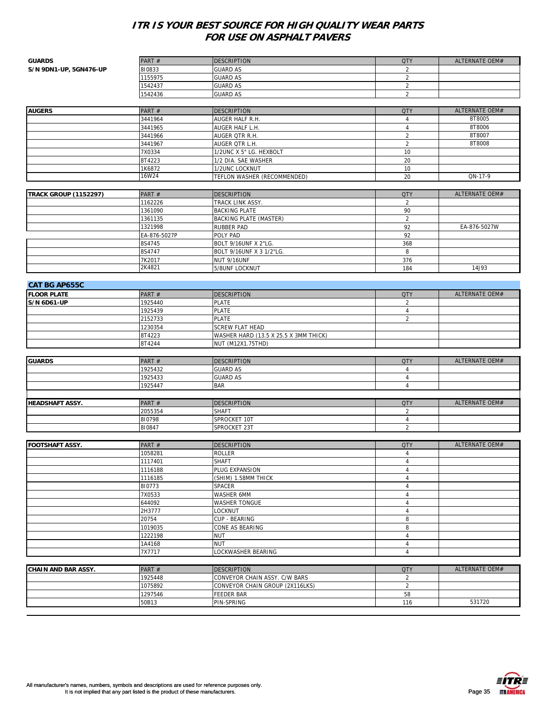| <b>GUARDS</b>                | PART#              | <b>DESCRIPTION</b>                    | <b>QTY</b>     | ALTERNATE OEM# |
|------------------------------|--------------------|---------------------------------------|----------------|----------------|
| S/N 9DN1-UP, 5GN476-UP       | 810833             | <b>GUARD AS</b>                       | $\overline{2}$ |                |
|                              | 1155975            | <b>GUARD AS</b>                       | $\overline{2}$ |                |
|                              | 1542437            | <b>GUARD AS</b>                       | $\overline{2}$ |                |
|                              | 1542436            | <b>GUARD AS</b>                       | 2              |                |
|                              |                    |                                       |                |                |
| <b>AUGERS</b>                | PART#              | <b>DESCRIPTION</b>                    | <b>QTY</b>     | ALTERNATE OEM# |
|                              | 3441964            | AUGER HALF R.H.                       | $\overline{4}$ | 8T8005         |
|                              | 3441965            | AUGER HALF L.H.                       | $\overline{4}$ | 8T8006         |
|                              | 3441966            | AUGER QTR R.H.                        | $\sqrt{2}$     | 8T8007         |
|                              | 3441967            | AUGER OTR L.H.                        | $\overline{2}$ | 8T8008         |
|                              | 7X0334             | 1/2UNC X 5" LG. HEXBOLT               | 10             |                |
|                              | 8T4223             | 1/2 DIA. SAE WASHER                   | 20             |                |
|                              | 1K6872             | 1/2UNC LOCKNUT                        | 10             |                |
|                              | 16W24              | TEFLON WASHER (RECOMMENDED)           | 20             | QN-17-9        |
|                              |                    |                                       |                |                |
| <b>TRACK GROUP (1152297)</b> | PART#              | <b>DESCRIPTION</b>                    | <b>QTY</b>     | ALTERNATE OEM# |
|                              | 1162226            | TRACK LINK ASSY.                      | 2              |                |
|                              | 1361090            | <b>BACKING PLATE</b>                  | 90             |                |
|                              | 1361135            | BACKING PLATE (MASTER)                | $\sqrt{2}$     |                |
|                              | 1321998            | RUBBER PAD                            | 92             | EA-876-5027W   |
|                              | EA-876-5027P       | POLY PAD                              | 92             |                |
|                              | 8S4745             | BOLT 9/16UNF X 2"LG.                  | 368            |                |
|                              | 8S4747             | BOLT 9/16UNF X 3 1/2"LG.              | 8              |                |
|                              | 7K2017             | NUT 9/16UNF                           | 376            |                |
|                              | 2K4821             | 5/8UNF LOCKNUT                        | 184            | 14J93          |
|                              |                    |                                       |                |                |
| <b>CAT BG AP655C</b>         |                    |                                       |                |                |
| <b>FLOOR PLATE</b>           | PART#              | <b>DESCRIPTION</b>                    | <b>QTY</b>     | ALTERNATE OEM# |
| S/N 6D61-UP                  | 1925440            | <b>PLATE</b>                          | 2              |                |
|                              | 1925439            | <b>PLATE</b>                          | $\sqrt{4}$     |                |
|                              | 2152733            | <b>PLATE</b>                          | $\overline{2}$ |                |
|                              | 1230354            | <b>SCREW FLAT HEAD</b>                |                |                |
|                              | 8T4223             | WASHER HARD (13.5 X 25.5 X 3MM THICK) |                |                |
|                              | 8T4244             | NUT (M12X1.75THD)                     |                |                |
|                              |                    |                                       |                |                |
| <b>GUARDS</b>                | PART#              | <b>DESCRIPTION</b>                    | <b>QTY</b>     | ALTERNATE OEM# |
|                              | 1925432            | <b>GUARD AS</b>                       | $\overline{4}$ |                |
|                              | 1925433            | <b>GUARD AS</b>                       | $\overline{4}$ |                |
|                              | 1925447            | BAR                                   | $\overline{4}$ |                |
|                              |                    |                                       |                |                |
| <b>HEADSHAFT ASSY.</b>       | PART#              | <b>DESCRIPTION</b>                    | <b>QTY</b>     | ALTERNATE OEM# |
|                              | 2055354            | SHAFT                                 | 2              |                |
|                              | 810798             | SPROCKET 10T                          | $\sqrt{4}$     |                |
|                              | 810847             | SPROCKET 23T                          | $\overline{2}$ |                |
|                              |                    |                                       |                |                |
| FOOTSHAFT ASSY.              | PART#              | <b>DESCRIPTION</b>                    | <b>QTY</b>     | ALTERNATE OEM# |
|                              | 1058281            | ROLLER                                | $\overline{4}$ |                |
|                              |                    |                                       | 4              |                |
|                              | 1117401<br>1116188 | SHAFT<br>PLUG EXPANSION               | $\overline{4}$ |                |
|                              | 1116185            | (SHIM) 1.58MM THICK                   | $\overline{4}$ |                |
|                              | 810773             | SPACER                                | $\overline{4}$ |                |
|                              | 7X0533             | WASHER 6MM                            | $\overline{4}$ |                |
|                              | 644092             | WASHER TONGUE                         | $\overline{4}$ |                |
|                              | 2H3777             | LOCKNUT                               | $\sqrt{4}$     |                |
|                              | 20754              | CUP - BEARING                         | 8              |                |
|                              | 1019035            | CONE AS BEARING                       | 8              |                |
|                              | 1222198            | NUT                                   | $\overline{4}$ |                |
|                              | 1A4168             | <b>NUT</b>                            | $\sqrt{4}$     |                |
|                              | 7X7717             | LOCKWASHER BEARING                    | $\overline{4}$ |                |
|                              |                    |                                       |                |                |
|                              |                    |                                       |                |                |
| <b>CHAIN AND BAR ASSY.</b>   | PART#              | DESCRIPTION                           | <b>QTY</b>     | ALTERNATE OEM# |
|                              | 1925448            | CONVEYOR CHAIN ASSY. C/W BARS         | $\overline{2}$ |                |
|                              | 1075892            | CONVEYOR CHAIN GROUP (2X116LKS)       | $\overline{2}$ |                |
|                              | 1297546            | FEEDER BAR                            | 58             |                |
|                              | 50B13              | PIN-SPRING                            | 116            | 531720         |

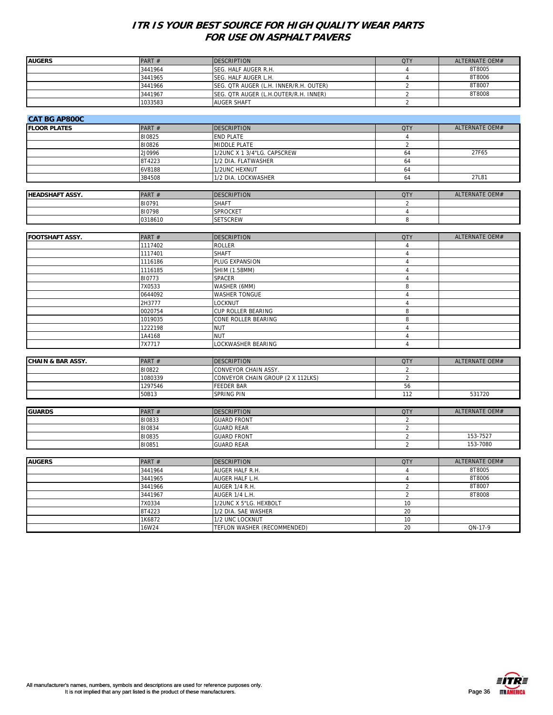| <b>AUGERS</b>                | PART#        | <b>DESCRIPTION</b>                     | <b>QTY</b>     | ALTERNATE OEM# |
|------------------------------|--------------|----------------------------------------|----------------|----------------|
|                              | 3441964      | SEG. HALF AUGER R.H.                   | $\overline{4}$ | 8T8005         |
|                              | 3441965      | SEG. HALF AUGER L.H.                   | $\overline{4}$ | 8T8006         |
|                              | 3441966      | SEG. QTR AUGER (L.H. INNER/R.H. OUTER) | $\overline{2}$ | 8T8007         |
|                              | 3441967      | SEG. OTR AUGER (L.H.OUTER/R.H. INNER)  | $\overline{2}$ | 8T8008         |
|                              | 1033583      | <b>AUGER SHAFT</b>                     | $\overline{2}$ |                |
|                              |              |                                        |                |                |
| <b>CAT BG AP800C</b>         |              |                                        |                |                |
| <b>FLOOR PLATES</b>          | PART #       | <b>DESCRIPTION</b>                     | <b>QTY</b>     | ALTERNATE OEM# |
|                              | 810825       | END PLATE                              | $\overline{4}$ |                |
|                              | 810826       | MIDDLE PLATE                           | $\overline{2}$ |                |
|                              | 2J0996       | 1/2UNC X 1 3/4"LG. CAPSCREW            | 64             | 27F65          |
|                              | 8T4223       | 1/2 DIA. FLATWASHER                    | 64             |                |
|                              | 6V8188       | 1/2UNC HEXNUT                          | 64             |                |
|                              | 3B4508       | 1/2 DIA. LOCKWASHER                    | 64             | 27L81          |
|                              |              |                                        |                |                |
| <b>HEADSHAFT ASSY.</b>       | PART #       | <b>DESCRIPTION</b>                     | <b>QTY</b>     | ALTERNATE OEM# |
|                              | 810791       | SHAFT                                  | 2              |                |
|                              | 810798       | SPROCKET                               | $\overline{4}$ |                |
|                              | 0318610      | <b>SETSCREW</b>                        | 8              |                |
|                              |              |                                        |                |                |
| <b>FOOTSHAFT ASSY.</b>       | PART #       | <b>DESCRIPTION</b>                     | <b>QTY</b>     | ALTERNATE OEM# |
|                              | 1117402      | <b>ROLLER</b>                          | $\overline{4}$ |                |
|                              | 1117401      | <b>SHAFT</b>                           | $\overline{4}$ |                |
|                              | 1116186      | PLUG EXPANSION                         | $\overline{4}$ |                |
|                              | 1116185      | SHIM (1.58MM)                          | $\overline{4}$ |                |
|                              | 810773       | SPACER                                 | $\overline{4}$ |                |
|                              | 7X0533       | WASHER (6MM)                           | 8              |                |
|                              | 0644092      | <b>WASHER TONGUE</b>                   | $\overline{4}$ |                |
|                              | 2H3777       | LOCKNUT                                | $\overline{4}$ |                |
|                              | 0020754      | CUP ROLLER BEARING                     | 8              |                |
|                              | 1019035      | CONE ROLLER BEARING                    | 8              |                |
|                              | 1222198      | <b>NUT</b>                             | $\overline{4}$ |                |
|                              | 1A4168       | NUT                                    | $\overline{4}$ |                |
|                              | 7X7717       | LOCKWASHER BEARING                     | $\overline{4}$ |                |
|                              |              |                                        |                |                |
| <b>CHAIN &amp; BAR ASSY.</b> | PART #       | <b>DESCRIPTION</b>                     | <b>QTY</b>     | ALTERNATE OEM# |
|                              | 810822       | CONVEYOR CHAIN ASSY.                   | $\overline{2}$ |                |
|                              | 1080339      | CONVEYOR CHAIN GROUP (2 X 112LKS)      | $\overline{2}$ |                |
|                              | 1297546      | <b>FEEDER BAR</b>                      | 56             |                |
|                              | 50B13        | <b>SPRING PIN</b>                      | 112            | 531720         |
|                              |              |                                        |                |                |
| <b>GUARDS</b>                | PART #       | <b>DESCRIPTION</b>                     | <b>QTY</b>     | ALTERNATE OEM# |
|                              | 810833       | <b>GUARD FRONT</b>                     | $\overline{2}$ |                |
|                              | 810834       | <b>GUARD REAR</b>                      | $\overline{2}$ |                |
|                              | 810835       | <b>GUARD FRONT</b>                     | $\overline{2}$ | 153-7527       |
|                              | 810851       | <b>GUARD REAR</b>                      | $\overline{2}$ | 153-7080       |
|                              |              |                                        |                |                |
| <b>AUGERS</b>                | PART #       | <b>DESCRIPTION</b>                     | <b>QTY</b>     | ALTERNATE OEM# |
|                              | 3441964      | AUGER HALF R.H.                        | $\overline{4}$ | 8T8005         |
|                              | 3441965      | AUGER HALF L.H.                        | $\overline{4}$ | 8T8006         |
|                              | 3441966      | AUGER 1/4 R.H.                         | $\overline{2}$ | 8T8007         |
|                              | 3441967      | AUGER 1/4 L.H.                         | $\overline{2}$ | 8T8008         |
|                              | 7X0334       | 1/2UNC X 5"LG. HEXBOLT                 | 10             |                |
|                              | 8T4223       | 1/2 DIA. SAE WASHER                    | 20             |                |
|                              | 1K6872       | 1/2 UNC LOCKNUT                        | 10             |                |
|                              | <b>16W24</b> | TEFLON WASHER (RECOMMENDED)            | 20             | QN-17-9        |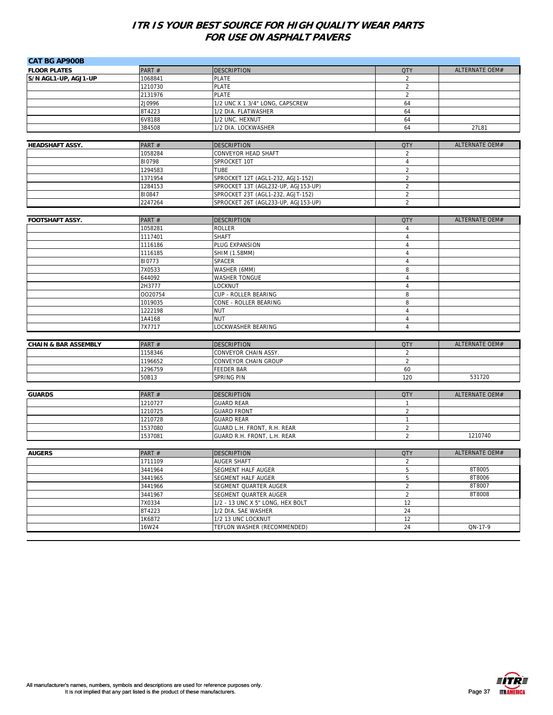| <b>CAT BG AP900B</b>            |         |                                     |                |                |
|---------------------------------|---------|-------------------------------------|----------------|----------------|
| <b>FLOOR PLATES</b>             | PART#   | <b>DESCRIPTION</b>                  | <b>QTY</b>     | ALTERNATE OEM# |
| S/N AGL1-UP, AGJ1-UP            | 1068841 | <b>PLATE</b>                        | 2              |                |
|                                 | 1210730 | <b>PLATE</b>                        | $\overline{2}$ |                |
|                                 | 2131976 | <b>PLATE</b>                        | $\overline{2}$ |                |
|                                 | 2J0996  | 1/2 UNC X 1 3/4" LONG, CAPSCREW     | 64             |                |
|                                 | 8T4223  | 1/2 DIA. FLATWASHER                 | 64             |                |
|                                 | 6V8188  | 1/2 UNC. HEXNUT                     | 64             |                |
|                                 | 3B4508  | 1/2 DIA. LOCKWASHER                 | 64             | 27L81          |
|                                 |         |                                     |                |                |
| <b>HEADSHAFT ASSY.</b>          | PART #  | <b>DESCRIPTION</b>                  | <b>QTY</b>     | ALTERNATE OEM# |
|                                 | 1058284 | CONVEYOR HEAD SHAFT                 | $\overline{2}$ |                |
|                                 | 810798  | SPROCKET 10T                        | $\overline{4}$ |                |
|                                 | 1294583 | <b>TUBE</b>                         | $\overline{2}$ |                |
|                                 | 1371954 | SPROCKET 12T (AGL1-232, AGJ1-152)   | $\overline{2}$ |                |
|                                 | 1284153 | SPROCKET 13T (AGL232-UP, AGJ153-UP) | $\sqrt{2}$     |                |
|                                 | 810847  | SPROCKET 23T (AGL1-232, AGJT-152)   | $\overline{2}$ |                |
|                                 | 2247264 | SPROCKET 26T (AGL233-UP, AGJ153-UP) | 2              |                |
|                                 |         |                                     |                |                |
| FOOTSHAFT ASSY.                 | PART#   | <b>DESCRIPTION</b>                  | <b>QTY</b>     | ALTERNATE OEM# |
|                                 | 1058281 | <b>ROLLER</b>                       | $\overline{4}$ |                |
|                                 | 1117401 | <b>SHAFT</b>                        | $\overline{4}$ |                |
|                                 | 1116186 | PLUG EXPANSION                      | $\overline{4}$ |                |
|                                 | 1116185 | SHIM (1.58MM)                       | $\overline{4}$ |                |
|                                 | 810773  | SPACER                              | $\overline{4}$ |                |
|                                 | 7X0533  | WASHER (6MM)                        | 8              |                |
|                                 | 644092  | WASHER TONGUE                       | 4              |                |
|                                 | 2H3777  | LOCKNUT                             | $\overline{4}$ |                |
|                                 | 0020754 | CUP - ROLLER BEARING                | 8              |                |
|                                 | 1019035 | CONE - ROLLER BEARING               | 8              |                |
|                                 | 1222198 | <b>NUT</b>                          | $\overline{4}$ |                |
|                                 | 1A4168  | <b>NUT</b>                          | $\overline{4}$ |                |
|                                 | 7X7717  | LOCKWASHER BEARING                  | $\overline{4}$ |                |
|                                 |         |                                     |                |                |
| <b>CHAIN &amp; BAR ASSEMBLY</b> | PART#   | <b>DESCRIPTION</b>                  | <b>QTY</b>     | ALTERNATE OEM# |
|                                 | 1158346 | CONVEYOR CHAIN ASSY.                | $\overline{2}$ |                |
|                                 | 1196652 | CONVEYOR CHAIN GROUP                | $\overline{2}$ |                |
|                                 | 1296759 | <b>FEEDER BAR</b>                   | 60             |                |
|                                 | 50B13   | SPRING PIN                          | 120            | 531720         |
|                                 |         |                                     |                |                |
| <b>GUARDS</b>                   | PART #  | <b>DESCRIPTION</b>                  | <b>QTY</b>     | ALTERNATE OEM# |
|                                 | 1210727 | <b>GUARD REAR</b>                   | $\mathbf{1}$   |                |
|                                 | 1210725 | <b>GUARD FRONT</b>                  | $\overline{2}$ |                |
|                                 | 1210728 | <b>GUARD REAR</b>                   | $\mathbf{1}$   |                |
|                                 | 1537080 | GUARD L.H. FRONT, R.H. REAR         | $\overline{2}$ |                |
|                                 | 1537081 | GUARD R.H. FRONT, L.H. REAR         | $\overline{2}$ | 1210740        |
|                                 |         |                                     |                |                |
| <b>AUGERS</b>                   | PART#   | <b>DESCRIPTION</b>                  | <b>QTY</b>     | ALTERNATE OEM# |
|                                 | 1711109 | AUGER SHAFT                         | $\overline{c}$ |                |
|                                 | 3441964 | SEGMENT HALF AUGER                  | 5              | 8T8005         |
|                                 | 3441965 | SEGMENT HALF AUGER                  | 5              | 8T8006         |
|                                 | 3441966 | SEGMENT QUARTER AUGER               | $\overline{2}$ | 8T8007         |
|                                 | 3441967 | SEGMENT QUARTER AUGER               | $\overline{2}$ | 8T8008         |
|                                 | 7X0334  | 1/2 - 13 UNC X 5" LONG, HEX BOLT    | 12             |                |
|                                 | 8T4223  | 1/2 DIA. SAE WASHER                 | 24             |                |
|                                 | 1K6872  | 1/2 13 UNC LOCKNUT                  | 12             |                |
|                                 | 16W24   | TEFLON WASHER (RECOMMENDED)         | 24             | QN-17-9        |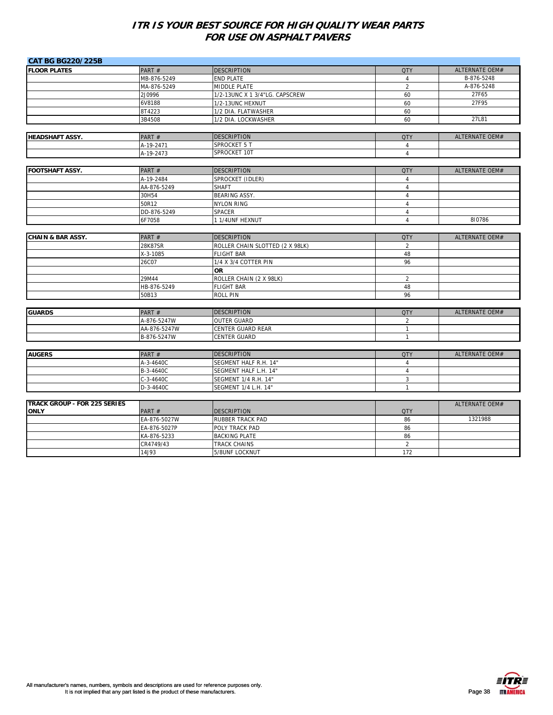| <b>CAT BG BG220/225B</b>            |              |                                 |                |                       |
|-------------------------------------|--------------|---------------------------------|----------------|-----------------------|
| <b>FLOOR PLATES</b>                 | PART #       | <b>DESCRIPTION</b>              | <b>QTY</b>     | ALTERNATE OEM#        |
|                                     | MB-876-5249  | <b>END PLATE</b>                | $\overline{4}$ | B-876-5248            |
|                                     | MA-876-5249  | MIDDLE PLATE                    | $\overline{2}$ | A-876-5248            |
|                                     | 2J0996       | 1/2-13UNC X 1 3/4"LG. CAPSCREW  | 60             | 27F65                 |
|                                     | 6V8188       | 1/2-13UNC HEXNUT                | 60             | 27F95                 |
|                                     | 8T4223       | 1/2 DIA. FLATWASHER             | 60             |                       |
|                                     | 3B4508       | 1/2 DIA. LOCKWASHER             | 60             | 27L81                 |
|                                     |              |                                 |                |                       |
| <b>HEADSHAFT ASSY.</b>              | PART#        | <b>DESCRIPTION</b>              | <b>QTY</b>     | ALTERNATE OEM#        |
|                                     | A-19-2471    | <b>SPROCKET 5 T</b>             | $\overline{4}$ |                       |
|                                     | A-19-2473    | SPROCKET 10T                    | $\overline{4}$ |                       |
|                                     |              |                                 |                |                       |
| <b>FOOTSHAFT ASSY.</b>              | PART#        | <b>DESCRIPTION</b>              | <b>QTY</b>     | ALTERNATE OEM#        |
|                                     | A-19-2484    | SPROCKET (IDLER)                | $\overline{4}$ |                       |
|                                     | AA-876-5249  | <b>SHAFT</b>                    | $\overline{4}$ |                       |
|                                     | 30H54        | <b>BEARING ASSY.</b>            | $\overline{4}$ |                       |
|                                     | 50R12        | <b>NYLON RING</b>               | $\overline{4}$ |                       |
|                                     | DD-876-5249  | <b>SPACER</b>                   | $\sqrt{4}$     |                       |
|                                     | 6F7058       | 1 1/4UNF HEXNUT                 | $\overline{4}$ | 810786                |
|                                     |              |                                 |                |                       |
| <b>CHAIN &amp; BAR ASSY.</b>        | PART #       | <b>DESCRIPTION</b>              | <b>QTY</b>     | ALTERNATE OEM#        |
|                                     | 28K87SR      | ROLLER CHAIN SLOTTED (2 X 98LK) | 2              |                       |
|                                     | X-3-1085     | <b>FLIGHT BAR</b>               | 48             |                       |
|                                     | 26C07        | 1/4 X 3/4 COTTER PIN            | 96             |                       |
|                                     |              | <b>OR</b>                       |                |                       |
|                                     | 29M44        | ROLLER CHAIN (2 X 98LK)         | $\overline{2}$ |                       |
|                                     | HB-876-5249  | <b>FLIGHT BAR</b>               | 48             |                       |
|                                     | 50B13        | <b>ROLL PIN</b>                 | 96             |                       |
|                                     |              |                                 |                |                       |
| <b>GUARDS</b>                       | PART#        | <b>DESCRIPTION</b>              | <b>QTY</b>     | <b>ALTERNATE OEM#</b> |
|                                     | A-876-5247W  | <b>OUTER GUARD</b>              | $\overline{2}$ |                       |
|                                     | AA-876-5247W | CENTER GUARD REAR               | $\mathbf{1}$   |                       |
|                                     | B-876-5247W  | CENTER GUARD                    | $\mathbf{1}$   |                       |
|                                     |              |                                 |                |                       |
| <b>AUGERS</b>                       | PART#        | <b>DESCRIPTION</b>              | <b>QTY</b>     | ALTERNATE OEM#        |
|                                     | A-3-4640C    | SEGMENT HALF R.H. 14"           | $\overline{4}$ |                       |
|                                     | B-3-4640C    | SEGMENT HALF L.H. 14"           | $\overline{4}$ |                       |
|                                     | $C-3-4640C$  | SEGMENT 1/4 R.H. 14"            | $\mathbf{3}$   |                       |
|                                     | D-3-4640C    | SEGMENT 1/4 L.H. 14"            | $\mathbf{1}$   |                       |
|                                     |              |                                 |                |                       |
| <b>TRACK GROUP - FOR 225 SERIES</b> |              |                                 |                | <b>ALTERNATE OEM#</b> |
| <b>ONLY</b>                         | PART#        | <b>DESCRIPTION</b>              | <b>QTY</b>     |                       |
|                                     | EA-876-5027W | RUBBER TRACK PAD                | 86             | 1321988               |
|                                     | EA-876-5027P | POLY TRACK PAD                  | 86             |                       |
|                                     | KA-876-5233  | <b>BACKING PLATE</b>            | 86             |                       |
|                                     | CR4749/43    | TRACK CHAINS                    | $\overline{2}$ |                       |
|                                     | 14J93        | 5/8UNF LOCKNUT                  | 172            |                       |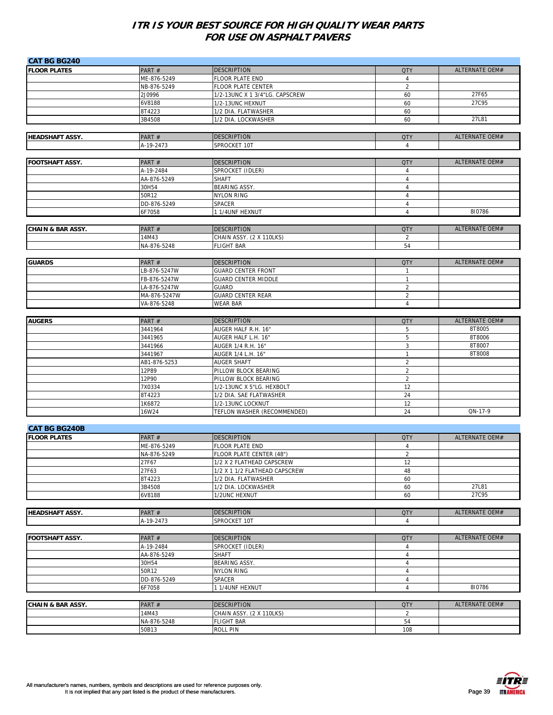| <b>CAT BG BG240</b>          |                      |                                           |                                  |                |
|------------------------------|----------------------|-------------------------------------------|----------------------------------|----------------|
| <b>FLOOR PLATES</b>          | PART#                | <b>DESCRIPTION</b>                        | <b>QTY</b>                       | ALTERNATE OEM# |
|                              | ME-876-5249          | <b>FLOOR PLATE END</b>                    | $\overline{4}$                   |                |
|                              | NB-876-5249          | <b>FLOOR PLATE CENTER</b>                 | $\overline{2}$                   |                |
|                              | 2J0996               | 1/2-13UNC X 1 3/4"LG. CAPSCREW            | 60                               | 27F65          |
|                              | 6V8188               | 1/2-13UNC HEXNUT                          | 60                               | 27C95          |
|                              | 8T4223               | 1/2 DIA. FLATWASHER                       | 60                               |                |
|                              | 3B4508               | 1/2 DIA. LOCKWASHER                       | 60                               | 27L81          |
|                              |                      |                                           |                                  |                |
| <b>HEADSHAFT ASSY.</b>       | PART#                | <b>DESCRIPTION</b>                        | <b>QTY</b>                       | ALTERNATE OEM# |
|                              | A-19-2473            | SPROCKET 10T                              | $\overline{4}$                   |                |
|                              |                      |                                           |                                  |                |
| <b>FOOTSHAFT ASSY.</b>       | PART#                | <b>DESCRIPTION</b>                        | <b>QTY</b>                       | ALTERNATE OEM# |
|                              | A-19-2484            | SPROCKET (IDLER)                          | $\overline{4}$                   |                |
|                              | AA-876-5249          | <b>SHAFT</b>                              | $\overline{4}$                   |                |
|                              | 30H54                | <b>BEARING ASSY.</b>                      | $\overline{4}$                   |                |
|                              | 50R12                | <b>NYLON RING</b>                         | $\overline{4}$                   |                |
|                              | DD-876-5249          | <b>SPACER</b>                             | 4                                |                |
|                              | 6F7058               | 1 1/4UNF HEXNUT                           | $\overline{4}$                   | 810786         |
|                              |                      |                                           |                                  |                |
| <b>CHAIN &amp; BAR ASSY.</b> | PART#                | <b>DESCRIPTION</b>                        | <b>QTY</b>                       | ALTERNATE OEM# |
|                              | 14M43                | CHAIN ASSY. (2 X 110LKS)                  | $\overline{2}$                   |                |
|                              | NA-876-5248          | <b>FLIGHT BAR</b>                         | 54                               |                |
|                              |                      |                                           |                                  |                |
| <b>GUARDS</b>                | PART#                | <b>DESCRIPTION</b>                        | <b>QTY</b>                       | ALTERNATE OEM# |
|                              | LB-876-5247W         | <b>GUARD CENTER FRONT</b>                 | $\mathbf{1}$                     |                |
|                              | FB-876-5247W         | <b>GUARD CENTER MIDDLE</b>                | $\mathbf{1}$                     |                |
|                              | LA-876-5247W         | <b>GUARD</b>                              | $\overline{2}$                   |                |
|                              | MA-876-5247W         | <b>GUARD CENTER REAR</b>                  | $\overline{2}$                   |                |
|                              | VA-876-5248          | <b>WEAR BAR</b>                           | $\overline{4}$                   |                |
|                              |                      |                                           |                                  |                |
| <b>AUGERS</b>                | PART#                | <b>DESCRIPTION</b>                        | <b>QTY</b>                       | ALTERNATE OEM# |
|                              |                      |                                           | 5                                | 8T8005         |
|                              | 3441964              | AUGER HALF R.H. 16"                       |                                  | 8T8006         |
|                              | 3441965<br>3441966   | AUGER HALF L.H. 16"<br>AUGER 1/4 R.H. 16" | 5<br>3                           | 8T8007         |
|                              | 3441967              | AUGER 1/4 L.H. 16"                        | $\mathbf{1}$                     | 8T8008         |
|                              | AB1-876-5253         | <b>AUGER SHAFT</b>                        | $\overline{2}$                   |                |
|                              | 12P89                | PILLOW BLOCK BEARING                      | $\sqrt{2}$                       |                |
|                              | 12P90                | PILLOW BLOCK BEARING                      | $\overline{2}$                   |                |
|                              | 7X0334               | 1/2-13UNC X 5"LG. HEXBOLT                 | 12                               |                |
|                              | 8T4223               | 1/2 DIA. SAE FLATWASHER                   | 24                               |                |
|                              | 1K6872               | 1/2-13UNC LOCKNUT                         | 12                               |                |
|                              | 16W24                | TEFLON WASHER (RECOMMENDED)               | 24                               | QN-17-9        |
|                              |                      |                                           |                                  |                |
| <b>CAT BG BG240B</b>         |                      |                                           |                                  |                |
| <b>FLOOR PLATES</b>          | PART#                | <b>DESCRIPTION</b>                        | <b>QTY</b>                       | ALTERNATE OEM# |
|                              | ME-876-5249          | <b>FLOOR PLATE END</b>                    | 4                                |                |
|                              | NA-876-5249          | FLOOR PLATE CENTER (48")                  | $\overline{2}$                   |                |
|                              | 27F67                | 1/2 X 2 FLATHEAD CAPSCREW                 | 12                               |                |
|                              | 27F63                | 1/2 X 1 1/2 FLATHEAD CAPSCREW             | 48                               |                |
|                              | 8T4223               | 1/2 DIA. FLATWASHER                       | 60                               |                |
|                              | 3B4508               | 1/2 DIA. LOCKWASHER                       | 60                               | 27L81          |
|                              | 6V8188               | 1/2UNC HEXNUT                             | 60                               | 27C95          |
|                              |                      |                                           |                                  |                |
| <b>HEADSHAFT ASSY.</b>       | PART#                | <b>DESCRIPTION</b>                        | <b>QTY</b>                       | ALTERNATE OEM# |
|                              | A-19-2473            | SPROCKET 10T                              | $\overline{4}$                   |                |
|                              |                      |                                           |                                  |                |
|                              |                      |                                           |                                  | ALTERNATE OEM# |
| <b>FOOTSHAFT ASSY.</b>       | PART#                | <b>DESCRIPTION</b>                        | <b>QTY</b>                       |                |
|                              | A-19-2484            | SPROCKET (IDLER)                          | $\overline{4}$                   |                |
|                              | AA-876-5249<br>30H54 | <b>SHAFT</b><br>BEARING ASSY.             | $\overline{4}$<br>$\overline{4}$ |                |
|                              |                      |                                           |                                  |                |
|                              | 50R12                | <b>NYLON RING</b>                         | 4                                |                |
|                              | DD-876-5249          | SPACER                                    | $\overline{4}$                   |                |
|                              | 6F7058               | 1 1/4UNF HEXNUT                           | 4                                | 810786         |
|                              |                      |                                           |                                  |                |
| <b>CHAIN &amp; BAR ASSY.</b> | PART#                | <b>DESCRIPTION</b>                        | <b>QTY</b>                       | ALTERNATE OEM# |
|                              | 14M43                | CHAIN ASSY. (2 X 110LKS)                  | $\overline{2}$                   |                |
|                              | NA-876-5248          | <b>FLIGHT BAR</b>                         | 54                               |                |
|                              | 50B13                | <b>ROLL PIN</b>                           | 108                              |                |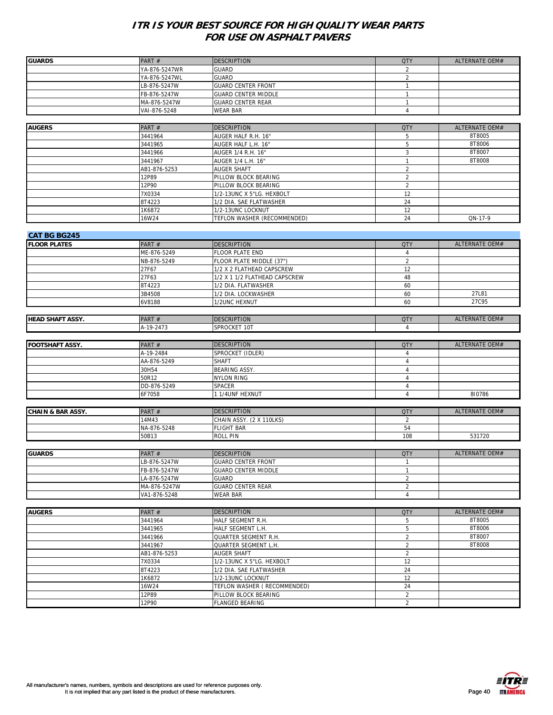| <b>GUARDS</b>                | PART#         | <b>DESCRIPTION</b>            | <b>QTY</b>     | ALTERNATE OEM# |
|------------------------------|---------------|-------------------------------|----------------|----------------|
|                              | YA-876-5247WR | <b>GUARD</b>                  | $\overline{2}$ |                |
|                              | YA-876-5247WL | <b>GUARD</b>                  | $\overline{2}$ |                |
|                              | LB-876-5247W  | <b>GUARD CENTER FRONT</b>     | $\mathbf{1}$   |                |
|                              | FB-876-5247W  | <b>GUARD CENTER MIDDLE</b>    | $\mathbf{1}$   |                |
|                              |               |                               |                |                |
|                              | MA-876-5247W  | <b>GUARD CENTER REAR</b>      | $\mathbf{1}$   |                |
|                              | VAI-876-5248  | <b>WEAR BAR</b>               | $\overline{4}$ |                |
|                              |               |                               |                |                |
| <b>AUGERS</b>                | PART#         | <b>DESCRIPTION</b>            | <b>QTY</b>     | ALTERNATE OEM# |
|                              | 3441964       | AUGER HALF R.H. 16"           | 5              | 8T8005         |
|                              | 3441965       | AUGER HALF L.H. 16"           | 5              | 8T8006         |
|                              | 3441966       | AUGER 1/4 R.H. 16"            | 3              | 8T8007         |
|                              | 3441967       | AUGER 1/4 L.H. 16"            | $\mathbf{1}$   | 8T8008         |
|                              | AB1-876-5253  | AUGER SHAFT                   | $\overline{c}$ |                |
|                              |               |                               |                |                |
|                              | 12P89         | PILLOW BLOCK BEARING          | $\overline{2}$ |                |
|                              | 12P90         | PILLOW BLOCK BEARING          | $\overline{2}$ |                |
|                              | 7X0334        | 1/2-13UNC X 5"LG. HEXBOLT     | 12             |                |
|                              | 8T4223        | 1/2 DIA. SAE FLATWASHER       | 24             |                |
|                              | 1K6872        | 1/2-13UNC LOCKNUT             | 12             |                |
|                              | 16W24         | TEFLON WASHER (RECOMMENDED)   | 24             | QN-17-9        |
|                              |               |                               |                |                |
| <b>CAT BG BG245</b>          |               |                               |                |                |
| <b>FLOOR PLATES</b>          | PART#         | <b>DESCRIPTION</b>            | <b>QTY</b>     | ALTERNATE OEM# |
|                              | ME-876-5249   | <b>FLOOR PLATE END</b>        | $\sqrt{4}$     |                |
|                              | NB-876-5249   | FLOOR PLATE MIDDLE (37")      | $\overline{2}$ |                |
|                              |               |                               |                |                |
|                              | 27F67         | 1/2 X 2 FLATHEAD CAPSCREW     | 12             |                |
|                              | 27F63         | 1/2 X 1 1/2 FLATHEAD CAPSCREW | 48             |                |
|                              | 8T4223        | 1/2 DIA. FLATWASHER           | 60             |                |
|                              | 3B4508        | 1/2 DIA. LOCKWASHER           | 60             | 27L81          |
|                              | 6V8188        | 1/2UNC HEXNUT                 | 60             | 27C95          |
|                              |               |                               |                |                |
| <b>HEAD SHAFT ASSY.</b>      | PART#         | <b>DESCRIPTION</b>            | <b>QTY</b>     | ALTERNATE OEM# |
|                              | A-19-2473     | SPROCKET 10T                  | 4              |                |
|                              |               |                               |                |                |
| <b>FOOTSHAFT ASSY.</b>       | PART#         | <b>DESCRIPTION</b>            | <b>QTY</b>     | ALTERNATE OEM# |
|                              | A-19-2484     | SPROCKET (IDLER)              | 4              |                |
|                              |               |                               | 4              |                |
|                              | AA-876-5249   | SHAFT                         |                |                |
|                              | 30H54         | BEARING ASSY.                 | $\sqrt{4}$     |                |
|                              | 50R12         | <b>NYLON RING</b>             | $\sqrt{4}$     |                |
|                              | DD-876-5249   | SPACER                        | $\sqrt{4}$     |                |
|                              | 6F7058        | 1 1/4UNF HEXNUT               | $\overline{4}$ | 810786         |
|                              |               |                               |                |                |
| <b>CHAIN &amp; BAR ASSY.</b> | PART#         | <b>DESCRIPTION</b>            | <b>QTY</b>     | ALTERNATE OEM# |
|                              | 14M43         | CHAIN ASSY. (2 X 110LKS)      | 2              |                |
|                              | NA-876-5248   | <b>FLIGHT BAR</b>             | 54             |                |
|                              | 50B13         | <b>ROLL PIN</b>               | 108            | 531720         |
|                              |               |                               |                |                |
| <b>GUARDS</b>                | PART#         | <b>DESCRIPTION</b>            | <b>QTY</b>     | ALTERNATE OEM# |
|                              | LB-876-5247W  | <b>GUARD CENTER FRONT</b>     | $\mathbf{1}$   |                |
|                              |               |                               |                |                |
|                              | FB-876-5247W  | <b>GUARD CENTER MIDDLE</b>    | $\mathbf{1}$   |                |
|                              | LA-876-5247W  | <b>GUARD</b>                  | $\overline{2}$ |                |
|                              | MA-876-5247W  | <b>GUARD CENTER REAR</b>      | $\overline{2}$ |                |
|                              | VA1-876-5248  | <b>WEAR BAR</b>               | $\overline{4}$ |                |
|                              |               |                               |                |                |
| <b>AUGERS</b>                | PART#         | <b>DESCRIPTION</b>            | <b>QTY</b>     | ALTERNATE OEM# |
|                              | 3441964       | HALF SEGMENT R.H.             | 5              | 8T8005         |
|                              | 3441965       | HALF SEGMENT L.H.             | 5              | 8T8006         |
|                              | 3441966       | QUARTER SEGMENT R.H.          | $\overline{2}$ | 8T8007         |
|                              | 3441967       | QUARTER SEGMENT L.H.          | $\overline{2}$ | 8T8008         |
|                              |               | AUGER SHAFT                   | $\overline{a}$ |                |
|                              | AB1-876-5253  |                               |                |                |
|                              | 7X0334        | 1/2-13UNC X 5"LG. HEXBOLT     | 12             |                |
|                              | 8T4223        | 1/2 DIA. SAE FLATWASHER       | 24             |                |
|                              | 1K6872        | 1/2-13UNC LOCKNUT             | 12             |                |
|                              | <b>16W24</b>  | TEFLON WASHER ( RECOMMENDED)  | 24             |                |
|                              | 12P89         | PILLOW BLOCK BEARING          | $\overline{2}$ |                |
|                              | 12P90         | <b>FLANGED BEARING</b>        | $\overline{2}$ |                |

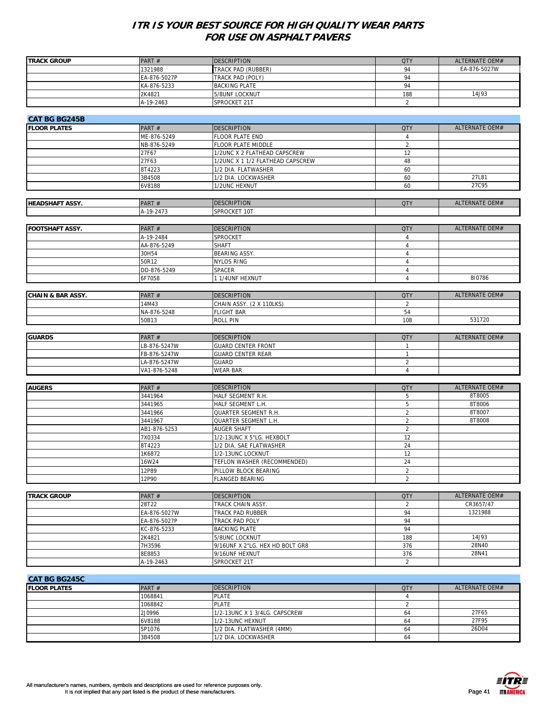| <b>TRACK GROUP</b>           | PART#        | <b>DESCRIPTION</b>               | <b>QTY</b>     | ALTERNATE OEM# |
|------------------------------|--------------|----------------------------------|----------------|----------------|
|                              | 1321988      | TRACK PAD (RUBBER)               | 94             | EA-876-5027W   |
|                              | EA-876-5027P | TRACK PAD (POLY)                 | 94             |                |
|                              | KA-876-5233  | <b>BACKING PLATE</b>             | 94             |                |
|                              | 2K4821       | 5/8UNF LOCKNUT                   | 188            | 14J93          |
|                              |              |                                  |                |                |
|                              | A-19-2463    | SPROCKET 21T                     | 2              |                |
|                              |              |                                  |                |                |
| <b>CAT BG BG245B</b>         |              |                                  |                |                |
| <b>FLOOR PLATES</b>          | PART#        | <b>DESCRIPTION</b>               | <b>QTY</b>     | ALTERNATE OEM# |
|                              | ME-876-5249  | FLOOR PLATE END                  | $\overline{4}$ |                |
|                              | NB-876-5249  | FLOOR PLATE MIDDLE               | $\sqrt{2}$     |                |
|                              | 27F67        | 1/2UNC X 2 FLATHEAD CAPSCREW     | 12             |                |
|                              |              | 1/2UNC X 1 1/2 FLATHEAD CAPSCREW | 48             |                |
|                              | 27F63        |                                  |                |                |
|                              | 8T4223       | 1/2 DIA. FLATWASHER              | 60             |                |
|                              | 3B4508       | 1/2 DIA. LOCKWASHER              | 60             | 27L81          |
|                              | 6V8188       | 1/2UNC HEXNUT                    | 60             | 27C95          |
|                              |              |                                  |                |                |
| <b>HEADSHAFT ASSY.</b>       | PART#        | <b>DESCRIPTION</b>               | <b>QTY</b>     | ALTERNATE OEM# |
|                              | A-19-2473    | SPROCKET 10T                     |                |                |
|                              |              |                                  |                |                |
|                              |              |                                  |                |                |
| <b>FOOTSHAFT ASSY.</b>       | PART#        | <b>DESCRIPTION</b>               | <b>QTY</b>     | ALTERNATE OEM# |
|                              | A-19-2484    | SPROCKET                         | $\overline{4}$ |                |
|                              | AA-876-5249  | <b>SHAFT</b>                     | $\overline{4}$ |                |
|                              | 30H54        | BEARING ASSY.                    | $\overline{4}$ |                |
|                              | 50R12        | <b>NYLOS RING</b>                | $\overline{4}$ |                |
|                              | DD-876-5249  | SPACER                           | $\overline{4}$ |                |
|                              | 6F7058       | 1 1/4UNF HEXNUT                  | $\overline{4}$ | 810786         |
|                              |              |                                  |                |                |
|                              | PART#        |                                  |                | ALTERNATE OEM# |
| <b>CHAIN &amp; BAR ASSY.</b> |              | <b>DESCRIPTION</b>               | <b>QTY</b>     |                |
|                              | 14M43        | CHAIN ASSY. (2 X 110LKS)         | 2              |                |
|                              | NA-876-5248  | <b>FLIGHT BAR</b>                | 54             |                |
|                              | 50B13        | <b>ROLL PIN</b>                  | 108            | 531720         |
|                              |              |                                  |                |                |
| <b>GUARDS</b>                | PART#        | <b>DESCRIPTION</b>               | <b>QTY</b>     | ALTERNATE OEM# |
|                              | LB-876-5247W | <b>GUARD CENTER FRONT</b>        | $\mathbf{1}$   |                |
|                              | FB-876-5247W | <b>GUARD CENTER REAR</b>         | $\mathbf{1}$   |                |
|                              |              |                                  | $\sqrt{2}$     |                |
|                              | LA-876-5247W | <b>GUARD</b>                     |                |                |
|                              | VA1-876-5248 | <b>WEAR BAR</b>                  | $\overline{4}$ |                |
|                              |              |                                  |                |                |
| <b>AUGERS</b>                | PART#        | <b>DESCRIPTION</b>               | <b>QTY</b>     | ALTERNATE OEM# |
|                              | 3441964      | HALF SEGMENT R.H.                | 5              | 8T8005         |
|                              | 3441965      | HALF SEGMENT L.H.                | 5              | 8T8006         |
|                              | 3441966      | QUARTER SEGMENT R.H.             | $\sqrt{2}$     | 8T8007         |
|                              | 3441967      | QUARTER SEGMENT L.H.             | $\overline{2}$ | 8T8008         |
|                              | AB1-876-5253 | AUGER SHAFT                      | $\overline{2}$ |                |
|                              | 7X0334       | 1/2-13UNC X 5"LG. HEXBOLT        | 12             |                |
|                              |              |                                  |                |                |
|                              | 8T4223       | 1/2 DIA. SAE FLATWASHER          | 24             |                |
|                              | 1K6872       | 1/2-13UNC LOCKNUT                | 12             |                |
|                              | <b>16W24</b> | TEFLON WASHER (RECOMMENDED)      | 24             |                |
|                              | 12P89        | PILLOW BLOCK BEARING             | $\overline{2}$ |                |
|                              | 12P90        | FLANGED BEARING                  | $\overline{2}$ |                |
|                              |              |                                  |                |                |
| <b>TRACK GROUP</b>           | PART#        | <b>DESCRIPTION</b>               | <b>QTY</b>     | ALTERNATE OEM# |
|                              | 28T22        | TRACK CHAIN ASSY.                | $\overline{2}$ | CR3657/47      |
|                              |              |                                  | 94             | 1321988        |
|                              | EA-876-5027W | TRACK PAD RUBBER                 |                |                |
|                              | EA-876-5027P | TRACK PAD POLY                   | 94             |                |
|                              | KC-876-5233  | <b>BACKING PLATE</b>             | 94             |                |
|                              | 2K4821       | 5/8UNC LOCKNUT                   | 188            | 14J93          |
|                              | 7H3596       | 9/16UNF X 2"LG. HEX HD BOLT GR8  | 376            | 28N40          |
|                              | 8E8853       | 9/16UNF HEXNUT                   | 376            | 28N41          |
|                              | A-19-2463    | SPROCKET 21T                     | 2              |                |
|                              |              |                                  |                |                |
|                              |              |                                  |                |                |
| <b>CAT BG BG245C</b>         |              |                                  |                |                |
| <b>FLOOR PLATES</b>          | PART#        | <b>DESCRIPTION</b>               | <b>QTY</b>     | ALTERNATE OEM# |
|                              | 1068841      | <b>PLATE</b>                     | $\overline{4}$ |                |
|                              | 1068842      | <b>PLATE</b>                     | $\overline{2}$ |                |
|                              | 2J0996       | 1/2-13UNC X 1 3/4LG. CAPSCREW    | 64             | 27F65          |
|                              | 6V8188       | 1/2-13UNC HEXNUT                 | 64             | 27F95          |

5P1076 1/2 DIA. FLATWASHER (4MM) 64 26D04

3B4508 1/2 DIA. LOCKWASHER 64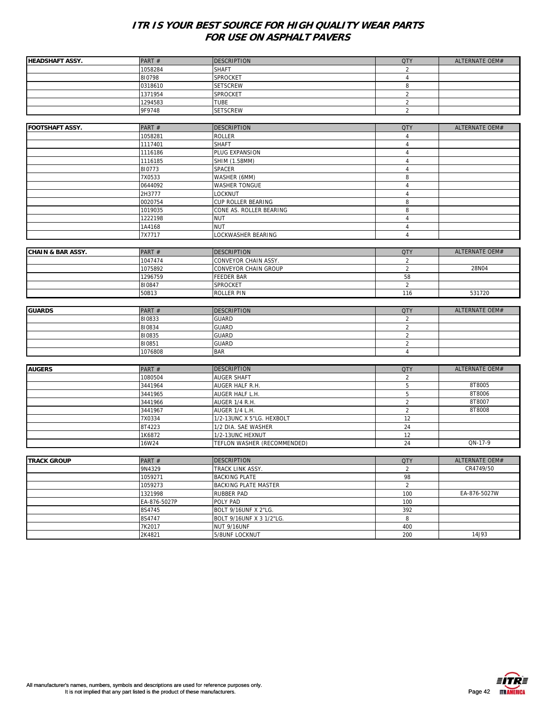| <b>HEADSHAFT ASSY.</b>       | PART#            | <b>DESCRIPTION</b>            | <b>QTY</b>     | ALTERNATE OEM# |
|------------------------------|------------------|-------------------------------|----------------|----------------|
|                              | 1058284          | <b>SHAFT</b>                  | $\overline{2}$ |                |
|                              | 810798           | SPROCKET                      | $\overline{4}$ |                |
|                              | 0318610          | <b>SETSCREW</b>               | 8              |                |
|                              | 1371954          | SPROCKET                      | $\overline{2}$ |                |
|                              | 1294583          | <b>TUBE</b>                   | $\overline{2}$ |                |
|                              | 9F9748           | <b>SETSCREW</b>               | $\overline{2}$ |                |
|                              |                  |                               |                |                |
| <b>FOOTSHAFT ASSY.</b>       | PART #           | <b>DESCRIPTION</b>            | <b>QTY</b>     | ALTERNATE OEM# |
|                              | 1058281          | <b>ROLLER</b>                 | $\overline{4}$ |                |
|                              | 1117401          | <b>SHAFT</b>                  | $\overline{4}$ |                |
|                              | 1116186          | PLUG EXPANSION                | $\overline{4}$ |                |
|                              | 1116185          | SHIM (1.58MM)                 | $\overline{4}$ |                |
|                              | 810773           | SPACER                        | $\overline{4}$ |                |
|                              | 7X0533           | WASHER (6MM)                  | 8              |                |
|                              | 0644092          | <b>WASHER TONGUE</b>          | $\overline{4}$ |                |
|                              | 2H3777           | LOCKNUT                       | $\overline{4}$ |                |
|                              | 0020754          | CUP ROLLER BEARING            | 8              |                |
|                              | 1019035          | CONE AS. ROLLER BEARING       | 8              |                |
|                              | 1222198          | <b>NUT</b>                    | $\overline{4}$ |                |
|                              | 1A4168           | <b>NUT</b>                    | $\overline{4}$ |                |
|                              | 7X7717           | LOCKWASHER BEARING            | $\overline{4}$ |                |
|                              |                  |                               |                |                |
| <b>CHAIN &amp; BAR ASSY.</b> | PART #           | <b>DESCRIPTION</b>            | <b>QTY</b>     | ALTERNATE OEM# |
|                              | 1047474          | CONVEYOR CHAIN ASSY.          | $\overline{2}$ |                |
|                              | 1075892          | CONVEYOR CHAIN GROUP          | $\overline{2}$ | 28N04          |
|                              | 1296759          | FEEDER BAR                    | 58             |                |
|                              | 810847           | SPROCKET                      | $\sqrt{2}$     |                |
|                              | 50B13            | <b>ROLLER PIN</b>             | 116            | 531720         |
| <b>GUARDS</b>                | PART#            | <b>DESCRIPTION</b>            | <b>QTY</b>     | ALTERNATE OEM# |
|                              | 810833           | <b>GUARD</b>                  | $\overline{2}$ |                |
|                              | 810834           | <b>GUARD</b>                  | $\overline{2}$ |                |
|                              | 810835           | <b>GUARD</b>                  | $\overline{2}$ |                |
|                              | 810851           | <b>GUARD</b>                  | $\overline{2}$ |                |
|                              | 1076808          | <b>BAR</b>                    | $\overline{4}$ |                |
|                              |                  |                               |                |                |
| <b>AUGERS</b>                | PART#            | <b>DESCRIPTION</b>            | <b>QTY</b>     | ALTERNATE OEM# |
|                              | 1080504          | <b>AUGER SHAFT</b>            | $\overline{2}$ |                |
|                              | 3441964          | AUGER HALF R.H.               | 5              | 8T8005         |
|                              | 3441965          | AUGER HALF L.H.               | 5              | 8T8006         |
|                              | 3441966          | AUGER 1/4 R.H.                | $\overline{2}$ | 8T8007         |
|                              | 3441967          | AUGER 1/4 L.H.                | $\overline{2}$ | 8T8008         |
|                              | 7X0334           | 1/2-13UNC X 5"LG. HEXBOLT     | 12             |                |
|                              | 8T4223           | 1/2 DIA. SAE WASHER           | 24             |                |
|                              | 1K6872           | 1/2-13UNC HEXNUT              | 12             |                |
|                              | 16W24            | TEFLON WASHER (RECOMMENDED)   | 24             | QN-17-9        |
|                              |                  |                               |                |                |
| <b>TRACK GROUP</b>           | PART#            | <b>DESCRIPTION</b>            | <b>QTY</b>     | ALTERNATE OEM# |
|                              | 9N4329           | TRACK LINK ASSY.              | $\overline{a}$ | CR4749/50      |
|                              | 1059271          | <b>BACKING PLATE</b>          | 98             |                |
|                              | 1059273          | <b>BACKING PLATE MASTER</b>   | $\overline{2}$ |                |
|                              |                  |                               |                |                |
|                              | 1321998          | <b>RUBBER PAD</b>             | 100            | EA-876-5027W   |
|                              | EA-876-5027P     | POLY PAD                      | 100            |                |
|                              | 8S4745           | BOLT 9/16UNF X 2"LG.          | 392            |                |
|                              | 8S4747           | BOLT 9/16UNF X 3 1/2"LG.      | 8              |                |
|                              | 7K2017<br>2K4821 | NUT 9/16UNF<br>5/8UNF LOCKNUT | 400<br>200     | 14J93          |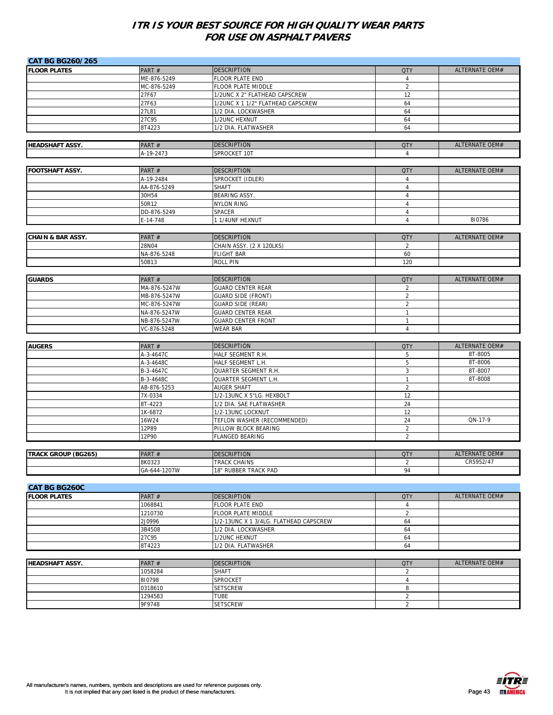| <b>CAT BG BG260/265</b>      |                        |                                        |                          |                           |
|------------------------------|------------------------|----------------------------------------|--------------------------|---------------------------|
| <b>FLOOR PLATES</b>          | PART#                  | <b>DESCRIPTION</b>                     | <b>QTY</b>               | ALTERNATE OEM#            |
|                              | ME-876-5249            | <b>FLOOR PLATE END</b>                 | $\overline{4}$           |                           |
|                              | MC-876-5249            | FLOOR PLATE MIDDLE                     | $\overline{2}$           |                           |
|                              | 27F67                  | 1/2UNC X 2" FLATHEAD CAPSCREW          | 12                       |                           |
|                              | 27F63                  | 1/2UNC X 1 1/2" FLATHEAD CAPSCREW      | 64                       |                           |
|                              | 27L81                  | 1/2 DIA. LOCKWASHER                    | 64                       |                           |
|                              | 27C95                  | 1/2UNC HEXNUT                          | 64                       |                           |
|                              | 8T4223                 | 1/2 DIA. FLATWASHER                    | 64                       |                           |
|                              |                        |                                        |                          |                           |
| <b>HEADSHAFT ASSY.</b>       | PART#                  | <b>DESCRIPTION</b>                     | <b>QTY</b>               | <b>ALTERNATE OEM#</b>     |
|                              | A-19-2473              | SPROCKET 10T                           | $\overline{4}$           |                           |
| <b>FOOTSHAFT ASSY.</b>       |                        | <b>DESCRIPTION</b>                     |                          | ALTERNATE OEM#            |
|                              | PART#<br>A-19-2484     | SPROCKET (IDLER)                       | <b>QTY</b><br>$\sqrt{4}$ |                           |
|                              | AA-876-5249            | <b>SHAFT</b>                           | $\overline{4}$           |                           |
|                              | 30H54                  | BEARING ASSY.                          | $\overline{4}$           |                           |
|                              | 50R12                  | <b>NYLON RING</b>                      | $\overline{4}$           |                           |
|                              | DD-876-5249            | <b>SPACER</b>                          | $\sqrt{4}$               |                           |
|                              | E-14-748               | 1 1/4UNF HEXNUT                        | $\overline{4}$           | 810786                    |
|                              |                        |                                        |                          |                           |
| <b>CHAIN &amp; BAR ASSY.</b> | PART#                  | <b>DESCRIPTION</b>                     | <b>QTY</b>               | ALTERNATE OEM#            |
|                              | 28N04                  | CHAIN ASSY. (2 X 120LKS)               | $\overline{2}$           |                           |
|                              | NA-876-5248            | <b>FLIGHT BAR</b>                      | 60                       |                           |
|                              | 50B13                  | <b>ROLL PIN</b>                        | 120                      |                           |
|                              |                        |                                        |                          |                           |
| <b>GUARDS</b>                | PART#                  | <b>DESCRIPTION</b>                     | <b>QTY</b>               | ALTERNATE OEM#            |
|                              | MA-876-5247W           | <b>GUARD CENTER REAR</b>               | $\overline{2}$           |                           |
|                              | MB-876-5247W           | <b>GUARD SIDE (FRONT)</b>              | $\overline{2}$           |                           |
|                              | MC-876-5247W           | <b>GUARD SIDE (REAR)</b>               | $\overline{2}$           |                           |
|                              | NA-876-5247W           | <b>GUARD CENTER REAR</b>               | $\mathbf{1}$             |                           |
|                              | NB-876-5247W           | <b>GUARD CENTER FRONT</b>              | $\mathbf{1}$             |                           |
|                              | VC-876-5248            | <b>WEAR BAR</b>                        | $\overline{4}$           |                           |
|                              |                        |                                        |                          |                           |
| <b>AUGERS</b>                | PART#                  | <b>DESCRIPTION</b>                     | <b>QTY</b>               | ALTERNATE OEM#<br>8T-8005 |
|                              | A-3-4647C<br>A-3-4648C | HALF SEGMENT R.H.<br>HALF SEGMENT L.H. | 5<br>5                   | 8T-8006                   |
|                              | B-3-4647C              | QUARTER SEGMENT R.H.                   | 3                        | 8T-8007                   |
|                              | B-3-4648C              | QUARTER SEGMENT L.H.                   | $\mathbf{1}$             | 8T-8008                   |
|                              | AB-876-5253            | <b>AUGER SHAFT</b>                     | $\sqrt{2}$               |                           |
|                              | 7X-0334                | 1/2-13UNC X 5"LG. HEXBOLT              | 12                       |                           |
|                              | 8T-4223                | 1/2 DIA. SAE FLATWASHER                | 24                       |                           |
|                              | 1K-6872                | 1/2-13UNC LOCKNUT                      | 12                       |                           |
|                              | 16W24                  | TEFLON WASHER (RECOMMENDED)            | 24                       | QN-17-9                   |
|                              | 12P89                  | PILLOW BLOCK BEARING                   | $\overline{2}$           |                           |
|                              | 12P90                  | <b>FLANGED BEARING</b>                 | $\overline{2}$           |                           |
|                              |                        |                                        |                          |                           |
| <b>TRACK GROUP (BG265)</b>   | PART#                  | <b>DESCRIPTION</b>                     | <b>QTY</b>               | ALTERNATE OEM#            |
|                              | 8K0323                 | <b>TRACK CHAINS</b>                    | 2                        | CR5952/47                 |
|                              | GA-644-1207W           | 18" RUBBER TRACK PAD                   | 94                       |                           |
|                              |                        |                                        |                          |                           |
| <b>CAT BG BG260C</b>         |                        |                                        |                          |                           |
| <b>FLOOR PLATES</b>          | PART#                  | <b>DESCRIPTION</b>                     | <b>QTY</b>               | ALTERNATE OEM#            |
|                              | 1068841                | FLOOR PLATE END                        | $\overline{4}$           |                           |
|                              | 1210730                | FLOOR PLATE MIDDLE                     | $\overline{2}$           |                           |
|                              | 2J0996                 | 1/2-13UNC X 1 3/4LG. FLATHEAD CAPSCREW | 64                       |                           |
|                              | 3B4508<br>27C95        | 1/2 DIA. LOCKWASHER                    | 64<br>64                 |                           |
|                              | 8T4223                 | 1/2UNC HEXNUT<br>1/2 DIA. FLATWASHER   | 64                       |                           |
|                              |                        |                                        |                          |                           |
| <b>HEADSHAFT ASSY.</b>       | PART #                 | <b>DESCRIPTION</b>                     | <b>QTY</b>               | <b>ALTERNATE OEM#</b>     |
|                              | 1058284                | <b>SHAFT</b>                           | $\overline{2}$           |                           |
|                              | 810798                 | SPROCKET                               | $\overline{4}$           |                           |
|                              |                        |                                        |                          |                           |
|                              |                        |                                        |                          |                           |
|                              | 0318610<br>1294583     | <b>SETSCREW</b><br><b>TUBE</b>         | 8<br>$\overline{2}$      |                           |
|                              | 9F9748                 | <b>SETSCREW</b>                        | $\overline{2}$           |                           |

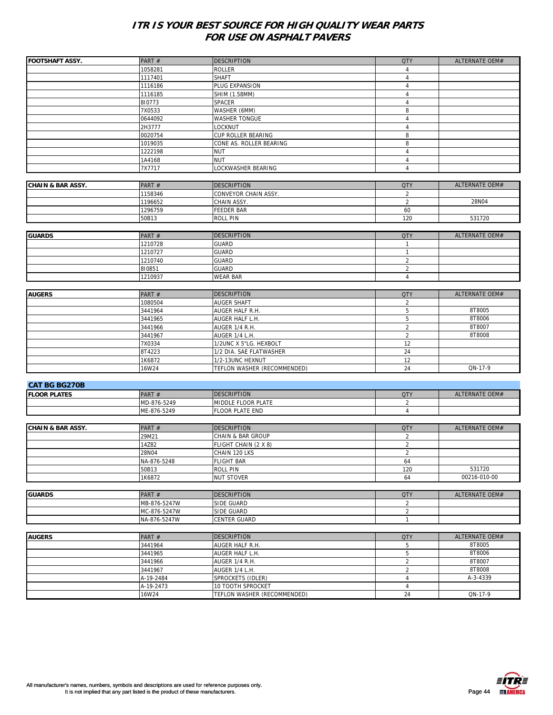|                              |              |                                               |                                  | ALTERNATE OEM# |
|------------------------------|--------------|-----------------------------------------------|----------------------------------|----------------|
| <b>FOOTSHAFT ASSY.</b>       | PART #       | <b>DESCRIPTION</b>                            | <b>QTY</b>                       |                |
|                              | 1058281      | <b>ROLLER</b><br><b>SHAFT</b>                 | $\overline{4}$<br>$\overline{4}$ |                |
|                              | 1117401      |                                               |                                  |                |
|                              | 1116186      | PLUG EXPANSION                                | $\overline{4}$                   |                |
|                              | 1116185      | SHIM (1.58MM)                                 | $\overline{4}$                   |                |
|                              | 810773       | SPACER                                        | $\sqrt{4}$                       |                |
|                              | 7X0533       | WASHER (6MM)                                  | 8                                |                |
|                              | 0644092      | <b>WASHER TONGUE</b>                          | $\overline{4}$                   |                |
|                              | 2H3777       | LOCKNUT                                       | $\overline{4}$                   |                |
|                              | 0020754      | CUP ROLLER BEARING<br>CONE AS. ROLLER BEARING | 8                                |                |
|                              | 1019035      |                                               | 8                                |                |
|                              | 1222198      | <b>NUT</b>                                    | $\overline{4}$                   |                |
|                              | 1A4168       | <b>NUT</b>                                    | $\overline{4}$                   |                |
|                              | 7X7717       | LOCKWASHER BEARING                            | $\overline{4}$                   |                |
|                              |              |                                               |                                  |                |
| <b>CHAIN &amp; BAR ASSY.</b> | PART #       | <b>DESCRIPTION</b>                            | <b>QTY</b>                       | ALTERNATE OEM# |
|                              | 1158346      | CONVEYOR CHAIN ASSY.                          | $\sqrt{2}$                       |                |
|                              | 1196652      | CHAIN ASSY.                                   | $\overline{2}$                   | 28N04          |
|                              | 1296759      | <b>FEEDER BAR</b>                             | 60                               |                |
|                              | 50B13        | <b>ROLL PIN</b>                               | 120                              | 531720         |
|                              |              |                                               |                                  |                |
| <b>GUARDS</b>                | PART #       | <b>DESCRIPTION</b>                            | <b>QTY</b>                       | ALTERNATE OEM# |
|                              | 1210728      | <b>GUARD</b>                                  | $\mathbf{1}$                     |                |
|                              | 1210727      | <b>GUARD</b>                                  | $\mathbf{1}$                     |                |
|                              | 1210740      | <b>GUARD</b>                                  | $\overline{2}$                   |                |
|                              | 810851       | <b>GUARD</b>                                  | $\sqrt{2}$                       |                |
|                              | 1210937      | <b>WEAR BAR</b>                               | $\overline{4}$                   |                |
|                              |              |                                               |                                  |                |
| <b>AUGERS</b>                | PART#        | <b>DESCRIPTION</b>                            | <b>QTY</b>                       | ALTERNATE OEM# |
|                              | 1080504      | <b>AUGER SHAFT</b>                            | $\sqrt{2}$                       |                |
|                              | 3441964      | AUGER HALF R.H.                               | 5                                | 8T8005         |
|                              | 3441965      | AUGER HALF L.H.                               | 5                                | 8T8006         |
|                              | 3441966      | AUGER 1/4 R.H.                                | $\overline{2}$                   | 8T8007         |
|                              | 3441967      | AUGER 1/4 L.H.                                | 2                                | 8T8008         |
|                              | 7X0334       | 1/2UNC X 5"LG. HEXBOLT                        | 12                               |                |
|                              | 8T4223       | 1/2 DIA. SAE FLATWASHER                       | 24                               |                |
|                              | 1K6872       | 1/2-13UNC HEXNUT                              | 12                               |                |
|                              | 16W24        | TEFLON WASHER (RECOMMENDED)                   | 24                               | QN-17-9        |
|                              |              |                                               |                                  |                |
| <b>CAT BG BG270B</b>         |              |                                               |                                  |                |
| <b>FLOOR PLATES</b>          | PART#        | <b>DESCRIPTION</b>                            | <b>QTY</b>                       | ALTERNATE OEM# |
|                              | MD-876-5249  | MIDDLE FLOOR PLATE                            | $\overline{2}$                   |                |
|                              | ME-876-5249  | <b>FLOOR PLATE END</b>                        | $\overline{4}$                   |                |
|                              |              |                                               |                                  |                |
| <b>CHAIN &amp; BAR ASSY.</b> | PART #       | <b>DESCRIPTION</b>                            | <b>QTY</b>                       | ALTERNATE OEM# |
|                              | 29M21        | <b>CHAIN &amp; BAR GROUP</b>                  | $\sqrt{2}$                       |                |
|                              | 14Z82        | FLIGHT CHAIN (2 X 8)                          | $\sqrt{2}$                       |                |
|                              | 28N04        | CHAIN 120 LKS                                 | $\overline{2}$                   |                |
|                              | NA-876-5248  | <b>FLIGHT BAR</b>                             | 64                               |                |
|                              | 50B13        | <b>ROLL PIN</b>                               | 120                              | 531720         |
|                              | 1K6872       | <b>NUT STOVER</b>                             | 64                               | 00216-010-00   |
|                              |              |                                               |                                  |                |
| <b>GUARDS</b>                | PART#        | <b>DESCRIPTION</b>                            | <b>QTY</b>                       | ALTERNATE OEM# |
|                              | MB-876-5247W | SIDE GUARD                                    | $\overline{2}$                   |                |
|                              | MC-876-5247W | SIDE GUARD                                    | $\overline{2}$                   |                |
|                              | NA-876-5247W | CENTER GUARD                                  | $\mathbf{1}$                     |                |
|                              |              |                                               |                                  |                |
| <b>AUGERS</b>                | PART#        | <b>DESCRIPTION</b>                            | <b>QTY</b>                       | ALTERNATE OEM# |
|                              | 3441964      | AUGER HALF R.H.                               | 5                                | 8T8005         |
|                              |              | AUGER HALF L.H.                               | 5                                | 8T8006         |
|                              | 3441965      |                                               |                                  | 8T8007         |
|                              | 3441966      | AUGER 1/4 R.H.                                | $\sqrt{2}$                       |                |
|                              | 3441967      | AUGER 1/4 L.H.                                | $\sqrt{2}$                       | 8T8008         |
|                              | A-19-2484    | SPROCKETS (IDLER)                             | $\overline{4}$                   | A-3-4339       |
|                              | A-19-2473    | 10 TOOTH SPROCKET                             | $\sqrt{4}$                       |                |
|                              | 16W24        | TEFLON WASHER (RECOMMENDED)                   | 24                               | QN-17-9        |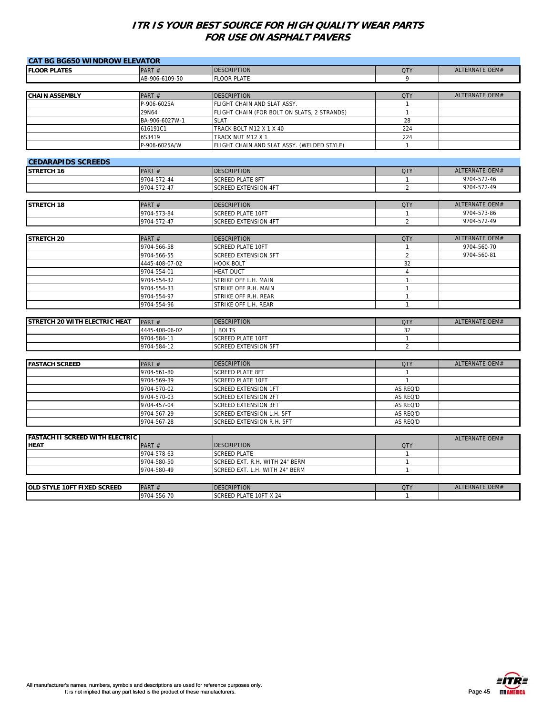| <b>CAT BG BG650 WINDROW ELEVATOR</b>                  |                |                                             |                |                       |
|-------------------------------------------------------|----------------|---------------------------------------------|----------------|-----------------------|
| <b>FLOOR PLATES</b>                                   | PART#          | <b>DESCRIPTION</b>                          | <b>QTY</b>     | ALTERNATE OEM#        |
|                                                       | AB-906-6109-50 | <b>FLOOR PLATE</b>                          | 9              |                       |
|                                                       |                |                                             |                |                       |
| <b>CHAIN ASSEMBLY</b>                                 | PART#          | <b>DESCRIPTION</b>                          | <b>QTY</b>     | ALTERNATE OEM#        |
|                                                       | P-906-6025A    | FLIGHT CHAIN AND SLAT ASSY.                 | $\mathbf{1}$   |                       |
|                                                       | 29N64          | FLIGHT CHAIN (FOR BOLT ON SLATS, 2 STRANDS) | $\mathbf{1}$   |                       |
|                                                       | BA-906-6027W-1 | <b>SLAT</b>                                 | 28             |                       |
|                                                       | 616191C1       | TRACK BOLT M12 X 1 X 40                     | 224            |                       |
|                                                       | 6S3419         | TRACK NUT M12 X 1                           | 224            |                       |
|                                                       | P-906-6025A/W  | FLIGHT CHAIN AND SLAT ASSY. (WELDED STYLE)  | $\mathbf{1}$   |                       |
| <b>CEDARAPIDS SCREEDS</b>                             |                |                                             |                |                       |
| STRETCH 16                                            | PART#          | <b>DESCRIPTION</b>                          | <b>QTY</b>     | ALTERNATE OEM#        |
|                                                       | 9704-572-44    | <b>SCREED PLATE 8FT</b>                     | $\mathbf{1}$   | 9704-572-46           |
|                                                       | 9704-572-47    | <b>SCREED EXTENSION 4FT</b>                 | $\overline{2}$ | 9704-572-49           |
|                                                       |                |                                             |                |                       |
| <b>STRETCH 18</b>                                     | PART#          | <b>DESCRIPTION</b>                          | <b>QTY</b>     | ALTERNATE OEM#        |
|                                                       | 9704-573-84    | <b>SCREED PLATE 10FT</b>                    | $\mathbf{1}$   | 9704-573-86           |
|                                                       | 9704-572-47    | <b>SCREED EXTENSION 4FT</b>                 | $\overline{2}$ | 9704-572-49           |
|                                                       |                |                                             |                |                       |
| <b>STRETCH 20</b>                                     | PART#          | <b>DESCRIPTION</b>                          | <b>QTY</b>     | ALTERNATE OEM#        |
|                                                       | 9704-566-58    | <b>SCREED PLATE 10FT</b>                    | $\mathbf{1}$   | 9704-560-70           |
|                                                       | 9704-566-55    | <b>SCREED EXTENSION 5FT</b>                 | $\overline{2}$ | 9704-560-81           |
|                                                       | 4445-408-07-02 | <b>HOOK BOLT</b>                            | 32             |                       |
|                                                       | 9704-554-01    | <b>HEAT DUCT</b>                            | $\overline{4}$ |                       |
|                                                       | 9704-554-32    | STRIKE OFF L.H. MAIN                        | $\mathbf{1}$   |                       |
|                                                       | 9704-554-33    | STRIKE OFF R.H. MAIN                        | $\mathbf{1}$   |                       |
|                                                       | 9704-554-97    | STRIKE OFF R.H. REAR                        | $\mathbf{1}$   |                       |
|                                                       | 9704-554-96    | STRIKE OFF L.H. REAR                        | $\mathbf{1}$   |                       |
| STRETCH 20 WITH ELECTRIC HEAT                         | PART#          | <b>DESCRIPTION</b>                          | <b>QTY</b>     | ALTERNATE OEM#        |
|                                                       | 4445-408-06-02 | J BOLTS                                     | 32             |                       |
|                                                       | 9704-584-11    | <b>SCREED PLATE 10FT</b>                    | $\mathbf{1}$   |                       |
|                                                       | 9704-584-12    | SCREED EXTENSION 5FT                        | $\overline{2}$ |                       |
|                                                       |                |                                             |                |                       |
| <b>FASTACH SCREED</b>                                 | PART#          | <b>DESCRIPTION</b>                          | <b>QTY</b>     | ALTERNATE OEM#        |
|                                                       | 9704-561-80    | <b>SCREED PLATE 8FT</b>                     | $\mathbf{1}$   |                       |
|                                                       | 9704-569-39    | <b>SCREED PLATE 10FT</b>                    | $\mathbf{1}$   |                       |
|                                                       | 9704-570-02    | <b>SCREED EXTENSION 1FT</b>                 | AS REQ'D       |                       |
|                                                       | 9704-570-03    | <b>SCREED EXTENSION 2FT</b>                 | AS REQ'D       |                       |
|                                                       | 9704-457-04    | <b>SCREED EXTENSION 3FT</b>                 | AS REQ'D       |                       |
|                                                       | 9704-567-29    | SCREED EXTENSION L.H. 5FT                   | AS REQ'D       |                       |
|                                                       | 9704-567-28    | <b>SCREED EXTENSION R.H. 5FT</b>            | AS REQ'D       |                       |
|                                                       |                |                                             |                |                       |
| <b>FASTACH II SCREED WITH ELECTRIC</b><br><b>HEAT</b> | PART #         | <b>DESCRIPTION</b>                          | <b>QTY</b>     | <b>ALTERNATE OEM#</b> |
|                                                       | 9704-578-63    | <b>SCREED PLATE</b>                         | $\mathbf{1}$   |                       |
|                                                       | 9704-580-50    | SCREED EXT. R.H. WITH 24" BERM              | $\mathbf{1}$   |                       |
|                                                       | 9704-580-49    | SCREED EXT. L.H. WITH 24" BERM              | $\mathbf{1}$   |                       |
|                                                       |                |                                             |                |                       |
| OLD STYLE 10FT FIXED SCREED                           | PART #         | <b>DESCRIPTION</b>                          | <b>QTY</b>     | ALTERNATE OEM#        |
|                                                       | 9704-556-70    | SCREED PLATE 10FT X 24"                     | $\mathbf{1}$   |                       |
|                                                       |                |                                             |                |                       |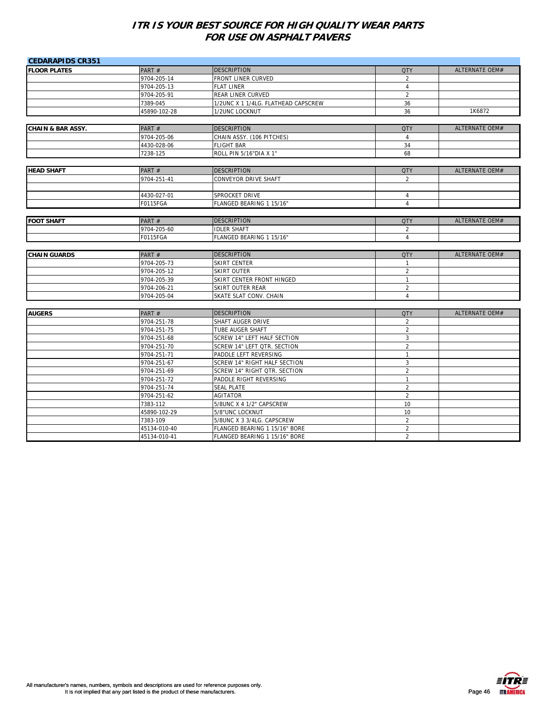| <b>CEDARAPIDS CR351</b>      |              |                                     |                |                       |
|------------------------------|--------------|-------------------------------------|----------------|-----------------------|
| <b>FLOOR PLATES</b>          | PART#        | <b>DESCRIPTION</b>                  | <b>QTY</b>     | <b>ALTERNATE OEM#</b> |
|                              | 9704-205-14  | FRONT LINER CURVED                  | $\overline{2}$ |                       |
|                              | 9704-205-13  | <b>FLAT LINER</b>                   | $\overline{4}$ |                       |
|                              | 9704-205-91  | REAR LINER CURVED                   | $\overline{2}$ |                       |
|                              | 7389-045     | 1/2UNC X 1 1/4LG. FLATHEAD CAPSCREW | 36             |                       |
|                              | 45890-102-28 | 1/2UNC LOCKNUT                      | 36             | 1K6872                |
|                              |              |                                     |                |                       |
| <b>CHAIN &amp; BAR ASSY.</b> | PART#        | <b>DESCRIPTION</b>                  | <b>QTY</b>     | <b>ALTERNATE OEM#</b> |
|                              | 9704-205-06  | CHAIN ASSY. (106 PITCHES)           | $\overline{4}$ |                       |
|                              | 4430-028-06  | <b>FLIGHT BAR</b>                   | 34             |                       |
|                              | 7238-125     | ROLL PIN 5/16"DIA X 1"              | 68             |                       |
|                              |              |                                     |                |                       |
| <b>HEAD SHAFT</b>            | PART#        | <b>DESCRIPTION</b>                  | <b>QTY</b>     | <b>ALTERNATE OEM#</b> |
|                              | 9704-251-41  | CONVEYOR DRIVE SHAFT                | $\overline{2}$ |                       |
|                              | 4430-027-01  | SPROCKET DRIVE                      | 4              |                       |
|                              | F0115FGA     | FLANGED BEARING 1 15/16"            | $\overline{4}$ |                       |
|                              |              |                                     |                |                       |
| <b>FOOT SHAFT</b>            | PART#        | <b>DESCRIPTION</b>                  | <b>QTY</b>     | <b>ALTERNATE OEM#</b> |
|                              | 9704-205-60  | <b>IDLER SHAFT</b>                  | 2              |                       |
|                              | F0115FGA     | FLANGED BEARING 1 15/16"            | $\overline{4}$ |                       |
|                              |              |                                     |                |                       |
| <b>CHAIN GUARDS</b>          | PART#        | <b>DESCRIPTION</b>                  | <b>QTY</b>     | ALTERNATE OEM#        |
|                              | 9704-205-73  | <b>SKIRT CENTER</b>                 | $\mathbf{1}$   |                       |
|                              | 9704-205-12  | <b>SKIRT OUTER</b>                  | $\overline{2}$ |                       |
|                              | 9704-205-39  | SKIRT CENTER FRONT HINGED           | $\mathbf{1}$   |                       |
|                              | 9704-206-21  | SKIRT OUTER REAR                    | $\overline{2}$ |                       |
|                              |              |                                     |                |                       |
|                              | 9704-205-04  | SKATE SLAT CONV. CHAIN              | $\overline{4}$ |                       |
|                              |              |                                     |                |                       |
| <b>AUGERS</b>                | PART#        | <b>DESCRIPTION</b>                  | <b>QTY</b>     | <b>ALTERNATE OEM#</b> |
|                              | 9704-251-78  | SHAFT AUGER DRIVE                   | $\overline{2}$ |                       |
|                              | 9704-251-75  | TUBE AUGER SHAFT                    | $\overline{2}$ |                       |
|                              | 9704-251-68  | <b>SCREW 14" LEFT HALF SECTION</b>  | $\overline{3}$ |                       |
|                              | 9704-251-70  | SCREW 14" LEFT QTR. SECTION         | $\overline{2}$ |                       |
|                              | 9704-251-71  | PADDLE LEFT REVERSING               | $\mathbf{1}$   |                       |
|                              | 9704-251-67  | SCREW 14" RIGHT HALF SECTION        | 3              |                       |
|                              | 9704-251-69  | SCREW 14" RIGHT QTR. SECTION        | $\overline{2}$ |                       |
|                              | 9704-251-72  | PADDLE RIGHT REVERSING              | $\mathbf{1}$   |                       |
|                              | 9704-251-74  | <b>SEAL PLATE</b>                   | $\overline{2}$ |                       |
|                              | 9704-251-62  | <b>AGITATOR</b>                     | 2              |                       |
|                              | 7383-112     | 5/8UNC X 4 1/2" CAPSCREW            | 10             |                       |
|                              | 45890-102-29 | 5/8"UNC LOCKNUT                     | 10             |                       |
|                              | 7383-109     | 5/8UNC X 3 3/4LG. CAPSCREW          | $\overline{2}$ |                       |
|                              | 45134-010-40 | FLANGED BEARING 1 15/16" BORE       | $\overline{2}$ |                       |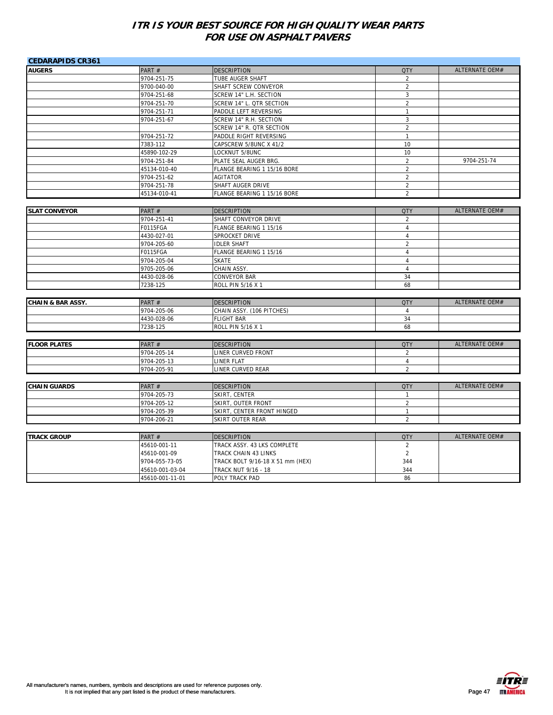| <b>CEDARAPIDS CR361</b>      |                            |                                                  |                                |                       |
|------------------------------|----------------------------|--------------------------------------------------|--------------------------------|-----------------------|
| <b>AUGERS</b>                | PART#                      | <b>DESCRIPTION</b>                               | <b>QTY</b>                     | ALTERNATE OEM#        |
|                              | 9704-251-75                | TUBE AUGER SHAFT                                 | 2                              |                       |
|                              | 9700-040-00                | SHAFT SCREW CONVEYOR                             | $\overline{2}$                 |                       |
|                              | 9704-251-68                | SCREW 14" L.H. SECTION                           | $\mathbf{3}$                   |                       |
|                              | 9704-251-70                | SCREW 14" L. QTR SECTION                         | $\overline{2}$                 |                       |
|                              | 9704-251-71                | PADDLE LEFT REVERSING                            | $\mathbf{1}$                   |                       |
|                              | 9704-251-67                | SCREW 14" R.H. SECTION                           | $\sqrt{3}$                     |                       |
|                              |                            | SCREW 14" R. QTR SECTION                         | $\overline{2}$                 |                       |
|                              | 9704-251-72                | PADDLE RIGHT REVERSING                           | $\mathbf{1}$                   |                       |
|                              | 7383-112                   | CAPSCREW 5/8UNC X 41/2                           | 10                             |                       |
|                              | 45890-102-29               | LOCKNUT 5/8UNC                                   | 10                             |                       |
|                              | 9704-251-84                | PLATE SEAL AUGER BRG.                            | $\overline{2}$                 | 9704-251-74           |
|                              | 45134-010-40               | FLANGE BEARING 1 15/16 BORE                      | $\overline{2}$                 |                       |
|                              | 9704-251-62                | AGITATOR                                         | 2                              |                       |
|                              | 9704-251-78                | SHAFT AUGER DRIVE                                | $\overline{2}$                 |                       |
|                              | 45134-010-41               | FLANGE BEARING 1 15/16 BORE                      | $\overline{2}$                 |                       |
|                              |                            |                                                  |                                |                       |
| <b>SLAT CONVEYOR</b>         | PART#                      | <b>DESCRIPTION</b>                               | <b>QTY</b>                     | ALTERNATE OEM#        |
|                              | 9704-251-41                | SHAFT CONVEYOR DRIVE                             | $\overline{2}$                 |                       |
|                              | F0115FGA                   | FLANGE BEARING 1 15/16                           | $\overline{4}$                 |                       |
|                              | 4430-027-01                | SPROCKET DRIVE                                   | $\overline{4}$                 |                       |
|                              | 9704-205-60                | <b>IDLER SHAFT</b>                               | $\overline{2}$                 |                       |
|                              | F0115FGA                   | FLANGE BEARING 1 15/16                           | $\overline{4}$                 |                       |
|                              | 9704-205-04                | <b>SKATE</b>                                     | $\overline{4}$                 |                       |
|                              | 9705-205-06                | CHAIN ASSY.                                      | $\overline{4}$                 |                       |
|                              | 4430-028-06                | <b>CONVEYOR BAR</b>                              | 34                             |                       |
|                              | 7238-125                   | ROLL PIN 5/16 X 1                                | 68                             |                       |
|                              |                            |                                                  |                                |                       |
| <b>CHAIN &amp; BAR ASSY.</b> | PART#                      | <b>DESCRIPTION</b>                               | <b>QTY</b>                     | <b>ALTERNATE OEM#</b> |
|                              | 9704-205-06                | CHAIN ASSY. (106 PITCHES)                        | $\overline{4}$                 |                       |
|                              | 4430-028-06                | <b>FLIGHT BAR</b>                                | 34                             |                       |
|                              | 7238-125                   | ROLL PIN 5/16 X 1                                | 68                             |                       |
|                              |                            |                                                  |                                |                       |
| <b>FLOOR PLATES</b>          | PART#                      | <b>DESCRIPTION</b>                               | <b>QTY</b>                     | <b>ALTERNATE OEM#</b> |
|                              | 9704-205-14                | LINER CURVED FRONT                               | $\overline{2}$                 |                       |
|                              | 9704-205-13                | LINER FLAT                                       | $\overline{4}$                 |                       |
|                              | 9704-205-91                | LINER CURVED REAR                                | $\overline{2}$                 |                       |
| <b>CHAIN GUARDS</b>          | PART#                      | <b>DESCRIPTION</b>                               | <b>QTY</b>                     | ALTERNATE OEM#        |
|                              |                            |                                                  |                                |                       |
|                              | 9704-205-73                | SKIRT, CENTER                                    | $\mathbf{1}$                   |                       |
|                              | 9704-205-12<br>9704-205-39 | SKIRT, OUTER FRONT<br>SKIRT, CENTER FRONT HINGED | $\overline{2}$<br>$\mathbf{1}$ |                       |
|                              | 9704-206-21                | <b>SKIRT OUTER REAR</b>                          | $\overline{2}$                 |                       |
|                              |                            |                                                  |                                |                       |
| <b>TRACK GROUP</b>           | PART#                      | <b>DESCRIPTION</b>                               | <b>QTY</b>                     | ALTERNATE OEM#        |
|                              | 45610-001-11               | TRACK ASSY. 43 LKS COMPLETE                      | 2                              |                       |
|                              | 45610-001-09               | <b>TRACK CHAIN 43 LINKS</b>                      | $\overline{2}$                 |                       |
|                              | 9704-055-73-05             | TRACK BOLT 9/16-18 X 51 mm (HEX)                 | 344                            |                       |
|                              | 45610-001-03-04            | TRACK NUT 9/16 - 18                              | 344                            |                       |
|                              | 45610-001-11-01            | POLY TRACK PAD                                   | 86                             |                       |
|                              |                            |                                                  |                                |                       |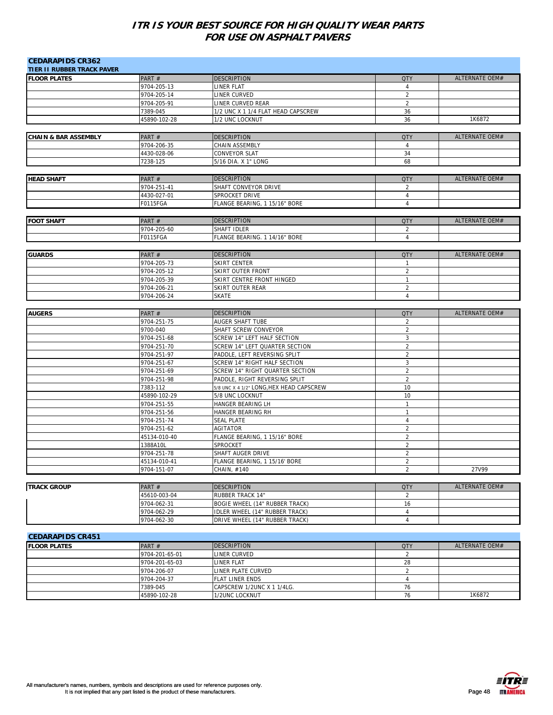| <b>CEDARAPIDS CR362</b><br><b>TIER II RUBBER TRACK PAVER</b> |                            |                                          |                                |                       |
|--------------------------------------------------------------|----------------------------|------------------------------------------|--------------------------------|-----------------------|
| <b>FLOOR PLATES</b>                                          | PART#                      | <b>DESCRIPTION</b>                       | <b>QTY</b>                     | <b>ALTERNATE OEM#</b> |
|                                                              | 9704-205-13                | LINER FLAT                               | $\overline{4}$                 |                       |
|                                                              | 9704-205-14                | LINER CURVED                             | $\overline{2}$                 |                       |
|                                                              | 9704-205-91                | LINER CURVED REAR                        | $\overline{2}$                 |                       |
|                                                              | 7389-045                   | 1/2 UNC X 1 1/4 FLAT HEAD CAPSCREW       | 36                             |                       |
|                                                              | 45890-102-28               | 1/2 UNC LOCKNUT                          | 36                             | 1K6872                |
| <b>CHAIN &amp; BAR ASSEMBLY</b>                              | PART#                      | <b>DESCRIPTION</b>                       | <b>QTY</b>                     | ALTERNATE OEM#        |
|                                                              | 9704-206-35                | CHAIN ASSEMBLY                           | $\overline{4}$                 |                       |
|                                                              | 4430-028-06                | CONVEYOR SLAT                            | 34                             |                       |
|                                                              | 7238-125                   | 5/16 DIA. X 1" LONG                      | 68                             |                       |
|                                                              |                            |                                          |                                |                       |
| <b>HEAD SHAFT</b>                                            | PART#                      | <b>DESCRIPTION</b>                       | <b>QTY</b>                     | ALTERNATE OEM#        |
|                                                              | 9704-251-41                | SHAFT CONVEYOR DRIVE                     | 2                              |                       |
|                                                              | 4430-027-01                | SPROCKET DRIVE                           | $\overline{4}$                 |                       |
|                                                              | F0115FGA                   | FLANGE BEARING, 1 15/16" BORE            | $\overline{4}$                 |                       |
| <b>FOOT SHAFT</b>                                            | PART#                      | <b>DESCRIPTION</b>                       | <b>QTY</b>                     | ALTERNATE OEM#        |
|                                                              | 9704-205-60                | SHAFT IDLER                              | 2                              |                       |
|                                                              | F0115FGA                   | FLANGE BEARING. 1 14/16" BORE            | $\overline{4}$                 |                       |
|                                                              |                            |                                          |                                | ALTERNATE OEM#        |
| <b>GUARDS</b>                                                | PART#                      | <b>DESCRIPTION</b>                       | <b>QTY</b>                     |                       |
|                                                              | 9704-205-73                | SKIRT CENTER<br>SKIRT OUTER FRONT        | $\mathbf{1}$<br>$\overline{2}$ |                       |
|                                                              | 9704-205-12<br>9704-205-39 | SKIRT CENTRE FRONT HINGED                | $\mathbf{1}$                   |                       |
|                                                              | 9704-206-21                | SKIRT OUTER REAR                         | $\overline{2}$                 |                       |
|                                                              | 9704-206-24                | <b>SKATE</b>                             | $\overline{4}$                 |                       |
|                                                              |                            |                                          |                                |                       |
| <b>AUGERS</b>                                                | PART#                      | <b>DESCRIPTION</b>                       | <b>QTY</b>                     | ALTERNATE OEM#        |
|                                                              | 9704-251-75                | AUGER SHAFT TUBE                         | 2                              |                       |
|                                                              | 9700-040                   | SHAFT SCREW CONVEYOR                     | $\overline{2}$                 |                       |
|                                                              | 9704-251-68                | SCREW 14" LEFT HALF SECTION              | 3                              |                       |
|                                                              | 9704-251-70                | SCREW 14" LEFT QUARTER SECTION           | $\overline{2}$                 |                       |
|                                                              | 9704-251-97                | PADDLE, LEFT REVERSING SPLIT             | $\sqrt{2}$                     |                       |
|                                                              | 9704-251-67                | SCREW 14" RIGHT HALF SECTION             | 3                              |                       |
|                                                              | 9704-251-69                | SCREW 14" RIGHT QUARTER SECTION          | $\overline{2}$                 |                       |
|                                                              | 9704-251-98                | PADDLE, RIGHT REVERSING SPLIT            | $\overline{2}$                 |                       |
|                                                              | 7383-112                   | 5/8 UNC X 4 1/2" LONG, HEX HEAD CAPSCREW | 10<br>10                       |                       |
|                                                              | 45890-102-29               | 5/8 UNC LOCKNUT<br>HANGER BEARING LH     | $\overline{1}$                 |                       |
|                                                              | 9704-251-55<br>9704-251-56 | HANGER BEARING RH                        | $\mathbf{1}$                   |                       |
|                                                              | 9704-251-74                | <b>SEAL PLATE</b>                        | $\overline{4}$                 |                       |
|                                                              | 9704-251-62                | <b>AGITATOR</b>                          | $\overline{2}$                 |                       |
|                                                              | 45134-010-40               | FLANGE BEARING, 1 15/16" BORE            | $\overline{2}$                 |                       |
|                                                              | 1388A10L                   | SPROCKET                                 | $\overline{2}$                 |                       |
|                                                              | 9704-251-78                | SHAFT AUGER DRIVE                        | $\overline{2}$                 |                       |
|                                                              | 45134-010-41               | FLANGE BEARING, 1 15/16' BORE            | 2                              |                       |
|                                                              | 9704-151-07                | CHAIN, #140                              | $\overline{2}$                 | 27V99                 |
|                                                              |                            |                                          |                                |                       |
| <b>TRACK GROUP</b>                                           | PART#                      | <b>DESCRIPTION</b>                       | <b>QTY</b>                     | <b>ALTERNATE OEM#</b> |
|                                                              | 45610-003-04               | <b>RUBBER TRACK 14"</b>                  | $\overline{2}$                 |                       |
|                                                              | 9704-062-31                | BOGIE WHEEL (14" RUBBER TRACK)           | 16                             |                       |
|                                                              | 9704-062-29                | IDLER WHEEL (14" RUBBER TRACK)           | 4<br>$\overline{4}$            |                       |
|                                                              | 9704-062-30                | DRIVE WHEEL (14" RUBBER TRACK)           |                                |                       |
| <b>CEDARAPIDS CR451</b>                                      |                            |                                          |                                |                       |
| <b>FLOOR PLATES</b>                                          | PART#                      | <b>DESCRIPTION</b>                       | <b>QTY</b>                     | ALTERNATE OEM#        |
|                                                              | 9704-201-65-01             | <b>LINER CURVED</b>                      | $\overline{2}$                 |                       |
|                                                              | 9704-201-65-03             | LINER FLAT                               | 28                             |                       |
|                                                              | 9704-206-07                | LINER PLATE CURVED                       | $\overline{2}$                 |                       |
|                                                              | 9704-204-37                | FLAT LINER ENDS                          | $\overline{4}$                 |                       |
|                                                              | 7389-045                   | CAPSCREW 1/2UNC X 1 1/4LG.               | 76                             |                       |
|                                                              | 45890-102-28               | 1/2UNC LOCKNUT                           | 76                             | 1K6872                |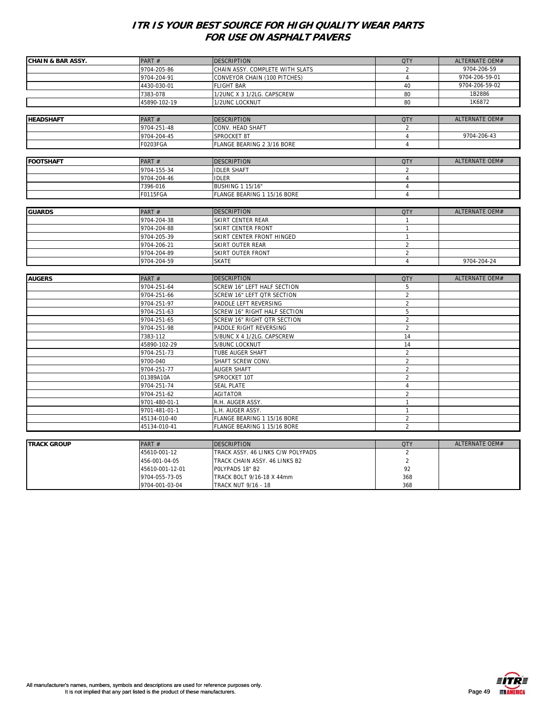| <b>CHAIN &amp; BAR ASSY.</b> | PART#                            | <b>DESCRIPTION</b>                                      | <b>QTY</b>     | ALTERNATE OEM#        |
|------------------------------|----------------------------------|---------------------------------------------------------|----------------|-----------------------|
|                              | 9704-205-86                      | CHAIN ASSY. COMPLETE WITH SLATS                         | 2              | 9704-206-59           |
|                              | 9704-204-91                      | CONVEYOR CHAIN (100 PITCHES)                            | $\overline{4}$ | 9704-206-59-01        |
|                              | 4430-030-01                      | <b>FLIGHT BAR</b>                                       | 40             | 9704-206-59-02        |
|                              | 7383-078                         | 1/2UNC X 3 1/2LG. CAPSCREW                              | 80             | 1B2886                |
|                              | 45890-102-19                     | 1/2UNC LOCKNUT                                          | 80             | 1K6872                |
|                              |                                  |                                                         |                |                       |
| <b>HEADSHAFT</b>             | PART#                            | <b>DESCRIPTION</b>                                      | <b>QTY</b>     | ALTERNATE OEM#        |
|                              | 9704-251-48                      | CONV. HEAD SHAFT                                        | 2              |                       |
|                              | 9704-204-45                      | SPROCKET 8T                                             | $\overline{4}$ | 9704-206-43           |
|                              | F0203FGA                         | FLANGE BEARING 2 3/16 BORE                              | $\overline{4}$ |                       |
|                              |                                  |                                                         |                |                       |
| <b>FOOTSHAFT</b>             | PART#                            | <b>DESCRIPTION</b>                                      | <b>QTY</b>     | ALTERNATE OEM#        |
|                              | 9704-155-34                      | <b>IDLER SHAFT</b>                                      | 2              |                       |
|                              | 9704-204-46                      | <b>IDLER</b>                                            | $\overline{4}$ |                       |
|                              | 7396-016                         | <b>BUSHING 1 15/16"</b>                                 | $\overline{4}$ |                       |
|                              | F0115FGA                         | FLANGE BEARING 1 15/16 BORE                             | $\overline{4}$ |                       |
|                              |                                  |                                                         |                |                       |
| <b>GUARDS</b>                | PART#                            | <b>DESCRIPTION</b>                                      | <b>QTY</b>     | <b>ALTERNATE OEM#</b> |
|                              | 9704-204-38                      | SKIRT CENTER REAR                                       | $\mathbf{1}$   |                       |
|                              | 9704-204-88                      | SKIRT CENTER FRONT                                      | $\mathbf{1}$   |                       |
|                              | 9704-205-39                      | SKIRT CENTER FRONT HINGED                               | $\mathbf{1}$   |                       |
|                              | 9704-206-21                      | SKIRT OUTER REAR                                        | $\overline{2}$ |                       |
|                              | 9704-204-89                      | SKIRT OUTER FRONT                                       | $\overline{2}$ |                       |
|                              | 9704-204-59                      | <b>SKATE</b>                                            | $\overline{4}$ | 9704-204-24           |
|                              |                                  |                                                         |                |                       |
| <b>AUGERS</b>                | PART#                            | <b>DESCRIPTION</b>                                      | <b>QTY</b>     | ALTERNATE OEM#        |
|                              |                                  | SCREW 16" LEFT HALF SECTION                             |                |                       |
|                              | 9704-251-64                      |                                                         | 5              |                       |
|                              | 9704-251-66                      | SCREW 16" LEFT QTR SECTION                              | $\overline{2}$ |                       |
|                              | 9704-251-97                      | PADDLE LEFT REVERSING                                   | $\overline{2}$ |                       |
|                              | 9704-251-63                      | SCREW 16" RIGHT HALF SECTION                            | 5              |                       |
|                              | 9704-251-65                      | SCREW 16" RIGHT OTR SECTION                             | $\overline{2}$ |                       |
|                              | 9704-251-98                      | PADDLE RIGHT REVERSING                                  | $\overline{2}$ |                       |
|                              | 7383-112                         | 5/8UNC X 4 1/2LG. CAPSCREW                              | 14             |                       |
|                              | 45890-102-29                     | 5/8UNC LOCKNUT                                          | 14             |                       |
|                              | 9704-251-73                      | TUBE AUGER SHAFT                                        | $\overline{2}$ |                       |
|                              | 9700-040                         | SHAFT SCREW CONV.                                       | $\overline{2}$ |                       |
|                              | 9704-251-77                      | <b>AUGER SHAFT</b>                                      | $\overline{2}$ |                       |
|                              | 01389A10A                        | SPROCKET 10T                                            | $\overline{2}$ |                       |
|                              | 9704-251-74                      | <b>SEAL PLATE</b>                                       | 4              |                       |
|                              | 9704-251-62                      | AGITATOR                                                | $\overline{2}$ |                       |
|                              | 9701-480-01-1                    | R.H. AUGER ASSY.                                        | $\mathbf{1}$   |                       |
|                              | 9701-481-01-1                    | L.H. AUGER ASSY.                                        | $\overline{1}$ |                       |
|                              | 45134-010-40                     | FLANGE BEARING 1 15/16 BORE                             | $\overline{2}$ |                       |
|                              | 45134-010-41                     | FLANGE BEARING 1 15/16 BORE                             | $\overline{2}$ |                       |
|                              |                                  |                                                         |                |                       |
|                              | PART#                            | <b>DESCRIPTION</b>                                      | <b>QTY</b>     | <b>ALTERNATE OEM#</b> |
| <b>TRACK GROUP</b>           | 45610-001-12                     | TRACK ASSY. 46 LINKS C/W POLYPADS                       | $\overline{2}$ |                       |
|                              | 456-001-04-05                    | TRACK CHAIN ASSY. 46 LINKS B2                           | $\overline{2}$ |                       |
|                              | 45610-001-12-01                  | POLYPADS 18" B2                                         | 92             |                       |
|                              | 9704-055-73-05<br>9704-001-03-04 | TRACK BOLT 9/16-18 X 44mm<br><b>TRACK NUT 9/16 - 18</b> | 368<br>368     |                       |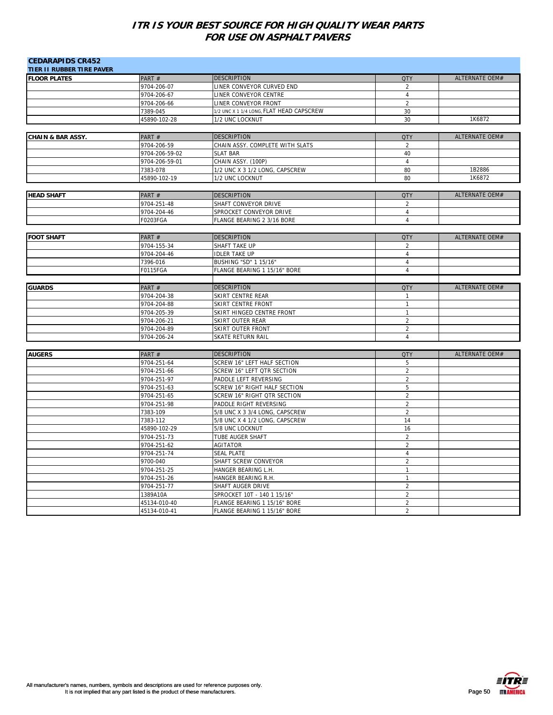| <b>CEDARAPIDS CR452</b>          |                             |                                                           |                                  |                       |
|----------------------------------|-----------------------------|-----------------------------------------------------------|----------------------------------|-----------------------|
| <b>TIER II RUBBER TIRE PAVER</b> |                             |                                                           |                                  |                       |
| <b>FLOOR PLATES</b>              | PART #                      | <b>DESCRIPTION</b>                                        | <b>QTY</b>                       | ALTERNATE OEM#        |
|                                  | 9704-206-07                 | LINER CONVEYOR CURVED END                                 | $\overline{2}$                   |                       |
|                                  | 9704-206-67                 | LINER CONVEYOR CENTRE                                     | $\overline{4}$                   |                       |
|                                  | 9704-206-66                 | LINER CONVEYOR FRONT                                      | $\overline{2}$                   |                       |
|                                  | 7389-045                    | 1/2 UNC X 1 1/4 LONG, FLAT HEAD CAPSCREW                  | 30                               |                       |
|                                  | 45890-102-28                | 1/2 UNC LOCKNUT                                           | 30                               | 1K6872                |
|                                  |                             |                                                           |                                  | <b>ALTERNATE OEM#</b> |
| <b>CHAIN &amp; BAR ASSY.</b>     | PART#                       | <b>DESCRIPTION</b>                                        | <b>QTY</b>                       |                       |
|                                  | 9704-206-59                 | CHAIN ASSY. COMPLETE WITH SLATS                           | $\overline{2}$                   |                       |
|                                  | 9704-206-59-02              | <b>SLAT BAR</b>                                           | 40                               |                       |
|                                  | 9704-206-59-01              | CHAIN ASSY. (100P)                                        | $\overline{4}$<br>80             | 1B2886                |
|                                  | 7383-078                    | 1/2 UNC X 3 1/2 LONG, CAPSCREW                            | 80                               | 1K6872                |
|                                  | 45890-102-19                | 1/2 UNC LOCKNUT                                           |                                  |                       |
|                                  |                             | <b>DESCRIPTION</b>                                        | <b>QTY</b>                       | ALTERNATE OEM#        |
| <b>HEAD SHAFT</b>                | PART#<br>9704-251-48        |                                                           |                                  |                       |
|                                  |                             | SHAFT CONVEYOR DRIVE                                      | $\overline{2}$<br>$\overline{4}$ |                       |
|                                  | 9704-204-46                 | SPROCKET CONVEYOR DRIVE                                   |                                  |                       |
|                                  | F0203FGA                    | FLANGE BEARING 2 3/16 BORE                                | $\overline{4}$                   |                       |
| <b>FOOT SHAFT</b>                | PART#                       | <b>DESCRIPTION</b>                                        | <b>QTY</b>                       | ALTERNATE OEM#        |
|                                  | 9704-155-34                 | SHAFT TAKE UP                                             | 2                                |                       |
|                                  | 9704-204-46                 | <b>IDLER TAKE UP</b>                                      | $\overline{4}$                   |                       |
|                                  | 7396-016                    | BUSHING "SD" 1 15/16"                                     | $\overline{4}$                   |                       |
|                                  | F0115FGA                    | FLANGE BEARING 1 15/16" BORE                              | $\overline{4}$                   |                       |
|                                  |                             |                                                           |                                  |                       |
|                                  |                             |                                                           |                                  |                       |
| <b>GUARDS</b>                    | PART #                      | <b>DESCRIPTION</b>                                        | <b>QTY</b>                       | ALTERNATE OEM#        |
|                                  | 9704-204-38                 | SKIRT CENTRE REAR                                         | $\mathbf{1}$                     |                       |
|                                  | 9704-204-88                 | SKIRT CENTRE FRONT                                        | $\mathbf{1}$                     |                       |
|                                  | 9704-205-39                 | SKIRT HINGED CENTRE FRONT                                 | $\mathbf{1}$                     |                       |
|                                  | 9704-206-21                 | SKIRT OUTER REAR                                          | $\overline{2}$                   |                       |
|                                  | 9704-204-89                 | SKIRT OUTER FRONT                                         | $\overline{2}$<br>$\overline{4}$ |                       |
|                                  | 9704-206-24                 | SKATE RETURN RAIL                                         |                                  |                       |
|                                  |                             |                                                           |                                  | <b>ALTERNATE OEM#</b> |
| <b>AUGERS</b>                    | PART#                       | <b>DESCRIPTION</b>                                        | <b>QTY</b>                       |                       |
|                                  | 9704-251-64<br>9704-251-66  | SCREW 16" LEFT HALF SECTION<br>SCREW 16" LEFT QTR SECTION | 5<br>$\overline{2}$              |                       |
|                                  | 9704-251-97                 | PADDLE LEFT REVERSING                                     | $\overline{2}$                   |                       |
|                                  | 9704-251-63                 | SCREW 16" RIGHT HALF SECTION                              | 5                                |                       |
|                                  | 9704-251-65                 | SCREW 16" RIGHT QTR SECTION                               | $\overline{2}$                   |                       |
|                                  | 9704-251-98                 | PADDLE RIGHT REVERSING                                    | $\overline{2}$                   |                       |
|                                  | 7383-109                    | 5/8 UNC X 3 3/4 LONG, CAPSCREW                            | $\overline{2}$                   |                       |
|                                  | 7383-112                    | 5/8 UNC X 4 1/2 LONG, CAPSCREW                            | 14                               |                       |
|                                  |                             | 5/8 UNC LOCKNUT                                           | 16                               |                       |
|                                  | 45890-102-29<br>9704-251-73 | TUBE AUGER SHAFT                                          | $\overline{2}$                   |                       |
|                                  | 9704-251-62                 | <b>AGITATOR</b>                                           | $\overline{2}$                   |                       |
|                                  | 9704-251-74                 | <b>SEAL PLATE</b>                                         | $\overline{4}$                   |                       |
|                                  | 9700-040                    | SHAFT SCREW CONVEYOR                                      | $\overline{2}$                   |                       |
|                                  | 9704-251-25                 | HANGER BEARING L.H.                                       | $\mathbf{1}$                     |                       |
|                                  | 9704-251-26                 | HANGER BEARING R.H.                                       | $\mathbf{1}$                     |                       |
|                                  | 9704-251-77                 | SHAFT AUGER DRIVE                                         | $\overline{2}$                   |                       |
|                                  | 1389A10A                    | SPROCKET 10T - 140 1 15/16"                               | $\overline{2}$                   |                       |
|                                  | 45134-010-40                | FLANGE BEARING 1 15/16" BORE                              | $\overline{2}$                   |                       |
|                                  | 45134-010-41                | FLANGE BEARING 1 15/16" BORE                              | $\overline{2}$                   |                       |
|                                  |                             |                                                           |                                  |                       |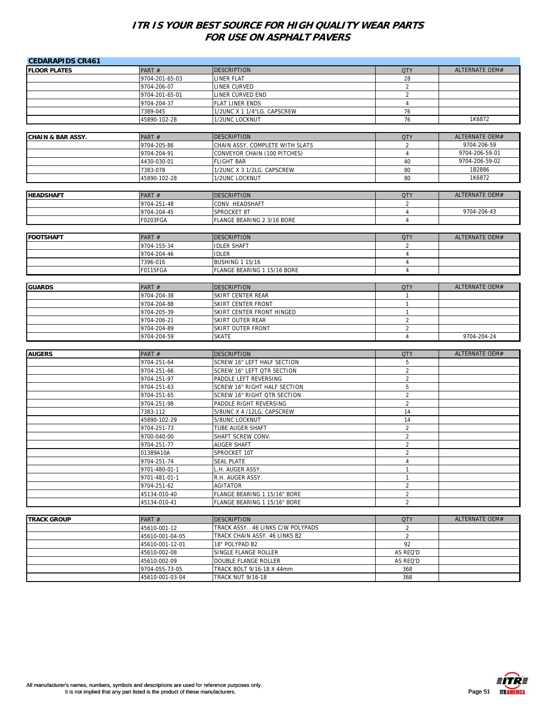| <b>CEDARAPIDS CR461</b>      |                 |                                  |                |                       |
|------------------------------|-----------------|----------------------------------|----------------|-----------------------|
| <b>FLOOR PLATES</b>          | PART#           | <b>DESCRIPTION</b>               | <b>QTY</b>     | <b>ALTERNATE OEM#</b> |
|                              | 9704-201-65-03  | LINER FLAT                       | 28             |                       |
|                              | 9704-206-07     | LINER CURVED                     | 2              |                       |
|                              | 9704-201-65-01  | LINER CURVED END                 | $\overline{2}$ |                       |
|                              | 9704-204-37     | FLAT LINER ENDS                  | $\overline{4}$ |                       |
|                              | 7389-045        | 1/2UNC X 1 1/4"LG. CAPSCREW      | 76             |                       |
|                              | 45890-102-28    | 1/2UNC LOCKNUT                   | 76             | 1K6872                |
|                              |                 |                                  |                |                       |
| <b>CHAIN &amp; BAR ASSY.</b> | PART#           | <b>DESCRIPTION</b>               | <b>QTY</b>     | ALTERNATE OEM#        |
|                              | 9704-205-86     | CHAIN ASSY. COMPLETE WITH SLATS  | $\overline{2}$ | 9704-206-59           |
|                              | 9704-204-91     | CONVEYOR CHAIN (100 PITCHES)     | $\overline{4}$ | 9704-206-59-01        |
|                              | 4430-030-01     | <b>FLIGHT BAR</b>                | 40             | 9704-206-59-02        |
|                              | 7383-078        | 1/2UNC X 3 1/2LG. CAPSCREW       | 80             | 1B2886                |
|                              | 45890-102-28    | 1/2UNC LOCKNUT                   | 80             | 1K6872                |
|                              |                 |                                  |                |                       |
| <b>HEADSHAFT</b>             | PART#           | <b>DESCRIPTION</b>               | <b>QTY</b>     | ALTERNATE OEM#        |
|                              | 9704-251-48     | CONV. HEADSHAFT                  | 2              |                       |
|                              | 9704-204-45     | SPROCKET 8T                      | $\overline{4}$ | 9704-206-43           |
|                              | F0203FGA        | FLANGE BEARING 2 3/16 BORE       | $\overline{4}$ |                       |
|                              |                 |                                  |                |                       |
| <b>FOOTSHAFT</b>             | PART#           | <b>DESCRIPTION</b>               | <b>QTY</b>     | ALTERNATE OEM#        |
|                              | 9704-155-34     | <b>IDLER SHAFT</b>               | 2              |                       |
|                              | 9704-204-46     | <b>IDLER</b>                     | $\overline{4}$ |                       |
|                              | 7396-016        | <b>BUSHING 1 15/16</b>           | $\overline{4}$ |                       |
|                              | F0115FGA        | FLANGE BEARING 1 15/16 BORE      | $\overline{4}$ |                       |
|                              |                 |                                  |                |                       |
| <b>GUARDS</b>                | PART#           | <b>DESCRIPTION</b>               | <b>QTY</b>     | ALTERNATE OEM#        |
|                              | 9704-204-38     | SKIRT CENTER REAR                | $\mathbf{1}$   |                       |
|                              | 9704-204-88     | SKIRT CENTER FRONT               | $\mathbf{1}$   |                       |
|                              | 9704-205-39     | SKIRT CENTER FRONT HINGED        | $\mathbf{1}$   |                       |
|                              | 9704-206-21     | SKIRT OUTER REAR                 | $\sqrt{2}$     |                       |
|                              | 9704-204-89     | <b>SKIRT OUTER FRONT</b>         | $\overline{2}$ |                       |
|                              | 9704-204-59     | <b>SKATE</b>                     | $\overline{4}$ | 9704-204-24           |
|                              |                 |                                  |                |                       |
| <b>AUGERS</b>                | PART#           | <b>DESCRIPTION</b>               | <b>QTY</b>     | ALTERNATE OEM#        |
|                              | 9704-251-64     | SCREW 16" LEFT HALF SECTION      | 5              |                       |
|                              | 9704-251-66     | SCREW 16" LEFT QTR SECTION       | $\overline{2}$ |                       |
|                              | 9704-251-97     | PADDLE LEFT REVERSING            | $\overline{2}$ |                       |
|                              | 9704-251-63     | SCREW 16" RIGHT HALF SECTION     | 5              |                       |
|                              | 9704-251-65     | SCREW 16" RIGHT QTR SECTION      | $\overline{2}$ |                       |
|                              | 9704-251-98     | PADDLE RIGHT REVERSING           | $\overline{2}$ |                       |
|                              | 7383-112        | 5/8UNC X 4 /12LG. CAPSCREW       | 14             |                       |
|                              | 45890-102-29    | 5/8UNC LOCKNUT                   | 14             |                       |
|                              | 9704-251-73     | TUBE AUGER SHAFT                 | $\overline{2}$ |                       |
|                              | 9700-040-00     | SHAFT SCREW CONV.                | $\overline{2}$ |                       |
|                              | 9704-251-77     | <b>AUGER SHAFT</b>               | $\overline{2}$ |                       |
|                              | 01389A10A       | SPROCKET 10T                     | $\overline{2}$ |                       |
|                              | 9704-251-74     | <b>SEAL PLATE</b>                | 4              |                       |
|                              | 9701-480-01-1   | L.H. AUGER ASSY.                 | $\mathbf{1}$   |                       |
|                              | 9701-481-01-1   | R.H. AUGER ASSY.                 | $\mathbf{1}$   |                       |
|                              | 9704-251-62     | AGITATOR                         | $\overline{2}$ |                       |
|                              | 45134-010-40    | FLANGE BEARING 1 15/16" BORE     | $\overline{a}$ |                       |
|                              | 45134-010-41    | FLANGE BEARING 1 15/16" BORE     | $\overline{a}$ |                       |
|                              |                 |                                  |                |                       |
| <b>TRACK GROUP</b>           | PART#           | <b>DESCRIPTION</b>               | <b>QTY</b>     | ALTERNATE OEM#        |
|                              | 45610-001-12    | TRACK ASSY 46 LINKS C/W POLYPADS | $\overline{2}$ |                       |
|                              | 45610-001-04-05 | TRACK CHAIN ASSY. 46 LINKS B2    | $\overline{a}$ |                       |
|                              | 45610-001-12-01 | 18" POLYPAD B2                   | 92             |                       |
|                              | 45610-002-08    | SINGLE FLANGE ROLLER             | AS REQ'D       |                       |
|                              | 45610-002-09    | DOUBLE FLANGE ROLLER             | AS REQ'D       |                       |
|                              | 9704-055-73-05  | TRACK BOLT 9/16-18 X 44mm        | 368            |                       |
|                              | 45610-001-03-04 | <b>TRACK NUT 9/16-18</b>         | 368            |                       |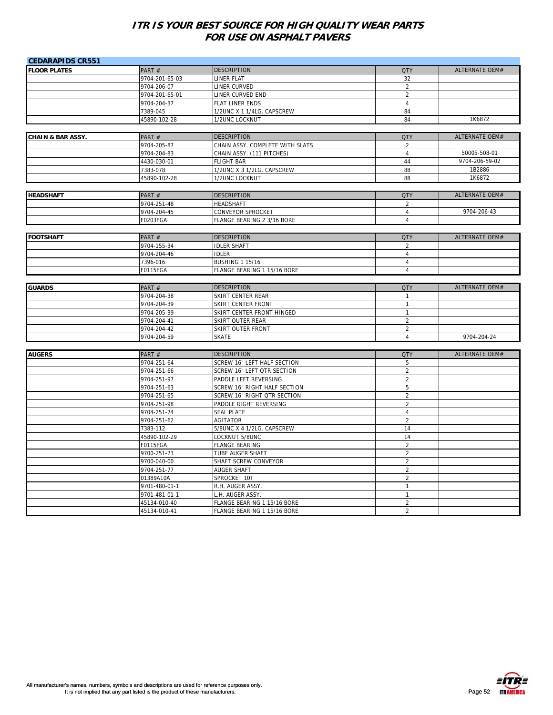| <b>CEDARAPIDS CR551</b>      |                         |                                        |                |                       |
|------------------------------|-------------------------|----------------------------------------|----------------|-----------------------|
| <b>FLOOR PLATES</b>          | PART#                   | <b>DESCRIPTION</b>                     | <b>QTY</b>     | <b>ALTERNATE OEM#</b> |
|                              | 9704-201-65-03          | LINER FLAT                             | 32             |                       |
|                              | 9704-206-07             | LINER CURVED                           | $\overline{2}$ |                       |
|                              | 9704-201-65-01          | LINER CURVED END                       | $\overline{2}$ |                       |
|                              | 9704-204-37             | FLAT LINER ENDS                        | $\overline{4}$ |                       |
|                              | 7389-045                | 1/2UNC X 1 1/4LG. CAPSCREW             | 84             |                       |
|                              | 45890-102-28            | 1/2UNC LOCKNUT                         | 84             | 1K6872                |
|                              |                         |                                        |                |                       |
| <b>CHAIN &amp; BAR ASSY.</b> | PART#                   | <b>DESCRIPTION</b>                     | <b>QTY</b>     | ALTERNATE OEM#        |
|                              | 9704-205-87             | CHAIN ASSY. COMPLETE WITH SLATS        | $\overline{2}$ |                       |
|                              | 9704-204-83             | CHAIN ASSY. (111 PITCHES)              | $\overline{4}$ | 50005-508-01          |
|                              | 4430-030-01             | <b>FLIGHT BAR</b>                      | 44             | 9704-206-59-02        |
|                              | 7383-078                | 1/2UNC X 3 1/2LG. CAPSCREW             | 88             | 1B2886                |
|                              | 45890-102-28            | 1/2UNC LOCKNUT                         | 88             | 1K6872                |
|                              |                         |                                        |                |                       |
| <b>HEADSHAFT</b>             | PART#                   | <b>DESCRIPTION</b>                     | <b>QTY</b>     | ALTERNATE OEM#        |
|                              | 9704-251-48             | HEADSHAFT                              | 2              |                       |
|                              | 9704-204-45             | CONVEYOR SPROCKET                      | $\overline{4}$ | 9704-206-43           |
|                              | <b>F0203FGA</b>         | FLANGE BEARING 2 3/16 BORE             | $\overline{4}$ |                       |
| <b>FOOTSHAFT</b>             | PART#                   | <b>DESCRIPTION</b>                     | <b>QTY</b>     | ALTERNATE OEM#        |
|                              | 9704-155-34             | <b>IDLER SHAFT</b>                     | $\overline{2}$ |                       |
|                              |                         |                                        | $\overline{4}$ |                       |
|                              | 9704-204-46<br>7396-016 | <b>IDLER</b><br><b>BUSHING 1 15/16</b> | $\overline{4}$ |                       |
|                              | F0115FGA                | FLANGE BEARING 1 15/16 BORE            | $\overline{4}$ |                       |
|                              |                         |                                        |                |                       |
| <b>GUARDS</b>                | PART #                  | <b>DESCRIPTION</b>                     | <b>QTY</b>     | ALTERNATE OEM#        |
|                              | 9704-204-38             | SKIRT CENTER REAR                      | $\mathbf{1}$   |                       |
|                              | 9704-204-39             | SKIRT CENTER FRONT                     | $\mathbf{1}$   |                       |
|                              | 9704-205-39             | SKIRT CENTER FRONT HINGED              | $\mathbf{1}$   |                       |
|                              | 9704-204-41             | SKIRT OUTER REAR                       | $\overline{2}$ |                       |
|                              | 9704-204-42             | SKIRT OUTER FRONT                      | $\overline{2}$ |                       |
|                              | 9704-204-59             | <b>SKATE</b>                           | $\overline{4}$ | 9704-204-24           |
|                              |                         |                                        |                |                       |
| <b>AUGERS</b>                | PART#                   | <b>DESCRIPTION</b>                     | <b>QTY</b>     | <b>ALTERNATE OEM#</b> |
|                              | 9704-251-64             | <b>SCREW 16" LEFT HALF SECTION</b>     | 5              |                       |
|                              | 9704-251-66             | SCREW 16" LEFT QTR SECTION             | $\overline{2}$ |                       |
|                              | 9704-251-97             | PADDLE LEFT REVERSING                  | $\overline{2}$ |                       |
|                              | 9704-251-63             | SCREW 16" RIGHT HALF SECTION           | 5              |                       |
|                              | 9704-251-65             | SCREW 16" RIGHT QTR SECTION            | $\overline{2}$ |                       |
|                              | 9704-251-98             | PADDLE RIGHT REVERSING                 | $\overline{2}$ |                       |
|                              | 9704-251-74             | <b>SEAL PLATE</b>                      | 4              |                       |
|                              | 9704-251-62             | AGITATOR                               | $\overline{2}$ |                       |
|                              | 7383-112                | 5/8UNC X 4 1/2LG. CAPSCREW             | 14             |                       |
|                              | 45890-102-29            | LOCKNUT 5/8UNC                         | 14             |                       |
|                              | F0115FGA                | <b>FLANGE BEARING</b>                  | $\overline{2}$ |                       |
|                              | 9700-251-73             | TUBE AUGER SHAFT                       | $\overline{2}$ |                       |
|                              | 9700-040-00             | SHAFT SCREW CONVEYOR                   | $\overline{2}$ |                       |
|                              | 9704-251-77             | AUGER SHAFT                            | $\overline{2}$ |                       |
|                              | 01389A10A               | SPROCKET 10T                           | $\overline{2}$ |                       |
|                              | 9701-480-01-1           | R.H. AUGER ASSY.                       | $\mathbf{1}$   |                       |
|                              | 9701-481-01-1           | L.H. AUGER ASSY.                       | $\mathbf{1}$   |                       |
|                              | 45134-010-40            | FLANGE BEARING 1 15/16 BORE            | $\overline{2}$ |                       |
|                              | 45134-010-41            | FLANGE BEARING 1 15/16 BORE            | $\overline{2}$ |                       |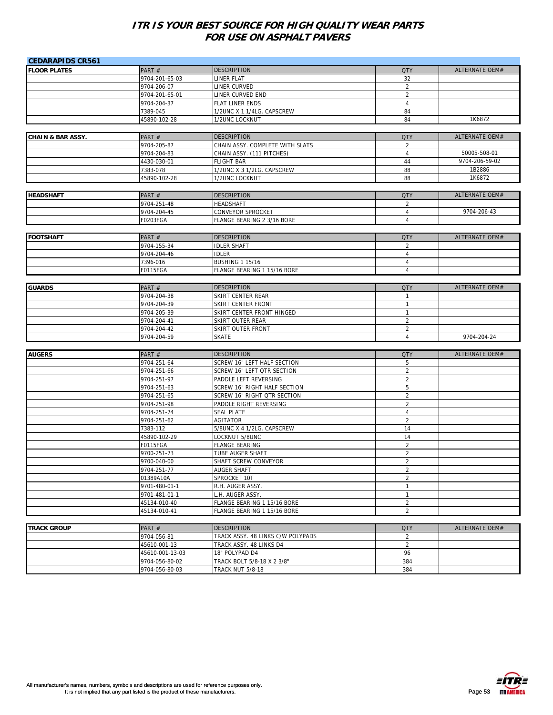| <b>CEDARAPIDS CR561</b>      |                 |                                   |                |                       |
|------------------------------|-----------------|-----------------------------------|----------------|-----------------------|
| <b>FLOOR PLATES</b>          | PART#           | DESCRIPTION                       | <b>QTY</b>     | <b>ALTERNATE OEM#</b> |
|                              | 9704-201-65-03  | LINER FLAT                        | 32             |                       |
|                              | 9704-206-07     | LINER CURVED                      | $\overline{2}$ |                       |
|                              | 9704-201-65-01  | LINER CURVED END                  | $\overline{2}$ |                       |
|                              | 9704-204-37     | FLAT LINER ENDS                   | $\overline{4}$ |                       |
|                              | 7389-045        | 1/2UNC X 1 1/4LG. CAPSCREW        | 84             |                       |
|                              | 45890-102-28    | 1/2UNC LOCKNUT                    | 84             | 1K6872                |
|                              |                 |                                   |                |                       |
| <b>CHAIN &amp; BAR ASSY.</b> | PART#           | <b>DESCRIPTION</b>                | <b>QTY</b>     | ALTERNATE OEM#        |
|                              | 9704-205-87     | CHAIN ASSY. COMPLETE WITH SLATS   | 2              |                       |
|                              | 9704-204-83     | CHAIN ASSY. (111 PITCHES)         | $\overline{4}$ | 50005-508-01          |
|                              | 4430-030-01     | <b>FLIGHT BAR</b>                 | 44             | 9704-206-59-02        |
|                              | 7383-078        | 1/2UNC X 3 1/2LG. CAPSCREW        | 88             | 1B2886                |
|                              | 45890-102-28    | 1/2UNC LOCKNUT                    | 88             | 1K6872                |
|                              |                 |                                   |                |                       |
| <b>HEADSHAFT</b>             | PART#           | <b>DESCRIPTION</b>                | <b>QTY</b>     | ALTERNATE OEM#        |
|                              | 9704-251-48     | HEADSHAFT                         | $\overline{2}$ |                       |
|                              | 9704-204-45     | CONVEYOR SPROCKET                 | 4              | 9704-206-43           |
|                              | F0203FGA        | FLANGE BEARING 2 3/16 BORE        | $\overline{4}$ |                       |
|                              |                 |                                   |                |                       |
| <b>FOOTSHAFT</b>             | PART#           | <b>DESCRIPTION</b>                | <b>QTY</b>     | ALTERNATE OEM#        |
|                              | 9704-155-34     | <b>IDLER SHAFT</b>                | $\overline{2}$ |                       |
|                              | 9704-204-46     | <b>IDLER</b>                      | 4              |                       |
|                              | 7396-016        | <b>BUSHING 1 15/16</b>            | 4              |                       |
|                              | F0115FGA        | FLANGE BEARING 1 15/16 BORE       | 4              |                       |
|                              |                 |                                   |                |                       |
| <b>GUARDS</b>                | PART#           | <b>DESCRIPTION</b>                | <b>QTY</b>     | ALTERNATE OEM#        |
|                              | 9704-204-38     | SKIRT CENTER REAR                 | 1              |                       |
|                              | 9704-204-39     | SKIRT CENTER FRONT                | 1              |                       |
|                              | 9704-205-39     | SKIRT CENTER FRONT HINGED         | $\mathbf{1}$   |                       |
|                              | 9704-204-41     | SKIRT OUTER REAR                  | $\overline{c}$ |                       |
|                              | 9704-204-42     | <b>SKIRT OUTER FRONT</b>          | $\overline{2}$ |                       |
|                              | 9704-204-59     | <b>SKATE</b>                      | $\overline{4}$ | 9704-204-24           |
|                              |                 |                                   |                |                       |
| <b>AUGERS</b>                | PART#           | <b>DESCRIPTION</b>                | <b>QTY</b>     | <b>ALTERNATE OEM#</b> |
|                              | 9704-251-64     | SCREW 16" LEFT HALF SECTION       | 5              |                       |
|                              | 9704-251-66     | SCREW 16" LEFT QTR SECTION        | $\overline{2}$ |                       |
|                              | 9704-251-97     | PADDLE LEFT REVERSING             | $\overline{2}$ |                       |
|                              | 9704-251-63     | SCREW 16" RIGHT HALF SECTION      | 5              |                       |
|                              | 9704-251-65     | SCREW 16" RIGHT QTR SECTION       | $\overline{2}$ |                       |
|                              | 9704-251-98     | PADDLE RIGHT REVERSING            | $\overline{2}$ |                       |
|                              | 9704-251-74     | <b>SEAL PLATE</b>                 | $\overline{4}$ |                       |
|                              | 9704-251-62     | <b>AGITATOR</b>                   | $\overline{2}$ |                       |
|                              | 7383-112        | 5/8UNC X 4 1/2LG. CAPSCREW        | 14             |                       |
|                              | 45890-102-29    | LOCKNUT 5/8UNC                    | 14             |                       |
|                              | F0115FGA        | FLANGE BEARING                    | $\overline{2}$ |                       |
|                              | 9700-251-73     | TUBE AUGER SHAFT                  | $\overline{2}$ |                       |
|                              | 9700-040-00     | SHAFT SCREW CONVEYOR              | 2              |                       |
|                              | 9704-251-77     | <b>AUGER SHAFT</b>                | $\overline{c}$ |                       |
|                              | 01389A10A       | SPROCKET 10T                      | $\overline{c}$ |                       |
|                              | 9701-480-01-1   | R.H. AUGER ASSY.                  | $\mathbf{1}$   |                       |
|                              | 9701-481-01-1   | L.H. AUGER ASSY.                  | $\mathbf{1}$   |                       |
|                              | 45134-010-40    | FLANGE BEARING 1 15/16 BORE       | $\overline{2}$ |                       |
|                              | 45134-010-41    | FLANGE BEARING 1 15/16 BORE       | $\overline{2}$ |                       |
|                              |                 |                                   |                |                       |
| <b>TRACK GROUP</b>           | PART#           | <b>DESCRIPTION</b>                | <b>QTY</b>     | ALTERNATE OEM#        |
|                              | 9704-056-81     | TRACK ASSY. 48 LINKS C/W POLYPADS | $\overline{2}$ |                       |
|                              | 45610-001-13    | TRACK ASSY. 48 LINKS D4           | $\overline{2}$ |                       |
|                              | 45610-001-13-03 | 18" POLYPAD D4                    | 96             |                       |
|                              | 9704-056-80-02  | TRACK BOLT 5/8-18 X 2 3/8"        | 384            |                       |
|                              | 9704-056-80-03  | <b>TRACK NUT 5/8-18</b>           | 384            |                       |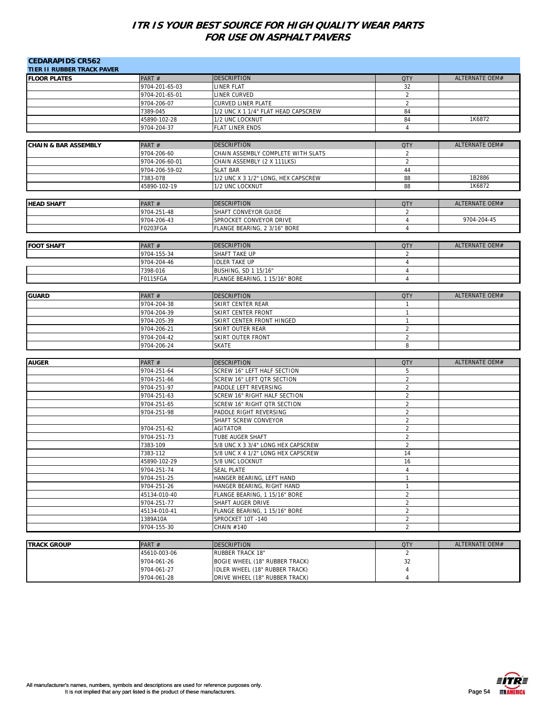| <b>CEDARAPIDS CR562</b><br><b>TIER II RUBBER TRACK PAVER</b> |                         |                                              |                                  |                       |
|--------------------------------------------------------------|-------------------------|----------------------------------------------|----------------------------------|-----------------------|
| <b>FLOOR PLATES</b>                                          | PART#                   | <b>DESCRIPTION</b>                           | <b>QTY</b>                       | ALTERNATE OEM#        |
|                                                              | 9704-201-65-03          | LINER FLAT                                   | 32                               |                       |
|                                                              | 9704-201-65-01          | LINER CURVED                                 | 2                                |                       |
|                                                              | 9704-206-07             | <b>CURVED LINER PLATE</b>                    | $\overline{2}$                   |                       |
|                                                              | 7389-045                | 1/2 UNC X 1 1/4" FLAT HEAD CAPSCREW          | 84                               |                       |
|                                                              | 45890-102-28            | 1/2 UNC LOCKNUT                              | 84                               | 1K6872                |
|                                                              | 9704-204-37             | FLAT LINER ENDS                              | $\overline{4}$                   |                       |
|                                                              |                         |                                              |                                  |                       |
| <b>CHAIN &amp; BAR ASSEMBLY</b>                              | PART#                   | DESCRIPTION                                  | <b>QTY</b>                       | <b>ALTERNATE OEM#</b> |
|                                                              | 9704-206-60             | CHAIN ASSEMBLY COMPLETE WITH SLATS           | $\overline{2}$                   |                       |
|                                                              | 9704-206-60-01          | CHAIN ASSEMBLY (2 X 111LKS)                  | $\overline{2}$                   |                       |
|                                                              | 9704-206-59-02          | <b>SLAT BAR</b>                              | 44                               |                       |
|                                                              | 7383-078                | 1/2 UNC X 3 1/2" LONG, HEX CAPSCREW          | 88                               | 1B2886                |
|                                                              | 45890-102-19            | 1/2 UNC LOCKNUT                              | 88                               | 1K6872                |
|                                                              |                         |                                              |                                  |                       |
| <b>HEAD SHAFT</b>                                            | PART#                   | <b>DESCRIPTION</b>                           | <b>QTY</b>                       | ALTERNATE OEM#        |
|                                                              | 9704-251-48             | SHAFT CONVEYOR GUIDE                         | $\overline{2}$                   |                       |
|                                                              | 9704-206-43             | SPROCKET CONVEYOR DRIVE                      | $\overline{4}$                   | 9704-204-45           |
|                                                              | F0203FGA                | FLANGE BEARING, 2 3/16" BORE                 | $\overline{4}$                   |                       |
|                                                              |                         |                                              |                                  |                       |
| <b>FOOT SHAFT</b>                                            | PART#                   | <b>DESCRIPTION</b>                           | <b>QTY</b>                       | ALTERNATE OEM#        |
|                                                              |                         |                                              |                                  |                       |
|                                                              | 9704-155-34             | SHAFT TAKE UP                                | $\overline{2}$<br>$\overline{4}$ |                       |
|                                                              | 9704-204-46<br>7398-016 | <b>IDLER TAKE UP</b><br>BUSHING, SD 1 15/16" | $\overline{4}$                   |                       |
|                                                              | <b>F0115FGA</b>         | FLANGE BEARING, 1 15/16" BORE                | $\overline{4}$                   |                       |
|                                                              |                         |                                              |                                  |                       |
|                                                              |                         |                                              |                                  |                       |
| <b>GUARD</b>                                                 | PART#                   | <b>DESCRIPTION</b>                           | <b>QTY</b>                       | ALTERNATE OEM#        |
|                                                              | 9704-204-38             | SKIRT CENTER REAR                            | $\mathbf{1}$                     |                       |
|                                                              | 9704-204-39             | <b>SKIRT CENTER FRONT</b>                    | $\mathbf{1}$                     |                       |
|                                                              | 9704-205-39             | SKIRT CENTER FRONT HINGED                    | $\mathbf{1}$                     |                       |
|                                                              | 9704-206-21             | <b>SKIRT OUTER REAR</b>                      | $\overline{2}$                   |                       |
|                                                              | 9704-204-42             | SKIRT OUTER FRONT                            | $\overline{c}$                   |                       |
|                                                              | 9704-206-24             | <b>SKATE</b>                                 | 8                                |                       |
|                                                              |                         |                                              |                                  |                       |
| <b>AUGER</b>                                                 | PART#                   | <b>DESCRIPTION</b>                           | <b>QTY</b>                       | ALTERNATE OEM#        |
|                                                              | 9704-251-64             | SCREW 16" LEFT HALF SECTION                  | 5                                |                       |
|                                                              | 9704-251-66             | SCREW 16" LEFT QTR SECTION                   | $\overline{2}$                   |                       |
|                                                              | 9704-251-97             | PADDLE LEFT REVERSING                        | 2                                |                       |
|                                                              | 9704-251-63             | SCREW 16" RIGHT HALF SECTION                 | $\overline{2}$                   |                       |
|                                                              | 9704-251-65             | SCREW 16" RIGHT QTR SECTION                  | $\overline{2}$                   |                       |
|                                                              | 9704-251-98             | PADDLE RIGHT REVERSING                       | $\overline{2}$                   |                       |
|                                                              |                         | SHAFT SCREW CONVEYOR                         | $\overline{2}$                   |                       |
|                                                              | 9704-251-62             | <b>AGITATOR</b>                              | $\overline{2}$                   |                       |
|                                                              | 9704-251-73             | <b>TUBE AUGER SHAFT</b>                      | $\overline{2}$                   |                       |
|                                                              | 7383-109                | 5/8 UNC X 3 3/4" LONG HEX CAPSCREW           | $\overline{2}$                   |                       |
|                                                              | 7383-112                | 5/8 UNC X 4 1/2" LONG HEX CAPSCREW           | 14                               |                       |
|                                                              | 45890-102-29            | 5/8 UNC LOCKNUT                              | $16$                             |                       |
|                                                              | 9704-251-74             | <b>SEAL PLATE</b>                            | $\overline{4}$                   |                       |
|                                                              | 9704-251-25             | HANGER BEARING, LEFT HAND                    | 1                                |                       |
|                                                              | 9704-251-26             | HANGER BEARING, RIGHT HAND                   | $\mathbf{1}$                     |                       |
|                                                              | 45134-010-40            | FLANGE BEARING, 1 15/16" BORE                | $\overline{c}$                   |                       |
|                                                              | 9704-251-77             | SHAFT AUGER DRIVE                            | $\overline{c}$                   |                       |
|                                                              | 45134-010-41            | FLANGE BEARING, 1 15/16" BORE                | $\overline{2}$                   |                       |
|                                                              | 1389A10A                | SPROCKET 10T-140                             | $\overline{2}$                   |                       |
|                                                              | 9704-155-30             | CHAIN #140                                   | $\overline{2}$                   |                       |
|                                                              |                         |                                              |                                  |                       |
| <b>TRACK GROUP</b>                                           | PART#                   | <b>DESCRIPTION</b>                           | <b>QTY</b>                       | <b>ALTERNATE OEM#</b> |
|                                                              | 45610-003-06            | <b>RUBBER TRACK 18"</b>                      | $\overline{2}$                   |                       |
|                                                              | 9704-061-26             | BOGIE WHEEL (18" RUBBER TRACK)               | 32                               |                       |
|                                                              | 9704-061-27             | IDLER WHEEL (18" RUBBER TRACK)               | 4                                |                       |
|                                                              | 9704-061-28             | DRIVE WHEEL (18" RUBBER TRACK)               | 4                                |                       |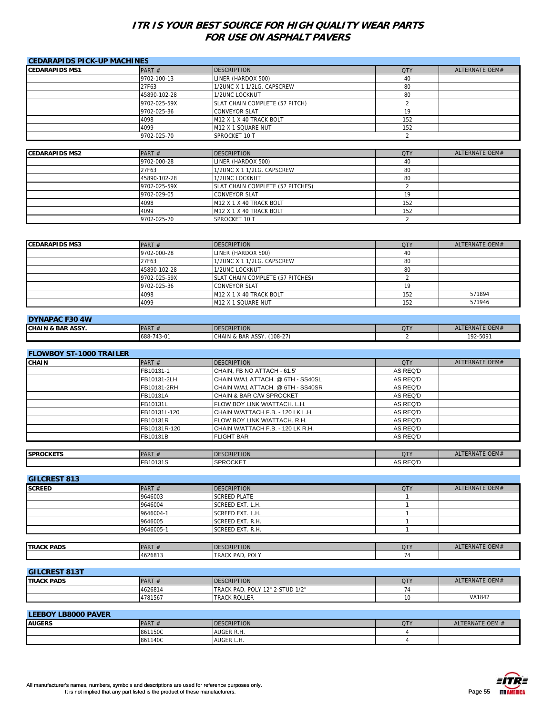| <b>CEDARAPIDS PICK-UP MACHINES</b> |              |                                |            |                |
|------------------------------------|--------------|--------------------------------|------------|----------------|
| <b>CEDARAPIDS MS1</b>              | PART $#$     | <b>DESCRIPTION</b>             | <b>QTY</b> | ALTERNATE OEM# |
|                                    | 9702-100-13  | LINER (HARDOX 500)             | 40         |                |
|                                    | 27F63        | 1/2UNC X 1 1/2LG. CAPSCREW     | 80         |                |
|                                    | 45890-102-28 | 1/2UNC LOCKNUT                 | 80         |                |
|                                    | 9702-025-59X | SLAT CHAIN COMPLETE (57 PITCH) |            |                |
|                                    | 9702-025-36  | <b>CONVEYOR SLAT</b>           | 19         |                |
|                                    | 4098         | M12 X 1 X 40 TRACK BOLT        | 152        |                |
|                                    | 4099         | M12 X 1 SQUARE NUT             | 152        |                |
|                                    | 9702-025-70  | SPROCKET 10 T                  |            |                |
|                                    |              |                                |            |                |

| <b>CEDARAPIDS MS2</b> | PART $#$     | <b>DESCRIPTION</b>                  | <b>QTY</b> | ALTERNATE OEM# |
|-----------------------|--------------|-------------------------------------|------------|----------------|
|                       | 9702-000-28  | LINER (HARDOX 500)                  | 40         |                |
|                       | 27F63        | 1/2UNC X 1 1/2LG. CAPSCREW          | 80         |                |
|                       | 45890-102-28 | 1/2UNC LOCKNUT                      | 80         |                |
|                       | 9702-025-59X | SLAT CHAIN COMPLETE (57 PITCHES)    |            |                |
|                       | 9702-029-05  | <b>CONVEYOR SLAT</b>                | 19         |                |
|                       | 4098         | M12 X 1 X 40 TRACK BOLT             | 152        |                |
|                       | 4099         | M <sub>12</sub> X 1 X 40 TRACK BOLT | 152        |                |
|                       | 9702-025-70  | SPROCKET 10 T                       |            |                |

| <b>CEDARAPIDS MS3</b> | PART $#$     | <b>DESCRIPTION</b>               | <b>QTY</b> | ALTERNATE OEM# |
|-----------------------|--------------|----------------------------------|------------|----------------|
|                       | 9702-000-28  | LINER (HARDOX 500)               | 40         |                |
|                       | 27F63        | 1/2UNC X 1 1/2LG. CAPSCREW       | 80         |                |
|                       | 45890-102-28 | 1/2UNC LOCKNUT                   | 80         |                |
|                       | 9702-025-59X | SLAT CHAIN COMPLETE (57 PITCHES) |            |                |
|                       | 9702-025-36  | <b>CONVEYOR SLAT</b>             | 19         |                |
|                       | 4098         | M12 X 1 X 40 TRACK BOLT          | 152        | 571894         |
|                       | 4099         | M12 X 1 SQUARE NUT               | 152        | 571946         |

| <b>DYNAPAC F30 4W</b>        |             |                                 |            |                |
|------------------------------|-------------|---------------------------------|------------|----------------|
| <b>CHAIN &amp; BAR ASSY.</b> | <b>PART</b> | <b>IDESCRIPTION</b>             | <b>QTY</b> | ALTERNATE OEM# |
|                              | 688-743-01  | $(108-27)$<br>CHAIN & BAR ASSY. |            | 192-5091       |

| <b>FLOWBOY ST-1000 TRAILER</b> |  |
|--------------------------------|--|
|                                |  |

| <b>CHAIN</b> | PART $#$     | <b>DESCRIPTION</b>                 | <b>QTY</b> | ALTERNATE OEM# |
|--------------|--------------|------------------------------------|------------|----------------|
|              | FB10131-1    | CHAIN, FB NO ATTACH - 61.5'        | AS REQ'D   |                |
|              | FB10131-2LH  | ICHAIN W/A1 ATTACH. @ 6TH - SS40SL | AS REQ'D   |                |
|              | FB10131-2RH  | CHAIN W/A1 ATTACH. @ 6TH - SS40SR  | AS REQ'D   |                |
|              | FB10131A     | CHAIN & BAR C/W SPROCKET           | AS REQ'D   |                |
|              | FB10131L     | FLOW BOY LINK W/ATTACH, L.H.       | AS REQ'D   |                |
|              | FB10131L-120 | CHAIN W/ATTACH F.B. - 120 LK L.H.  | AS REQ'D   |                |
|              | FB10131R     | FLOW BOY LINK W/ATTACH, R.H.       | AS REQ'D   |                |
|              | FB10131R-120 | CHAIN W/ATTACH F.B. - 120 LK R.H.  | AS REQ'D   |                |
|              | FB10131B     | <b>FLIGHT BAR</b>                  | AS REQ'D   |                |
|              |              |                                    |            |                |

| <b>SPROCKETS</b> | <b>PART</b><br>$\sim$ | <b>DESCRIPTION</b> | <b>QTY</b>      | <b>ERNATE OEM#</b><br>AL <sub>1</sub> |
|------------------|-----------------------|--------------------|-----------------|---------------------------------------|
|                  | FB10131S              | <b>SPROCKET</b>    | <b>AS REQ'D</b> |                                       |

**GILCREST 813 SCREED PART #** DESCRIPTION **DESCRIPTION DESCRIPTION DESCRIPTION DESCRIPTION** 9646003 SCREED PLATE 1 9646004 SCREED EXT. L.H. 1 SCREED EXT. L.H. 1 9646005 SCREED EXT. R.H. 1 9646005-1 SCREED EXT. R.H. 1

| <b>TRACK PADS</b> | <b>PART</b> | <b>ESCRIPTION</b><br>IDF           | <b>QTY</b> | JATE OEM#<br>ERNATI<br>AL I |
|-------------------|-------------|------------------------------------|------------|-----------------------------|
|                   | 4626813     | POLY<br><b>PAD</b><br><b>TRACK</b> |            |                             |
|                   |             |                                    |            |                             |

#### **GILCREST 813T**

| <b>TRACK PADS</b> | <b>PART</b> | <b>DESCRIPTION</b>                   | <b>QTY</b> | ALTERNATE OEM# |
|-------------------|-------------|--------------------------------------|------------|----------------|
|                   | 4626814     | . POLY 12" 2-STUD 1/2"<br>TRACK PAD. |            |                |
|                   | 4781567     | <b>TRACK ROLLER</b>                  | IЧ         | VA1842         |
|                   |             |                                      |            |                |

| <b>LEEBOY LB8000 PAVER</b> |         |                     |            |                 |  |
|----------------------------|---------|---------------------|------------|-----------------|--|
| <b>AUGERS</b>              | PART#   | <b>IDESCRIPTION</b> | <b>QTY</b> | ALTERNATE OEM # |  |
|                            | 861150C | AUGER R.H.          |            |                 |  |
|                            | 861140C | AUGER L.H.          |            |                 |  |

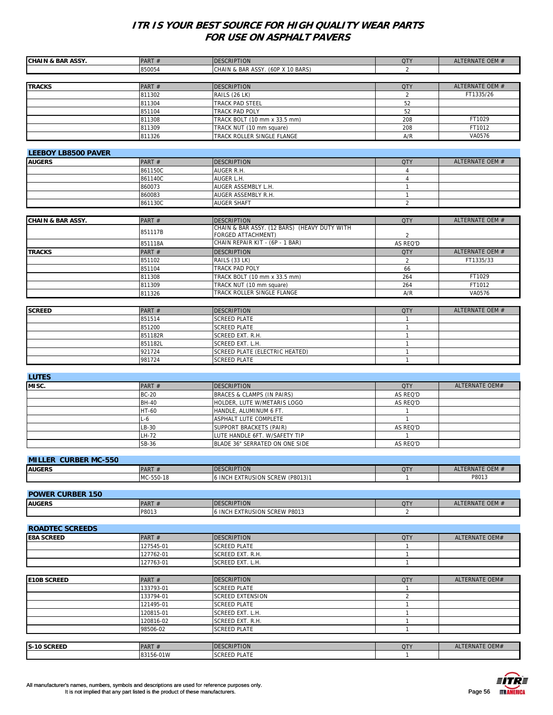| <b>CHAIN &amp; BAR ASSY.</b> | PART#                  | <b>DESCRIPTION</b>                           | <b>QTY</b>                     | ALTERNATE OEM #       |
|------------------------------|------------------------|----------------------------------------------|--------------------------------|-----------------------|
|                              | 850054                 | CHAIN & BAR ASSY. (60P X 10 BARS)            | $\overline{2}$                 |                       |
| <b>TRACKS</b>                | PART#                  | <b>DESCRIPTION</b>                           | <b>QTY</b>                     | ALTERNATE OEM #       |
|                              | 811302                 | RAILS (26 LK)                                | $\overline{2}$                 | FT1335/26             |
|                              | 811304                 | TRACK PAD STEEL                              | 52                             |                       |
|                              | 851104                 | TRACK PAD POLY                               | 52                             |                       |
|                              | 811308                 | TRACK BOLT (10 mm x 33.5 mm)                 | 208                            | FT1029                |
|                              | 811309                 | TRACK NUT (10 mm square)                     | 208                            | FT1012                |
|                              | 811326                 | TRACK ROLLER SINGLE FLANGE                   | A/R                            | VA0576                |
|                              |                        |                                              |                                |                       |
| <b>LEEBOY LB8500 PAVER</b>   |                        |                                              |                                |                       |
| <b>AUGERS</b>                | PART#                  | <b>DESCRIPTION</b>                           | <b>QTY</b>                     | ALTERNATE OEM #       |
|                              | 861150C                | AUGER R.H.                                   | $\overline{4}$                 |                       |
|                              | 861140C                | AUGER L.H.                                   | $\overline{4}$                 |                       |
|                              | 860073                 | AUGER ASSEMBLY L.H.                          | $\mathbf{1}$                   |                       |
|                              | 860083                 | AUGER ASSEMBLY R.H.<br>AUGER SHAFT           | $\mathbf{1}$<br>$\overline{2}$ |                       |
|                              | 861130C                |                                              |                                |                       |
| <b>CHAIN &amp; BAR ASSY.</b> | PART#                  | <b>DESCRIPTION</b>                           | <b>QTY</b>                     | ALTERNATE OEM #       |
|                              |                        | CHAIN & BAR ASSY. (12 BARS) (HEAVY DUTY WITH |                                |                       |
|                              | 851117B                | <b>FORGED ATTACHMENT)</b>                    | $\overline{2}$                 |                       |
|                              | 851118A                | CHAIN REPAIR KIT - (6P - 1 BAR)              | AS REQ'D                       |                       |
| <b>TRACKS</b>                | PART#                  | <b>DESCRIPTION</b>                           | <b>QTY</b>                     | ALTERNATE OEM #       |
|                              | 851102                 | RAILS (33 LK)                                | $\overline{2}$                 | FT1335/33             |
|                              | 851104                 | TRACK PAD POLY                               | 66                             |                       |
|                              | 811308                 | TRACK BOLT (10 mm x 33.5 mm)                 | 264                            | FT1029                |
|                              | 811309                 | <b>TRACK NUT (10 mm square)</b>              | 264                            | FT1012                |
|                              | 811326                 | TRACK ROLLER SINGLE FLANGE                   | A/R                            | VA0576                |
|                              |                        |                                              |                                |                       |
| <b>SCREED</b>                | PART#                  | <b>DESCRIPTION</b>                           | <b>QTY</b>                     | ALTERNATE OEM #       |
|                              | 851514                 | <b>SCREED PLATE</b>                          | $\mathbf{1}$                   |                       |
|                              | 851200<br>851182R      | <b>SCREED PLATE</b><br>SCREED EXT. R.H.      | $\mathbf{1}$<br>$\mathbf{1}$   |                       |
|                              | 851182L                | SCREED EXT. L.H.                             | $\mathbf{1}$                   |                       |
|                              | 921724                 | SCREED PLATE (ELECTRIC HEATED)               | $\mathbf{1}$                   |                       |
|                              | 981724                 | <b>SCREED PLATE</b>                          | $\mathbf{1}$                   |                       |
|                              |                        |                                              |                                |                       |
| <b>LUTES</b>                 |                        |                                              |                                |                       |
| MISC.                        | PART#                  | <b>DESCRIPTION</b>                           | <b>QTY</b>                     | <b>ALTERNATE OEM#</b> |
|                              | <b>BC-20</b>           | BRACES & CLAMPS (IN PAIRS)                   | AS REQ'D                       |                       |
|                              | <b>BH-40</b>           | HOLDER, LUTE W/METARIS LOGO                  | AS REQ'D                       |                       |
|                              | HT-60                  | HANDLE, ALUMINUM 6 FT.                       | $\mathbf{1}$                   |                       |
|                              | $L-6$                  | ASPHALT LUTE COMPLETE                        | $\mathbf{1}$                   |                       |
|                              | LB-30                  | SUPPORT BRACKETS (PAIR)                      | AS REQ'D                       |                       |
|                              | LH-72                  | LUTE HANDLE 6FT. W/SAFETY TIP                |                                |                       |
|                              | SB-36                  | BLADE 36" SERRATED ON ONE SIDE               | AS REQ'D                       |                       |
| <b>MILLER CURBER MC-550</b>  |                        |                                              |                                |                       |
| <b>AUGERS</b>                | PART#                  | <b>DESCRIPTION</b>                           | <b>QTY</b>                     | ALTERNATE OEM #       |
|                              | MC-550-18              | 6 INCH EXTRUSION SCREW (P8013)1              | 1                              | P8013                 |
|                              |                        |                                              |                                |                       |
| <b>POWER CURBER 150</b>      |                        |                                              |                                |                       |
| <b>AUGERS</b>                | PART#                  | <b>DESCRIPTION</b>                           | <b>QTY</b>                     | ALTERNATE OEM #       |
|                              | P8013                  | 6 INCH EXTRUSION SCREW P8013                 | 2                              |                       |
|                              |                        |                                              |                                |                       |
| <b>ROADTEC SCREEDS</b>       |                        |                                              |                                |                       |
| <b>E8A SCREED</b>            | PART#                  | <b>DESCRIPTION</b>                           | <b>QTY</b>                     | ALTERNATE OEM#        |
|                              | 127545-01              | <b>SCREED PLATE</b>                          | $\mathbf{1}$                   |                       |
|                              | 127762-01              | SCREED EXT. R.H.                             | $\mathbf{1}$                   |                       |
|                              | 127763-01              | SCREED EXT. L.H.                             | $\mathbf{1}$                   |                       |
|                              |                        |                                              |                                |                       |
| <b>E10B SCREED</b>           | PART #                 | <b>DESCRIPTION</b>                           | <b>QTY</b>                     | ALTERNATE OEM#        |
|                              | 133793-01              | <b>SCREED PLATE</b>                          | $\mathbf{1}$                   |                       |
|                              | 133794-01              | <b>SCREED EXTENSION</b>                      | $\overline{2}$                 |                       |
|                              | 121495-01              | <b>SCREED PLATE</b>                          | $\mathbf{1}$                   |                       |
|                              | 120815-01<br>120816-02 | SCREED EXT. L.H.<br>SCREED EXT. R.H.         | $\mathbf{1}$<br>$\mathbf{1}$   |                       |
|                              | 98506-02               | SCREED PLATE                                 | $\mathbf{1}$                   |                       |
|                              |                        |                                              |                                |                       |
| S-10 SCREED                  | PART#                  | <b>DESCRIPTION</b>                           | <b>QTY</b>                     | ALTERNATE OEM#        |
|                              | 83156-01W              | <b>SCREED PLATE</b>                          | $\overline{1}$                 |                       |

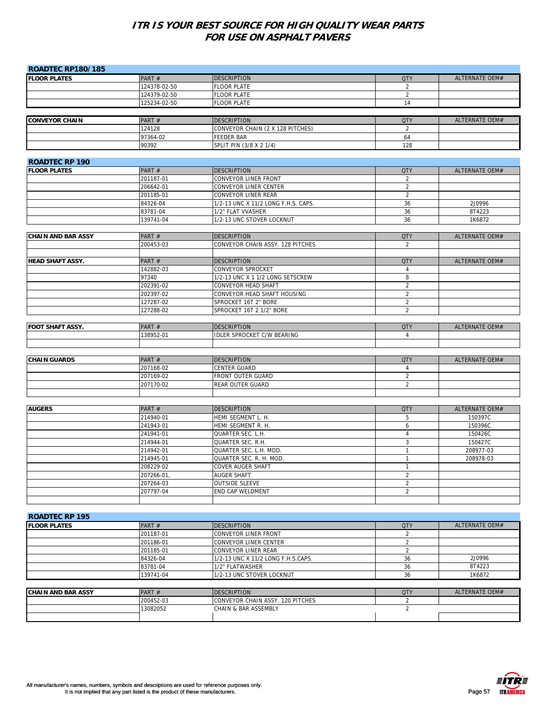| <b>ROADTEC RP180/185</b>                     |                        |                                          |                 |                           |
|----------------------------------------------|------------------------|------------------------------------------|-----------------|---------------------------|
| <b>FLOOR PLATES</b>                          | PART#                  | DESCRIPTION                              | <b>QTY</b>      | ALTERNATE OEM#            |
|                                              | 124378-02-50           | <b>FLOOR PLATE</b>                       | 2               |                           |
|                                              | 124379-02-50           | <b>FLOOR PLATE</b>                       | 2               |                           |
|                                              | 125234-02-50           | <b>FLOOR PLATE</b>                       | 14              |                           |
|                                              |                        |                                          |                 |                           |
| <b>CONVEYOR CHAIN</b>                        | PART#                  | DESCRIPTION                              | <b>QTY</b>      | ALTERNATE OEM#            |
|                                              | 124128                 | CONVEYOR CHAIN (2 X 128 PITCHES)         | 2               |                           |
|                                              | 97364-02               | FEEDER BAR                               | 64              |                           |
|                                              | 90392                  | SPLIT PIN (3/8 X 2 1/4)                  | 128             |                           |
|                                              |                        |                                          |                 |                           |
| <b>ROADTEC RP 190</b><br><b>FLOOR PLATES</b> | PART#                  | <b>DESCRIPTION</b>                       | <b>QTY</b>      | ALTERNATE OEM#            |
|                                              | 201187-01              | CONVEYOR LINER FRONT                     | 2               |                           |
|                                              | 206642-01              | CONVEYOR LINER CENTER                    | $\overline{2}$  |                           |
|                                              | 201185-01              | CONVEYOR LINER REAR                      | 2               |                           |
|                                              | 84326-04               | 1/2-13 UNC X 11/2 LONG F.H.S. CAPS.      | 36              | 2J0996                    |
|                                              | 83781-04               | 1/2" FLAT VVASHER                        | 36              | 8T4223                    |
|                                              | 139741-04              | 1/2-13 UNC STOVER LOCKNUT                | 36              | 1K6872                    |
|                                              |                        |                                          |                 |                           |
| <b>CHAIN AND BAR ASSY</b>                    | PART#                  | <b>DESCRIPTION</b>                       | <b>QTY</b>      | <b>ALTERNATE OEM#</b>     |
|                                              | 200453-03              | CONVEYOR CHAIN ASSY. 128 PITCHES         | 2               |                           |
|                                              |                        |                                          |                 |                           |
| <b>HEAD SHAFT ASSY.</b>                      | PART#                  | <b>DESCRIPTION</b>                       | <b>QTY</b>      | ALTERNATE OEM#            |
|                                              | 142882-03              | CONVEYOR SPROCKET                        | $\overline{4}$  |                           |
|                                              | 97340                  | 1/2-13 UNC X 1 1/2 LONG SETSCREW         | 8               |                           |
|                                              | 202391-02              | CONVEYOR HEAD SHAFT                      | $\overline{2}$  |                           |
|                                              | 202397-02              | CONVEYOR HEAD SHAFT HOUSING              | $\overline{2}$  |                           |
|                                              | 127287-02              | SPROCKET 16T 2" BORE                     | 2<br>2          |                           |
|                                              | 127288-02              | SPROCKET 16T 2 1/2" BORE                 |                 |                           |
| <b>FOOT SHAFT ASSY.</b>                      | PART#                  | <b>DESCRIPTION</b>                       | <b>QTY</b>      | ALTERNATE OEM#            |
|                                              | 138952-01              | <b>IDLER SPROCKET C/W BEARING</b>        | $\overline{4}$  |                           |
|                                              |                        |                                          |                 |                           |
|                                              |                        |                                          |                 |                           |
| <b>CHAIN GUARDS</b>                          | PART#                  | <b>DESCRIPTION</b>                       | <b>QTY</b>      | ALTERNATE OEM#            |
|                                              | 207168-02              | CENTER GUARD                             | $\overline{4}$  |                           |
|                                              | 207169-02              | FRONT OUTER GUARD                        | $\overline{2}$  |                           |
|                                              | 207170-02              | REAR OUTER GUARD                         | $\overline{2}$  |                           |
|                                              |                        |                                          |                 |                           |
|                                              |                        |                                          |                 |                           |
| <b>AUGERS</b>                                | PART#                  | <b>DESCRIPTION</b><br>HEMI SEGMENT L. H. | <b>QTY</b><br>5 | ALTERNATE OEM#<br>150397C |
|                                              | 214940-01<br>241943-01 | HEMI SEGMENT R. H.                       | 6               | 150396C                   |
|                                              | 241941-01              | QUARTER SEC. L.H.                        | $\overline{4}$  | 150426C                   |
|                                              | 214944-01              | QUARTER SEC. R.H.                        | 3               | 150427C                   |
|                                              | 214942-01              | QUARTER SEC. L.H. MOD.                   | $\mathbf{1}$    | 208977-03                 |
|                                              | 214945-01              | QUARTER SEC. R. H. MOD.                  | $\mathbf{1}$    | 208978-03                 |
|                                              | 208229-02              | COVER AUGER SHAFT                        | $\overline{1}$  |                           |
|                                              | 207266-01,             | AUGER SHAFT                              | $\overline{2}$  |                           |
|                                              | 207264-03              | OUTSIDE SLEEVE                           | $\overline{2}$  |                           |
|                                              | 207797-04              | END CAP WELDMENT                         | $\overline{2}$  |                           |
|                                              |                        |                                          |                 |                           |
|                                              |                        |                                          |                 |                           |
| <b>ROADTEC RP 195</b>                        |                        |                                          |                 |                           |
| <b>FLOOR PLATES</b>                          | PART#                  | DESCRIPTION                              | <b>QTY</b>      | ALTERNATE OEM#            |
|                                              | 201187-01              | CONVEYOR LINER FRONT                     | $\overline{2}$  |                           |
|                                              | 201186-01              | CONVEYOR LINER CENTER                    | 2               |                           |
|                                              | 201185-01              | CONVEYOR LINER REAR                      | $\overline{2}$  | 2J0996                    |
|                                              | 84326-04               | 1/2-13 UNC X 11/2 LONG F.H.S.CAPS.       | 36              | 8T4223                    |
|                                              | 83781-04               | 1/2" FLATWASHER                          | 36              | 1K6872                    |
|                                              | 139741-04              | 1/2-13 UNC STOVER LOCKNUT                | 36              |                           |
| <b>CHAIN AND BAR ASSY</b>                    | PART#                  | <b>DESCRIPTION</b>                       | <b>QTY</b>      | ALTERNATE OEM#            |
|                                              | 200452-03              | CONVEYOR CHAIN ASSY. 120 PITCHES         | 2               |                           |
|                                              | 13082052               | CHAIN & BAR ASSEMBLY                     | $\overline{2}$  |                           |
|                                              |                        |                                          |                 |                           |
|                                              |                        |                                          |                 |                           |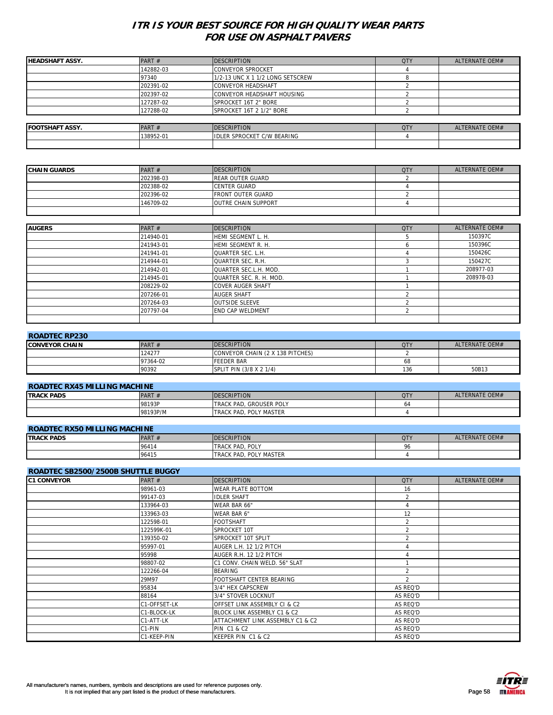| <b>HEADSHAFT ASSY.</b> | PART $#$  | <b>DESCRIPTION</b>                | <b>QTY</b> | ALTERNATE OEM# |
|------------------------|-----------|-----------------------------------|------------|----------------|
|                        | 142882-03 | <b>CONVEYOR SPROCKET</b>          |            |                |
|                        | 97340     | 1/2-13 UNC X 1 1/2 LONG SETSCREW  |            |                |
|                        | 202391-02 | <b>CONVEYOR HEADSHAFT</b>         |            |                |
|                        | 202397-02 | CONVEYOR HEADSHAFT HOUSING        |            |                |
|                        | 127287-02 | SPROCKET 16T 2" BORE              |            |                |
|                        | 127288-02 | SPROCKET 16T 2 1/2" BORE          |            |                |
|                        |           |                                   |            |                |
| <b>FOOTSHAFT ASSY.</b> | PART#     | <b>DESCRIPTION</b>                | <b>QTY</b> | ALTERNATE OEM# |
|                        | 138952-01 | <b>IDLER SPROCKET C/W BEARING</b> |            |                |
|                        |           |                                   |            |                |

| <b>CHAIN GUARDS</b> | PART#     | <b>DESCRIPTION</b>         | <b>QTY</b> | ALTERNATE OEM# |
|---------------------|-----------|----------------------------|------------|----------------|
|                     | 202398-03 | <b>REAR OUTER GUARD</b>    |            |                |
|                     |           |                            |            |                |
|                     | 202388-02 | <b>CENTER GUARD</b>        |            |                |
|                     | 202396-02 | <b>FRONT OUTER GUARD</b>   |            |                |
|                     | 146709-02 | <b>OUTRE CHAIN SUPPORT</b> |            |                |
|                     |           |                            |            |                |
|                     |           |                            |            |                |
| <b>AUGERS</b>       | PART $#$  | <b>DESCRIPTION</b>         | <b>QTY</b> | ALTERNATE OEM# |
|                     | 214940-01 | HEMI SEGMENT L. H.         |            | 150397C        |

| 214940-01 | HEMI SEGMENT L. H.       | 150397C   |
|-----------|--------------------------|-----------|
| 241943-01 | HEMI SEGMENT R. H.       | 150396C   |
| 241941-01 | <b>QUARTER SEC. L.H.</b> | 150426C   |
| 214944-01 | QUARTER SEC. R.H.        | 150427C   |
| 214942-01 | QUARTER SEC.L.H. MOD.    | 208977-03 |
| 214945-01 | QUARTER SEC. R. H. MOD.  | 208978-03 |
| 208229-02 | <b>COVER AUGER SHAFT</b> |           |
| 207266-01 | <b>AUGER SHAFT</b>       |           |
| 207264-03 | <b>OUTSIDE SLEEVE</b>    |           |
| 207797-04 | <b>END CAP WELDMENT</b>  |           |
|           |                          |           |

| <b>ROADTEC RP230</b>   |          |                                  |            |                |  |
|------------------------|----------|----------------------------------|------------|----------------|--|
| <b>ICONVEYOR CHAIN</b> | PART $#$ | <b>IDESCRIPTION</b>              | <b>QTY</b> | ALTERNATE OFM# |  |
|                        | 124277   | CONVEYOR CHAIN (2 X 138 PITCHES) |            |                |  |
|                        | 97364-02 | <b>FFEDER BAR</b>                | 68         |                |  |
|                        | 90392    | SPLIT PIN (3/8 X 2 1/4)          | 136        | 50B13          |  |

| <b>ROADTEC RX45 MILLING MACHINE</b> |          |                                 |            |                |
|-------------------------------------|----------|---------------------------------|------------|----------------|
| <b>ITRACK PADS</b>                  | PART $#$ | <b>IDESCRIPTION</b>             | <b>QTY</b> | ALTERNATE OEM# |
|                                     | 98193P   | <b>ITRACK PAD, GROUSER POLY</b> | 04         |                |
|                                     | 98193P/M | TRACK PAD, POLY MASTER          |            |                |

# **ROADTEC RX50 MILLING MACHINE**

| <b>TRACK PADS</b> | <b>PART</b><br>H | <b>ESCRIPTION</b><br>IDF  | QT) | ALTERNATE OEM# |
|-------------------|------------------|---------------------------|-----|----------------|
|                   | 96414            | POLY<br><b>TRACK PAD.</b> | 96  |                |
|                   | 96415            | POLY MASTER<br>TRACK PAD. |     |                |

| <b>ROADTEC SB2500/2500B SHUTTLE BUGGY</b> |              |                                  |                |                |
|-------------------------------------------|--------------|----------------------------------|----------------|----------------|
| <b>C1 CONVEYOR</b>                        | PART $#$     | <b>DESCRIPTION</b>               | <b>QTY</b>     | ALTERNATE OEM# |
|                                           | 98961-03     | <b>WEAR PLATE BOTTOM</b>         | 16             |                |
|                                           | 99147-03     | <b>IDLER SHAFT</b>               | 2              |                |
|                                           | 133964-03    | WEAR BAR 66"                     | 4              |                |
|                                           | 133963-03    | WEAR BAR 6"                      | 12             |                |
|                                           | 122598-01    | <b>FOOTSHAFT</b>                 | 2              |                |
|                                           | 122599K-01   | SPROCKET 10T                     | $\overline{2}$ |                |
|                                           | 139350-02    | SPROCKET 10T SPLIT               | 2              |                |
|                                           | 95997-01     | AUGER L.H. 12 1/2 PITCH          |                |                |
|                                           | 95998        | AUGER R.H. 12 1/2 PITCH          |                |                |
|                                           | 98807-02     | C1 CONV. CHAIN WELD. 56" SLAT    |                |                |
|                                           | 122266-04    | <b>BEARING</b>                   | 2              |                |
|                                           | 29M97        | FOOTSHAFT CENTER BEARING         | $\mathfrak{D}$ |                |
|                                           | 95834        | 3/4" HEX CAPSCREW                | AS REQ'D       |                |
|                                           | 88164        | 3/4" STOVER LOCKNUT              | AS REQ'D       |                |
|                                           | C1-OFFSET-LK | OFFSET LINK ASSEMBLY CI & C2     | AS REQ'D       |                |
|                                           | C1-BLOCK-LK  | BLOCK LINK ASSEMBLY C1 & C2      | AS REQ'D       |                |
|                                           | C1-ATT-LK    | ATTACHMENT LINK ASSEMBLY C1 & C2 | AS REQ'D       |                |
|                                           | C1-PIN       | <b>PIN C1 &amp; C2</b>           | AS REQ'D       |                |
|                                           | C1-KEEP-PIN  | KEEPER PIN C1 & C2               | AS REQ'D       |                |

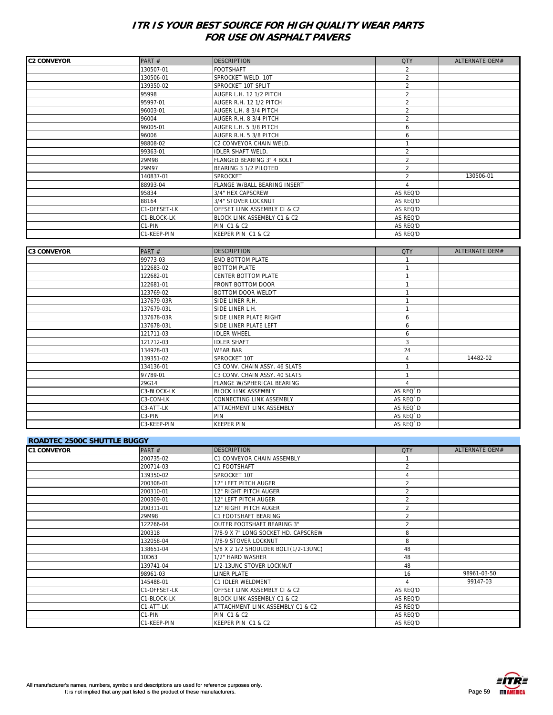| <b>C2 CONVEYOR</b> | PART#        | <b>DESCRIPTION</b>           | <b>QTY</b>               | ALTERNATE OEM# |
|--------------------|--------------|------------------------------|--------------------------|----------------|
|                    | 130507-01    | <b>FOOTSHAFT</b>             | $\overline{2}$           |                |
|                    | 130506-01    | SPROCKET WELD. 10T           | $\overline{2}$           |                |
|                    | 139350-02    | SPROCKET 10T SPLIT           | $\overline{2}$           |                |
|                    | 95998        | AUGER L.H. 12 1/2 PITCH      | $\overline{2}$           |                |
|                    | 95997-01     | AUGER R.H. 12 1/2 PITCH      | $\overline{\mathbf{c}}$  |                |
|                    | 96003-01     | AUGER L.H. 8 3/4 PITCH       | $\overline{2}$           |                |
|                    | 96004        | AUGER R.H. 8 3/4 PITCH       | $\overline{2}$           |                |
|                    | 96005-01     | AUGER L.H. 5 3/8 PITCH       | 6                        |                |
|                    | 96006        | AUGER R.H. 5 3/8 PITCH       | 6                        |                |
|                    | 98808-02     | C2 CONVEYOR CHAIN WELD.      |                          |                |
|                    | 99363-01     | <b>IDLER SHAFT WELD.</b>     | $\overline{\mathcal{L}}$ |                |
|                    | 29M98        | FLANGED BEARING 3" 4 BOLT    | $\overline{2}$           |                |
|                    | 29M97        | BEARING 3 1/2 PILOTED        | $\overline{2}$           |                |
|                    | 140837-01    | SPROCKET                     | $\overline{\mathcal{L}}$ | 130506-01      |
|                    | 88993-04     | FLANGE W/BALL BEARING INSERT |                          |                |
|                    | 95834        | 3/4" HEX CAPSCREW            | AS REQ'D                 |                |
|                    | 88164        | 3/4" STOVER LOCKNUT          | AS REQ'D                 |                |
|                    | C1-OFFSET-LK | OFFSET LINK ASSEMBLY CI & C2 | AS REQ'D                 |                |
|                    | C1-BLOCK-LK  | BLOCK LINK ASSEMBLY C1 & C2  | AS REQ'D                 |                |
|                    | C1-PIN       | <b>PIN C1 &amp; C2</b>       | AS REQ'D                 |                |
|                    | C1-KEEP-PIN  | KEEPER PIN C1 & C2           | AS REQ'D                 |                |

| <b>C3 CONVEYOR</b> | PART#               | <b>DESCRIPTION</b>            | <b>QTY</b> | ALTERNATE OEM# |
|--------------------|---------------------|-------------------------------|------------|----------------|
|                    | 99773-03            | <b>END BOTTOM PLATE</b>       |            |                |
|                    | 122683-02           | <b>BOTTOM PLATE</b>           |            |                |
|                    | 122682-01           | <b>CENTER BOTTOM PLATE</b>    |            |                |
|                    | 122681-01           | <b>FRONT BOTTOM DOOR</b>      |            |                |
|                    | 123769-02           | <b>BOTTOM DOOR WELD'T</b>     |            |                |
|                    | 137679-03R          | SIDE LINER R.H.               |            |                |
|                    | 137679-03L          | SIDE LINER L.H.               |            |                |
|                    | 137678-03R          | SIDE LINER PLATE RIGHT        | 6          |                |
|                    | 137678-03L          | SIDE LINER PLATE LEFT         | 6          |                |
|                    | 121711-03           | <b>IDLER WHEEL</b>            | 6          |                |
|                    | 121712-03           | <b>IDLER SHAFT</b>            | 3          |                |
|                    | 134928-03           | <b>WEAR BAR</b>               | 24         |                |
|                    | 139351-02           | SPROCKET 10T                  |            | 14482-02       |
|                    | 134136-01           | C3 CONV. CHAIN ASSY. 46 SLATS |            |                |
|                    | 97789-01            | C3 CONV. CHAIN ASSY. 40 SLATS |            |                |
|                    | 29G14               | FLANGE W/SPHERICAL BEARING    | Δ          |                |
|                    | C3-BLOCK-LK         | <b>BLOCK LINK ASSEMBLY</b>    | AS REQ`D   |                |
|                    | C3-CON-LK           | CONNECTING LINK ASSEMBLY      | AS REQ'D   |                |
|                    | C3-ATT-LK           | ATTACHMENT LINK ASSEMBLY      | AS REQ'D   |                |
|                    | C <sub>3</sub> -PIN | PIN                           | AS REQ'D   |                |
|                    | C3-KEEP-PIN         | <b>KEEPER PIN</b>             | AS REQ'D   |                |

| <b>ROADTEC 2500C SHUTTLE BUGGY</b> |              |                                         |                          |                |
|------------------------------------|--------------|-----------------------------------------|--------------------------|----------------|
| <b>C1 CONVEYOR</b>                 | PART $#$     | <b>DESCRIPTION</b>                      | <b>QTY</b>               | ALTERNATE OEM# |
|                                    | 200735-02    | <b>C1 CONVEYOR CHAIN ASSEMBLY</b>       |                          |                |
|                                    | 200714-03    | C1 FOOTSHAFT                            | $\overline{2}$           |                |
|                                    | 139350-02    | SPROCKET 10T                            |                          |                |
|                                    | 200308-01    | 12" LEFT PITCH AUGER                    | $\overline{\mathcal{L}}$ |                |
|                                    | 200310-01    | 12" RIGHT PITCH AUGER                   |                          |                |
|                                    | 200309-01    | 12" LEFT PITCH AUGER                    | $\mathfrak{p}$           |                |
|                                    | 200311-01    | 12" RIGHT PITCH AUGER                   | $\overline{\phantom{a}}$ |                |
|                                    | 29M98        | C1 FOOTSHAFT BEARING                    | $\overline{\phantom{a}}$ |                |
|                                    | 122266-04    | OUTER FOOTSHAFT BEARING 3"              | $\overline{\mathcal{L}}$ |                |
|                                    | 200318       | 7/8-9 X 7" LONG SOCKET HD. CAPSCREW     | 8                        |                |
|                                    | 132058-04    | 7/8-9 STOVER LOCKNUT                    | 8                        |                |
|                                    | 138651-04    | 5/8 X 2 1/2 SHOULDER BOLT(1/2-13UNC)    | 48                       |                |
|                                    | 10D63        | 1/2" HARD WASHER                        | 48                       |                |
|                                    | 139741-04    | 1/2-13UNC STOVER LOCKNUT                | 48                       |                |
|                                    | 98961-03     | <b>LINER PLATE</b>                      | 16                       | 98961-03-50    |
|                                    | 145488-01    | <b>C1 IDLER WELDMENT</b>                |                          | 99147-03       |
|                                    | C1-OFFSET-LK | <b>OFFSET LINK ASSEMBLY CI &amp; C2</b> | AS REQ'D                 |                |
|                                    | C1-BLOCK-LK  | BLOCK LINK ASSEMBLY C1 & C2             | AS REQ'D                 |                |
|                                    | C1-ATT-LK    | ATTACHMENT LINK ASSEMBLY C1 & C2        | AS REQ'D                 |                |
|                                    | C1-PIN       | <b>PIN C1 &amp; C2</b>                  | AS REQ'D                 |                |
|                                    | C1-KEEP-PIN  | KEEPER PIN C1 & C2                      | AS REQ'D                 |                |



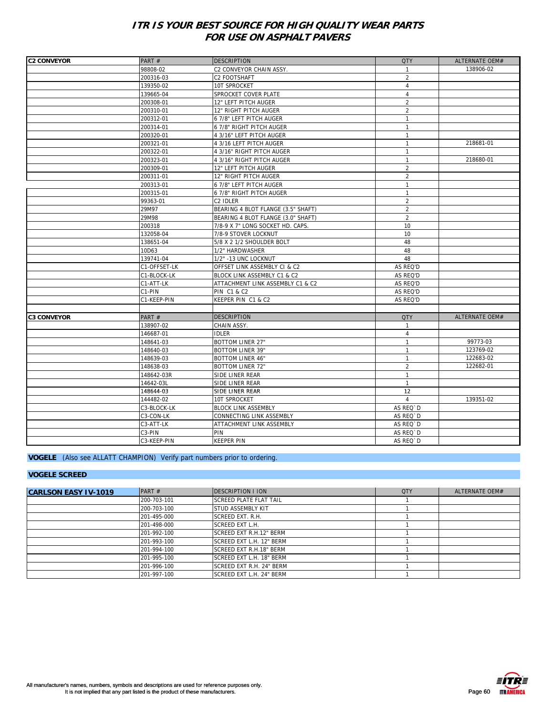| <b>C2 CONVEYOR</b> | PART#        | <b>DESCRIPTION</b>                 | <b>QTY</b>     | ALTERNATE OEM# |
|--------------------|--------------|------------------------------------|----------------|----------------|
|                    | 98808-02     | C2 CONVEYOR CHAIN ASSY.            |                | 138906-02      |
|                    | 200316-03    | C2 FOOTSHAFT                       | $\overline{2}$ |                |
|                    | 139350-02    | 10T SPROCKET                       | $\overline{4}$ |                |
|                    | 139665-04    | SPROCKET COVER PLATE               | $\overline{4}$ |                |
|                    | 200308-01    | 12" LEFT PITCH AUGER               | $\overline{2}$ |                |
|                    | 200310-01    | 12" RIGHT PITCH AUGER              | $\overline{2}$ |                |
|                    | 200312-01    | 6 7/8" LEFT PITCH AUGER            | $\mathbf{1}$   |                |
|                    | 200314-01    | 6 7/8" RIGHT PITCH AUGER           | $\mathbf{1}$   |                |
|                    | 200320-01    | 4 3/16" LEFT PITCH AUGER           | $\mathbf{1}$   |                |
|                    | 200321-01    | 4 3/16 LEFT PITCH AUGER            | $\mathbf{1}$   | 218681-01      |
|                    | 200322-01    | 4 3/16" RIGHT PITCH AUGER          | $\mathbf{1}$   |                |
|                    | 200323-01    | 4 3/16" RIGHT PITCH AUGER          | $\mathbf{1}$   | 218680-01      |
|                    | 200309-01    | 12" LEFT PITCH AUGER               | $\overline{2}$ |                |
|                    | 200311-01    | 12" RIGHT PITCH AUGER              | $\overline{2}$ |                |
|                    | 200313-01    | 6 7/8" LEFT PITCH AUGER            | $\mathbf{1}$   |                |
|                    | 200315-01    | 6 7/8" RIGHT PITCH AUGER           | $\mathbf{1}$   |                |
|                    | 99363-01     | C2 IDLER                           | $\overline{2}$ |                |
|                    | 29M97        | BEARING 4 BLOT FLANGE (3.5" SHAFT) | $\overline{2}$ |                |
|                    | 29M98        | BEARING 4 BLOT FLANGE (3.0" SHAFT) | $\overline{2}$ |                |
|                    | 200318       | 7/8-9 X 7" LONG SOCKET HD. CAPS.   | 10             |                |
|                    | 132058-04    | 7/8-9 STOVER LOCKNUT               | 10             |                |
|                    | 138651-04    | 5/8 X 2 1/2 SHOULDER BOLT          | 48             |                |
|                    | 10D63        | 1/2" HARDWASHER                    | 48             |                |
|                    | 139741-04    | 1/2" -13 UNC LOCKNUT               | 48             |                |
|                    | C1-OFFSET-LK | OFFSET LINK ASSEMBLY CI & C2       | AS REQ'D       |                |
|                    | C1-BLOCK-LK  | BLOCK LINK ASSEMBLY C1 & C2        | AS REQ'D       |                |
|                    | C1-ATT-LK    | ATTACHMENT LINK ASSEMBLY C1 & C2   | AS REQ'D       |                |
|                    | C1-PIN       | <b>PIN C1 &amp; C2</b>             | AS REQ'D       |                |
|                    | C1-KEEP-PIN  | KEEPER PIN C1 & C2                 | AS REQ'D       |                |
|                    |              |                                    |                |                |
| <b>C3 CONVEYOR</b> | PART#        | <b>DESCRIPTION</b>                 | <b>QTY</b>     | ALTERNATE OEM# |
|                    | 138907-02    | CHAIN ASSY.                        | $\mathbf{1}$   |                |
|                    | 146687-01    | <b>IDLER</b>                       | $\overline{4}$ |                |
|                    | 148641-03    | <b>BOTTOM LINER 27"</b>            | $\mathbf{1}$   | 99773-03       |
|                    | 148640-03    | <b>BOTTOM LINER 39"</b>            | $\mathbf{1}$   | 123769-02      |
|                    | 148639-03    | <b>BOTTOM LINER 46"</b>            | $\mathbf{1}$   | 122683-02      |
|                    | 148638-03    | <b>BOTTOM LINER 72"</b>            | $\overline{2}$ | 122682-01      |
|                    | 148642-03R   | SIDE LINER REAR                    | $\mathbf{1}$   |                |
|                    | 14642-03L    | SIDE LINER REAR                    | $\mathbf{1}$   |                |
|                    | 148644-03    | SIDE LINER REAR                    | 12             |                |
|                    | 144482-02    | 10T SPROCKET                       | $\overline{4}$ | 139351-02      |
|                    | C3-BLOCK-LK  | <b>BLOCK LINK ASSEMBLY</b>         | AS REQ'D       |                |
|                    | C3-CON-LK    | CONNECTING LINK ASSEMBLY           | AS REQ'D       |                |
|                    | C3-ATT-LK    | ATTACHMENT LINK ASSEMBLY           | AS REQ'D       |                |
|                    | C3-PIN       | PIN                                | AS REQ'D       |                |
|                    | C3-KEEP-PIN  | <b>KEEPER PIN</b>                  | AS REQ'D       |                |

#### **VOGELE** (Also see ALLATT CHAMPION) Verify part numbers prior to ordering.

#### **VOGELE SCREED**

| <b>CARLSON EASY IV-1019</b> | PART $#$    | <b>IDESCRIPTION I ION</b>     | <b>QTY</b> | ALTERNATE OEM# |
|-----------------------------|-------------|-------------------------------|------------|----------------|
|                             | 200-703-101 | <b>SCREED PLATE FLAT TAIL</b> |            |                |
|                             | 200-703-100 | <b>STUD ASSEMBLY KIT</b>      |            |                |
|                             | 201-495-000 | SCREED EXT. R.H.              |            |                |
|                             | 201-498-000 | <b>SCREED EXT L.H.</b>        |            |                |
|                             | 201-992-100 | SCREED EXT R.H.12" BERM       |            |                |
|                             | 201-993-100 | SCREED EXT L.H. 12" BERM      |            |                |
|                             | 201-994-100 | SCREED EXT R.H.18" BERM       |            |                |
|                             | 201-995-100 | SCREED EXT L.H. 18" BERM      |            |                |
|                             | 201-996-100 | SCREED EXT R.H. 24" BERM      |            |                |
|                             | 201-997-100 | SCREED EXT L.H. 24" BERM      |            |                |

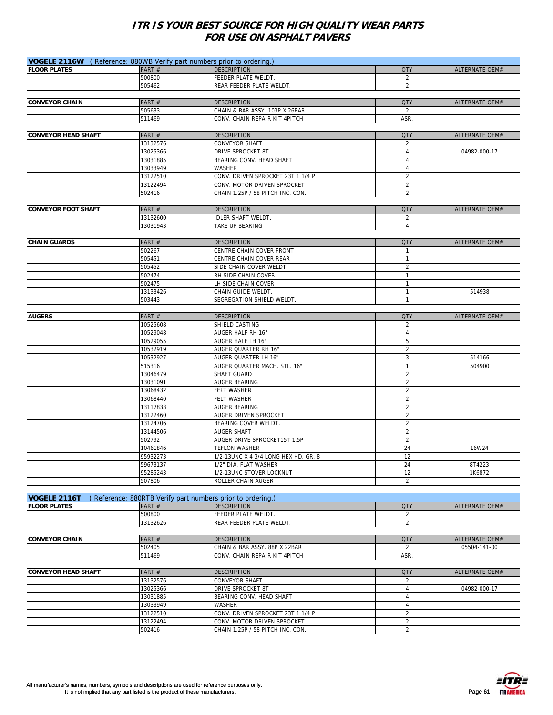| VOGELE 2116W (Reference: 880WB Verify part numbers prior to ordering.) |          |                                                                                  |                |                       |
|------------------------------------------------------------------------|----------|----------------------------------------------------------------------------------|----------------|-----------------------|
| <b>FLOOR PLATES</b>                                                    | PART#    | <b>DESCRIPTION</b>                                                               | <b>QTY</b>     | ALTERNATE OEM#        |
|                                                                        | 500800   | FEEDER PLATE WELDT.                                                              | 2              |                       |
|                                                                        | 505462   | REAR FEEDER PLATE WELDT.                                                         | $\overline{2}$ |                       |
|                                                                        |          |                                                                                  |                |                       |
| <b>CONVEYOR CHAIN</b>                                                  | PART#    | <b>DESCRIPTION</b>                                                               | <b>QTY</b>     | ALTERNATE OEM#        |
|                                                                        | 505633   | CHAIN & BAR ASSY. 103P X 26BAR                                                   | 2              |                       |
|                                                                        | 511469   | CONV. CHAIN REPAIR KIT 4PITCH                                                    | ASR.           |                       |
|                                                                        |          |                                                                                  |                |                       |
|                                                                        |          |                                                                                  | <b>QTY</b>     |                       |
| <b>CONVEYOR HEAD SHAFT</b>                                             | PART#    | <b>DESCRIPTION</b>                                                               |                | <b>ALTERNATE OEM#</b> |
|                                                                        | 13132576 | <b>CONVEYOR SHAFT</b>                                                            | $\overline{2}$ |                       |
|                                                                        | 13025366 | DRIVE SPROCKET 8T                                                                | $\overline{4}$ | 04982-000-17          |
|                                                                        | 13031885 | BEARING CONV. HEAD SHAFT                                                         | 4              |                       |
|                                                                        | 13033949 | <b>WASHER</b>                                                                    | $\overline{4}$ |                       |
|                                                                        | 13122510 | CONV. DRIVEN SPROCKET 23T 1 1/4 P                                                | $\overline{2}$ |                       |
|                                                                        | 13122494 | CONV. MOTOR DRIVEN SPROCKET                                                      | $\overline{2}$ |                       |
|                                                                        | 502416   | CHAIN 1.25P / 58 PITCH INC. CON.                                                 | 2              |                       |
|                                                                        |          |                                                                                  |                |                       |
| <b>CONVEYOR FOOT SHAFT</b>                                             | PART#    | <b>DESCRIPTION</b>                                                               | <b>QTY</b>     | ALTERNATE OEM#        |
|                                                                        | 13132600 | <b>IDLER SHAFT WELDT.</b>                                                        | 2              |                       |
|                                                                        | 13031943 | TAKE UP BEARING                                                                  | $\overline{4}$ |                       |
|                                                                        |          |                                                                                  |                |                       |
| <b>CHAIN GUARDS</b>                                                    | PART#    | <b>DESCRIPTION</b>                                                               | <b>QTY</b>     | ALTERNATE OEM#        |
|                                                                        | 502267   | CENTRE CHAIN COVER FRONT                                                         | $\mathbf{1}$   |                       |
|                                                                        | 505451   | CENTRE CHAIN COVER REAR                                                          | $\mathbf{1}$   |                       |
|                                                                        | 505452   | SIDE CHAIN COVER WELDT.                                                          | $\overline{2}$ |                       |
|                                                                        | 502474   | RH SIDE CHAIN COVER                                                              | $\mathbf{1}$   |                       |
|                                                                        | 502475   | LH SIDE CHAIN COVER                                                              | $\mathbf{1}$   |                       |
|                                                                        | 13133426 | CHAIN GUIDE WELDT.                                                               | $\mathbf{1}$   | 514938                |
|                                                                        | 503443   | SEGREGATION SHIELD WELDT.                                                        | $\mathbf{1}$   |                       |
|                                                                        |          |                                                                                  |                |                       |
| <b>AUGERS</b>                                                          | PART#    | <b>DESCRIPTION</b>                                                               | <b>QTY</b>     | ALTERNATE OEM#        |
|                                                                        | 10525608 | SHIELD CASTING                                                                   | 2              |                       |
|                                                                        | 10529048 | AUGER HALF RH 16"                                                                | $\overline{4}$ |                       |
|                                                                        | 10529055 | AUGER HALF LH 16"                                                                | 5              |                       |
|                                                                        | 10532919 | AUGER QUARTER RH 16"                                                             | $\overline{2}$ |                       |
|                                                                        | 10532927 | AUGER QUARTER LH 16"                                                             | 3              | 514166                |
|                                                                        | 515316   | AUGER QUARTER MACH. STL. 16"                                                     | $\mathbf{1}$   | 504900                |
|                                                                        | 13046479 | SHAFT GUARD                                                                      | $\overline{2}$ |                       |
|                                                                        | 13031091 | AUGER BEARING                                                                    | $\overline{2}$ |                       |
|                                                                        | 13068432 | FELT WASHER                                                                      | $\overline{2}$ |                       |
|                                                                        | 13068440 | FELT WASHER                                                                      | 2              |                       |
|                                                                        | 13117833 | AUGER BEARING                                                                    | $\overline{2}$ |                       |
|                                                                        | 13122460 | AUGER DRIVEN SPROCKET                                                            | $\overline{2}$ |                       |
|                                                                        | 13124706 | BEARING COVER WELDT.                                                             | 2              |                       |
|                                                                        | 13144506 | <b>AUGER SHAFT</b>                                                               | 2              |                       |
|                                                                        | 502792   | AUGER DRIVE SPROCKET15T 1.5P                                                     | $\overline{2}$ |                       |
|                                                                        | 10461846 | <b>TEFLON WASHER</b>                                                             | 24             | 16W24                 |
|                                                                        | 95932273 | 1/2-13UNC X 4 3/4 LONG HEX HD. GR. 8                                             | 12             |                       |
|                                                                        | 59673137 | 1/2" DIA. FLAT WASHER                                                            | 24             | 8T4223                |
|                                                                        | 95285243 | 1/2-13UNC STOVER LOCKNUT                                                         | 12             | 1K6872                |
|                                                                        | 507806   | ROLLER CHAIN AUGER                                                               | $\overline{2}$ |                       |
|                                                                        |          |                                                                                  |                |                       |
|                                                                        |          |                                                                                  |                |                       |
| VOGELE 2116T<br><b>FLOOR PLATES</b>                                    |          | (Reference: 880RTB Verify part numbers prior to ordering.)<br><b>DESCRIPTION</b> | <b>QTY</b>     |                       |
|                                                                        | PART#    | FEEDER PLATE WELDT.                                                              |                | <b>ALTERNATE OEM#</b> |
|                                                                        | 500800   |                                                                                  | $\overline{2}$ |                       |
|                                                                        | 13132626 | REAR FEEDER PLATE WELDT.                                                         | 2              |                       |
|                                                                        |          |                                                                                  |                |                       |
| <b>CONVEYOR CHAIN</b>                                                  | PART#    | <b>DESCRIPTION</b>                                                               | <b>QTY</b>     | ALTERNATE OEM#        |
|                                                                        | 502405   | CHAIN & BAR ASSY. 88P X 22BAR                                                    | $\overline{2}$ | 05504-141-00          |
|                                                                        | 511469   | CONV. CHAIN REPAIR KIT 4PITCH                                                    | ASR.           |                       |
|                                                                        |          |                                                                                  |                |                       |
| <b>CONVEYOR HEAD SHAFT</b>                                             | PART#    | <b>DESCRIPTION</b>                                                               | <b>QTY</b>     | <b>ALTERNATE OEM#</b> |
|                                                                        | 13132576 | <b>CONVEYOR SHAFT</b>                                                            | 2              |                       |
|                                                                        | 13025366 | DRIVE SPROCKET 8T                                                                | $\overline{4}$ | 04982-000-17          |
|                                                                        | 13031885 | BEARING CONV. HEAD SHAFT                                                         | 4              |                       |
|                                                                        | 13033949 | WASHER                                                                           | $\overline{4}$ |                       |
|                                                                        | 13122510 | CONV. DRIVEN SPROCKET 23T 1 1/4 P                                                | $\overline{2}$ |                       |
|                                                                        | 13122494 | CONV. MOTOR DRIVEN SPROCKET                                                      | 2              |                       |
|                                                                        | 502416   | CHAIN 1.25P / 58 PITCH INC. CON.                                                 | $\overline{2}$ |                       |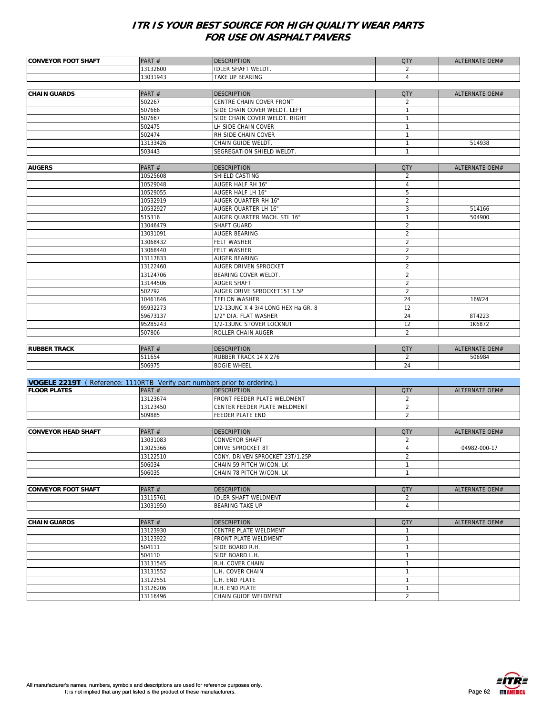| <b>CONVEYOR FOOT SHAFT</b>                                               | PART#                | <b>DESCRIPTION</b>                                          | <b>QTY</b>                   | ALTERNATE OEM#        |
|--------------------------------------------------------------------------|----------------------|-------------------------------------------------------------|------------------------------|-----------------------|
|                                                                          | 13132600             | <b>IDLER SHAFT WELDT.</b>                                   | $\overline{2}$               |                       |
|                                                                          | 13031943             | TAKE UP BEARING                                             | 4                            |                       |
|                                                                          |                      |                                                             |                              |                       |
| <b>CHAIN GUARDS</b>                                                      | PART#                | <b>DESCRIPTION</b>                                          | <b>QTY</b>                   | ALTERNATE OEM#        |
|                                                                          | 502267               | CENTRE CHAIN COVER FRONT                                    | 2                            |                       |
|                                                                          | 507666               | SIDE CHAIN COVER WELDT. LEFT                                | $\mathbf{1}$                 |                       |
|                                                                          | 507667               | SIDE CHAIN COVER WELDT. RIGHT                               | $\mathbf{1}$                 |                       |
|                                                                          | 502475               | LH SIDE CHAIN COVER                                         | $\mathbf{1}$                 |                       |
|                                                                          | 502474<br>13133426   | RH SIDE CHAIN COVER<br>CHAIN GUIDE WELDT.                   | $\mathbf{1}$<br>$\mathbf{1}$ | 514938                |
|                                                                          | 503443               | SEGREGATION SHIELD WELDT.                                   | $\mathbf{1}$                 |                       |
|                                                                          |                      |                                                             |                              |                       |
| <b>AUGERS</b>                                                            | PART#                | <b>DESCRIPTION</b>                                          | <b>QTY</b>                   | ALTERNATE OEM#        |
|                                                                          | 10525608             | SHIELD CASTING                                              | 2                            |                       |
|                                                                          | 10529048             | AUGER HALF RH 16"                                           | $\overline{4}$               |                       |
|                                                                          | 10529055             | AUGER HALF LH 16"                                           | 5                            |                       |
|                                                                          | 10532919             | AUGER QUARTER RH 16"                                        | $\overline{2}$               |                       |
|                                                                          | 10532927             | AUGER QUARTER LH 16"                                        | 3                            | 514166                |
|                                                                          | 515316               | AUGER QUARTER MACH. STL 16"                                 | $\mathbf{1}$                 | 504900                |
|                                                                          | 13046479             | SHAFT GUARD                                                 | $\overline{2}$               |                       |
|                                                                          | 13031091             | AUGER BEARING                                               | $\overline{2}$               |                       |
|                                                                          | 13068432             | FELT WASHER                                                 | $\overline{2}$               |                       |
|                                                                          | 13068440             | FELT WASHER                                                 | $\overline{2}$               |                       |
|                                                                          | 13117833             | AUGER BEARING                                               | 2                            |                       |
|                                                                          | 13122460<br>13124706 | AUGER DRIVEN SPROCKET<br>BEARING COVER WELDT.               | 2<br>2                       |                       |
|                                                                          | 13144506             | <b>AUGER SHAFT</b>                                          | 2                            |                       |
|                                                                          | 502792               | AUGER DRIVE SPROCKET15T 1.5P                                | $\overline{2}$               |                       |
|                                                                          | 10461846             | <b>TEFLON WASHER</b>                                        | 24                           | 16W24                 |
|                                                                          | 95932273             | 1/2-13UNC X 4 3/4 LONG HEX Ha GR. 8                         | 12                           |                       |
|                                                                          | 59673137             | 1/2" DIA. FLAT WASHER                                       | 24                           | 8T4223                |
|                                                                          | 95285243             | 1/2-13UNC STOVER LOCKNUT                                    | 12                           | 1K6872                |
|                                                                          | 507806               | ROLLER CHAIN AUGER                                          | 2                            |                       |
|                                                                          |                      |                                                             |                              |                       |
| <b>RUBBER TRACK</b>                                                      | PART#                | <b>DESCRIPTION</b>                                          | <b>QTY</b>                   | ALTERNATE OEM#        |
|                                                                          | 511654               | RUBBER TRACK 14 X 276                                       | 2                            | 506984                |
|                                                                          | 506975               | <b>BOGIE WHEEL</b>                                          | 24                           |                       |
|                                                                          |                      |                                                             |                              |                       |
| VOGELE 2219T (Reference: 1110RTB Verify part numbers prior to ordering.) |                      |                                                             |                              |                       |
| <b>FLOOR PLATES</b>                                                      | PART#                | <b>DESCRIPTION</b>                                          | <b>QTY</b><br>2              | ALTERNATE OEM#        |
|                                                                          | 13123674<br>13123450 | FRONT FEEDER PLATE WELDMENT<br>CENTER FEEDER PLATE WELDMENT | $\overline{2}$               |                       |
|                                                                          | 509885               | <b>FEEDER PLATE END</b>                                     | $\overline{2}$               |                       |
|                                                                          |                      |                                                             |                              |                       |
| <b>CONVEYOR HEAD SHAFT</b>                                               |                      |                                                             |                              |                       |
|                                                                          |                      |                                                             |                              |                       |
|                                                                          | PART#                | <b>DESCRIPTION</b>                                          | <b>QTY</b><br>2              | <b>ALTERNATE OEM#</b> |
|                                                                          | 13031083<br>13025366 | CONVEYOR SHAFT<br>DRIVE SPROCKET 8T                         | $\overline{4}$               | 04982-000-17          |
|                                                                          | 13122510             | CONY. DRIVEN SPROCKET 23T/1.25P                             | $\overline{2}$               |                       |
|                                                                          | 506034               | CHAIN 59 PITCH W/CON. LK                                    | $\mathbf{1}$                 |                       |
|                                                                          | 506035               | CHAIN 78 PITCH W/CON. LK                                    | $\mathbf{1}$                 |                       |
|                                                                          |                      |                                                             |                              |                       |
| <b>CONVEYOR FOOT SHAFT</b>                                               | PART#                | <b>DESCRIPTION</b>                                          | <b>QTY</b>                   | ALTERNATE OEM#        |
|                                                                          | 13115761             | <b>IDLER SHAFT WELDMENT</b>                                 | $\overline{2}$               |                       |
|                                                                          | 13031950             | <b>BEARING TAKE UP</b>                                      | $\overline{4}$               |                       |
|                                                                          |                      |                                                             |                              |                       |
| <b>CHAIN GUARDS</b>                                                      | PART#                | <b>DESCRIPTION</b>                                          | <b>QTY</b>                   | ALTERNATE OEM#        |
|                                                                          | 13123930             | CENTRE PLATE WELDMENT                                       | $\mathbf{1}$                 |                       |
|                                                                          | 13123922             | FRONT PLATE WELDMENT                                        | $\mathbf{1}$                 |                       |
|                                                                          | 504111               | SIDE BOARD R.H.                                             | $\mathbf{1}$<br>$\mathbf{1}$ |                       |
|                                                                          | 504110<br>13131545   | SIDE BOARD L.H.                                             | $\mathbf{1}$                 |                       |
|                                                                          | 13131552             | R.H. COVER CHAIN<br>L.H. COVER CHAIN                        | $\mathbf{1}$                 |                       |
|                                                                          | 13122551             | L.H. END PLATE                                              | $\mathbf{1}$                 |                       |
|                                                                          | 13126206             | R.H. END PLATE                                              | $\mathbf{1}$                 |                       |

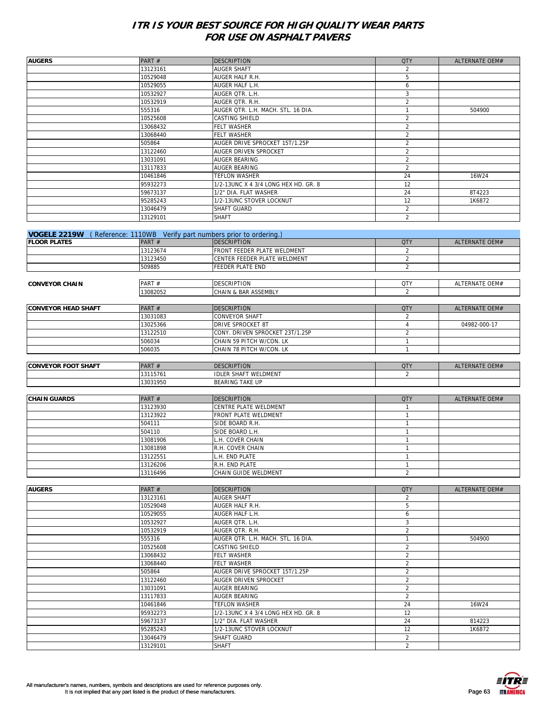| <b>AUGERS</b>                                                                  | PART#    | <b>DESCRIPTION</b>                   | <b>QTY</b>     | ALTERNATE OEM#        |
|--------------------------------------------------------------------------------|----------|--------------------------------------|----------------|-----------------------|
|                                                                                | 13123161 | AUGER SHAFT                          | 2              |                       |
|                                                                                | 10529048 | AUGER HALF R.H.                      | 5              |                       |
|                                                                                | 10529055 | AUGER HALF L.H.                      | 6              |                       |
|                                                                                | 10532927 | AUGER QTR. L.H.                      | 3              |                       |
|                                                                                | 10532919 | AUGER OTR. R.H.                      | $\overline{2}$ |                       |
|                                                                                | 555316   | AUGER QTR. L.H. MACH. STL. 16 DIA.   | $\overline{1}$ | 504900                |
|                                                                                | 10525608 | CASTING SHIELD                       | $\sqrt{2}$     |                       |
|                                                                                | 13068432 | FELT WASHER                          | $\overline{2}$ |                       |
|                                                                                |          | FELT WASHER                          | $\sqrt{2}$     |                       |
|                                                                                | 13068440 |                                      |                |                       |
|                                                                                | 505864   | AUGER DRIVE SPROCKET 15T/1.25P       | $\sqrt{2}$     |                       |
|                                                                                | 13122460 | AUGER DRIVEN SPROCKET                | $\overline{2}$ |                       |
|                                                                                | 13031091 | AUGER BEARING                        | $\overline{2}$ |                       |
|                                                                                | 13117833 | AUGER BEARING                        | 2              |                       |
|                                                                                | 10461846 | TEFLON WASHER                        | 24             | 16W24                 |
|                                                                                | 95932273 | 1/2-13UNC X 4 3/4 LONG HEX HD. GR. 8 | 12             |                       |
|                                                                                | 59673137 | 1/2" DIA. FLAT WASHER                | 24             | 8T4223                |
|                                                                                | 95285243 | 1/2-13UNC STOVER LOCKNUT             | 12             | 1K6872                |
|                                                                                | 13046479 | SHAFT GUARD                          | 2              |                       |
|                                                                                | 13129101 | <b>SHAFT</b>                         | 2              |                       |
|                                                                                |          |                                      |                |                       |
| <b>VOGELE 2219W</b> (Reference: 1110WB Verify part numbers prior to ordering.) |          |                                      |                |                       |
| <b>FLOOR PLATES</b>                                                            | PART #   | <b>DESCRIPTION</b>                   | <b>QTY</b>     | ALTERNATE OEM#        |
|                                                                                |          |                                      |                |                       |
|                                                                                | 13123674 | FRONT FEEDER PLATE WELDMENT          | 2              |                       |
|                                                                                | 13123450 | CENTER FEEDER PLATE WELDMENT         | 2              |                       |
|                                                                                | 509885   | FEEDER PLATE END                     | 2              |                       |
|                                                                                |          |                                      |                |                       |
| <b>CONVEYOR CHAIN</b>                                                          | PART#    | <b>DESCRIPTION</b>                   | <b>QTY</b>     | <b>ALTERNATE OEM#</b> |
|                                                                                | 13082052 | CHAIN & BAR ASSEMBLY                 | 2              |                       |
|                                                                                |          |                                      |                |                       |
| <b>CONVEYOR HEAD SHAFT</b>                                                     | PART#    | <b>DESCRIPTION</b>                   | <b>QTY</b>     | ALTERNATE OEM#        |
|                                                                                | 13031083 | CONVEYOR SHAFT                       | $\overline{2}$ |                       |
|                                                                                | 13025366 | DRIVE SPROCKET 8T                    | $\overline{4}$ | 04982-000-17          |
|                                                                                | 13122510 | CONY. DRIVEN SPROCKET 23T/1.25P      | $\overline{2}$ |                       |
|                                                                                | 506034   | CHAIN 59 PITCH W/CON. LK             | $\mathbf{1}$   |                       |
|                                                                                | 506035   | CHAIN 78 PITCH W/CON. LK             | $\mathbf{1}$   |                       |
|                                                                                |          |                                      |                |                       |
|                                                                                |          |                                      |                |                       |
| <b>CONVEYOR FOOT SHAFT</b>                                                     | PART#    | <b>DESCRIPTION</b>                   | <b>QTY</b>     | ALTERNATE OEM#        |
|                                                                                | 13115761 | <b>IDLER SHAFT WELDMENT</b>          | $\overline{2}$ |                       |
|                                                                                | 13031950 | <b>BEARING TAKE UP</b>               |                |                       |
|                                                                                |          |                                      |                |                       |
| <b>CHAIN GUARDS</b>                                                            | PART#    | <b>DESCRIPTION</b>                   | <b>QTY</b>     | <b>ALTERNATE OEM#</b> |
|                                                                                | 13123930 | CENTRE PLATE WELDMENT                | $\mathbf{1}$   |                       |
|                                                                                | 13123922 | FRONT PLATE WELDMENT                 | $\mathbf{1}$   |                       |
|                                                                                | 504111   | SIDE BOARD R.H.                      | $\mathbf{1}$   |                       |
|                                                                                | 504110   | SIDE BOARD L.H.                      | $\mathbf{1}$   |                       |
|                                                                                | 13081906 | L.H. COVER CHAIN                     | $\mathbf{1}$   |                       |
|                                                                                | 13081898 | R.H. COVER CHAIN                     | $\mathbf{1}$   |                       |
|                                                                                | 13122551 | L.H. END PLATE                       | $\mathbf{1}$   |                       |
|                                                                                | 13126206 | R.H. END PLATE                       | $\mathbf{1}$   |                       |
|                                                                                | 13116496 | CHAIN GUIDE WELDMENT                 | $\overline{2}$ |                       |
|                                                                                |          |                                      |                |                       |
| <b>AUGERS</b>                                                                  |          |                                      |                |                       |
|                                                                                | PART#    | <b>DESCRIPTION</b>                   | <b>QTY</b>     | ALTERNATE OEM#        |
|                                                                                | 13123161 | AUGER SHAFT                          | 2              |                       |
|                                                                                | 10529048 | AUGER HALF R.H.                      | 5              |                       |
|                                                                                | 10529055 | AUGER HALF L.H.                      | 6              |                       |
|                                                                                | 10532927 | AUGER QTR. L.H.                      | 3              |                       |
|                                                                                | 10532919 | AUGER QTR. R.H.                      | $\overline{2}$ |                       |
|                                                                                | 555316   | AUGER QTR. L.H. MACH. STL. 16 DIA.   | $\mathbf{1}$   | 504900                |
|                                                                                | 10525608 | CASTING SHIELD                       | $\overline{2}$ |                       |
|                                                                                | 13068432 | FELT WASHER                          | $\overline{2}$ |                       |
|                                                                                | 13068440 | FELT WASHER                          | $\overline{2}$ |                       |
|                                                                                |          |                                      | $\overline{2}$ |                       |
|                                                                                |          |                                      |                |                       |
|                                                                                | 505864   | AUGER DRIVE SPROCKET 15T/1.25P       |                |                       |
|                                                                                | 13122460 | AUGER DRIVEN SPROCKET                | $\overline{2}$ |                       |
|                                                                                | 13031091 | AUGER BEARING                        | $\overline{2}$ |                       |
|                                                                                | 13117833 | AUGER BEARING                        | 2              |                       |
|                                                                                | 10461846 | TEFLON WASHER                        | 24             | 16W24                 |
|                                                                                | 95932273 | 1/2-13UNC X 4 3/4 LONG HEX HD. GR. 8 | 12             |                       |
|                                                                                | 59673137 | 1/2" DIA. FLAT WASHER                | 24             | 814223                |
|                                                                                | 95285243 | 1/2-13UNC STOVER LOCKNUT             | 12             | 1K6872                |
|                                                                                | 13046479 | SHAFT GUARD                          | $\overline{2}$ |                       |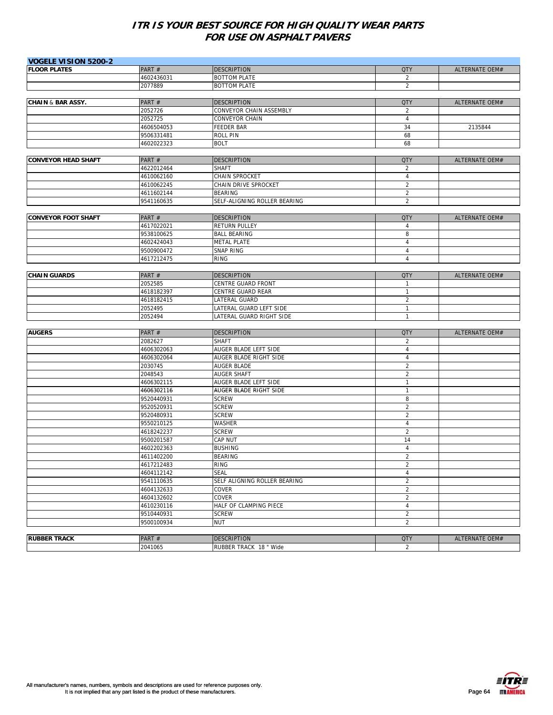| <b>VOGELE VISION 5200-2</b>  |            |                              |                |                       |
|------------------------------|------------|------------------------------|----------------|-----------------------|
| <b>FLOOR PLATES</b>          | PART#      | <b>DESCRIPTION</b>           | <b>QTY</b>     | ALTERNATE OEM#        |
|                              | 4602436031 | <b>BOTTOM PLATE</b>          | 2              |                       |
|                              | 2077889    | <b>BOTTOM PLATE</b>          | $\overline{2}$ |                       |
|                              |            |                              |                |                       |
| <b>CHAIN &amp; BAR ASSY.</b> | PART#      | <b>DESCRIPTION</b>           | <b>QTY</b>     | <b>ALTERNATE OEM#</b> |
|                              | 2052726    | CONVEYOR CHAIN ASSEMBLY      | 2              |                       |
|                              | 2052725    | <b>CONVEYOR CHAIN</b>        | $\overline{4}$ |                       |
|                              | 4606504053 | <b>FEEDER BAR</b>            | 34             | 2135844               |
|                              | 9506331481 | <b>ROLL PIN</b>              | 68             |                       |
|                              | 4602022323 | <b>BOLT</b>                  | 68             |                       |
|                              |            |                              |                |                       |
| <b>CONVEYOR HEAD SHAFT</b>   | PART#      | <b>DESCRIPTION</b>           | <b>QTY</b>     | ALTERNATE OEM#        |
|                              | 4622012464 | <b>SHAFT</b>                 | $\overline{2}$ |                       |
|                              | 4610062160 | CHAIN SPROCKET               | $\overline{4}$ |                       |
|                              | 4610062245 | CHAIN DRIVE SPROCKET         | $\overline{2}$ |                       |
|                              | 4611602144 | <b>BEARING</b>               | $\overline{2}$ |                       |
|                              | 9541160635 | SELF-ALIGNING ROLLER BEARING | $\overline{2}$ |                       |
|                              |            |                              |                |                       |
| <b>CONVEYOR FOOT SHAFT</b>   | PART#      | <b>DESCRIPTION</b>           | <b>QTY</b>     | <b>ALTERNATE OEM#</b> |
|                              | 4617022021 | <b>RETURN PULLEY</b>         | $\overline{4}$ |                       |
|                              | 9538100625 | <b>BALL BEARING</b>          | 8              |                       |
|                              | 4602424043 | <b>METAL PLATE</b>           | $\overline{4}$ |                       |
|                              | 9500900472 | <b>SNAP RING</b>             | $\sqrt{4}$     |                       |
|                              | 4617212475 | <b>RING</b>                  | $\overline{4}$ |                       |
|                              |            |                              |                |                       |
| <b>CHAIN GUARDS</b>          | PART#      | <b>DESCRIPTION</b>           | <b>QTY</b>     | ALTERNATE OEM#        |
|                              | 2052585    | <b>CENTRE GUARD FRONT</b>    | $\mathbf{1}$   |                       |
|                              | 4618182397 | CENTRE GUARD REAR            | $\mathbf{1}$   |                       |
|                              | 4618182415 | LATERAL GUARD                | $\overline{2}$ |                       |
|                              | 2052495    | LATERAL GUARD LEFT SIDE      | $\mathbf{1}$   |                       |
|                              | 2052494    | LATERAL GUARD RIGHT SIDE     | 1              |                       |
|                              |            |                              |                |                       |
| <b>AUGERS</b>                | PART#      | <b>DESCRIPTION</b>           | <b>QTY</b>     | <b>ALTERNATE OEM#</b> |
|                              | 2082627    | <b>SHAFT</b>                 | 2              |                       |
|                              | 4606302063 | AUGER BLADE LEFT SIDE        | $\overline{4}$ |                       |
|                              | 4606302064 | AUGER BLADE RIGHT SIDE       | $\overline{4}$ |                       |
|                              | 2030745    | <b>AUGER BLADE</b>           | $\overline{2}$ |                       |
|                              | 2048543    | <b>AUGER SHAFT</b>           | $\overline{2}$ |                       |
|                              | 4606302115 | AUGER BLADE LEFT SIDE        | $\mathbf{1}$   |                       |
|                              | 4606302116 | AUGER BLADE RIGHT SIDE       | 1              |                       |
|                              | 9520440931 | <b>SCREW</b>                 | 8              |                       |
|                              | 9520520931 | <b>SCREW</b>                 | $\overline{2}$ |                       |
|                              | 9520480931 | <b>SCREW</b>                 | $\overline{2}$ |                       |
|                              | 9550210125 | <b>WASHER</b>                | $\overline{4}$ |                       |
|                              | 4618242237 | <b>SCREW</b>                 | $\overline{2}$ |                       |
|                              | 9500201587 | CAP NUT                      | 14             |                       |
|                              | 4602202363 | <b>BUSHING</b>               | $\overline{4}$ |                       |
|                              | 4611402200 | <b>BEARING</b>               | $\overline{2}$ |                       |
|                              | 4617212483 | RING                         | 2              |                       |
|                              | 4604112142 | <b>SEAL</b>                  | $\sqrt{4}$     |                       |
|                              | 9541110635 | SELF ALIGNING ROLLER BEARING | $\overline{2}$ |                       |
|                              | 4604132633 | COVER                        | $\sqrt{2}$     |                       |
|                              | 4604132602 | COVER                        | $\sqrt{2}$     |                       |
|                              | 4610230116 | HALF OF CLAMPING PIECE       | $\overline{4}$ |                       |
|                              | 9510440931 | <b>SCREW</b>                 | $\overline{2}$ |                       |
|                              | 9500100934 | <b>NUT</b>                   | $\overline{2}$ |                       |
|                              |            |                              |                |                       |
| <b>RUBBER TRACK</b>          | PART#      | <b>DESCRIPTION</b>           | <b>QTY</b>     | ALTERNATE OEM#        |
|                              | 2041065    | RUBBER TRACK 18 " Wide       | $\overline{2}$ |                       |